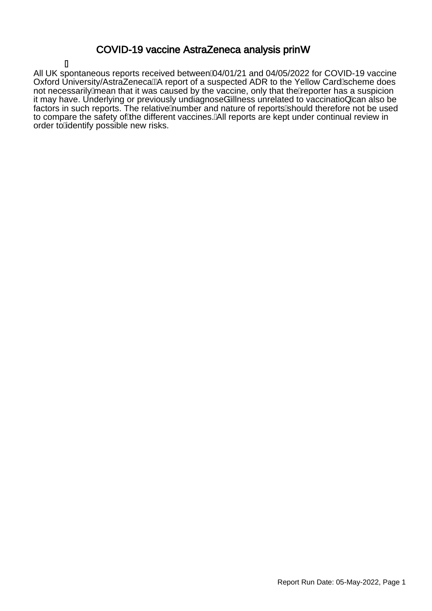### COVID-19 vaccine AstraZeneca analysis princ

Á All UK spontaneous reports received between/04/01/21 and 04/05/2022 for COVID-19 vaccine Oxford University/AstraZeneca $\ddot{\Xi}$ A report of a suspected ADR to the Yellow Card/scheme does not necessarily mean that it was caused by the vaccine, only that the teporter has a suspicion it may have. Underlying or previously undiagnoseåAllness unrelated to vaccinatio} Aan also be factors in such reports. The relative humber and nature of reports should therefore not be used to compare the safety of the different vaccines. All reports are kept under continual review in order to Adentify possible new risks.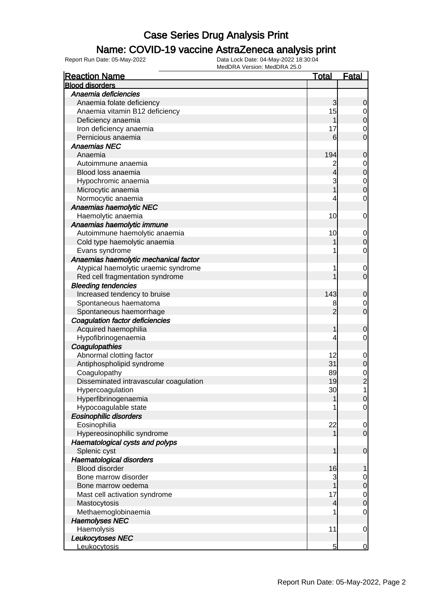### Name: COVID-19 vaccine AstraZeneca analysis print

| <b>Reaction Name</b>                   | <u>Total</u>   | <u>Fatal</u>   |
|----------------------------------------|----------------|----------------|
| <b>Blood disorders</b>                 |                |                |
| Anaemia deficiencies                   |                |                |
| Anaemia folate deficiency              | 3              | 0              |
| Anaemia vitamin B12 deficiency         | 15             | 0              |
| Deficiency anaemia                     |                | $\mathbf 0$    |
| Iron deficiency anaemia                | 17             | 0              |
| Pernicious anaemia                     | 6              | $\mathbf 0$    |
| <b>Anaemias NEC</b>                    |                |                |
| Anaemia                                | 194            | 0              |
| Autoimmune anaemia                     | $\overline{c}$ | $\mathbf 0$    |
| Blood loss anaemia                     | 4              | $\mathbf 0$    |
| Hypochromic anaemia                    | 3              | $\mathbf 0$    |
| Microcytic anaemia                     | 1              | $\mathbf 0$    |
| Normocytic anaemia                     | 4              | 0              |
| Anaemias haemolytic NEC                |                |                |
| Haemolytic anaemia                     | 10             | $\mathbf 0$    |
| Anaemias haemolytic immune             |                |                |
| Autoimmune haemolytic anaemia          | 10             | $\mathbf 0$    |
| Cold type haemolytic anaemia           |                | 0              |
| Evans syndrome                         | 1              | 0              |
| Anaemias haemolytic mechanical factor  |                |                |
| Atypical haemolytic uraemic syndrome   | 1              | $\mathbf 0$    |
| Red cell fragmentation syndrome        |                | $\mathbf 0$    |
| <b>Bleeding tendencies</b>             |                |                |
| Increased tendency to bruise           | 143            | 0              |
| Spontaneous haematoma                  | 8              | $\mathbf 0$    |
| Spontaneous haemorrhage                | $\overline{2}$ | $\mathbf 0$    |
| <b>Coagulation factor deficiencies</b> |                |                |
| Acquired haemophilia                   | 1              | 0              |
| Hypofibrinogenaemia                    | 4              | 0              |
| Coagulopathies                         |                |                |
| Abnormal clotting factor               | 12             | $\mathbf 0$    |
| Antiphospholipid syndrome              | 31             | $\mathbf 0$    |
| Coagulopathy                           | 89             | $\mathbf{0}$   |
| Disseminated intravascular coagulation | 19             | $\overline{c}$ |
| Hypercoagulation                       | 30             | 1              |
| Hyperfibrinogenaemia                   | 1              | $\Omega$       |
| Hypocoagulable state                   | 1              | $\mathbf 0$    |
| <b>Eosinophilic disorders</b>          |                |                |
| Eosinophilia                           | 22             | $\mathbf 0$    |
| Hypereosinophilic syndrome             | 1              | $\mathbf 0$    |
| Haematological cysts and polyps        |                |                |
| Splenic cyst                           | 1              | $\mathbf 0$    |
| Haematological disorders               |                |                |
| <b>Blood disorder</b>                  | 16             |                |
| Bone marrow disorder                   | 3              | 0              |
| Bone marrow oedema                     |                | $\mathbf 0$    |
| Mast cell activation syndrome          | 17             | $\mathbf 0$    |
| Mastocytosis                           | 4              | $\mathbf 0$    |
| Methaemoglobinaemia                    | 1              | 0              |
| <b>Haemolyses NEC</b>                  |                |                |
| Haemolysis                             | 11             | $\mathbf 0$    |
| <b>Leukocytoses NEC</b>                |                |                |
| Leukocytosis                           | 5              | 0              |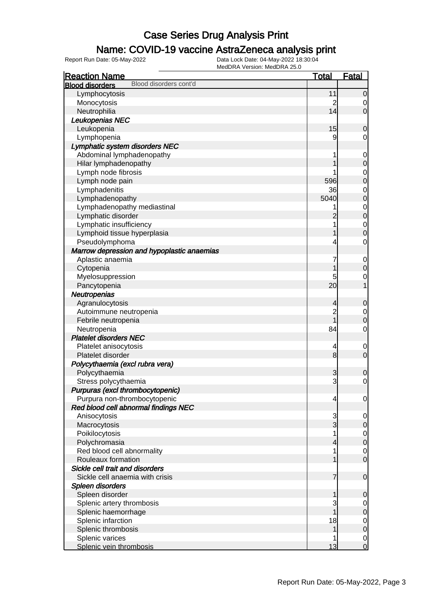### Name: COVID-19 vaccine AstraZeneca analysis print

| <b>Reaction Name</b>                             | <b>Total</b>   | <u>Fatal</u>   |
|--------------------------------------------------|----------------|----------------|
| Blood disorders cont'd<br><b>Blood disorders</b> |                |                |
| Lymphocytosis                                    | 11             | 0              |
| Monocytosis                                      | $\overline{c}$ | 0              |
| Neutrophilia                                     | 14             | 0              |
| Leukopenias NEC                                  |                |                |
| Leukopenia                                       | 15             | 0              |
| Lymphopenia                                      | 9              | 0              |
| Lymphatic system disorders NEC                   |                |                |
| Abdominal lymphadenopathy                        | 1              | $\mathbf 0$    |
| Hilar lymphadenopathy                            |                | 0              |
| Lymph node fibrosis                              |                | 0              |
| Lymph node pain                                  | 596            | 0              |
| Lymphadenitis                                    | 36             | 0              |
| Lymphadenopathy                                  | 5040           | 0              |
| Lymphadenopathy mediastinal                      |                | 0              |
| Lymphatic disorder                               |                | 0              |
| Lymphatic insufficiency                          |                | $\mathbf 0$    |
| Lymphoid tissue hyperplasia                      |                | 0              |
| Pseudolymphoma                                   | 4              | 0              |
| Marrow depression and hypoplastic anaemias       |                |                |
| Aplastic anaemia                                 | 7              | $\mathbf 0$    |
| Cytopenia                                        |                | 0              |
| Myelosuppression                                 | 5              | 0              |
| Pancytopenia                                     | 20             |                |
| Neutropenias                                     |                |                |
| Agranulocytosis                                  | 4              | 0              |
| Autoimmune neutropenia                           | $\overline{c}$ | $\mathbf 0$    |
| Febrile neutropenia                              |                | 0              |
| Neutropenia                                      | 84             | 0              |
| <b>Platelet disorders NEC</b>                    |                |                |
| Platelet anisocytosis                            | 4              | 0              |
| Platelet disorder                                | 8              | $\mathbf 0$    |
| Polycythaemia (excl rubra vera)                  |                |                |
| Polycythaemia                                    | 3              | 0              |
| Stress polycythaemia                             | 3              | $\mathbf 0$    |
| Purpuras (excl thrombocytopenic)                 |                |                |
| Purpura non-thrombocytopenic                     | 4              | $\overline{0}$ |
| Red blood cell abnormal findings NEC             |                |                |
| Anisocytosis                                     | 3              | $\mathbf 0$    |
| Macrocytosis                                     | 3              | 0              |
| Poikilocytosis                                   | 1              | $\mathbf 0$    |
| Polychromasia                                    | 4              | $\mathbf 0$    |
| Red blood cell abnormality                       | 1              | $\mathbf 0$    |
| Rouleaux formation                               |                | $\mathbf 0$    |
| Sickle cell trait and disorders                  |                |                |
| Sickle cell anaemia with crisis                  | 7              | $\mathbf 0$    |
| Spleen disorders                                 |                |                |
| Spleen disorder                                  |                | 0              |
| Splenic artery thrombosis                        | 3              | $\mathbf 0$    |
| Splenic haemorrhage                              |                | 0              |
| Splenic infarction                               | 18             | $\mathbf 0$    |
| Splenic thrombosis                               |                | 0              |
| Splenic varices                                  |                | $\mathbf 0$    |
| Splenic vein thrombosis                          | 13             | $\mathbf 0$    |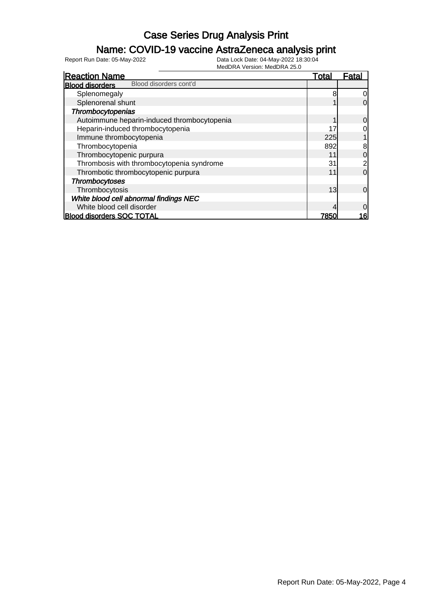### Name: COVID-19 vaccine AstraZeneca analysis print

| <b>Reaction Name</b>                             | Total | Fatal          |
|--------------------------------------------------|-------|----------------|
| Blood disorders cont'd<br><b>Blood disorders</b> |       |                |
| Splenomegaly                                     |       | 0              |
| Splenorenal shunt                                |       | 0              |
| Thrombocytopenias                                |       |                |
| Autoimmune heparin-induced thrombocytopenia      |       | 0              |
| Heparin-induced thrombocytopenia                 | 17    | 0              |
| Immune thrombocytopenia                          | 225   |                |
| Thrombocytopenia                                 | 892   | 8              |
| Thrombocytopenic purpura                         | 11    | 0              |
| Thrombosis with thrombocytopenia syndrome        | 31    |                |
| Thrombotic thrombocytopenic purpura              | 11    | 0              |
| <b>Thrombocytoses</b>                            |       |                |
| Thrombocytosis                                   | 13    | $\overline{0}$ |
| White blood cell abnormal findings NEC           |       |                |
| White blood cell disorder                        |       | 0              |
| <b>Blood disorders SOC TOTAL</b>                 | 7850  | 16             |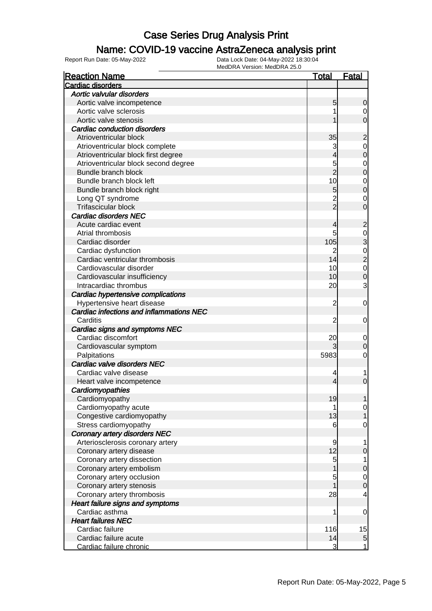### Name: COVID-19 vaccine AstraZeneca analysis print

| <b>Reaction Name</b>                     | Total          | <u>Fatal</u>                     |
|------------------------------------------|----------------|----------------------------------|
| Cardiac disorders                        |                |                                  |
| Aortic valvular disorders                |                |                                  |
| Aortic valve incompetence                | 5              | 0                                |
| Aortic valve sclerosis                   |                | 0                                |
| Aortic valve stenosis                    |                | $\overline{0}$                   |
| <b>Cardiac conduction disorders</b>      |                |                                  |
| Atrioventricular block                   | 35             | $\overline{\mathbf{c}}$          |
| Atrioventricular block complete          | 3              |                                  |
| Atrioventricular block first degree      | 4              | $\begin{matrix}0\\0\end{matrix}$ |
| Atrioventricular block second degree     | 5              |                                  |
| Bundle branch block                      | $\overline{2}$ | 0<br>0                           |
| Bundle branch block left                 | 10             |                                  |
| Bundle branch block right                | 5              | $\begin{matrix}0\\0\end{matrix}$ |
| Long QT syndrome                         | $\overline{c}$ | $\mathbf 0$                      |
| Trifascicular block                      | $\overline{2}$ | $\overline{0}$                   |
| <b>Cardiac disorders NEC</b>             |                |                                  |
| Acute cardiac event                      | 4              | $\overline{\mathbf{c}}$          |
| Atrial thrombosis                        | 5              |                                  |
| Cardiac disorder                         | 105            |                                  |
| Cardiac dysfunction                      | 2              |                                  |
| Cardiac ventricular thrombosis           | 14             | 0<br>0<br>0<br>0<br>0<br>0       |
| Cardiovascular disorder                  | 10             |                                  |
| Cardiovascular insufficiency             | 10             |                                  |
| Intracardiac thrombus                    | 20             | 3                                |
| Cardiac hypertensive complications       |                |                                  |
| Hypertensive heart disease               | 2              | 0                                |
| Cardiac infections and inflammations NEC |                |                                  |
| Carditis                                 | 2              | 0                                |
| Cardiac signs and symptoms NEC           |                |                                  |
| Cardiac discomfort                       | 20             | 0                                |
| Cardiovascular symptom                   | 3              | 0                                |
| Palpitations                             | 5983           | 0                                |
| Cardiac valve disorders NEC              |                |                                  |
| Cardiac valve disease                    | 4              | 1                                |
| Heart valve incompetence                 | 4              | 0                                |
| Cardiomyopathies                         |                |                                  |
| Cardiomyopathy                           | 19             |                                  |
| Cardiomyopathy acute                     | 1              | 0                                |
| Congestive cardiomyopathy                | 13             |                                  |
| Stress cardiomyopathy                    | 6              | 0                                |
| <b>Coronary artery disorders NEC</b>     |                |                                  |
| Arteriosclerosis coronary artery         | 9              |                                  |
| Coronary artery disease                  | 12             | 0                                |
| Coronary artery dissection               | $\overline{5}$ |                                  |
| Coronary artery embolism                 |                | $\mathbf 0$                      |
| Coronary artery occlusion                | 5              | $\mathbf 0$                      |
| Coronary artery stenosis                 |                | $\overline{0}$                   |
| Coronary artery thrombosis               | 28             | 4                                |
| <b>Heart failure signs and symptoms</b>  |                |                                  |
| Cardiac asthma                           | 1              | 0                                |
| <b>Heart failures NEC</b>                |                |                                  |
| Cardiac failure                          | 116            | 15                               |
| Cardiac failure acute                    | 14             | $\overline{5}$                   |
| Cardiac failure chronic                  | 3              | $\overline{1}$                   |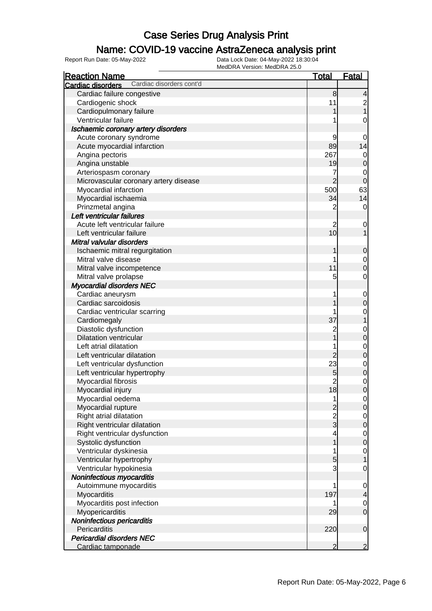#### Name: COVID-19 vaccine AstraZeneca analysis print

| <b>Reaction Name</b>                          | <u>Total</u>         | <b>Fatal</b>   |
|-----------------------------------------------|----------------------|----------------|
| Cardiac disorders cont'd<br>Cardiac disorders |                      |                |
| Cardiac failure congestive                    | 8                    | 4              |
| Cardiogenic shock                             | 11                   |                |
| Cardiopulmonary failure                       | 1                    | 2<br>1         |
| Ventricular failure                           | 1                    | 0              |
| Ischaemic coronary artery disorders           |                      |                |
| Acute coronary syndrome                       | 9                    | 0              |
| Acute myocardial infarction                   | 89                   | 14             |
| Angina pectoris                               | 267                  | $\mathbf 0$    |
| Angina unstable                               | 19                   | 0              |
| Arteriospasm coronary                         | 7                    | $\mathbf 0$    |
| Microvascular coronary artery disease         | $\overline{2}$       | $\mathbf 0$    |
| Myocardial infarction                         | 500                  | 63             |
| Myocardial ischaemia                          | 34                   | 14             |
| Prinzmetal angina                             | 2                    | 0              |
| Left ventricular failures                     |                      |                |
| Acute left ventricular failure                |                      |                |
| Left ventricular failure                      | $\overline{c}$<br>10 | $\mathbf 0$    |
|                                               |                      |                |
| Mitral valvular disorders                     |                      |                |
| Ischaemic mitral regurgitation                |                      | 0              |
| Mitral valve disease                          | 1                    | $\mathbf 0$    |
| Mitral valve incompetence                     | 11                   | 0              |
| Mitral valve prolapse                         | 5                    | $\mathbf 0$    |
| <b>Myocardial disorders NEC</b>               |                      |                |
| Cardiac aneurysm                              | 1                    | $\mathbf 0$    |
| Cardiac sarcoidosis                           |                      | 0              |
| Cardiac ventricular scarring                  |                      | $\mathbf 0$    |
| Cardiomegaly                                  | 37                   |                |
| Diastolic dysfunction                         | $\overline{c}$       | $\mathbf 0$    |
| <b>Dilatation ventricular</b>                 |                      | 0              |
| Left atrial dilatation                        | 1                    | $\mathbf 0$    |
| Left ventricular dilatation                   | $\overline{2}$       | 0              |
| Left ventricular dysfunction                  | 23                   | $\mathbf{0}$   |
| Left ventricular hypertrophy                  | 5                    | $\overline{0}$ |
| Myocardial fibrosis                           | $\overline{c}$       | $\mathbf 0$    |
| Myocardial injury                             | 18                   | $\overline{0}$ |
| Myocardial oedema                             | 1                    | $\overline{0}$ |
| Myocardial rupture                            | $\overline{2}$       | $\overline{0}$ |
| Right atrial dilatation                       | $\frac{2}{3}$        | 0              |
| Right ventricular dilatation                  |                      | 0              |
| Right ventricular dysfunction                 | 4                    | $\mathbf 0$    |
| Systolic dysfunction                          | 1                    | 0              |
| Ventricular dyskinesia                        | 1                    | $\mathbf 0$    |
| Ventricular hypertrophy                       | 5                    |                |
| Ventricular hypokinesia                       | 3                    | 0              |
| Noninfectious myocarditis                     |                      |                |
| Autoimmune myocarditis                        | 1                    | $\mathbf 0$    |
| Myocarditis                                   | 197                  | 4              |
| Myocarditis post infection                    | 1                    | $\mathbf 0$    |
| Myopericarditis                               | 29                   | $\overline{0}$ |
| Noninfectious pericarditis                    |                      |                |
| Pericarditis                                  | 220                  | $\mathbf 0$    |
| <b>Pericardial disorders NEC</b>              |                      |                |
| Cardiac tamponade                             | 2                    | $\overline{2}$ |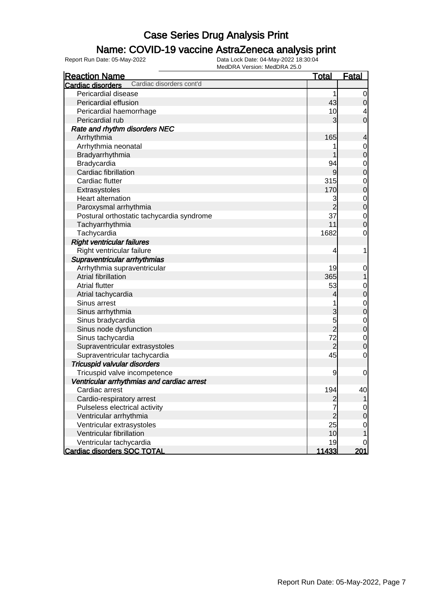### Name: COVID-19 vaccine AstraZeneca analysis print

| <b>Reaction Name</b>                          | <u>Total</u>   | <b>Fatal</b>   |
|-----------------------------------------------|----------------|----------------|
| Cardiac disorders cont'd<br>Cardiac disorders |                |                |
| Pericardial disease                           | 1              | 0              |
| Pericardial effusion                          | 43             | $\mathbf 0$    |
| Pericardial haemorrhage                       | 10             | 4              |
| Pericardial rub                               | 3              | $\overline{0}$ |
| Rate and rhythm disorders NEC                 |                |                |
| Arrhythmia                                    | 165            | 4              |
| Arrhythmia neonatal                           |                | $\mathbf{0}$   |
| Bradyarrhythmia                               |                | $\mathbf 0$    |
| Bradycardia                                   | 94             | $\mathbf 0$    |
| Cardiac fibrillation                          | $\overline{9}$ | $\mathbf 0$    |
| Cardiac flutter                               | 315            | $\mathbf 0$    |
| Extrasystoles                                 | 170            | $\mathbf 0$    |
| Heart alternation                             | 3              | $\mathbf{0}$   |
| Paroxysmal arrhythmia                         | $\overline{2}$ | $\overline{0}$ |
| Postural orthostatic tachycardia syndrome     | 37             | $\mathbf 0$    |
| Tachyarrhythmia                               | 11             | $\mathbf 0$    |
| Tachycardia                                   | 1682           | 0              |
| <b>Right ventricular failures</b>             |                |                |
| Right ventricular failure                     | 4              | 1              |
| Supraventricular arrhythmias                  |                |                |
| Arrhythmia supraventricular                   | 19             | $\mathbf 0$    |
| Atrial fibrillation                           | 365            | 1              |
| <b>Atrial flutter</b>                         | 53             | $\mathbf 0$    |
| Atrial tachycardia                            | 4              | $\mathbf 0$    |
| Sinus arrest                                  | 1              | $\mathbf{0}$   |
| Sinus arrhythmia                              | 3              | $\mathbf 0$    |
| Sinus bradycardia                             | 5              | $\mathbf{0}$   |
| Sinus node dysfunction                        | $\overline{2}$ | $\mathbf 0$    |
| Sinus tachycardia                             | 72             | $\mathbf 0$    |
| Supraventricular extrasystoles                | $\overline{2}$ | $\mathbf 0$    |
| Supraventricular tachycardia                  | 45             | $\mathbf 0$    |
| Tricuspid valvular disorders                  |                |                |
| Tricuspid valve incompetence                  | 9              | 0              |
| Ventricular arrhythmias and cardiac arrest    |                |                |
| Cardiac arrest                                | 194            | 40             |
| Cardio-respiratory arrest                     | $\overline{c}$ | 1              |
| Pulseless electrical activity                 | 7              | $\overline{0}$ |
| Ventricular arrhythmia                        | $\overline{c}$ | $\mathbf 0$    |
| Ventricular extrasystoles                     | 25             | 0              |
| Ventricular fibrillation                      | 10             | 1              |
| Ventricular tachycardia                       | 19             | $\overline{0}$ |
| <b>Cardiac disorders SOC TOTAL</b>            | 11433          | 201            |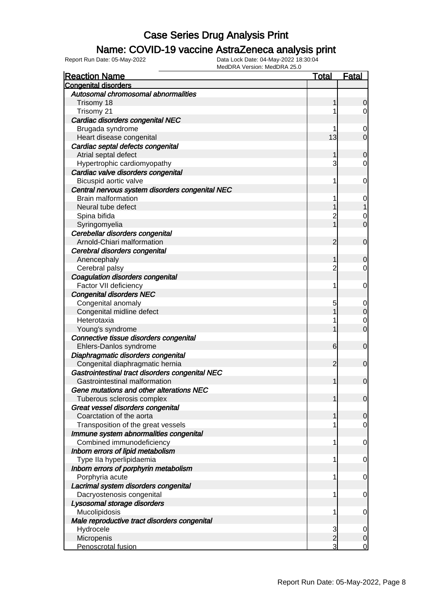### Name: COVID-19 vaccine AstraZeneca analysis print

| <b>Reaction Name</b>                                                             | Total          | <b>Fatal</b>   |
|----------------------------------------------------------------------------------|----------------|----------------|
| <b>Congenital disorders</b>                                                      |                |                |
| Autosomal chromosomal abnormalities                                              |                |                |
| Trisomy 18                                                                       |                | 0              |
| Trisomy 21                                                                       |                | 0              |
| Cardiac disorders congenital NEC                                                 |                |                |
| Brugada syndrome                                                                 |                | 0              |
| Heart disease congenital                                                         | 13             | 0              |
| Cardiac septal defects congenital                                                |                |                |
| Atrial septal defect                                                             |                | 0              |
| Hypertrophic cardiomyopathy                                                      | 3              | 0              |
| Cardiac valve disorders congenital                                               |                |                |
| Bicuspid aortic valve                                                            | 1              | 0              |
| Central nervous system disorders congenital NEC                                  |                |                |
| <b>Brain malformation</b>                                                        |                | 0              |
| Neural tube defect                                                               |                |                |
| Spina bifida                                                                     | 2              | 0              |
| Syringomyelia                                                                    |                | 0              |
| Cerebellar disorders congenital                                                  |                |                |
| Arnold-Chiari malformation                                                       | 2              | $\mathbf 0$    |
| Cerebral disorders congenital                                                    |                |                |
| Anencephaly                                                                      |                | 0              |
| Cerebral palsy                                                                   | 2              | 0              |
| Coagulation disorders congenital                                                 |                |                |
| Factor VII deficiency                                                            | 1              | 0              |
| <b>Congenital disorders NEC</b>                                                  |                |                |
| Congenital anomaly                                                               | 5              | 0              |
| Congenital midline defect                                                        |                | 0              |
| Heterotaxia                                                                      |                | 0              |
| Young's syndrome                                                                 |                | 0              |
| Connective tissue disorders congenital                                           |                |                |
| Ehlers-Danlos syndrome                                                           | 6              | 0              |
| Diaphragmatic disorders congenital                                               |                |                |
| Congenital diaphragmatic hernia                                                  | 2              | 0              |
| Gastrointestinal tract disorders congenital NEC<br>Gastrointestinal malformation |                | $\mathbf 0$    |
| Gene mutations and other alterations NEC                                         |                |                |
| Tuberous sclerosis complex                                                       |                | $\mathbf 0$    |
| Great vessel disorders congenital                                                |                |                |
| Coarctation of the aorta                                                         |                | $\overline{0}$ |
| Transposition of the great vessels                                               | 1              | 0              |
| Immune system abnormalities congenital                                           |                |                |
| Combined immunodeficiency                                                        | 1              | 0              |
| Inborn errors of lipid metabolism                                                |                |                |
| Type IIa hyperlipidaemia                                                         | 1              | 0              |
| Inborn errors of porphyrin metabolism                                            |                |                |
| Porphyria acute                                                                  | 1              | 0              |
| Lacrimal system disorders congenital                                             |                |                |
| Dacryostenosis congenital                                                        | 1              | 0              |
| Lysosomal storage disorders                                                      |                |                |
| Mucolipidosis                                                                    | 1              | 0              |
| Male reproductive tract disorders congenital                                     |                |                |
| Hydrocele                                                                        | 3              | 0              |
| Micropenis                                                                       | $\overline{2}$ | 0              |
| Penoscrotal fusion                                                               | 3              | 0              |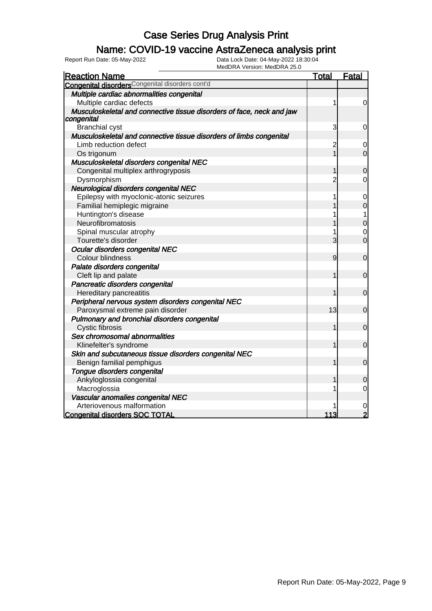### Name: COVID-19 vaccine AstraZeneca analysis print

| <b>Reaction Name</b>                                                  | <u>Total</u>   | <b>Fatal</b>   |
|-----------------------------------------------------------------------|----------------|----------------|
| <b>Congenital disorders</b> Congenital disorders cont'd               |                |                |
| Multiple cardiac abnormalities congenital                             |                |                |
| Multiple cardiac defects                                              | 1              | $\overline{0}$ |
| Musculoskeletal and connective tissue disorders of face, neck and jaw |                |                |
| congenital                                                            |                |                |
| <b>Branchial cyst</b>                                                 | 3              | 0              |
| Musculoskeletal and connective tissue disorders of limbs congenital   |                |                |
| Limb reduction defect                                                 | $\overline{c}$ | 0              |
| Os trigonum                                                           |                | 0              |
| Musculoskeletal disorders congenital NEC                              |                |                |
| Congenital multiplex arthrogryposis                                   | 1              | $\mathbf 0$    |
| Dysmorphism                                                           | $\overline{2}$ | 0              |
| Neurological disorders congenital NEC                                 |                |                |
| Epilepsy with myoclonic-atonic seizures                               | 1              | 0              |
| Familial hemiplegic migraine                                          |                | 0              |
| Huntington's disease                                                  |                | 1              |
| Neurofibromatosis                                                     |                | $\mathbf 0$    |
| Spinal muscular atrophy                                               |                | 0              |
| Tourette's disorder                                                   | 3              | $\overline{0}$ |
| Ocular disorders congenital NEC                                       |                |                |
| Colour blindness                                                      | 9              | $\mathbf 0$    |
| Palate disorders congenital                                           |                |                |
| Cleft lip and palate                                                  | 1              | $\mathbf 0$    |
| Pancreatic disorders congenital                                       |                |                |
| Hereditary pancreatitis                                               | 1              | $\mathbf 0$    |
| Peripheral nervous system disorders congenital NEC                    |                |                |
| Paroxysmal extreme pain disorder                                      | 13             | 0              |
| Pulmonary and bronchial disorders congenital                          |                |                |
| Cystic fibrosis                                                       |                | $\mathbf 0$    |
| Sex chromosomal abnormalities                                         |                |                |
| Klinefelter's syndrome                                                | 1              | $\overline{0}$ |
| Skin and subcutaneous tissue disorders congenital NEC                 |                |                |
| Benign familial pemphigus                                             | 1              | $\mathbf 0$    |
| Tongue disorders congenital                                           |                |                |
| Ankyloglossia congenital                                              |                | 0              |
| Macroglossia                                                          |                | 0              |
| Vascular anomalies congenital NEC                                     |                |                |
| Arteriovenous malformation                                            |                |                |
| <b>Congenital disorders SOC TOTAL</b>                                 | 113            | $\overline{2}$ |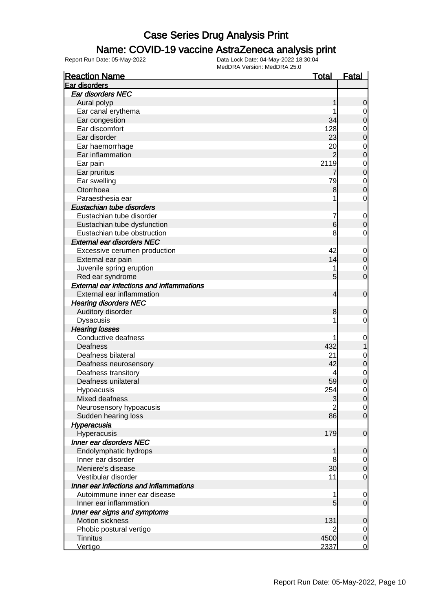### Name: COVID-19 vaccine AstraZeneca analysis print

| <b>Reaction Name</b>                             | <b>Total</b>        | <b>Fatal</b>                  |
|--------------------------------------------------|---------------------|-------------------------------|
| Ear disorders                                    |                     |                               |
| Ear disorders NEC                                |                     |                               |
| Aural polyp                                      | 1                   | 0                             |
| Ear canal erythema                               |                     | $\mathbf 0$                   |
| Ear congestion                                   | 34                  | 0                             |
| Ear discomfort                                   | 128                 | $\mathbf 0$                   |
| Ear disorder                                     | 23                  | 0                             |
| Ear haemorrhage                                  | 20                  | $\mathbf 0$                   |
| Ear inflammation                                 | $\overline{2}$      | 0                             |
| Ear pain                                         | 2119                | $\mathbf 0$                   |
| Ear pruritus                                     | 7                   | 0                             |
| Ear swelling                                     | 79                  | $\mathbf 0$                   |
| Otorrhoea                                        | 8                   | 0                             |
| Paraesthesia ear                                 | 1                   | 0                             |
| Eustachian tube disorders                        |                     |                               |
| Eustachian tube disorder                         | 7                   | $\mathbf 0$                   |
| Eustachian tube dysfunction                      | 6                   | 0                             |
| Eustachian tube obstruction                      | 8                   | 0                             |
| <b>External ear disorders NEC</b>                |                     |                               |
| Excessive cerumen production                     | 42                  | $\mathbf 0$                   |
| External ear pain                                | 14                  | 0                             |
| Juvenile spring eruption                         | 1                   | $\mathbf 0$                   |
| Red ear syndrome                                 | 5                   | 0                             |
| <b>External ear infections and inflammations</b> |                     |                               |
| External ear inflammation                        | 4                   | $\mathbf 0$                   |
| <b>Hearing disorders NEC</b>                     |                     |                               |
| Auditory disorder                                | 8                   | 0                             |
| <b>Dysacusis</b>                                 | 1                   | 0                             |
| <b>Hearing losses</b>                            |                     |                               |
| Conductive deafness                              | 1                   |                               |
| Deafness                                         | 432                 | 0                             |
| Deafness bilateral                               | 21                  |                               |
|                                                  | 42                  | 0<br>0                        |
| Deafness neurosensory<br>Deafness transitory     | 4                   |                               |
| Deafness unilateral                              | 59                  | $\mathbf 0$                   |
|                                                  | 254                 | 0                             |
| Hypoacusis<br>Mixed deafness                     |                     | 0                             |
|                                                  | 3<br>$\overline{2}$ | $\overline{0}$                |
| Neurosensory hypoacusis                          | 86                  | $\overline{0}$<br>$\mathbf 0$ |
| Sudden hearing loss                              |                     |                               |
| Hyperacusia                                      |                     |                               |
| Hyperacusis<br><b>Inner ear disorders NEC</b>    | 179                 | $\mathbf 0$                   |
|                                                  |                     |                               |
| Endolymphatic hydrops                            | 1                   | 0                             |
| Inner ear disorder                               | 8                   | $\mathbf 0$                   |
| Meniere's disease                                | 30                  | 0                             |
| Vestibular disorder                              | 11                  | 0                             |
| Inner ear infections and inflammations           |                     |                               |
| Autoimmune inner ear disease                     | 1                   | 0                             |
| Inner ear inflammation                           | 5                   | 0                             |
| Inner ear signs and symptoms                     |                     |                               |
| Motion sickness                                  | 131                 | 0                             |
| Phobic postural vertigo                          |                     | $\overline{0}$                |
| <b>Tinnitus</b>                                  | 4500                | $\mathbf 0$                   |
| Vertigo                                          | 2337                | $\mathbf 0$                   |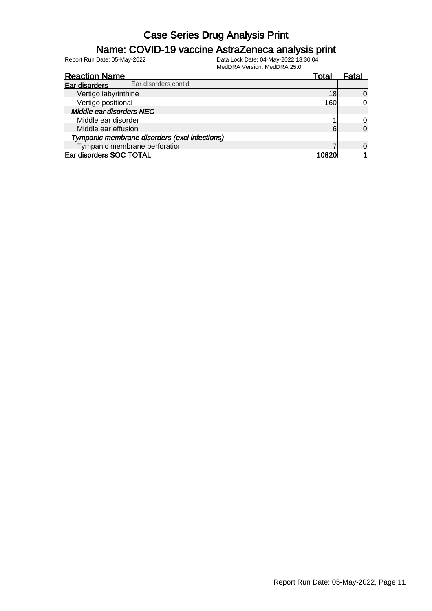### Name: COVID-19 vaccine AstraZeneca analysis print

| <b>Reaction Name</b>                          |                      | Total | Fatal          |
|-----------------------------------------------|----------------------|-------|----------------|
| Ear disorders                                 | Ear disorders cont'd |       |                |
| Vertigo labyrinthine                          |                      | 18    | $\Omega$       |
| Vertigo positional                            |                      | 160   | <sub>0</sub>   |
| Middle ear disorders NEC                      |                      |       |                |
| Middle ear disorder                           |                      |       | 0l             |
| Middle ear effusion                           |                      | 6     | $\overline{0}$ |
| Tympanic membrane disorders (excl infections) |                      |       |                |
| Tympanic membrane perforation                 |                      |       | $\Omega$       |
| Ear disorders SOC TOTAL                       |                      | 10820 |                |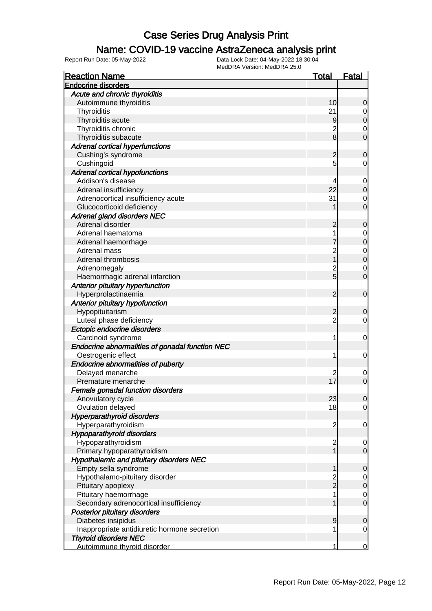### Name: COVID-19 vaccine AstraZeneca analysis print

| Acute and chronic thyroiditis<br>Autoimmune thyroiditis<br>10<br>0<br>21<br>Thyroiditis<br>0<br>Thyroiditis acute<br>9<br>0<br>$\overline{c}$<br>Thyroiditis chronic<br>0<br>$\bf{8}$<br>Thyroiditis subacute<br>0<br><b>Adrenal cortical hyperfunctions</b><br>Cushing's syndrome<br>2<br>0<br>5<br>Cushingoid<br>0<br><b>Adrenal cortical hypofunctions</b><br>Addison's disease<br>4<br>0<br>22<br>Adrenal insufficiency<br>0<br>31<br>Adrenocortical insufficiency acute<br>0<br>Glucocorticoid deficiency<br>0<br><b>Adrenal gland disorders NEC</b><br>Adrenal disorder<br>2<br>0<br>Adrenal haematoma<br>1<br>0<br>Adrenal haemorrhage<br>0<br>Adrenal mass<br>$\overline{c}$<br>0<br>Adrenal thrombosis<br>0<br>$\overline{c}$<br>Adrenomegaly<br>0<br>5<br>Haemorrhagic adrenal infarction<br>0<br>Anterior pituitary hyperfunction<br>Hyperprolactinaemia<br>2<br>$\mathbf 0$<br>Anterior pituitary hypofunction<br>Hypopituitarism<br>2<br>0<br>$\overline{c}$<br>Luteal phase deficiency<br>0<br>Ectopic endocrine disorders<br>Carcinoid syndrome<br>1<br>0<br>Endocrine abnormalities of gonadal function NEC<br>Oestrogenic effect<br>1<br>0<br><b>Endocrine abnormalities of puberty</b><br>Delayed menarche<br>2<br>0<br>17<br>Premature menarche<br>0<br>Female gonadal function disorders<br>Anovulatory cycle<br>23<br>$\Omega$<br>Ovulation delayed<br>18<br>0<br><b>Hyperparathyroid disorders</b><br>Hyperparathyroidism<br>$\overline{c}$<br>0<br><b>Hypoparathyroid disorders</b><br>Hypoparathyroidism<br>$\overline{\mathbf{c}}$<br>0<br>$\overline{1}$<br>Primary hypoparathyroidism<br>$\mathbf 0$<br>Hypothalamic and pituitary disorders NEC<br>Empty sella syndrome<br>0<br>2<br>2<br>Hypothalamo-pituitary disorder<br>0<br>Pituitary apoplexy<br>0<br>Pituitary haemorrhage<br>1<br>0<br>Secondary adrenocortical insufficiency<br>$\mathbf 0$<br><b>Posterior pituitary disorders</b><br>Diabetes insipidus<br>9<br>0<br>Inappropriate antidiuretic hormone secretion<br>1<br>0<br><b>Thyroid disorders NEC</b> | <b>Reaction Name</b>        | <u>Total</u> | <b>Fatal</b> |
|----------------------------------------------------------------------------------------------------------------------------------------------------------------------------------------------------------------------------------------------------------------------------------------------------------------------------------------------------------------------------------------------------------------------------------------------------------------------------------------------------------------------------------------------------------------------------------------------------------------------------------------------------------------------------------------------------------------------------------------------------------------------------------------------------------------------------------------------------------------------------------------------------------------------------------------------------------------------------------------------------------------------------------------------------------------------------------------------------------------------------------------------------------------------------------------------------------------------------------------------------------------------------------------------------------------------------------------------------------------------------------------------------------------------------------------------------------------------------------------------------------------------------------------------------------------------------------------------------------------------------------------------------------------------------------------------------------------------------------------------------------------------------------------------------------------------------------------------------------------------------------------------------------------------------------------------------------------------------------------------------------------------------------------------------|-----------------------------|--------------|--------------|
|                                                                                                                                                                                                                                                                                                                                                                                                                                                                                                                                                                                                                                                                                                                                                                                                                                                                                                                                                                                                                                                                                                                                                                                                                                                                                                                                                                                                                                                                                                                                                                                                                                                                                                                                                                                                                                                                                                                                                                                                                                                    | <b>Endocrine disorders</b>  |              |              |
|                                                                                                                                                                                                                                                                                                                                                                                                                                                                                                                                                                                                                                                                                                                                                                                                                                                                                                                                                                                                                                                                                                                                                                                                                                                                                                                                                                                                                                                                                                                                                                                                                                                                                                                                                                                                                                                                                                                                                                                                                                                    |                             |              |              |
|                                                                                                                                                                                                                                                                                                                                                                                                                                                                                                                                                                                                                                                                                                                                                                                                                                                                                                                                                                                                                                                                                                                                                                                                                                                                                                                                                                                                                                                                                                                                                                                                                                                                                                                                                                                                                                                                                                                                                                                                                                                    |                             |              |              |
|                                                                                                                                                                                                                                                                                                                                                                                                                                                                                                                                                                                                                                                                                                                                                                                                                                                                                                                                                                                                                                                                                                                                                                                                                                                                                                                                                                                                                                                                                                                                                                                                                                                                                                                                                                                                                                                                                                                                                                                                                                                    |                             |              |              |
|                                                                                                                                                                                                                                                                                                                                                                                                                                                                                                                                                                                                                                                                                                                                                                                                                                                                                                                                                                                                                                                                                                                                                                                                                                                                                                                                                                                                                                                                                                                                                                                                                                                                                                                                                                                                                                                                                                                                                                                                                                                    |                             |              |              |
|                                                                                                                                                                                                                                                                                                                                                                                                                                                                                                                                                                                                                                                                                                                                                                                                                                                                                                                                                                                                                                                                                                                                                                                                                                                                                                                                                                                                                                                                                                                                                                                                                                                                                                                                                                                                                                                                                                                                                                                                                                                    |                             |              |              |
|                                                                                                                                                                                                                                                                                                                                                                                                                                                                                                                                                                                                                                                                                                                                                                                                                                                                                                                                                                                                                                                                                                                                                                                                                                                                                                                                                                                                                                                                                                                                                                                                                                                                                                                                                                                                                                                                                                                                                                                                                                                    |                             |              |              |
|                                                                                                                                                                                                                                                                                                                                                                                                                                                                                                                                                                                                                                                                                                                                                                                                                                                                                                                                                                                                                                                                                                                                                                                                                                                                                                                                                                                                                                                                                                                                                                                                                                                                                                                                                                                                                                                                                                                                                                                                                                                    |                             |              |              |
|                                                                                                                                                                                                                                                                                                                                                                                                                                                                                                                                                                                                                                                                                                                                                                                                                                                                                                                                                                                                                                                                                                                                                                                                                                                                                                                                                                                                                                                                                                                                                                                                                                                                                                                                                                                                                                                                                                                                                                                                                                                    |                             |              |              |
|                                                                                                                                                                                                                                                                                                                                                                                                                                                                                                                                                                                                                                                                                                                                                                                                                                                                                                                                                                                                                                                                                                                                                                                                                                                                                                                                                                                                                                                                                                                                                                                                                                                                                                                                                                                                                                                                                                                                                                                                                                                    |                             |              |              |
|                                                                                                                                                                                                                                                                                                                                                                                                                                                                                                                                                                                                                                                                                                                                                                                                                                                                                                                                                                                                                                                                                                                                                                                                                                                                                                                                                                                                                                                                                                                                                                                                                                                                                                                                                                                                                                                                                                                                                                                                                                                    |                             |              |              |
|                                                                                                                                                                                                                                                                                                                                                                                                                                                                                                                                                                                                                                                                                                                                                                                                                                                                                                                                                                                                                                                                                                                                                                                                                                                                                                                                                                                                                                                                                                                                                                                                                                                                                                                                                                                                                                                                                                                                                                                                                                                    |                             |              |              |
|                                                                                                                                                                                                                                                                                                                                                                                                                                                                                                                                                                                                                                                                                                                                                                                                                                                                                                                                                                                                                                                                                                                                                                                                                                                                                                                                                                                                                                                                                                                                                                                                                                                                                                                                                                                                                                                                                                                                                                                                                                                    |                             |              |              |
|                                                                                                                                                                                                                                                                                                                                                                                                                                                                                                                                                                                                                                                                                                                                                                                                                                                                                                                                                                                                                                                                                                                                                                                                                                                                                                                                                                                                                                                                                                                                                                                                                                                                                                                                                                                                                                                                                                                                                                                                                                                    |                             |              |              |
|                                                                                                                                                                                                                                                                                                                                                                                                                                                                                                                                                                                                                                                                                                                                                                                                                                                                                                                                                                                                                                                                                                                                                                                                                                                                                                                                                                                                                                                                                                                                                                                                                                                                                                                                                                                                                                                                                                                                                                                                                                                    |                             |              |              |
|                                                                                                                                                                                                                                                                                                                                                                                                                                                                                                                                                                                                                                                                                                                                                                                                                                                                                                                                                                                                                                                                                                                                                                                                                                                                                                                                                                                                                                                                                                                                                                                                                                                                                                                                                                                                                                                                                                                                                                                                                                                    |                             |              |              |
|                                                                                                                                                                                                                                                                                                                                                                                                                                                                                                                                                                                                                                                                                                                                                                                                                                                                                                                                                                                                                                                                                                                                                                                                                                                                                                                                                                                                                                                                                                                                                                                                                                                                                                                                                                                                                                                                                                                                                                                                                                                    |                             |              |              |
|                                                                                                                                                                                                                                                                                                                                                                                                                                                                                                                                                                                                                                                                                                                                                                                                                                                                                                                                                                                                                                                                                                                                                                                                                                                                                                                                                                                                                                                                                                                                                                                                                                                                                                                                                                                                                                                                                                                                                                                                                                                    |                             |              |              |
|                                                                                                                                                                                                                                                                                                                                                                                                                                                                                                                                                                                                                                                                                                                                                                                                                                                                                                                                                                                                                                                                                                                                                                                                                                                                                                                                                                                                                                                                                                                                                                                                                                                                                                                                                                                                                                                                                                                                                                                                                                                    |                             |              |              |
|                                                                                                                                                                                                                                                                                                                                                                                                                                                                                                                                                                                                                                                                                                                                                                                                                                                                                                                                                                                                                                                                                                                                                                                                                                                                                                                                                                                                                                                                                                                                                                                                                                                                                                                                                                                                                                                                                                                                                                                                                                                    |                             |              |              |
|                                                                                                                                                                                                                                                                                                                                                                                                                                                                                                                                                                                                                                                                                                                                                                                                                                                                                                                                                                                                                                                                                                                                                                                                                                                                                                                                                                                                                                                                                                                                                                                                                                                                                                                                                                                                                                                                                                                                                                                                                                                    |                             |              |              |
|                                                                                                                                                                                                                                                                                                                                                                                                                                                                                                                                                                                                                                                                                                                                                                                                                                                                                                                                                                                                                                                                                                                                                                                                                                                                                                                                                                                                                                                                                                                                                                                                                                                                                                                                                                                                                                                                                                                                                                                                                                                    |                             |              |              |
|                                                                                                                                                                                                                                                                                                                                                                                                                                                                                                                                                                                                                                                                                                                                                                                                                                                                                                                                                                                                                                                                                                                                                                                                                                                                                                                                                                                                                                                                                                                                                                                                                                                                                                                                                                                                                                                                                                                                                                                                                                                    |                             |              |              |
|                                                                                                                                                                                                                                                                                                                                                                                                                                                                                                                                                                                                                                                                                                                                                                                                                                                                                                                                                                                                                                                                                                                                                                                                                                                                                                                                                                                                                                                                                                                                                                                                                                                                                                                                                                                                                                                                                                                                                                                                                                                    |                             |              |              |
|                                                                                                                                                                                                                                                                                                                                                                                                                                                                                                                                                                                                                                                                                                                                                                                                                                                                                                                                                                                                                                                                                                                                                                                                                                                                                                                                                                                                                                                                                                                                                                                                                                                                                                                                                                                                                                                                                                                                                                                                                                                    |                             |              |              |
|                                                                                                                                                                                                                                                                                                                                                                                                                                                                                                                                                                                                                                                                                                                                                                                                                                                                                                                                                                                                                                                                                                                                                                                                                                                                                                                                                                                                                                                                                                                                                                                                                                                                                                                                                                                                                                                                                                                                                                                                                                                    |                             |              |              |
|                                                                                                                                                                                                                                                                                                                                                                                                                                                                                                                                                                                                                                                                                                                                                                                                                                                                                                                                                                                                                                                                                                                                                                                                                                                                                                                                                                                                                                                                                                                                                                                                                                                                                                                                                                                                                                                                                                                                                                                                                                                    |                             |              |              |
|                                                                                                                                                                                                                                                                                                                                                                                                                                                                                                                                                                                                                                                                                                                                                                                                                                                                                                                                                                                                                                                                                                                                                                                                                                                                                                                                                                                                                                                                                                                                                                                                                                                                                                                                                                                                                                                                                                                                                                                                                                                    |                             |              |              |
|                                                                                                                                                                                                                                                                                                                                                                                                                                                                                                                                                                                                                                                                                                                                                                                                                                                                                                                                                                                                                                                                                                                                                                                                                                                                                                                                                                                                                                                                                                                                                                                                                                                                                                                                                                                                                                                                                                                                                                                                                                                    |                             |              |              |
|                                                                                                                                                                                                                                                                                                                                                                                                                                                                                                                                                                                                                                                                                                                                                                                                                                                                                                                                                                                                                                                                                                                                                                                                                                                                                                                                                                                                                                                                                                                                                                                                                                                                                                                                                                                                                                                                                                                                                                                                                                                    |                             |              |              |
|                                                                                                                                                                                                                                                                                                                                                                                                                                                                                                                                                                                                                                                                                                                                                                                                                                                                                                                                                                                                                                                                                                                                                                                                                                                                                                                                                                                                                                                                                                                                                                                                                                                                                                                                                                                                                                                                                                                                                                                                                                                    |                             |              |              |
|                                                                                                                                                                                                                                                                                                                                                                                                                                                                                                                                                                                                                                                                                                                                                                                                                                                                                                                                                                                                                                                                                                                                                                                                                                                                                                                                                                                                                                                                                                                                                                                                                                                                                                                                                                                                                                                                                                                                                                                                                                                    |                             |              |              |
|                                                                                                                                                                                                                                                                                                                                                                                                                                                                                                                                                                                                                                                                                                                                                                                                                                                                                                                                                                                                                                                                                                                                                                                                                                                                                                                                                                                                                                                                                                                                                                                                                                                                                                                                                                                                                                                                                                                                                                                                                                                    |                             |              |              |
|                                                                                                                                                                                                                                                                                                                                                                                                                                                                                                                                                                                                                                                                                                                                                                                                                                                                                                                                                                                                                                                                                                                                                                                                                                                                                                                                                                                                                                                                                                                                                                                                                                                                                                                                                                                                                                                                                                                                                                                                                                                    |                             |              |              |
|                                                                                                                                                                                                                                                                                                                                                                                                                                                                                                                                                                                                                                                                                                                                                                                                                                                                                                                                                                                                                                                                                                                                                                                                                                                                                                                                                                                                                                                                                                                                                                                                                                                                                                                                                                                                                                                                                                                                                                                                                                                    |                             |              |              |
|                                                                                                                                                                                                                                                                                                                                                                                                                                                                                                                                                                                                                                                                                                                                                                                                                                                                                                                                                                                                                                                                                                                                                                                                                                                                                                                                                                                                                                                                                                                                                                                                                                                                                                                                                                                                                                                                                                                                                                                                                                                    |                             |              |              |
|                                                                                                                                                                                                                                                                                                                                                                                                                                                                                                                                                                                                                                                                                                                                                                                                                                                                                                                                                                                                                                                                                                                                                                                                                                                                                                                                                                                                                                                                                                                                                                                                                                                                                                                                                                                                                                                                                                                                                                                                                                                    |                             |              |              |
|                                                                                                                                                                                                                                                                                                                                                                                                                                                                                                                                                                                                                                                                                                                                                                                                                                                                                                                                                                                                                                                                                                                                                                                                                                                                                                                                                                                                                                                                                                                                                                                                                                                                                                                                                                                                                                                                                                                                                                                                                                                    |                             |              |              |
|                                                                                                                                                                                                                                                                                                                                                                                                                                                                                                                                                                                                                                                                                                                                                                                                                                                                                                                                                                                                                                                                                                                                                                                                                                                                                                                                                                                                                                                                                                                                                                                                                                                                                                                                                                                                                                                                                                                                                                                                                                                    |                             |              |              |
|                                                                                                                                                                                                                                                                                                                                                                                                                                                                                                                                                                                                                                                                                                                                                                                                                                                                                                                                                                                                                                                                                                                                                                                                                                                                                                                                                                                                                                                                                                                                                                                                                                                                                                                                                                                                                                                                                                                                                                                                                                                    |                             |              |              |
|                                                                                                                                                                                                                                                                                                                                                                                                                                                                                                                                                                                                                                                                                                                                                                                                                                                                                                                                                                                                                                                                                                                                                                                                                                                                                                                                                                                                                                                                                                                                                                                                                                                                                                                                                                                                                                                                                                                                                                                                                                                    |                             |              |              |
|                                                                                                                                                                                                                                                                                                                                                                                                                                                                                                                                                                                                                                                                                                                                                                                                                                                                                                                                                                                                                                                                                                                                                                                                                                                                                                                                                                                                                                                                                                                                                                                                                                                                                                                                                                                                                                                                                                                                                                                                                                                    |                             |              |              |
|                                                                                                                                                                                                                                                                                                                                                                                                                                                                                                                                                                                                                                                                                                                                                                                                                                                                                                                                                                                                                                                                                                                                                                                                                                                                                                                                                                                                                                                                                                                                                                                                                                                                                                                                                                                                                                                                                                                                                                                                                                                    |                             |              |              |
|                                                                                                                                                                                                                                                                                                                                                                                                                                                                                                                                                                                                                                                                                                                                                                                                                                                                                                                                                                                                                                                                                                                                                                                                                                                                                                                                                                                                                                                                                                                                                                                                                                                                                                                                                                                                                                                                                                                                                                                                                                                    |                             |              |              |
|                                                                                                                                                                                                                                                                                                                                                                                                                                                                                                                                                                                                                                                                                                                                                                                                                                                                                                                                                                                                                                                                                                                                                                                                                                                                                                                                                                                                                                                                                                                                                                                                                                                                                                                                                                                                                                                                                                                                                                                                                                                    |                             |              |              |
|                                                                                                                                                                                                                                                                                                                                                                                                                                                                                                                                                                                                                                                                                                                                                                                                                                                                                                                                                                                                                                                                                                                                                                                                                                                                                                                                                                                                                                                                                                                                                                                                                                                                                                                                                                                                                                                                                                                                                                                                                                                    |                             |              |              |
|                                                                                                                                                                                                                                                                                                                                                                                                                                                                                                                                                                                                                                                                                                                                                                                                                                                                                                                                                                                                                                                                                                                                                                                                                                                                                                                                                                                                                                                                                                                                                                                                                                                                                                                                                                                                                                                                                                                                                                                                                                                    |                             |              |              |
|                                                                                                                                                                                                                                                                                                                                                                                                                                                                                                                                                                                                                                                                                                                                                                                                                                                                                                                                                                                                                                                                                                                                                                                                                                                                                                                                                                                                                                                                                                                                                                                                                                                                                                                                                                                                                                                                                                                                                                                                                                                    |                             |              |              |
|                                                                                                                                                                                                                                                                                                                                                                                                                                                                                                                                                                                                                                                                                                                                                                                                                                                                                                                                                                                                                                                                                                                                                                                                                                                                                                                                                                                                                                                                                                                                                                                                                                                                                                                                                                                                                                                                                                                                                                                                                                                    |                             |              |              |
|                                                                                                                                                                                                                                                                                                                                                                                                                                                                                                                                                                                                                                                                                                                                                                                                                                                                                                                                                                                                                                                                                                                                                                                                                                                                                                                                                                                                                                                                                                                                                                                                                                                                                                                                                                                                                                                                                                                                                                                                                                                    |                             |              |              |
|                                                                                                                                                                                                                                                                                                                                                                                                                                                                                                                                                                                                                                                                                                                                                                                                                                                                                                                                                                                                                                                                                                                                                                                                                                                                                                                                                                                                                                                                                                                                                                                                                                                                                                                                                                                                                                                                                                                                                                                                                                                    |                             |              |              |
|                                                                                                                                                                                                                                                                                                                                                                                                                                                                                                                                                                                                                                                                                                                                                                                                                                                                                                                                                                                                                                                                                                                                                                                                                                                                                                                                                                                                                                                                                                                                                                                                                                                                                                                                                                                                                                                                                                                                                                                                                                                    |                             |              |              |
|                                                                                                                                                                                                                                                                                                                                                                                                                                                                                                                                                                                                                                                                                                                                                                                                                                                                                                                                                                                                                                                                                                                                                                                                                                                                                                                                                                                                                                                                                                                                                                                                                                                                                                                                                                                                                                                                                                                                                                                                                                                    |                             |              |              |
|                                                                                                                                                                                                                                                                                                                                                                                                                                                                                                                                                                                                                                                                                                                                                                                                                                                                                                                                                                                                                                                                                                                                                                                                                                                                                                                                                                                                                                                                                                                                                                                                                                                                                                                                                                                                                                                                                                                                                                                                                                                    |                             |              |              |
|                                                                                                                                                                                                                                                                                                                                                                                                                                                                                                                                                                                                                                                                                                                                                                                                                                                                                                                                                                                                                                                                                                                                                                                                                                                                                                                                                                                                                                                                                                                                                                                                                                                                                                                                                                                                                                                                                                                                                                                                                                                    | Autoimmune thyroid disorder | 1            | 0            |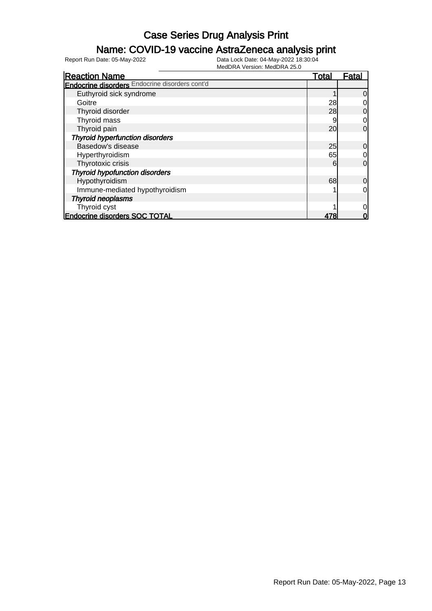### Name: COVID-19 vaccine AstraZeneca analysis print

| <b>Reaction Name</b>                                  | <b>Total</b> | Fatal          |
|-------------------------------------------------------|--------------|----------------|
| <b>Endocrine disorders</b> Endocrine disorders cont'd |              |                |
| Euthyroid sick syndrome                               |              | $\overline{0}$ |
| Goitre                                                | 28           | $\overline{0}$ |
| Thyroid disorder                                      | 28           | $\overline{0}$ |
| Thyroid mass                                          | g            | $\overline{0}$ |
| Thyroid pain                                          | 20           | $\Omega$       |
| <b>Thyroid hyperfunction disorders</b>                |              |                |
| Basedow's disease                                     | 25           | $\overline{0}$ |
| Hyperthyroidism                                       | 65           | 0              |
| Thyrotoxic crisis                                     | 6            | $\overline{0}$ |
| <b>Thyroid hypofunction disorders</b>                 |              |                |
| Hypothyroidism                                        | 68           | $\overline{0}$ |
| Immune-mediated hypothyroidism                        |              | $\overline{0}$ |
| <b>Thyroid neoplasms</b>                              |              |                |
| Thyroid cyst                                          |              | $\overline{0}$ |
| <b>Endocrine disorders SOC TOTAL</b>                  | 478          | 0              |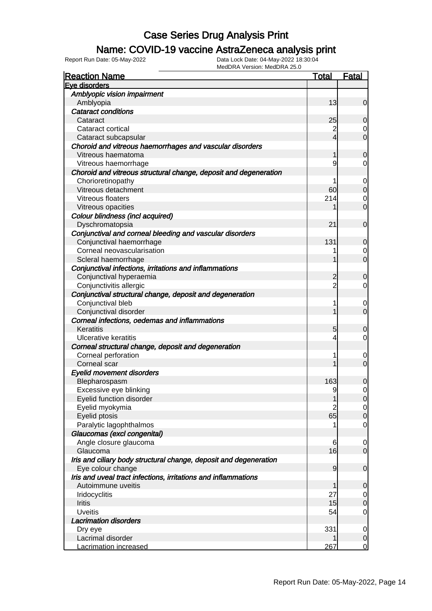### Name: COVID-19 vaccine AstraZeneca analysis print

| <b>Reaction Name</b>                                              | <u>Total</u>   | <b>Fatal</b>   |
|-------------------------------------------------------------------|----------------|----------------|
| Eye disorders                                                     |                |                |
| Amblyopic vision impairment                                       |                |                |
| Amblyopia                                                         | 13             | $\overline{0}$ |
| <b>Cataract conditions</b>                                        |                |                |
| Cataract                                                          | 25             | 0              |
| Cataract cortical                                                 | $\overline{2}$ | 0              |
| Cataract subcapsular                                              | $\overline{4}$ | $\overline{0}$ |
| Choroid and vitreous haemorrhages and vascular disorders          |                |                |
| Vitreous haematoma                                                | 1              | $\overline{0}$ |
| Vitreous haemorrhage                                              | 9              | 0              |
| Choroid and vitreous structural change, deposit and degeneration  |                |                |
| Chorioretinopathy                                                 | 1              | 0              |
| Vitreous detachment                                               | 60             | $\mathbf 0$    |
| Vitreous floaters                                                 | 214            | 0              |
| Vitreous opacities                                                |                | $\mathbf 0$    |
| Colour blindness (incl acquired)                                  |                |                |
| Dyschromatopsia                                                   | 21             | $\mathbf 0$    |
| Conjunctival and corneal bleeding and vascular disorders          |                |                |
| Conjunctival haemorrhage                                          | 131            | 0              |
| Corneal neovascularisation                                        |                | 0              |
| Scleral haemorrhage                                               |                | $\mathbf 0$    |
| Conjunctival infections, irritations and inflammations            |                |                |
| Conjunctival hyperaemia                                           | 2              | $\overline{0}$ |
| Conjunctivitis allergic                                           | $\overline{2}$ | $\overline{0}$ |
| Conjunctival structural change, deposit and degeneration          |                |                |
| Conjunctival bleb                                                 | 1              | 0              |
| Conjunctival disorder                                             |                | $\mathbf 0$    |
| Corneal infections, oedemas and inflammations                     |                |                |
| Keratitis                                                         | 5              | 0              |
| <b>Ulcerative keratitis</b>                                       | 4              | 0              |
| Corneal structural change, deposit and degeneration               |                |                |
| Corneal perforation                                               | 1              | 0              |
| Corneal scar                                                      |                | $\mathbf 0$    |
| <b>Eyelid movement disorders</b>                                  |                |                |
| Blepharospasm                                                     | 163            | 0              |
| Excessive eye blinking                                            | 9              | 0              |
| Eyelid function disorder                                          | 1              | $\overline{0}$ |
| Eyelid myokymia                                                   | $\overline{2}$ | $\overline{0}$ |
| Eyelid ptosis                                                     | 65             | $\mathbf 0$    |
| Paralytic lagophthalmos                                           |                | $\overline{0}$ |
| Glaucomas (excl congenital)                                       |                |                |
| Angle closure glaucoma                                            | 6              | $\mathbf 0$    |
| Glaucoma                                                          | 16             | $\mathbf 0$    |
| Iris and ciliary body structural change, deposit and degeneration |                |                |
| Eye colour change                                                 | $\overline{9}$ | $\mathbf 0$    |
| Iris and uveal tract infections, irritations and inflammations    |                |                |
| Autoimmune uveitis                                                | 1              | 0              |
| Iridocyclitis                                                     | 27             | $\overline{0}$ |
| Iritis                                                            | 15             | $\mathbf 0$    |
| <b>Uveitis</b>                                                    | 54             | $\overline{0}$ |
| <b>Lacrimation disorders</b>                                      |                |                |
| Dry eye                                                           | 331            | 0              |
| Lacrimal disorder                                                 |                | $\mathbf 0$    |
| <b>Lacrimation increased</b>                                      | 267            | $\overline{0}$ |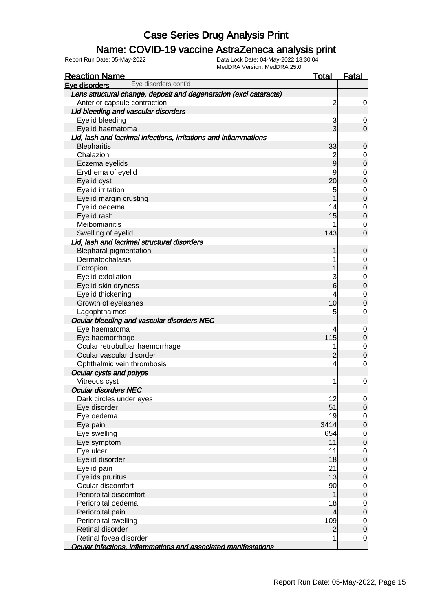#### Name: COVID-19 vaccine AstraZeneca analysis print

| MCGDTVA V CISION. MCGDTVA 20.0<br><b>Reaction Name</b>            | <b>Total</b>    | <b>Fatal</b>                         |
|-------------------------------------------------------------------|-----------------|--------------------------------------|
| Eye disorders cont'd<br>Eye disorders                             |                 |                                      |
| Lens structural change, deposit and degeneration (excl cataracts) |                 |                                      |
| Anterior capsule contraction                                      | $\overline{c}$  | 0                                    |
| Lid bleeding and vascular disorders                               |                 |                                      |
| Eyelid bleeding                                                   | 3               | $\mathbf 0$                          |
| Eyelid haematoma                                                  | $\overline{3}$  | $\overline{0}$                       |
| Lid, lash and lacrimal infections, irritations and inflammations  |                 |                                      |
| <b>Blepharitis</b>                                                | 33              | $\mathbf 0$                          |
| Chalazion                                                         | $\overline{c}$  | $\mathbf 0$                          |
| Eczema eyelids                                                    | $\overline{9}$  | $\mathbf 0$                          |
| Erythema of eyelid                                                | 9               | $\mathbf 0$                          |
| Eyelid cyst                                                       | 20              | $\overline{0}$                       |
| Eyelid irritation                                                 | 5               | $\mathbf 0$                          |
| Eyelid margin crusting                                            | 1               | $\overline{0}$                       |
| Eyelid oedema                                                     | 14              | $\mathbf 0$                          |
| Eyelid rash                                                       | 15              | $\mathbf 0$                          |
| Meibomianitis                                                     |                 | 0                                    |
| Swelling of eyelid                                                | 143             | $\overline{0}$                       |
| Lid, lash and lacrimal structural disorders                       |                 |                                      |
| <b>Blepharal pigmentation</b>                                     |                 | $\mathbf 0$                          |
| Dermatochalasis                                                   |                 | $\mathbf 0$                          |
| Ectropion                                                         |                 | $\overline{0}$                       |
| Eyelid exfoliation                                                | 3               | $\mathbf 0$                          |
| Eyelid skin dryness                                               | $6\overline{6}$ | $\overline{0}$                       |
| Eyelid thickening                                                 | 4               | $\mathbf 0$                          |
| Growth of eyelashes                                               | 10              | $\overline{0}$                       |
| Lagophthalmos                                                     | 5               | 0                                    |
| Ocular bleeding and vascular disorders NEC                        |                 |                                      |
| Eye haematoma                                                     | 4               | $\mathbf 0$                          |
| Eye haemorrhage                                                   | 115             | $\mathbf 0$                          |
| Ocular retrobulbar haemorrhage                                    | 1               | $\mathbf 0$                          |
| Ocular vascular disorder                                          | $\overline{2}$  | $\overline{0}$                       |
| Ophthalmic vein thrombosis                                        | $\overline{4}$  | $\mathbf 0$                          |
| Ocular cysts and polyps                                           |                 |                                      |
| Vitreous cyst                                                     | 1               | $\mathbf 0$                          |
| <b>Ocular disorders NEC</b>                                       |                 |                                      |
| Dark circles under eyes                                           | 12              | 0                                    |
| Eye disorder                                                      | 51              | 0                                    |
| Eye oedema                                                        | 19              | $\begin{matrix} 0 \\ 0 \end{matrix}$ |
| Eye pain                                                          | 3414            |                                      |
| Eye swelling                                                      | 654             | $\begin{matrix} 0 \\ 0 \end{matrix}$ |
| Eye symptom                                                       | 11              |                                      |
| Eye ulcer                                                         | 11              | $\begin{matrix}0\\0\end{matrix}$     |
| Eyelid disorder                                                   | 18              |                                      |
| Eyelid pain                                                       | 21              | $\overline{0}$                       |
| Eyelids pruritus                                                  | 13              | $\overline{0}$                       |
| Ocular discomfort                                                 | 90              | $\begin{matrix} 0 \\ 0 \end{matrix}$ |
| Periorbital discomfort                                            | 1               |                                      |
| Periorbital oedema                                                | 18              | $\overline{0}$                       |
| Periorbital pain                                                  | $\overline{4}$  | $\overline{0}$                       |
| Periorbital swelling                                              | 109             | $\mathbf 0$                          |
| Retinal disorder                                                  | $\overline{2}$  | $\overline{0}$                       |
| Retinal fovea disorder                                            | 1               | $\mathbf 0$                          |
| Ocular infections, inflammations and associated manifestations    |                 |                                      |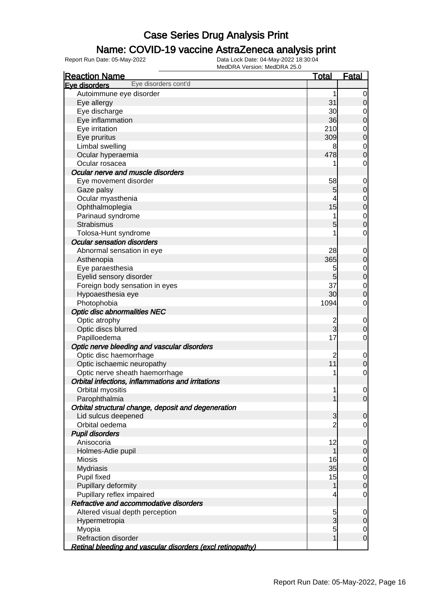### Name: COVID-19 vaccine AstraZeneca analysis print

| <b>Reaction Name</b>                                       | <u>Total</u>        | <u>Fatal</u>     |
|------------------------------------------------------------|---------------------|------------------|
| Eye disorders cont'd<br>Eye disorders                      |                     |                  |
| Autoimmune eye disorder                                    | 1                   | 0                |
| Eye allergy                                                | 31                  | 0                |
| Eye discharge                                              | 30                  | 0                |
| Eye inflammation                                           | 36                  | 0                |
| Eye irritation                                             | 210                 | 0                |
| Eye pruritus                                               | 309                 | $\mathbf 0$      |
| Limbal swelling                                            | 8                   | $\mathbf 0$      |
| Ocular hyperaemia                                          | 478                 | 0                |
| Ocular rosacea                                             | 1                   | 0                |
| Ocular nerve and muscle disorders                          |                     |                  |
| Eye movement disorder                                      | 58                  | $\mathbf 0$      |
| Gaze palsy                                                 | 5                   | 0                |
| Ocular myasthenia                                          | 4                   | 0                |
| Ophthalmoplegia                                            | 15                  | 0                |
| Parinaud syndrome                                          | 1                   | $\mathbf 0$      |
| Strabismus                                                 | 5                   | 0                |
| Tolosa-Hunt syndrome                                       | 1                   | 0                |
| <b>Ocular sensation disorders</b>                          |                     |                  |
| Abnormal sensation in eye                                  | 28                  | $\mathbf 0$      |
| Asthenopia                                                 | 365                 | 0                |
| Eye paraesthesia                                           | 5                   | $\mathbf 0$      |
| Eyelid sensory disorder                                    | 5                   | $\boldsymbol{0}$ |
| Foreign body sensation in eyes                             | 37                  | $\mathbf 0$      |
| Hypoaesthesia eye                                          | 30                  | 0                |
| Photophobia                                                | 1094                | 0                |
| <b>Optic disc abnormalities NEC</b>                        |                     |                  |
| Optic atrophy                                              | $\overline{c}$      | $\mathbf 0$      |
| Optic discs blurred                                        | 3                   | 0                |
| Papilloedema                                               | 17                  | 0                |
| Optic nerve bleeding and vascular disorders                |                     |                  |
| Optic disc haemorrhage                                     | $\overline{c}$      | $\mathbf 0$      |
| Optic ischaemic neuropathy                                 | 11                  | 0                |
| Optic nerve sheath haemorrhage                             | 1                   | 0                |
| Orbital infections, inflammations and irritations          |                     |                  |
| Orbital myositis                                           | 1                   | $\mathbf 0$      |
| Parophthalmia                                              | 1                   | $\overline{0}$   |
| Orbital structural change, deposit and degeneration        |                     |                  |
| Lid sulcus deepened                                        | 3                   | 0                |
| Orbital oedema                                             | $\overline{2}$      |                  |
| <b>Pupil disorders</b>                                     |                     | 0                |
| Anisocoria                                                 | 12                  |                  |
|                                                            | 1                   | 0                |
| Holmes-Adie pupil                                          | 16                  | 0                |
| <b>Miosis</b>                                              | 35                  | $\overline{0}$   |
| <b>Mydriasis</b>                                           | 15                  | 0                |
| Pupil fixed<br>Pupillary deformity                         | 1                   | $\overline{0}$   |
|                                                            |                     | $\mathbf 0$      |
| Pupillary reflex impaired                                  | 4                   | $\mathbf 0$      |
| Refractive and accommodative disorders                     |                     |                  |
| Altered visual depth perception                            | 5<br>$\overline{3}$ | $\mathbf 0$      |
| Hypermetropia                                              |                     | 0                |
| Myopia<br>Refraction disorder                              | 5<br>1              | $\overline{0}$   |
|                                                            |                     | $\boldsymbol{0}$ |
| Retinal bleeding and vascular disorders (excl retinopathy) |                     |                  |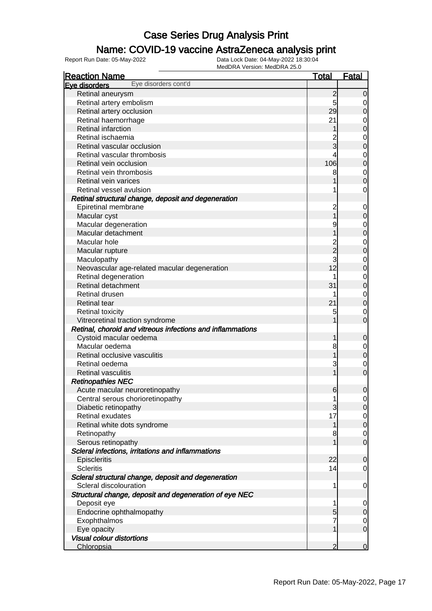### Name: COVID-19 vaccine AstraZeneca analysis print

| <b>Reaction Name</b>                                       | <u>Total</u>   | <b>Fatal</b>                         |
|------------------------------------------------------------|----------------|--------------------------------------|
| Eye disorders cont'd<br>Eve disorders                      |                |                                      |
| Retinal aneurysm                                           | 2              | $\overline{0}$                       |
| Retinal artery embolism                                    | 5              | $\overline{0}$                       |
| Retinal artery occlusion                                   | 29             | $\mathsf{O}\xspace$                  |
| Retinal haemorrhage                                        | 21             | $\overline{0}$                       |
| Retinal infarction                                         | 1              | $\overline{0}$                       |
| Retinal ischaemia                                          |                |                                      |
| Retinal vascular occlusion                                 | 3              | $0\atop 0$                           |
| Retinal vascular thrombosis                                | 4              |                                      |
| Retinal vein occlusion                                     | 106            | $\begin{matrix}0\\0\end{matrix}$     |
| Retinal vein thrombosis                                    | 8              |                                      |
| Retinal vein varices                                       |                | $\begin{matrix} 0 \\ 0 \end{matrix}$ |
| Retinal vessel avulsion                                    |                | $\overline{O}$                       |
| Retinal structural change, deposit and degeneration        |                |                                      |
| Epiretinal membrane                                        | 2              | $\mathbf{0}$                         |
| Macular cyst                                               |                | $\mathbf 0$                          |
| Macular degeneration                                       | 9              |                                      |
| Macular detachment                                         |                | $0\atop 0$                           |
| Macular hole                                               | $\overline{c}$ |                                      |
| Macular rupture                                            | –<br>2         | $\begin{matrix} 0 \\ 0 \end{matrix}$ |
| Maculopathy                                                | 3              |                                      |
| Neovascular age-related macular degeneration               | 12             | $\begin{matrix} 0 \\ 0 \end{matrix}$ |
| Retinal degeneration                                       |                |                                      |
| Retinal detachment                                         | 31             | $\begin{matrix}0\\0\end{matrix}$     |
| Retinal drusen                                             | 1              |                                      |
| <b>Retinal tear</b>                                        | 21             | $\begin{matrix} 0 \\ 0 \end{matrix}$ |
| <b>Retinal toxicity</b>                                    | 5              | $\overline{0}$                       |
| Vitreoretinal traction syndrome                            |                | $\mathbf 0$                          |
| Retinal, choroid and vitreous infections and inflammations |                |                                      |
| Cystoid macular oedema                                     | 1              | $\mathbf 0$                          |
| Macular oedema                                             | 8              |                                      |
| Retinal occlusive vasculitis                               | 1              | $\begin{matrix} 0 \\ 0 \end{matrix}$ |
| Retinal oedema                                             | 3              | $\overline{0}$                       |
| <b>Retinal vasculitis</b>                                  | 1              | $\mathbf 0$                          |
| <b>Retinopathies NEC</b>                                   |                |                                      |
| Acute macular neuroretinopathy                             | 6              | $\mathbf 0$                          |
| Central serous chorioretinopathy                           | 1              | $\overline{0}$                       |
| Diabetic retinopathy                                       | 3              | 0                                    |
| Retinal exudates                                           | 17             | $\overline{0}$                       |
| Retinal white dots syndrome                                | 1              | $\mathbf 0$                          |
| Retinopathy                                                | 8              | $\overline{0}$                       |
| Serous retinopathy                                         | 1              | $\overline{O}$                       |
| Scleral infections, irritations and inflammations          |                |                                      |
| Episcleritis                                               | 22             | $\mathbf 0$                          |
| <b>Scleritis</b>                                           | 14             | $\overline{0}$                       |
| Scleral structural change, deposit and degeneration        |                |                                      |
| Scleral discolouration                                     | 1              | $\overline{0}$                       |
| Structural change, deposit and degeneration of eye NEC     |                |                                      |
| Deposit eye                                                | 1              | $\overline{0}$                       |
| Endocrine ophthalmopathy                                   | 5              | $\overline{0}$                       |
| Exophthalmos                                               | 7              |                                      |
| Eye opacity                                                | 1              | $\overline{0}$<br>$\overline{O}$     |
| <b>Visual colour distortions</b>                           |                |                                      |
|                                                            | 2              | $\mathbf 0$                          |
| Chloropsia                                                 |                |                                      |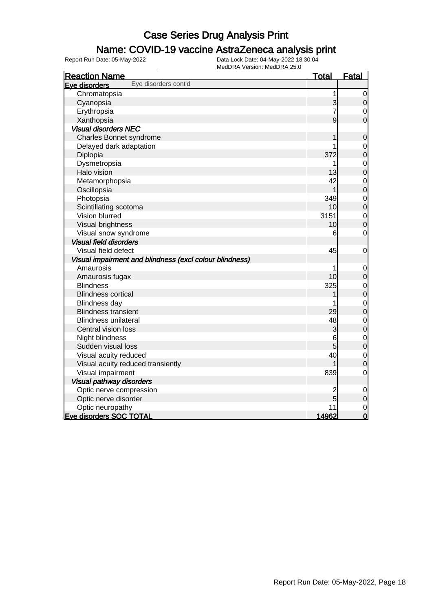### Name: COVID-19 vaccine AstraZeneca analysis print

| <b>Reaction Name</b>                                    | <u>Total</u>   | <b>Fatal</b>                     |
|---------------------------------------------------------|----------------|----------------------------------|
| Eye disorders cont'd<br>Eye disorders                   |                |                                  |
| Chromatopsia                                            | 1              | $\mathbf 0$                      |
| Cyanopsia                                               | 3              | $\boldsymbol{0}$                 |
| Erythropsia                                             | 7              | $\mathbf 0$                      |
| Xanthopsia                                              | 9              | $\overline{0}$                   |
| <b>Visual disorders NEC</b>                             |                |                                  |
| <b>Charles Bonnet syndrome</b>                          |                | $\mathbf 0$                      |
| Delayed dark adaptation                                 |                | $\overline{0}$                   |
| Diplopia                                                | 372            | $\overline{0}$                   |
| Dysmetropsia                                            |                | $\mathbf{0}$                     |
| Halo vision                                             | 13             | $\overline{0}$                   |
| Metamorphopsia                                          | 42             | $\begin{matrix}0\\0\end{matrix}$ |
| Oscillopsia                                             | 1              |                                  |
| Photopsia                                               | 349            | $\begin{matrix}0\\0\end{matrix}$ |
| Scintillating scotoma                                   | 10             |                                  |
| Vision blurred                                          | 3151           | $\mathbf{0}$                     |
| Visual brightness                                       | 10             | $\overline{0}$                   |
| Visual snow syndrome                                    | 6              | $\mathbf 0$                      |
| <b>Visual field disorders</b>                           |                |                                  |
| Visual field defect                                     | 45             | $\mathbf 0$                      |
| Visual impairment and blindness (excl colour blindness) |                |                                  |
| Amaurosis                                               |                | $\mathbf 0$                      |
| Amaurosis fugax                                         | 10             | $\overline{0}$                   |
| <b>Blindness</b>                                        | 325            | $\mathbf{0}$                     |
| <b>Blindness cortical</b>                               |                | $\overline{0}$                   |
| Blindness day                                           |                | $\begin{matrix}0\\0\end{matrix}$ |
| <b>Blindness transient</b>                              | 29             |                                  |
| <b>Blindness unilateral</b>                             | 48             | $\begin{matrix}0\\0\end{matrix}$ |
| Central vision loss                                     | 3              |                                  |
| Night blindness                                         | 6              | $\mathbf{0}$                     |
| Sudden visual loss                                      | 5              | $\overline{0}$                   |
| Visual acuity reduced                                   | 40             | $\mathbf{0}$                     |
| Visual acuity reduced transiently                       |                | $\overline{0}$                   |
| Visual impairment                                       | 839            | $\mathbf 0$                      |
| <b>Visual pathway disorders</b>                         |                |                                  |
| Optic nerve compression                                 | $\overline{c}$ | $\mathbf 0$                      |
| Optic nerve disorder                                    | 5              | $\mathbf 0$                      |
| Optic neuropathy                                        | 11             | $\mathbf 0$                      |
| Eye disorders SOC TOTAL                                 | 14962          | $\overline{0}$                   |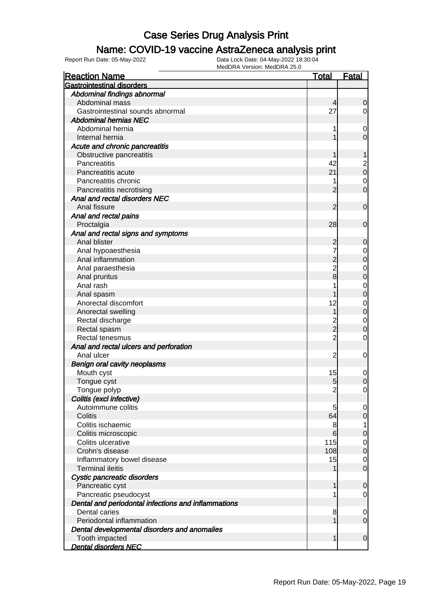### Name: COVID-19 vaccine AstraZeneca analysis print

| <b>Reaction Name</b>                                | <b>Total</b>                     | <b>Fatal</b>                         |
|-----------------------------------------------------|----------------------------------|--------------------------------------|
| <b>Gastrointestinal disorders</b>                   |                                  |                                      |
| Abdominal findings abnormal                         |                                  |                                      |
| Abdominal mass                                      | 4                                | $\mathbf 0$                          |
| Gastrointestinal sounds abnormal                    | 27                               | $\overline{0}$                       |
| <b>Abdominal hernias NEC</b>                        |                                  |                                      |
| Abdominal hernia                                    |                                  | $\mathbf 0$                          |
| Internal hernia                                     |                                  | $\overline{0}$                       |
| Acute and chronic pancreatitis                      |                                  |                                      |
| Obstructive pancreatitis                            |                                  | 1                                    |
| Pancreatitis                                        | 42                               |                                      |
| Pancreatitis acute                                  | 21                               | $\begin{matrix} 2 \\ 0 \end{matrix}$ |
| Pancreatitis chronic                                | 1                                | $\overline{0}$                       |
| Pancreatitis necrotising                            | 2                                | $\overline{0}$                       |
| Anal and rectal disorders NEC                       |                                  |                                      |
| Anal fissure                                        | 2                                | $\mathbf 0$                          |
| Anal and rectal pains                               |                                  |                                      |
| Proctalgia                                          | 28                               | $\mathbf 0$                          |
| Anal and rectal signs and symptoms                  |                                  |                                      |
| Anal blister                                        | 2                                | 0                                    |
| Anal hypoaesthesia                                  |                                  |                                      |
| Anal inflammation                                   | $\overline{2}$                   | $0\atop 0$                           |
| Anal paraesthesia                                   | $\overline{2}$                   |                                      |
| Anal pruritus                                       | 8                                | $0\atop 0$                           |
| Anal rash                                           |                                  |                                      |
|                                                     |                                  | $0\atop 0$                           |
| Anal spasm<br>Anorectal discomfort                  | 12                               |                                      |
|                                                     | 1                                | $\begin{matrix}0\\0\end{matrix}$     |
| Anorectal swelling                                  |                                  |                                      |
| Rectal discharge                                    | $\overline{c}$<br>$\overline{2}$ | $\begin{matrix} 0 \\ 0 \end{matrix}$ |
| Rectal spasm                                        | $\overline{2}$                   |                                      |
| Rectal tenesmus                                     |                                  | $\mathbf 0$                          |
| Anal and rectal ulcers and perforation              |                                  |                                      |
| Anal ulcer                                          | $\overline{2}$                   | $\mathbf 0$                          |
| <b>Benign oral cavity neoplasms</b>                 |                                  |                                      |
| Mouth cyst                                          | 15                               | $\mathbf 0$                          |
| Tongue cyst                                         | 5                                | $\pmb{0}$                            |
| Tongue polyp                                        | $\overline{2}$                   | $\overline{0}$                       |
| Colitis (excl infective)                            |                                  |                                      |
| Autoimmune colitis                                  | 5                                | $\overline{0}$                       |
| Colitis                                             | 64                               | $\overline{0}$                       |
| Colitis ischaemic                                   | 8                                | $\mathbf{1}$                         |
| Colitis microscopic                                 | 6                                | $\mathbf 0$                          |
| Colitis ulcerative                                  | 115                              | $\mathbf 0$                          |
| Crohn's disease                                     | 108                              | $\mathbf 0$                          |
| Inflammatory bowel disease                          | 15                               | $\overline{0}$                       |
| <b>Terminal ileitis</b>                             | 1                                | $\overline{0}$                       |
| Cystic pancreatic disorders                         |                                  |                                      |
| Pancreatic cyst                                     | 1                                | 0                                    |
| Pancreatic pseudocyst                               | 1                                | $\overline{0}$                       |
| Dental and periodontal infections and inflammations |                                  |                                      |
| Dental caries                                       | 8                                | $\overline{0}$                       |
| Periodontal inflammation                            | 1                                | $\overline{0}$                       |
| Dental developmental disorders and anomalies        |                                  |                                      |
| Tooth impacted                                      | 1                                | $\mathbf 0$                          |
| <b>Dental disorders NEC</b>                         |                                  |                                      |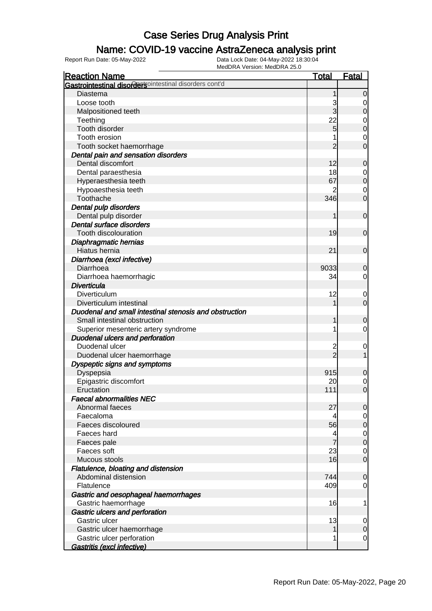### Name: COVID-19 vaccine AstraZeneca analysis print

| <b>Reaction Name</b>                                           | <u>Total</u>   | <b>Fatal</b>   |
|----------------------------------------------------------------|----------------|----------------|
| <b>Gastrointestinal disorders</b> ointestinal disorders cont'd |                |                |
| Diastema                                                       |                | 0              |
| Loose tooth                                                    | 3              | 0              |
| Malpositioned teeth                                            | 3              | 0              |
| Teething                                                       | 22             | 0              |
| Tooth disorder                                                 | 5              | 0              |
| Tooth erosion                                                  |                | 0              |
| Tooth socket haemorrhage                                       | 2              | 0              |
| Dental pain and sensation disorders                            |                |                |
| Dental discomfort                                              | 12             | 0              |
| Dental paraesthesia                                            | 18             | 0              |
| Hyperaesthesia teeth                                           | 67             | 0              |
| Hypoaesthesia teeth                                            |                | 0              |
| Toothache                                                      | 346            | 0              |
| Dental pulp disorders                                          |                |                |
| Dental pulp disorder                                           | 1              | $\mathbf 0$    |
| Dental surface disorders                                       |                |                |
| Tooth discolouration                                           | 19             | $\mathbf 0$    |
| Diaphragmatic hernias                                          |                |                |
| Hiatus hernia                                                  | 21             | $\mathbf 0$    |
| Diarrhoea (excl infective)                                     |                |                |
| Diarrhoea                                                      | 9033           | 0              |
| Diarrhoea haemorrhagic                                         | 34             | 0              |
| <b>Diverticula</b>                                             |                |                |
| Diverticulum                                                   | 12             | 0              |
| Diverticulum intestinal                                        |                | $\mathbf 0$    |
| Duodenal and small intestinal stenosis and obstruction         |                |                |
| Small intestinal obstruction                                   |                | 0              |
| Superior mesenteric artery syndrome                            | 1              | 0              |
| <b>Duodenal ulcers and perforation</b>                         |                |                |
| Duodenal ulcer                                                 | $\overline{c}$ | $\overline{0}$ |
| Duodenal ulcer haemorrhage                                     | $\mathcal{P}$  |                |
| <b>Dyspeptic signs and symptoms</b>                            |                |                |
| Dyspepsia                                                      | 915            | 0              |
| Epigastric discomfort                                          | 20             | $\mathbf 0$    |
| Eructation                                                     | 111            | 0              |
| <b>Faecal abnormalities NEC</b>                                |                |                |
| Abnormal faeces                                                | 27             | 0              |
| Faecaloma                                                      | 4              | 0              |
| Faeces discoloured                                             | 56             | 0              |
| Faeces hard                                                    | 4              | $\mathbf 0$    |
| Faeces pale                                                    | 7              | $\mathbf 0$    |
| Faeces soft                                                    | 23             | 0              |
| Mucous stools                                                  | 16             | $\mathbf 0$    |
| Flatulence, bloating and distension                            |                |                |
| Abdominal distension                                           | 744            | 0              |
| Flatulence                                                     | 409            | 0              |
| Gastric and oesophageal haemorrhages                           |                |                |
| Gastric haemorrhage                                            | 16             | 1              |
| Gastric ulcers and perforation                                 |                |                |
| Gastric ulcer                                                  | 13             | 0              |
| Gastric ulcer haemorrhage                                      |                | 0              |
| Gastric ulcer perforation                                      | 1              | 0              |
| Gastritis (excl infective)                                     |                |                |
|                                                                |                |                |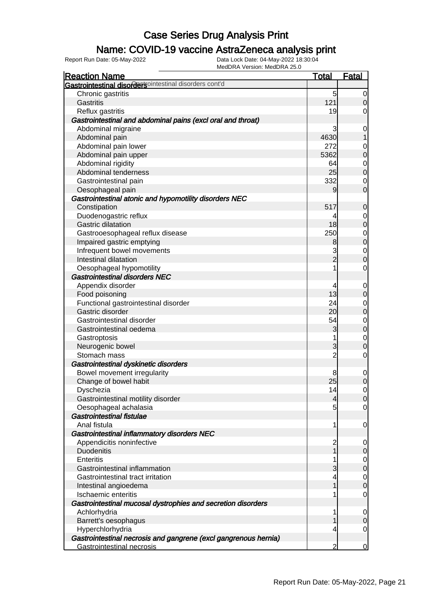### Name: COVID-19 vaccine AstraZeneca analysis print

| <b>Reaction Name</b>                                            | <u>Total</u>        | <b>Fatal</b>                         |
|-----------------------------------------------------------------|---------------------|--------------------------------------|
| Gastrointestinal disordersointestinal disorders cont'd          |                     |                                      |
| Chronic gastritis                                               | 5                   | $\overline{0}$                       |
| Gastritis                                                       | 121                 | $\overline{0}$                       |
| Reflux gastritis                                                | 19                  | $\overline{0}$                       |
| Gastrointestinal and abdominal pains (excl oral and throat)     |                     |                                      |
| Abdominal migraine                                              | 3                   | $\mathbf{0}$                         |
| Abdominal pain                                                  | 4630                | $\overline{1}$                       |
| Abdominal pain lower                                            | 272                 | $\mathbf{0}$                         |
| Abdominal pain upper                                            | 5362                | $\overline{0}$                       |
| Abdominal rigidity                                              | 64                  |                                      |
| Abdominal tenderness                                            | 25                  | $\begin{matrix} 0 \\ 0 \end{matrix}$ |
| Gastrointestinal pain                                           | 332                 | $\mathbf 0$                          |
| Oesophageal pain                                                | 9                   | $\mathbf 0$                          |
| Gastrointestinal atonic and hypomotility disorders NEC          |                     |                                      |
| Constipation                                                    | 517                 | $\mathbf 0$                          |
| Duodenogastric reflux                                           | 4                   |                                      |
| <b>Gastric dilatation</b>                                       | 18                  | $0\atop 0$                           |
| Gastrooesophageal reflux disease                                | 250                 |                                      |
|                                                                 |                     | $\begin{matrix}0\\0\end{matrix}$     |
| Impaired gastric emptying                                       | 8                   |                                      |
| Infrequent bowel movements<br>Intestinal dilatation             | 3<br>$\overline{2}$ | $\begin{matrix} 0 \\ 0 \end{matrix}$ |
|                                                                 | 1                   |                                      |
| Oesophageal hypomotility                                        |                     | $\mathbf 0$                          |
| <b>Gastrointestinal disorders NEC</b>                           |                     |                                      |
| Appendix disorder                                               | 4                   | $\boldsymbol{0}$                     |
| Food poisoning                                                  | 13                  | $\mathbf 0$                          |
| Functional gastrointestinal disorder                            | 24                  | $0$<br>0                             |
| Gastric disorder                                                | 20                  |                                      |
| Gastrointestinal disorder                                       | 54                  | $\begin{matrix}0\\0\end{matrix}$     |
| Gastrointestinal oedema                                         | 3                   |                                      |
| Gastroptosis                                                    | 1                   | $\begin{matrix} 0 \\ 0 \end{matrix}$ |
| Neurogenic bowel                                                | 3                   |                                      |
| Stomach mass                                                    | $\overline{c}$      | $\overline{O}$                       |
| Gastrointestinal dyskinetic disorders                           |                     |                                      |
| Bowel movement irregularity                                     | 8                   | $\mathbf{0}$                         |
| Change of bowel habit                                           | 25                  | $\overline{0}$                       |
| Dyschezia                                                       | 14                  | $\mathsf{O}\xspace$                  |
| Gastrointestinal motility disorder                              | $\overline{4}$      | $\Omega$                             |
| Oesophageal achalasia                                           | $5\overline{)}$     | $\overline{0}$                       |
| Gastrointestinal fistulae                                       |                     |                                      |
| Anal fistula                                                    | 1                   | $\overline{0}$                       |
| Gastrointestinal inflammatory disorders NEC                     |                     |                                      |
| Appendicitis noninfective                                       | $\overline{c}$      | $\overline{0}$                       |
| <b>Duodenitis</b>                                               | $\overline{1}$      | $\mathbf 0$                          |
| <b>Enteritis</b>                                                | 1                   | $\overline{0}$                       |
| Gastrointestinal inflammation                                   | 3                   | $\mathbf 0$                          |
| Gastrointestinal tract irritation                               | 4                   | $\overline{0}$                       |
| Intestinal angioedema                                           | 1                   | $\mathbf 0$                          |
| Ischaemic enteritis                                             | 1                   | 0                                    |
| Gastrointestinal mucosal dystrophies and secretion disorders    |                     |                                      |
| Achlorhydria                                                    | 1                   | $\overline{0}$                       |
| Barrett's oesophagus                                            | 1                   | $\mathbf 0$                          |
| Hyperchlorhydria                                                | 4                   | 0                                    |
| Gastrointestinal necrosis and gangrene (excl gangrenous hernia) |                     |                                      |
| Gastrointestinal necrosis                                       | 2                   | $\overline{0}$                       |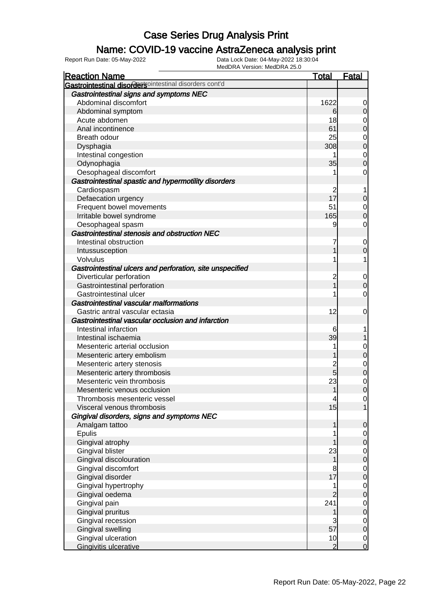#### Name: COVID-19 vaccine AstraZeneca analysis print

| <b>Reaction Name</b>                                      | <b>Total</b>   | <b>Fatal</b>                         |
|-----------------------------------------------------------|----------------|--------------------------------------|
| Gastrointestinal disordersointestinal disorders cont'd    |                |                                      |
| Gastrointestinal signs and symptoms NEC                   |                |                                      |
| Abdominal discomfort                                      | 1622           | 0                                    |
| Abdominal symptom                                         | 6              | $\overline{0}$                       |
| Acute abdomen                                             | 18             | $\mathbf 0$                          |
| Anal incontinence                                         | 61             | $\overline{0}$                       |
| Breath odour                                              | 25             |                                      |
| Dysphagia                                                 | 308            | $0\atop 0$                           |
| Intestinal congestion                                     | 1              |                                      |
| Odynophagia                                               | 35             | $\begin{matrix}0\\0\end{matrix}$     |
| Oesophageal discomfort                                    | 1              | 0                                    |
| Gastrointestinal spastic and hypermotility disorders      |                |                                      |
| Cardiospasm                                               | 2              | 1                                    |
| Defaecation urgency                                       | 17             | $\boldsymbol{0}$                     |
| Frequent bowel movements                                  | 51             | $\mathbf 0$                          |
| Irritable bowel syndrome                                  | 165            | $\overline{0}$                       |
| Oesophageal spasm                                         | 9              | 0                                    |
| Gastrointestinal stenosis and obstruction NEC             |                |                                      |
| Intestinal obstruction                                    | 7              | $\mathbf 0$                          |
| Intussusception                                           | 1              | $\overline{0}$                       |
| Volvulus                                                  |                | 1                                    |
| Gastrointestinal ulcers and perforation, site unspecified |                |                                      |
| Diverticular perforation                                  | $\overline{c}$ | $\mathbf 0$                          |
| Gastrointestinal perforation                              | $\overline{1}$ | $\mathbf 0$                          |
| Gastrointestinal ulcer                                    |                | 0                                    |
| Gastrointestinal vascular malformations                   |                |                                      |
| Gastric antral vascular ectasia                           | 12             | $\mathbf 0$                          |
| Gastrointestinal vascular occlusion and infarction        |                |                                      |
| Intestinal infarction                                     | 6              |                                      |
| Intestinal ischaemia                                      | 39             |                                      |
| Mesenteric arterial occlusion                             | 1              | $\mathbf 0$                          |
| Mesenteric artery embolism                                |                | $\overline{0}$                       |
| Mesenteric artery stenosis                                | $\overline{c}$ |                                      |
| Mesenteric artery thrombosis                              | $\overline{5}$ | $0\atop 0$                           |
| Mesenteric vein thrombosis                                | 23             |                                      |
| Mesenteric venous occlusion                               | 1              | $\begin{matrix} 0 \\ 0 \end{matrix}$ |
| Thrombosis mesenteric vessel                              | $\overline{4}$ | $\overline{0}$                       |
| Visceral venous thrombosis                                | 15             | $\overline{1}$                       |
| Gingival disorders, signs and symptoms NEC                |                |                                      |
| Amalgam tattoo                                            | 1              | $\mathbf 0$                          |
| <b>Epulis</b>                                             |                | $\overline{0}$                       |
| Gingival atrophy                                          |                | $\pmb{0}$                            |
| <b>Gingival blister</b>                                   | 23             |                                      |
| Gingival discolouration                                   | 1              | $\begin{matrix} 0 \\ 0 \end{matrix}$ |
| Gingival discomfort                                       | 8              |                                      |
| Gingival disorder                                         | 17             | $\begin{matrix} 0 \\ 0 \end{matrix}$ |
| Gingival hypertrophy                                      | 1              |                                      |
| Gingival oedema                                           | $\overline{2}$ | $\begin{matrix}0\\0\end{matrix}$     |
| Gingival pain                                             | 241            |                                      |
| Gingival pruritus                                         | 1              | $\begin{matrix}0\\0\end{matrix}$     |
| Gingival recession                                        | 3              |                                      |
| <b>Gingival swelling</b>                                  | 57             | $0$<br>0                             |
| Gingival ulceration                                       | 10             |                                      |
| Gingivitis ulcerative                                     | $\overline{2}$ | $\begin{matrix} 0 \\ 0 \end{matrix}$ |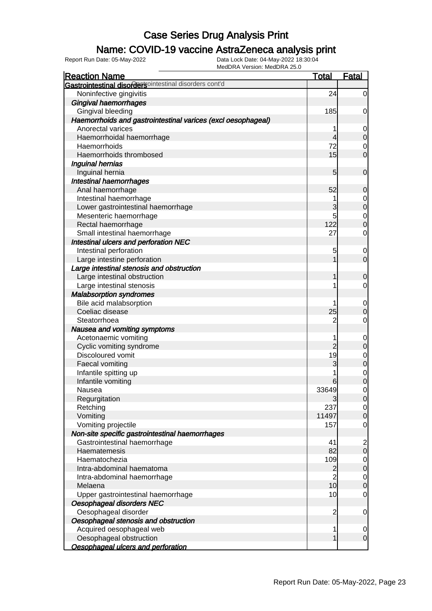### Name: COVID-19 vaccine AstraZeneca analysis print

| Gastrointestinal disordersointestinal disorders cont'd<br>Noninfective gingivitis<br>24<br>Gingival haemorrhages<br>Gingival bleeding<br>185<br>Haemorrhoids and gastrointestinal varices (excl oesophageal)<br>Anorectal varices<br>1<br>Haemorrhoidal haemorrhage<br>4<br>72<br>Haemorrhoids<br>15<br>Haemorrhoids thrombosed<br>Inguinal hernias<br>Inguinal hernia<br>5<br>Intestinal haemorrhages<br>Anal haemorrhage<br>52<br>Intestinal haemorrhage<br>1 |
|-----------------------------------------------------------------------------------------------------------------------------------------------------------------------------------------------------------------------------------------------------------------------------------------------------------------------------------------------------------------------------------------------------------------------------------------------------------------|
|                                                                                                                                                                                                                                                                                                                                                                                                                                                                 |
|                                                                                                                                                                                                                                                                                                                                                                                                                                                                 |
|                                                                                                                                                                                                                                                                                                                                                                                                                                                                 |
|                                                                                                                                                                                                                                                                                                                                                                                                                                                                 |
|                                                                                                                                                                                                                                                                                                                                                                                                                                                                 |
|                                                                                                                                                                                                                                                                                                                                                                                                                                                                 |
|                                                                                                                                                                                                                                                                                                                                                                                                                                                                 |
|                                                                                                                                                                                                                                                                                                                                                                                                                                                                 |
|                                                                                                                                                                                                                                                                                                                                                                                                                                                                 |
|                                                                                                                                                                                                                                                                                                                                                                                                                                                                 |
|                                                                                                                                                                                                                                                                                                                                                                                                                                                                 |
|                                                                                                                                                                                                                                                                                                                                                                                                                                                                 |
|                                                                                                                                                                                                                                                                                                                                                                                                                                                                 |
|                                                                                                                                                                                                                                                                                                                                                                                                                                                                 |
| 3<br>Lower gastrointestinal haemorrhage                                                                                                                                                                                                                                                                                                                                                                                                                         |
| 5<br>Mesenteric haemorrhage                                                                                                                                                                                                                                                                                                                                                                                                                                     |
| 122<br>Rectal haemorrhage                                                                                                                                                                                                                                                                                                                                                                                                                                       |
| Small intestinal haemorrhage<br>27                                                                                                                                                                                                                                                                                                                                                                                                                              |
| Intestinal ulcers and perforation NEC                                                                                                                                                                                                                                                                                                                                                                                                                           |
| Intestinal perforation<br>5                                                                                                                                                                                                                                                                                                                                                                                                                                     |
| Large intestine perforation                                                                                                                                                                                                                                                                                                                                                                                                                                     |
| Large intestinal stenosis and obstruction                                                                                                                                                                                                                                                                                                                                                                                                                       |
| Large intestinal obstruction                                                                                                                                                                                                                                                                                                                                                                                                                                    |
| Large intestinal stenosis                                                                                                                                                                                                                                                                                                                                                                                                                                       |
| <b>Malabsorption syndromes</b>                                                                                                                                                                                                                                                                                                                                                                                                                                  |
| Bile acid malabsorption                                                                                                                                                                                                                                                                                                                                                                                                                                         |
| Coeliac disease<br>25                                                                                                                                                                                                                                                                                                                                                                                                                                           |
| 2<br>Steatorrhoea                                                                                                                                                                                                                                                                                                                                                                                                                                               |
| Nausea and vomiting symptoms                                                                                                                                                                                                                                                                                                                                                                                                                                    |
| Acetonaemic vomiting                                                                                                                                                                                                                                                                                                                                                                                                                                            |
| $\overline{2}$<br>Cyclic vomiting syndrome                                                                                                                                                                                                                                                                                                                                                                                                                      |
| 19<br>Discoloured vomit                                                                                                                                                                                                                                                                                                                                                                                                                                         |
| 3<br>Faecal vomiting                                                                                                                                                                                                                                                                                                                                                                                                                                            |
| Infantile spitting up                                                                                                                                                                                                                                                                                                                                                                                                                                           |
| Infantile vomiting<br>6                                                                                                                                                                                                                                                                                                                                                                                                                                         |
| 33649<br>Nausea                                                                                                                                                                                                                                                                                                                                                                                                                                                 |
| Regurgitation<br>3                                                                                                                                                                                                                                                                                                                                                                                                                                              |
| 237<br>Retching                                                                                                                                                                                                                                                                                                                                                                                                                                                 |
| Vomiting<br>11497                                                                                                                                                                                                                                                                                                                                                                                                                                               |
| Vomiting projectile<br>157                                                                                                                                                                                                                                                                                                                                                                                                                                      |
| Non-site specific gastrointestinal haemorrhages                                                                                                                                                                                                                                                                                                                                                                                                                 |
| Gastrointestinal haemorrhage<br>41                                                                                                                                                                                                                                                                                                                                                                                                                              |
| 82<br>Haematemesis                                                                                                                                                                                                                                                                                                                                                                                                                                              |
| 109<br>Haematochezia                                                                                                                                                                                                                                                                                                                                                                                                                                            |
| $\overline{2}$<br>Intra-abdominal haematoma                                                                                                                                                                                                                                                                                                                                                                                                                     |
| $\overline{2}$<br>Intra-abdominal haemorrhage                                                                                                                                                                                                                                                                                                                                                                                                                   |
| 10<br>Melaena                                                                                                                                                                                                                                                                                                                                                                                                                                                   |
| 10<br>Upper gastrointestinal haemorrhage                                                                                                                                                                                                                                                                                                                                                                                                                        |
| Oesophageal disorders NEC                                                                                                                                                                                                                                                                                                                                                                                                                                       |
| Oesophageal disorder<br>$\overline{c}$                                                                                                                                                                                                                                                                                                                                                                                                                          |
| Oesophageal stenosis and obstruction                                                                                                                                                                                                                                                                                                                                                                                                                            |
| Acquired oesophageal web<br>1                                                                                                                                                                                                                                                                                                                                                                                                                                   |
| Oesophageal obstruction<br>1                                                                                                                                                                                                                                                                                                                                                                                                                                    |
| Oesophageal ulcers and perforation                                                                                                                                                                                                                                                                                                                                                                                                                              |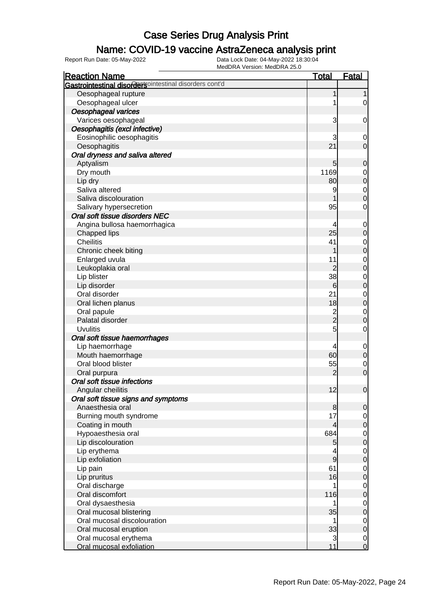### Name: COVID-19 vaccine AstraZeneca analysis print

| <b>Reaction Name</b>                                   | <b>Total</b>   | <b>Fatal</b>     |
|--------------------------------------------------------|----------------|------------------|
| Gastrointestinal disordersointestinal disorders cont'd |                |                  |
| Oesophageal rupture                                    | 1              | 1                |
| Oesophageal ulcer                                      | 1              | $\overline{0}$   |
| Oesophageal varices                                    |                |                  |
| Varices oesophageal                                    | 3              | $\mathbf 0$      |
| Oesophagitis (excl infective)                          |                |                  |
| Eosinophilic oesophagitis                              | 3              | 0                |
| Oesophagitis                                           | 21             | $\mathbf 0$      |
| Oral dryness and saliva altered                        |                |                  |
| Aptyalism                                              | 5              | $\mathbf 0$      |
| Dry mouth                                              | 1169           | $\mathbf 0$      |
| Lip dry                                                | 80             | $\mathbf 0$      |
| Saliva altered                                         | 9              | $\mathbf 0$      |
| Saliva discolouration                                  |                | $\overline{0}$   |
| Salivary hypersecretion                                | 95             | $\mathbf 0$      |
| Oral soft tissue disorders NEC                         |                |                  |
| Angina bullosa haemorrhagica                           | 4              | $\mathbf 0$      |
| Chapped lips                                           | 25             | $\mathbf 0$      |
| <b>Cheilitis</b>                                       | 41             | $\mathbf 0$      |
| Chronic cheek biting                                   |                | $\boldsymbol{0}$ |
| Enlarged uvula                                         | 11             | $\mathbf 0$      |
| Leukoplakia oral                                       | $\overline{2}$ | $\mathbf 0$      |
| Lip blister                                            | 38             | $\mathbf 0$      |
| Lip disorder                                           | 6              | $\mathbf 0$      |
| Oral disorder                                          | 21             | $\mathbf 0$      |
| Oral lichen planus                                     | 18             | $\mathbf 0$      |
| Oral papule                                            |                | $\mathbf 0$      |
| Palatal disorder                                       | $\frac{2}{2}$  | $\mathbf 0$      |
| <b>Uvulitis</b>                                        | 5              | $\mathbf 0$      |
| Oral soft tissue haemorrhages                          |                |                  |
| Lip haemorrhage                                        | 4              | $\mathbf 0$      |
| Mouth haemorrhage                                      | 60             | $\mathbf 0$      |
| Oral blood blister                                     | 55             | $\mathbf 0$      |
| Oral purpura                                           | 2              | $\mathbf 0$      |
| Oral soft tissue infections                            |                |                  |
| Angular cheilitis                                      | 12             | $\mathbf 0$      |
| Oral soft tissue signs and symptoms                    |                |                  |
| Anaesthesia oral                                       | 8              | $\mathbf 0$      |
| Burning mouth syndrome                                 | 17             | $\overline{0}$   |
| Coating in mouth                                       | 4              | $\boldsymbol{0}$ |
| Hypoaesthesia oral                                     | 684            | $\mathbf 0$      |
| Lip discolouration                                     | 5              | $\mathbf 0$      |
| Lip erythema                                           | 4              | $\mathbf 0$      |
| Lip exfoliation                                        | $\overline{9}$ | $\boldsymbol{0}$ |
| Lip pain                                               | 61             | $\mathbf 0$      |
| Lip pruritus                                           | 16             | $\boldsymbol{0}$ |
| Oral discharge                                         |                | $\mathbf 0$      |
| Oral discomfort                                        | 116            | $\boldsymbol{0}$ |
| Oral dysaesthesia                                      |                | $\mathbf 0$      |
| Oral mucosal blistering                                | 35             | $\boldsymbol{0}$ |
| Oral mucosal discolouration                            | 1              | $\mathbf 0$      |
| Oral mucosal eruption                                  | 33             | $\boldsymbol{0}$ |
| Oral mucosal erythema                                  | 3              | $\overline{0}$   |
| Oral mucosal exfoliation                               | 11             | $\overline{0}$   |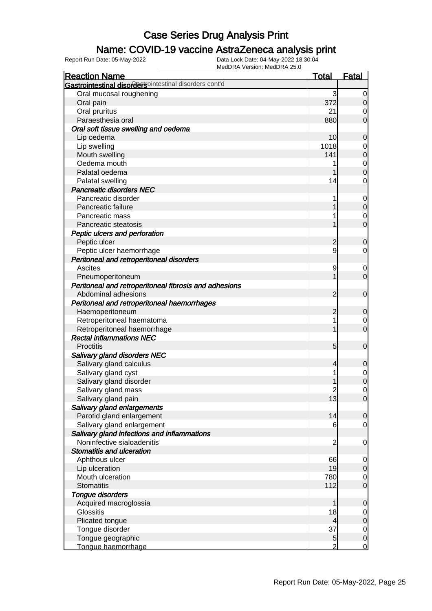### Name: COVID-19 vaccine AstraZeneca analysis print

| <b>Reaction Name</b>                                   | <u>Total</u>   | <u>Fatal</u>   |
|--------------------------------------------------------|----------------|----------------|
| Gastrointestinal disordersointestinal disorders cont'd |                |                |
| Oral mucosal roughening                                | 3              | 0              |
| Oral pain                                              | 372            | 0              |
| Oral pruritus                                          | 21             | 0              |
| Paraesthesia oral                                      | 880            | 0              |
| Oral soft tissue swelling and oedema                   |                |                |
| Lip oedema                                             | 10             | 0              |
| Lip swelling                                           | 1018           | 0              |
| Mouth swelling                                         | 141            | $\mathbf 0$    |
| Oedema mouth                                           | 1              | $\mathbf 0$    |
| Palatal oedema                                         |                | $\Omega$       |
| Palatal swelling                                       | 14             | 0              |
| <b>Pancreatic disorders NEC</b>                        |                |                |
| Pancreatic disorder                                    | 1              | $\mathbf 0$    |
| Pancreatic failure                                     |                | 0              |
| Pancreatic mass                                        | 1              | 0              |
| Pancreatic steatosis                                   |                | $\mathbf 0$    |
| Peptic ulcers and perforation                          |                |                |
| Peptic ulcer                                           | 2              | 0              |
| Peptic ulcer haemorrhage                               | 9              | 0              |
| Peritoneal and retroperitoneal disorders               |                |                |
| Ascites                                                | 9              | $\mathbf 0$    |
| Pneumoperitoneum                                       |                | $\mathbf 0$    |
| Peritoneal and retroperitoneal fibrosis and adhesions  |                |                |
| Abdominal adhesions                                    | 2              | 0              |
| Peritoneal and retroperitoneal haemorrhages            |                |                |
| Haemoperitoneum                                        | $\overline{c}$ | 0              |
| Retroperitoneal haematoma                              | 1              | $\mathbf 0$    |
| Retroperitoneal haemorrhage                            | 1              | $\mathbf 0$    |
| <b>Rectal inflammations NEC</b>                        |                |                |
| <b>Proctitis</b>                                       | 5              | 0              |
| <b>Salivary gland disorders NEC</b>                    |                |                |
| Salivary gland calculus                                | 4              | 0              |
| Salivary gland cyst                                    | 1              | $\mathbf 0$    |
| Salivary gland disorder                                |                | 0              |
| Salivary gland mass                                    | $\overline{c}$ | 0              |
| Salivary gland pain                                    | 13             | $\overline{0}$ |
| Salivary gland enlargements                            |                |                |
| Parotid gland enlargement                              | 14             | 0              |
| Salivary gland enlargement                             | 6              | $\mathbf 0$    |
| Salivary gland infections and inflammations            |                |                |
| Noninfective sialoadenitis                             | $\overline{2}$ | $\mathbf 0$    |
| <b>Stomatitis and ulceration</b>                       |                |                |
| Aphthous ulcer                                         | 66             | $\mathbf 0$    |
| Lip ulceration                                         | 19             | 0              |
| Mouth ulceration                                       | 780            | $\overline{0}$ |
| <b>Stomatitis</b>                                      | 112            | $\mathbf 0$    |
| <b>Tongue disorders</b>                                |                |                |
| Acquired macroglossia                                  | 1              | 0              |
| Glossitis                                              | 18             | $\overline{0}$ |
| Plicated tongue                                        | 4              | 0              |
| Tongue disorder                                        | 37             | $\overline{0}$ |
| Tongue geographic                                      | 5              | $\mathbf 0$    |
| Tonque haemorrhage                                     |                | 0              |
|                                                        |                |                |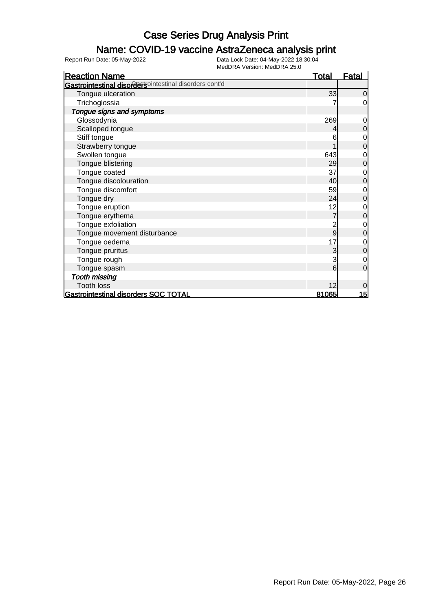### Name: COVID-19 vaccine AstraZeneca analysis print

| <b>Reaction Name</b>                                          | <b>Total</b> | <b>Fatal</b>     |
|---------------------------------------------------------------|--------------|------------------|
| <b>Gastrointestinal disordersointestinal disorders cont'd</b> |              |                  |
| Tongue ulceration                                             | 33           | 0                |
| Trichoglossia                                                 |              | $\overline{0}$   |
| Tongue signs and symptoms                                     |              |                  |
| Glossodynia                                                   | 269          | $\mathbf 0$      |
| Scalloped tongue                                              |              | $\boldsymbol{0}$ |
| Stiff tongue                                                  | 6            | $\mathbf 0$      |
| Strawberry tongue                                             |              | $\mathbf 0$      |
| Swollen tongue                                                | 643          | $\mathbf 0$      |
| Tongue blistering                                             | 29           | $\mathbf 0$      |
| Tongue coated                                                 | 37           | $\mathbf 0$      |
| Tongue discolouration                                         | 40           | $\mathbf 0$      |
| Tongue discomfort                                             | 59           | $\mathbf{0}$     |
| Tongue dry                                                    | 24           | $\mathbf 0$      |
| Tongue eruption                                               | 12           | $\mathbf 0$      |
| Tongue erythema                                               | 7            | $\boldsymbol{0}$ |
| Tongue exfoliation                                            | 2            | $\mathbf 0$      |
| Tongue movement disturbance                                   | 9            | $\mathbf 0$      |
| Tongue oedema                                                 | 17           | $\mathbf 0$      |
| Tongue pruritus                                               | 3            | $\mathbf 0$      |
| Tongue rough                                                  | 3            | $\mathbf 0$      |
| Tongue spasm                                                  | 6            | $\mathbf 0$      |
| <b>Tooth missing</b>                                          |              |                  |
| <b>Tooth loss</b>                                             | 12           | $\mathbf 0$      |
| Gastrointestinal disorders SOC TOTAL                          | <u>81065</u> | 15               |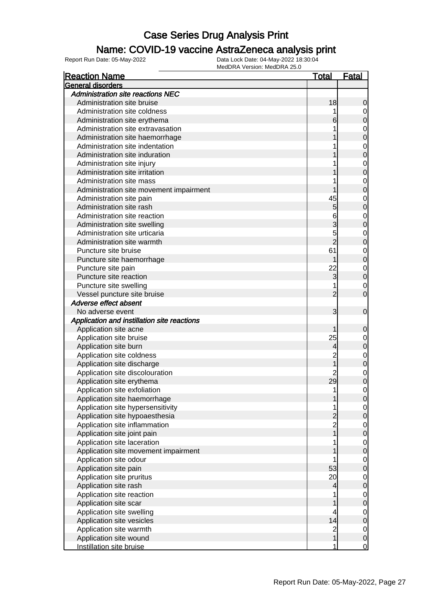### Name: COVID-19 vaccine AstraZeneca analysis print

| <b>Reaction Name</b>                        | Total          | Fatal            |
|---------------------------------------------|----------------|------------------|
| General disorders                           |                |                  |
| <b>Administration site reactions NEC</b>    |                |                  |
| Administration site bruise                  | 18             | 0                |
| Administration site coldness                |                | 0                |
| Administration site erythema                |                | 0                |
| Administration site extravasation           |                | $\mathbf 0$      |
| Administration site haemorrhage             |                | 0                |
| Administration site indentation             |                | $\mathbf 0$      |
| Administration site induration              |                | 0                |
| Administration site injury                  |                | $\mathbf 0$      |
| Administration site irritation              |                | 0                |
| Administration site mass                    |                | $\mathbf 0$      |
| Administration site movement impairment     |                | 0                |
| Administration site pain                    | 45             | $\mathbf 0$      |
| Administration site rash                    | 5              | 0                |
| Administration site reaction                | 6              | $\mathbf 0$      |
| Administration site swelling                | 3              | 0                |
| Administration site urticaria               | 5              | $\mathbf 0$      |
| Administration site warmth                  | $\overline{2}$ | 0                |
| Puncture site bruise                        | 61             | $\mathbf 0$      |
| Puncture site haemorrhage                   |                | 0                |
| Puncture site pain                          | 22             | $\mathbf 0$      |
| Puncture site reaction                      | 3              | $\overline{0}$   |
| Puncture site swelling                      |                | $\mathbf 0$      |
| Vessel puncture site bruise                 | 2              | 0                |
| Adverse effect absent                       |                |                  |
| No adverse event                            | 3              | $\mathbf 0$      |
| Application and instillation site reactions |                |                  |
| Application site acne                       |                | 0                |
| Application site bruise                     | 25             | 0                |
| Application site burn                       | 4              | 0                |
| Application site coldness                   | 2              | $\mathbf 0$      |
| Application site discharge                  |                | 0                |
| Application site discolouration             |                | $\mathbf 0$      |
| Application site erythema                   | 29             | 0                |
| Application site exfoliation                | 1              | 0                |
| Application site haemorrhage                |                | U                |
| Application site hypersensitivity           |                | 0                |
| Application site hypoaesthesia              |                | 0                |
| Application site inflammation               | $\overline{2}$ | $\mathbf 0$      |
| Application site joint pain                 |                | $\mathbf 0$      |
| Application site laceration                 |                | $\mathbf 0$      |
| Application site movement impairment        |                | 0                |
| Application site odour                      |                | $\mathbf 0$      |
| Application site pain                       | 53             | 0                |
| Application site pruritus                   | 20             | $\mathbf 0$      |
| Application site rash                       | 4              | $\mathbf 0$      |
| Application site reaction                   |                | $\mathbf 0$      |
| Application site scar                       |                | $\mathbf 0$      |
| Application site swelling                   | 4              | $\mathbf 0$      |
| Application site vesicles                   | 14             | $\mathbf 0$      |
| Application site warmth                     | $\overline{2}$ | $\mathbf 0$      |
| Application site wound                      |                | $\boldsymbol{0}$ |
| Instillation site bruise                    |                | $\overline{0}$   |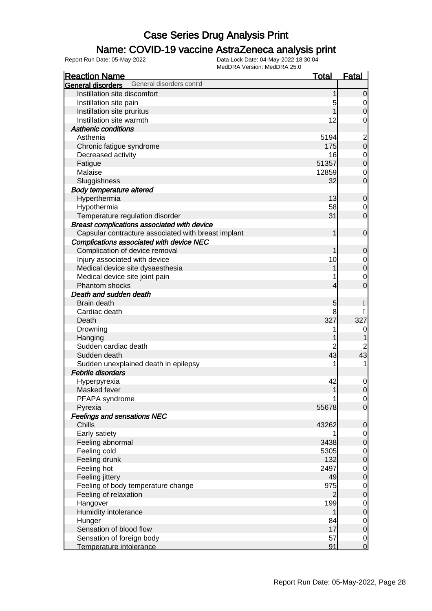### Name: COVID-19 vaccine AstraZeneca analysis print

| <b>Reaction Name</b>                                | <b>Total</b>   | <b>Fatal</b>                         |
|-----------------------------------------------------|----------------|--------------------------------------|
| General disorders cont'd<br>General disorders       |                |                                      |
| Instillation site discomfort                        | 1              | $\overline{0}$                       |
| Instillation site pain                              | 5              | $\overline{O}$                       |
| Instillation site pruritus                          |                | $\overline{0}$                       |
| Instillation site warmth                            | 12             | 0                                    |
| <b>Asthenic conditions</b>                          |                |                                      |
| Asthenia                                            | 5194           |                                      |
| Chronic fatigue syndrome                            | 175            | $\begin{matrix} 2 \\ 0 \end{matrix}$ |
| Decreased activity                                  | 16             |                                      |
| Fatigue                                             | 51357          | $0$<br>0                             |
| Malaise                                             | 12859          | $\boldsymbol{0}$                     |
| Sluggishness                                        | 32             | $\mathbf 0$                          |
| <b>Body temperature altered</b>                     |                |                                      |
| Hyperthermia                                        | 13             | $\mathbf 0$                          |
| Hypothermia                                         | 58             | $\overline{0}$                       |
| Temperature regulation disorder                     | 31             | $\mathbf 0$                          |
| Breast complications associated with device         |                |                                      |
| Capsular contracture associated with breast implant | 1              | $\mathbf 0$                          |
| Complications associated with device NEC            |                |                                      |
| Complication of device removal                      | 1              | $\mathbf 0$                          |
| Injury associated with device                       | 10             |                                      |
| Medical device site dysaesthesia                    |                | $\begin{matrix} 0 \\ 0 \end{matrix}$ |
| Medical device site joint pain                      |                | $\mathbf 0$                          |
| Phantom shocks                                      | 4              | $\overline{0}$                       |
| Death and sudden death                              |                |                                      |
| Brain death                                         | 5              |                                      |
| Cardiac death                                       | 8              |                                      |
| Death                                               | 327            | 327                                  |
| Drowning                                            | 1              | 0                                    |
| Hanging                                             |                |                                      |
| Sudden cardiac death                                | 2              | $\overline{\mathbf{c}}$              |
| Sudden death                                        | 43             | 43                                   |
| Sudden unexplained death in epilepsy                |                | 1                                    |
| <b>Febrile disorders</b>                            |                |                                      |
| Hyperpyrexia                                        | 42             |                                      |
| Masked fever                                        | 1              | $\mathbf{0}$<br>$\mathbf 0$          |
|                                                     |                |                                      |
| PFAPA syndrome<br>Pyrexia                           | 55678          | $\overline{0}$<br>$\overline{0}$     |
| <b>Feelings and sensations NEC</b>                  |                |                                      |
| Chills                                              |                |                                      |
|                                                     | 43262          | $\mathbf 0$                          |
| Early satiety                                       | 3438           | $\overline{0}$                       |
| Feeling abnormal                                    |                | $\pmb{0}$                            |
| Feeling cold                                        | 5305           | $\mathbf 0$                          |
| Feeling drunk                                       | 132<br>2497    | $\pmb{0}$                            |
| Feeling hot                                         |                | $\mathbf 0$                          |
| Feeling jittery                                     | 49             | $\pmb{0}$                            |
| Feeling of body temperature change                  | 975            | $\overline{0}$                       |
| Feeling of relaxation                               | $\overline{2}$ | $\pmb{0}$                            |
| Hangover                                            | 199            | $\mathbf 0$                          |
| Humidity intolerance                                |                | $\boldsymbol{0}$                     |
| Hunger                                              | 84             | $\overline{0}$                       |
| Sensation of blood flow                             | 17             | $\boldsymbol{0}$                     |
| Sensation of foreign body                           | 57             | $\overline{0}$                       |
| Temperature intolerance                             | 91             | $\overline{O}$                       |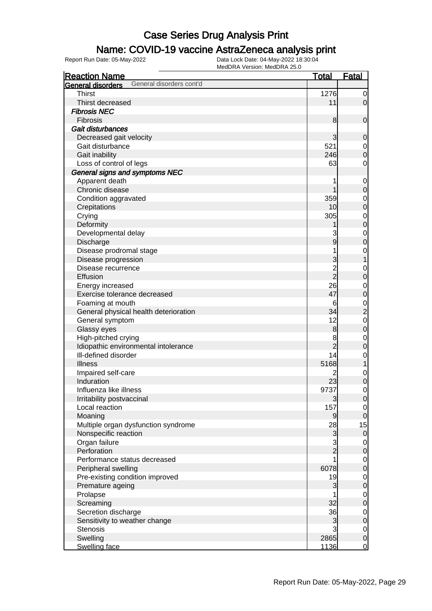### Name: COVID-19 vaccine AstraZeneca analysis print

| <b>Reaction Name</b>                          | <b>Total</b>   | <u>Fatal</u>     |
|-----------------------------------------------|----------------|------------------|
| General disorders cont'd<br>General disorders |                |                  |
| <b>Thirst</b>                                 | 1276           | 0                |
| Thirst decreased                              | 11             | $\overline{0}$   |
| <b>Fibrosis NEC</b>                           |                |                  |
| Fibrosis                                      | 8              | 0                |
| Gait disturbances                             |                |                  |
| Decreased gait velocity                       | 3              | 0                |
| Gait disturbance                              | 521            | 0                |
| Gait inability                                | 246            | 0                |
| Loss of control of legs                       | 63             | 0                |
| General signs and symptoms NEC                |                |                  |
| Apparent death                                | 1              | $\mathbf 0$      |
| Chronic disease                               |                | 0                |
| Condition aggravated                          | 359            | 0                |
| Crepitations                                  | 10             | 0                |
| Crying                                        | 305            | $\mathbf 0$      |
| Deformity                                     |                | $\mathbf 0$      |
| Developmental delay                           | 3              | 0                |
| Discharge                                     | 9              | 0                |
| Disease prodromal stage                       | 1              | $\mathbf 0$      |
| Disease progression                           | 3              | 1                |
| Disease recurrence                            | 2<br>2         | $\mathbf 0$      |
| Effusion                                      |                | $\mathbf 0$      |
| Energy increased                              | 26             | 0                |
| Exercise tolerance decreased                  | 47             | $\mathbf 0$      |
| Foaming at mouth                              | 6              | $\mathbf 0$      |
| General physical health deterioration         | 34             | $\overline{c}$   |
| General symptom                               | 12             | $\mathbf 0$      |
| Glassy eyes                                   | 8              | $\boldsymbol{0}$ |
| High-pitched crying                           | 8              | $\mathbf 0$      |
| Idiopathic environmental intolerance          | $\overline{c}$ | $\mathbf 0$      |
| Ill-defined disorder                          | 14             | $\mathbf 0$      |
| <b>Illness</b>                                | 5168           | 1                |
| Impaired self-care                            | 2              | $\mathbf 0$      |
| Induration                                    | 23             | 0                |
| Influenza like illness                        | 9737           | $\mathbf 0$      |
| Irritability postvaccinal                     | $\mathbf{3}$   | $\overline{0}$   |
| Local reaction                                | 157            | $\overline{0}$   |
| Moaning                                       | $\overline{9}$ | $\overline{0}$   |
| Multiple organ dysfunction syndrome           | 28             | 15               |
| Nonspecific reaction                          | 3              | $\overline{0}$   |
| Organ failure                                 | 3              | $\overline{0}$   |
| Perforation                                   | $\overline{2}$ | 0                |
| Performance status decreased                  | 1              | $\overline{0}$   |
| Peripheral swelling                           | 6078           | 0                |
| Pre-existing condition improved               | 19             | $\overline{0}$   |
| Premature ageing                              | 3              | 0                |
| Prolapse                                      |                | $\overline{0}$   |
| Screaming                                     | 32             | 0                |
| Secretion discharge                           | 36             | $\overline{0}$   |
| Sensitivity to weather change                 | 3              | $\mathbf 0$      |
| <b>Stenosis</b>                               | 3              | $\overline{0}$   |
| Swelling                                      | 2865           | $\mathbf 0$      |
| Swelling face                                 | 1136           | $\overline{0}$   |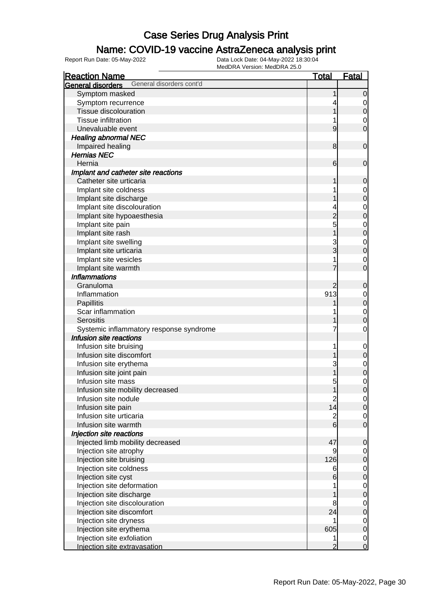### Name: COVID-19 vaccine AstraZeneca analysis print

| <b>Reaction Name</b>                          | <b>Total</b>    | <b>Fatal</b>     |
|-----------------------------------------------|-----------------|------------------|
| General disorders cont'd<br>General disorders |                 |                  |
| Symptom masked                                |                 | $\mathbf 0$      |
| Symptom recurrence                            |                 | 0                |
| <b>Tissue discolouration</b>                  |                 | $\boldsymbol{0}$ |
| <b>Tissue infiltration</b>                    |                 | 0                |
| Unevaluable event                             | 9               | $\overline{0}$   |
| <b>Healing abnormal NEC</b>                   |                 |                  |
| Impaired healing                              | 8               | $\mathbf 0$      |
| <b>Hernias NEC</b>                            |                 |                  |
| Hernia                                        | 6               | $\mathbf 0$      |
| Implant and catheter site reactions           |                 |                  |
| Catheter site urticaria                       |                 | 0                |
| Implant site coldness                         |                 | $\mathbf 0$      |
| Implant site discharge                        |                 | $\mathbf 0$      |
| Implant site discolouration                   |                 | $\mathbf 0$      |
| Implant site hypoaesthesia                    | $\overline{2}$  | $\mathbf 0$      |
| Implant site pain                             | 5               | $\mathbf 0$      |
| Implant site rash                             |                 | $\mathbf 0$      |
| Implant site swelling                         |                 | $\mathbf 0$      |
| Implant site urticaria                        | 3               | $\mathbf 0$      |
| Implant site vesicles                         |                 | 0                |
| Implant site warmth                           |                 | $\overline{0}$   |
| <b>Inflammations</b>                          |                 |                  |
| Granuloma                                     | 2               | $\mathbf 0$      |
| Inflammation                                  | 913             | 0                |
| Papillitis                                    |                 | $\boldsymbol{0}$ |
| Scar inflammation                             |                 | $\mathbf 0$      |
| Serositis                                     |                 | $\mathbf{0}$     |
| Systemic inflammatory response syndrome       |                 | 0                |
| Infusion site reactions                       |                 |                  |
| Infusion site bruising                        |                 | $\mathbf 0$      |
| Infusion site discomfort                      |                 | $\boldsymbol{0}$ |
| Infusion site erythema                        | 3               | $\mathbf 0$      |
| Infusion site joint pain                      |                 | $\boldsymbol{0}$ |
| Infusion site mass                            | 5               | $\mathbf{0}$     |
| Infusion site mobility decreased              | 1               | $\overline{0}$   |
| Infusion site nodule                          | $\overline{c}$  | $\overline{0}$   |
| Infusion site pain                            | 14              | $\overline{O}$   |
| Infusion site urticaria                       | $\overline{2}$  | $\overline{0}$   |
| Infusion site warmth                          | $6 \overline{}$ | $\overline{0}$   |
| Injection site reactions                      |                 |                  |
| Injected limb mobility decreased              | 47              | $\mathbf 0$      |
| Injection site atrophy                        | 9               | $\overline{0}$   |
| Injection site bruising                       | 126             | $\mathbf 0$      |
| Injection site coldness                       | 6               | $\overline{0}$   |
| Injection site cyst                           | $6 \overline{}$ | $\mathbf 0$      |
| Injection site deformation                    |                 | $\overline{0}$   |
| Injection site discharge                      |                 | $\mathbf 0$      |
| Injection site discolouration                 | 8               | $\mathbf 0$      |
| Injection site discomfort                     | 24              | $\boldsymbol{0}$ |
| Injection site dryness                        |                 | $\overline{0}$   |
| Injection site erythema                       | 605             | $\mathbf 0$      |
| Injection site exfoliation                    |                 | $\overline{0}$   |
| Injection site extravasation                  | $\overline{2}$  | $\overline{0}$   |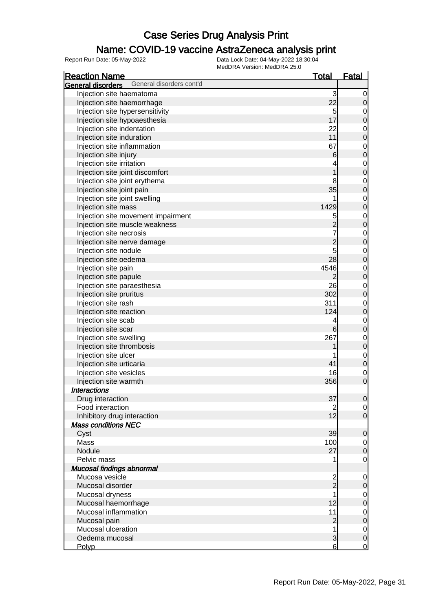### Name: COVID-19 vaccine AstraZeneca analysis print

| <b>Reaction Name</b>                          | <u>Total</u>     | <b>Fatal</b>        |
|-----------------------------------------------|------------------|---------------------|
| General disorders cont'd<br>General disorders |                  |                     |
| Injection site haematoma                      | 3                | 0                   |
| Injection site haemorrhage                    | 22               | 0                   |
| Injection site hypersensitivity               | 5                | $\mathbf 0$         |
| Injection site hypoaesthesia                  | 17               | $\mathbf 0$         |
| Injection site indentation                    | 22               | $\mathbf 0$         |
| Injection site induration                     | 11               | $\mathbf{0}$        |
| Injection site inflammation                   | 67               | $\mathbf{0}$        |
| Injection site injury                         | $6 \overline{6}$ | $\overline{0}$      |
| Injection site irritation                     |                  | $\mathbf{0}$        |
| Injection site joint discomfort               |                  | $\overline{0}$      |
| Injection site joint erythema                 | 8                | $\mathbf{0}$        |
| Injection site joint pain                     | 35               | $\overline{0}$      |
| Injection site joint swelling                 |                  | $\mathbf{0}$        |
| Injection site mass                           | 1429             | $\overline{0}$      |
| Injection site movement impairment            | 5                | $\mathbf{0}$        |
| Injection site muscle weakness                | $\overline{2}$   | $\mathbf 0$         |
| Injection site necrosis                       |                  | $\mathbf{0}$        |
| Injection site nerve damage                   | $\overline{2}$   | $\mathbf 0$         |
| Injection site nodule                         | 5                | $\mathbf{0}$        |
| Injection site oedema                         | 28               | $\mathbf 0$         |
| Injection site pain                           | 4546             | $\mathbf{0}$        |
| Injection site papule                         | 2                | $\mathbf 0$         |
| Injection site paraesthesia                   | 26               | $\mathbf 0$         |
| Injection site pruritus                       | 302              | $\mathbf 0$         |
| Injection site rash                           | 311              | $\mathbf 0$         |
| Injection site reaction                       | 124              | $\boldsymbol{0}$    |
| Injection site scab                           | 4                | $\mathbf 0$         |
| Injection site scar                           | 6                | $\mathbf 0$         |
| Injection site swelling                       | 267              | $\mathbf 0$         |
| Injection site thrombosis                     |                  | $\boldsymbol{0}$    |
| Injection site ulcer                          |                  | $\mathbf 0$         |
| Injection site urticaria                      | 41               | $\mathbf 0$         |
| Injection site vesicles                       | 16               | $\mathbf 0$         |
| Injection site warmth                         | 356              | $\overline{0}$      |
| <b>Interactions</b>                           |                  |                     |
| Drug interaction                              | 37               | 0                   |
| Food interaction                              | $\overline{2}$   | $\overline{0}$      |
| Inhibitory drug interaction                   | 12               | $\overline{0}$      |
| <b>Mass conditions NEC</b>                    |                  |                     |
| Cyst                                          | 39               | $\mathbf 0$         |
| Mass                                          | 100              | 0                   |
| Nodule                                        | 27               | $\mathbf 0$         |
| Pelvic mass                                   | 1                | $\mathbf 0$         |
| Mucosal findings abnormal                     |                  |                     |
| Mucosa vesicle                                | 2                | $\mathbf 0$         |
| Mucosal disorder                              | $_{2}^{-}$       | 0                   |
| Mucosal dryness                               | 1                | $\overline{0}$      |
| Mucosal haemorrhage                           | 12               | $\boldsymbol{0}$    |
| Mucosal inflammation                          | 11               | $\mathbf 0$         |
| Mucosal pain                                  | $\overline{c}$   | $\mathsf{O}\xspace$ |
| Mucosal ulceration                            | 1                | $\overline{0}$      |
| Oedema mucosal                                | 3                | $\mathbf 0$         |
| Polyp                                         | 6                | $\overline{0}$      |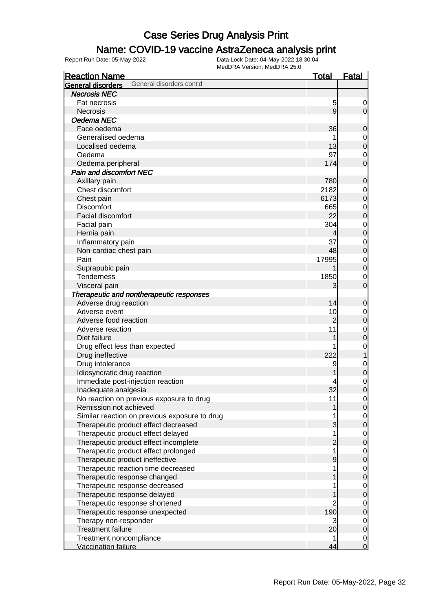### Name: COVID-19 vaccine AstraZeneca analysis print

| <b>Reaction Name</b>                          | <u>Total</u>   | <b>Fatal</b>     |
|-----------------------------------------------|----------------|------------------|
| General disorders cont'd<br>General disorders |                |                  |
| <b>Necrosis NEC</b>                           |                |                  |
| Fat necrosis                                  | 5              | 0                |
| <b>Necrosis</b>                               | $\overline{9}$ | $\overline{0}$   |
| Oedema NEC                                    |                |                  |
| Face oedema                                   | 36             | $\mathbf 0$      |
| Generalised oedema                            |                | $\mathbf 0$      |
| Localised oedema                              | 13             | $\boldsymbol{0}$ |
| Oedema                                        | 97             | $\mathbf 0$      |
| Oedema peripheral                             | 174            | $\overline{0}$   |
| <b>Pain and discomfort NEC</b>                |                |                  |
| Axillary pain                                 | 780            | $\mathbf 0$      |
| Chest discomfort                              | 2182           | 0                |
| Chest pain                                    | 6173           | $\boldsymbol{0}$ |
| <b>Discomfort</b>                             | 665            | $\mathbf 0$      |
| Facial discomfort                             | 22             | $\boldsymbol{0}$ |
| Facial pain                                   | 304            | $\mathbf 0$      |
| Hernia pain                                   | 4              | $\mathbf 0$      |
| Inflammatory pain                             | 37             | $\mathbf 0$      |
| Non-cardiac chest pain                        | 48             | $\boldsymbol{0}$ |
| Pain                                          | 17995          | $\mathbf 0$      |
| Suprapubic pain                               |                | $\boldsymbol{0}$ |
| Tenderness                                    | 1850           | 0                |
| Visceral pain                                 | 3              | $\overline{0}$   |
| Therapeutic and nontherapeutic responses      |                |                  |
| Adverse drug reaction                         | 14             | $\mathbf 0$      |
| Adverse event                                 | 10             | $\mathbf 0$      |
| Adverse food reaction                         | $\overline{2}$ | $\boldsymbol{0}$ |
| Adverse reaction                              | 11             | $\mathbf 0$      |
| Diet failure                                  |                | $\mathbf 0$      |
| Drug effect less than expected                |                | $\mathbf 0$      |
| Drug ineffective                              | 222            | 1                |
| Drug intolerance                              | 9              | $\mathbf 0$      |
| Idiosyncratic drug reaction                   |                | $\boldsymbol{0}$ |
| Immediate post-injection reaction             |                | $\mathbf 0$      |
| Inadequate analgesia                          | 32             | $\overline{0}$   |
| No reaction on previous exposure to drug      | 11             | $\overline{0}$   |
| Remission not achieved                        | 1              | $\mathbf 0$      |
| Similar reaction on previous exposure to drug |                | $\overline{0}$   |
| Therapeutic product effect decreased          | 3              | $\mathbf 0$      |
| Therapeutic product effect delayed            | 1              | $\overline{0}$   |
| Therapeutic product effect incomplete         | $\overline{c}$ | $\boldsymbol{0}$ |
| Therapeutic product effect prolonged          | 1              | $\mathbf 0$      |
| Therapeutic product ineffective               | 9              | $\boldsymbol{0}$ |
| Therapeutic reaction time decreased           |                | $\mathbf 0$      |
| Therapeutic response changed                  |                | $\boldsymbol{0}$ |
| Therapeutic response decreased                |                | $\mathbf 0$      |
| Therapeutic response delayed                  |                | $\boldsymbol{0}$ |
| Therapeutic response shortened                | $\overline{2}$ | $\mathbf 0$      |
| Therapeutic response unexpected               | 190            | $\pmb{0}$        |
| Therapy non-responder                         | 3              | $\overline{0}$   |
| <b>Treatment failure</b>                      | 20             | $\mathbf 0$      |
| Treatment noncompliance                       |                | $\overline{0}$   |
| Vaccination failure                           | 44             | $\overline{0}$   |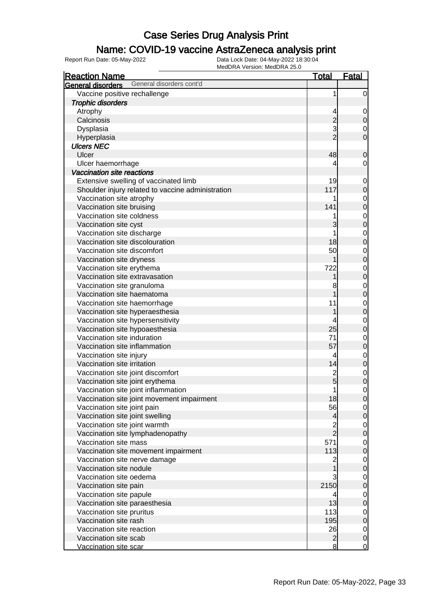#### Name: COVID-19 vaccine AstraZeneca analysis print

| <b>Reaction Name</b>                              | <b>Total</b>   | <b>Fatal</b>   |
|---------------------------------------------------|----------------|----------------|
| General disorders cont'd<br>General disorders     |                |                |
| Vaccine positive rechallenge                      | 1              | $\overline{0}$ |
| <b>Trophic disorders</b>                          |                |                |
| Atrophy                                           | 4              | $\mathbf 0$    |
| Calcinosis                                        | $\overline{c}$ | $\mathbf 0$    |
| Dysplasia                                         | 3              | 0              |
| Hyperplasia                                       | $\overline{2}$ | $\mathbf 0$    |
| <b>Ulcers NEC</b>                                 |                |                |
| Ulcer                                             | 48             | $\mathbf 0$    |
| Ulcer haemorrhage                                 | 4              | $\overline{0}$ |
| Vaccination site reactions                        |                |                |
| Extensive swelling of vaccinated limb             | 19             | $\mathbf 0$    |
| Shoulder injury related to vaccine administration | 117            | $\mathbf 0$    |
| Vaccination site atrophy                          |                | $\mathbf 0$    |
| Vaccination site bruising                         | 141            | $\mathbf 0$    |
| Vaccination site coldness                         |                | $\mathbf 0$    |
| Vaccination site cyst                             | 3              | $\mathbf 0$    |
| Vaccination site discharge                        |                | $\mathbf 0$    |
| Vaccination site discolouration                   | 18             | $\mathbf 0$    |
| Vaccination site discomfort                       | 50             | $\mathbf 0$    |
| Vaccination site dryness                          |                | $\mathbf 0$    |
| Vaccination site erythema                         | 722            | $\mathbf 0$    |
| Vaccination site extravasation                    |                | $\mathbf 0$    |
| Vaccination site granuloma                        | 8              | $\mathbf 0$    |
| Vaccination site haematoma                        |                | $\pmb{0}$      |
| Vaccination site haemorrhage                      | 11             | $\mathbf 0$    |
| Vaccination site hyperaesthesia                   | 1              | $\mathbf 0$    |
| Vaccination site hypersensitivity                 | 4              | $\mathbf 0$    |
| Vaccination site hypoaesthesia                    | 25             | $\pmb{0}$      |
| Vaccination site induration                       | 71             | $\mathbf 0$    |
| Vaccination site inflammation                     | 57             | $\pmb{0}$      |
| Vaccination site injury                           | 4              | $\mathbf 0$    |
| Vaccination site irritation                       | 14             | $\mathbf 0$    |
| Vaccination site joint discomfort                 | $\overline{c}$ | $\mathbf 0$    |
| Vaccination site joint erythema                   | 5              | $\mathbf 0$    |
| Vaccination site joint inflammation               | 1              | $\mathbf 0$    |
| Vaccination site joint movement impairment        | 18             | $\overline{0}$ |
| Vaccination site joint pain                       | 56             | $\overline{0}$ |
| Vaccination site joint swelling                   | 4              | $\mathbf 0$    |
| Vaccination site joint warmth                     | $\overline{c}$ | $\overline{0}$ |
| Vaccination site lymphadenopathy                  | $\overline{2}$ | $\pmb{0}$      |
| Vaccination site mass                             | 571            | $\mathbf 0$    |
| Vaccination site movement impairment              | 113            | $\mathbf 0$    |
| Vaccination site nerve damage                     | 2              | $\mathbf 0$    |
| Vaccination site nodule                           |                | $\mathbf 0$    |
| Vaccination site oedema                           | 3              | $\mathbf 0$    |
| Vaccination site pain                             | 2150           | $\mathbf 0$    |
| Vaccination site papule                           | 4              | $\mathbf 0$    |
| Vaccination site paraesthesia                     | 13             | $\mathbf 0$    |
| Vaccination site pruritus                         | 113            | $\mathbf 0$    |
| Vaccination site rash                             | 195            | $\mathbf 0$    |
| Vaccination site reaction                         | 26             | $\overline{0}$ |
| Vaccination site scab                             | $\overline{c}$ | $\mathbf 0$    |
| Vaccination site scar                             | $\bf{8}$       | $\overline{0}$ |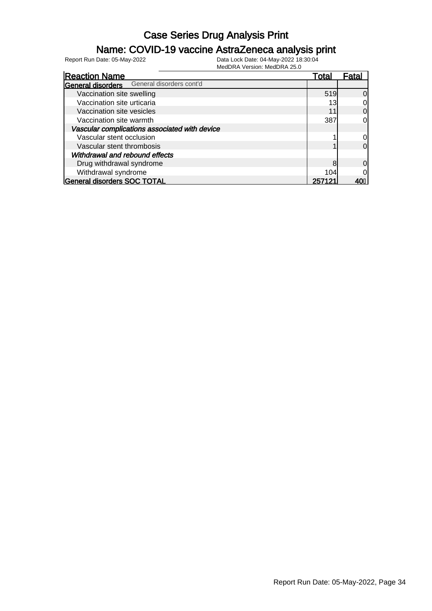### Name: COVID-19 vaccine AstraZeneca analysis print

| <b>Reaction Name</b>                          | Total  | Fatal |
|-----------------------------------------------|--------|-------|
| General disorders cont'd<br>General disorders |        |       |
| Vaccination site swelling                     | 519    | 0l    |
| Vaccination site urticaria                    | 13     | 0l    |
| Vaccination site vesicles                     |        | 0l    |
| Vaccination site warmth                       | 387    | Οl    |
| Vascular complications associated with device |        |       |
| Vascular stent occlusion                      |        | 0     |
| Vascular stent thrombosis                     |        | 0l    |
| Withdrawal and rebound effects                |        |       |
| Drug withdrawal syndrome                      | 8      | 0l    |
| Withdrawal syndrome                           | 104    | 0     |
| <b>General disorders SOC TOTAL</b>            | 257121 |       |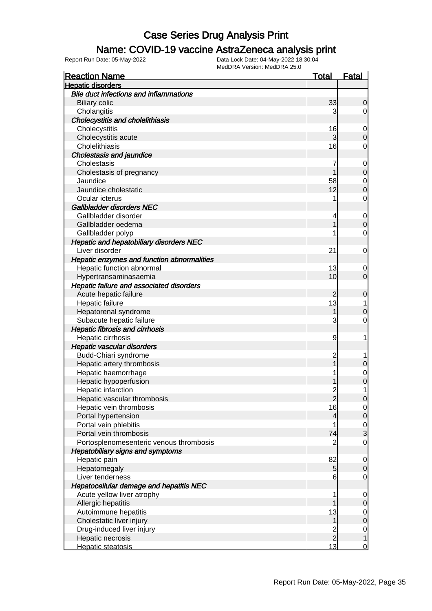### Name: COVID-19 vaccine AstraZeneca analysis print

| <b>Reaction Name</b>                           | <u>Total</u>   | <b>Fatal</b>   |
|------------------------------------------------|----------------|----------------|
| <b>Hepatic disorders</b>                       |                |                |
| <b>Bile duct infections and inflammations</b>  |                |                |
| <b>Biliary colic</b>                           | 33             | 0              |
| Cholangitis                                    | 3              | 0              |
| <b>Cholecystitis and cholelithiasis</b>        |                |                |
| Cholecystitis                                  | 16             | 0              |
| Cholecystitis acute                            | 3              | 0              |
| Cholelithiasis                                 | 16             | 0              |
| <b>Cholestasis and jaundice</b>                |                |                |
| Cholestasis                                    |                | $\mathbf 0$    |
| Cholestasis of pregnancy                       |                | $\mathbf 0$    |
| Jaundice                                       | 58             | 0              |
| Jaundice cholestatic                           | 12             | 0              |
| Ocular icterus                                 |                | 0              |
| Gallbladder disorders NEC                      |                |                |
| Gallbladder disorder                           | 4              | $\mathbf 0$    |
| Gallbladder oedema                             |                | $\overline{0}$ |
| Gallbladder polyp                              |                | 0              |
| <b>Hepatic and hepatobiliary disorders NEC</b> |                |                |
| Liver disorder                                 | 21             | 0              |
| Hepatic enzymes and function abnormalities     |                |                |
| Hepatic function abnormal                      | 13             | 0              |
| Hypertransaminasaemia                          | 10             | 0              |
| Hepatic failure and associated disorders       |                |                |
| Acute hepatic failure                          | 2              | 0              |
| Hepatic failure                                | 13             |                |
| Hepatorenal syndrome                           |                | 0              |
| Subacute hepatic failure                       | 3              | 0              |
| <b>Hepatic fibrosis and cirrhosis</b>          |                |                |
| Hepatic cirrhosis                              | 9              |                |
| Hepatic vascular disorders                     |                |                |
| Budd-Chiari syndrome                           | $\overline{c}$ |                |
| Hepatic artery thrombosis                      |                | 0              |
| Hepatic haemorrhage                            |                | 0              |
| Hepatic hypoperfusion                          |                | 0              |
| Hepatic infarction                             | $\overline{c}$ | 1              |
| Hepatic vascular thrombosis                    | Z              |                |
| Hepatic vein thrombosis                        | 16             | $\Omega$       |
| Portal hypertension                            | 4              | $\overline{0}$ |
| Portal vein phlebitis                          |                | $\mathbf 0$    |
| Portal vein thrombosis                         | 74             | 3              |
| Portosplenomesenteric venous thrombosis        | $\overline{2}$ | $\mathbf 0$    |
| <b>Hepatobiliary signs and symptoms</b>        |                |                |
| Hepatic pain                                   | 82             | 0              |
| Hepatomegaly                                   | 5              | 0              |
| Liver tenderness                               | 6              | 0              |
| <b>Hepatocellular damage and hepatitis NEC</b> |                |                |
| Acute yellow liver atrophy                     |                | 0              |
| Allergic hepatitis                             |                | 0              |
| Autoimmune hepatitis                           | 13             | 0              |
| Cholestatic liver injury                       | 1              | $\overline{0}$ |
| Drug-induced liver injury                      | $\overline{c}$ | $\mathbf 0$    |
| Hepatic necrosis                               | $\overline{2}$ | 1              |
| Hepatic steatosis                              | 13             | $\overline{0}$ |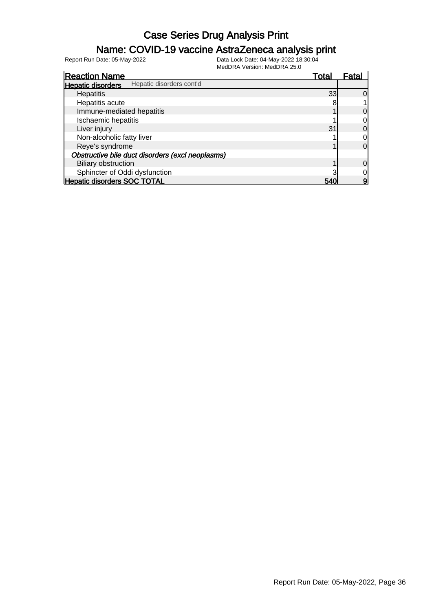### Name: COVID-19 vaccine AstraZeneca analysis print

| <b>Reaction Name</b>                                 | <u>Total</u> | <u>Fatal</u> |
|------------------------------------------------------|--------------|--------------|
| Hepatic disorders cont'd<br><b>Hepatic disorders</b> |              |              |
| Hepatitis                                            | 33           | 0            |
| Hepatitis acute                                      |              |              |
| Immune-mediated hepatitis                            |              | 0            |
| Ischaemic hepatitis                                  |              |              |
| Liver injury                                         | 31           | 0            |
| Non-alcoholic fatty liver                            |              |              |
| Reye's syndrome                                      |              | 0            |
| Obstructive bile duct disorders (excl neoplasms)     |              |              |
| <b>Biliary obstruction</b>                           |              | 0            |
| Sphincter of Oddi dysfunction                        |              |              |
| <b>Hepatic disorders SOC TOTAL</b>                   | 540          | 9            |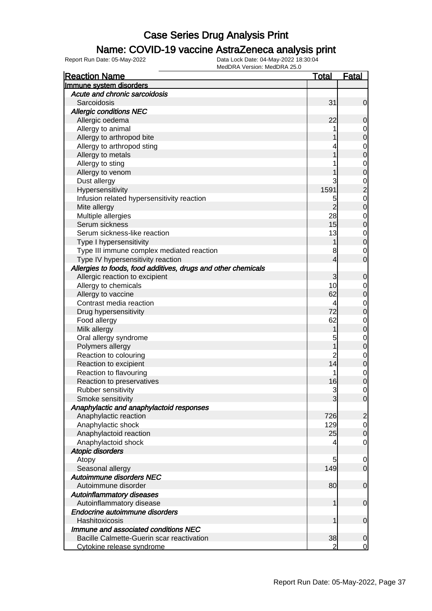#### Name: COVID-19 vaccine AstraZeneca analysis print

| <b>Reaction Name</b>                                          | <u>Total</u>   | <b>Fatal</b>   |
|---------------------------------------------------------------|----------------|----------------|
| Immune system disorders                                       |                |                |
| Acute and chronic sarcoidosis                                 |                |                |
| Sarcoidosis                                                   | 31             | 0              |
| <b>Allergic conditions NEC</b>                                |                |                |
| Allergic oedema                                               | 22             | 0              |
| Allergy to animal                                             |                | 0              |
| Allergy to arthropod bite                                     |                | $\mathbf 0$    |
| Allergy to arthropod sting                                    |                | $\mathbf 0$    |
| Allergy to metals                                             |                | $\mathbf 0$    |
| Allergy to sting                                              |                | $\mathbf 0$    |
| Allergy to venom                                              |                | 0              |
| Dust allergy                                                  | 3              | $\mathbf 0$    |
| Hypersensitivity                                              | 1591           | $\overline{c}$ |
| Infusion related hypersensitivity reaction                    | 5              | $\mathbf 0$    |
| Mite allergy                                                  | $\overline{2}$ | $\mathbf 0$    |
| Multiple allergies                                            | 28             | $\mathbf 0$    |
| Serum sickness                                                | 15             | $\mathbf 0$    |
| Serum sickness-like reaction                                  | 13             | $\mathbf 0$    |
| Type I hypersensitivity                                       | 1              | $\mathbf 0$    |
| Type III immune complex mediated reaction                     | 8              | 0              |
| Type IV hypersensitivity reaction                             | 4              | 0              |
| Allergies to foods, food additives, drugs and other chemicals |                |                |
| Allergic reaction to excipient                                | 3              | 0              |
| Allergy to chemicals                                          | 10             | 0              |
| Allergy to vaccine                                            | 62             | $\mathbf 0$    |
| Contrast media reaction                                       | 4              | $\mathbf 0$    |
| Drug hypersensitivity                                         | 72             | $\mathbf 0$    |
| Food allergy                                                  | 62             | $\mathbf 0$    |
| Milk allergy                                                  | 1              | $\mathbf 0$    |
| Oral allergy syndrome                                         | 5              | $\mathbf 0$    |
| Polymers allergy                                              |                | $\mathbf 0$    |
| Reaction to colouring                                         | $\overline{c}$ | $\mathbf 0$    |
| Reaction to excipient                                         | 14             | $\mathbf 0$    |
| Reaction to flavouring                                        |                | $\mathbf 0$    |
| Reaction to preservatives                                     | 16             | 0              |
| Rubber sensitivity                                            | 3              | 0              |
| Smoke sensitivity                                             | $\overline{3}$ | $\overline{0}$ |
| Anaphylactic and anaphylactoid responses                      |                |                |
| Anaphylactic reaction                                         | 726            | $\overline{2}$ |
| Anaphylactic shock                                            | 129            | $\overline{0}$ |
| Anaphylactoid reaction                                        | 25             | $\mathbf 0$    |
| Anaphylactoid shock                                           | 4              | $\overline{0}$ |
| <b>Atopic disorders</b>                                       |                |                |
| Atopy                                                         | 5              | 0              |
| Seasonal allergy                                              | 149            | $\mathbf 0$    |
| Autoimmune disorders NEC                                      |                |                |
| Autoimmune disorder                                           | 80             | $\mathbf 0$    |
| <b>Autoinflammatory diseases</b>                              |                |                |
| Autoinflammatory disease                                      | 1              | $\mathbf 0$    |
| Endocrine autoimmune disorders                                |                |                |
| Hashitoxicosis                                                | 1              | $\mathbf 0$    |
| Immune and associated conditions NEC                          |                |                |
| Bacille Calmette-Guerin scar reactivation                     | 38             | 0              |
| Cytokine release syndrome                                     | 2              | 0              |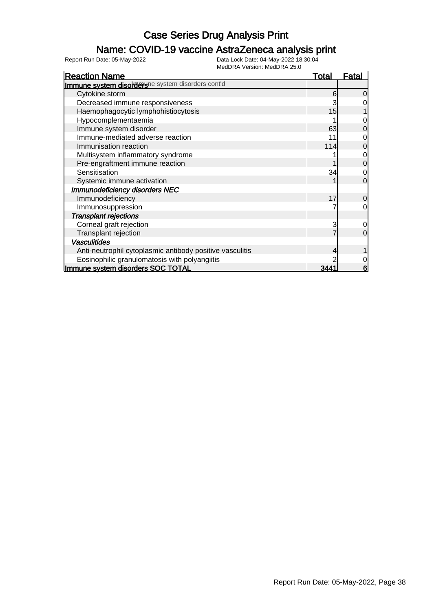### Name: COVID-19 vaccine AstraZeneca analysis print

| <b>Reaction Name</b>                                     | <u>Total</u> | <u>Fatal</u> |
|----------------------------------------------------------|--------------|--------------|
| Immune system disorderune system disorders cont'd        |              |              |
| Cytokine storm                                           | 6            | 0            |
| Decreased immune responsiveness                          |              |              |
| Haemophagocytic lymphohistiocytosis                      | 15           |              |
| Hypocomplementaemia                                      |              |              |
| Immune system disorder                                   | 63           |              |
| Immune-mediated adverse reaction                         |              |              |
| Immunisation reaction                                    | 114          | 0            |
| Multisystem inflammatory syndrome                        |              | 0            |
| Pre-engraftment immune reaction                          |              | 0            |
| Sensitisation                                            | 34           |              |
| Systemic immune activation                               |              | 0            |
| Immunodeficiency disorders NEC                           |              |              |
| Immunodeficiency                                         | 17           | 0            |
| Immunosuppression                                        |              | 0            |
| <b>Transplant rejections</b>                             |              |              |
| Corneal graft rejection                                  | 3            | 0            |
| Transplant rejection                                     |              | $\Omega$     |
| <b>Vasculitides</b>                                      |              |              |
| Anti-neutrophil cytoplasmic antibody positive vasculitis |              |              |
| Eosinophilic granulomatosis with polyangiitis            |              | 0            |
| Immune system disorders SOC TOTAL                        |              | 6            |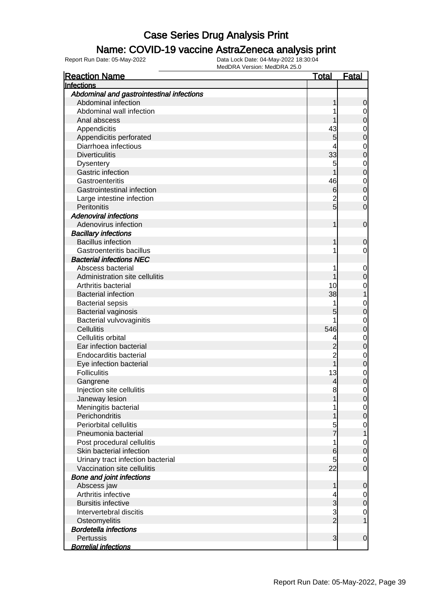#### Name: COVID-19 vaccine AstraZeneca analysis print

| Infections<br>Abdominal and gastrointestinal infections<br>Abdominal infection<br>0<br>Abdominal wall infection<br>0<br>Anal abscess<br>0<br>43<br>Appendicitis<br>0<br>Appendicitis perforated<br>5<br>0<br>Diarrhoea infectious<br>0<br>33<br><b>Diverticulitis</b><br>0<br>5<br><b>Dysentery</b><br>0<br>Gastric infection<br>0<br>Gastroenteritis<br>46<br>$\mathbf 0$<br>Gastrointestinal infection<br>0<br>6<br>Large intestine infection<br>2<br>$\mathbf 0$<br>Peritonitis<br>5<br>0<br><b>Adenoviral infections</b><br>Adenovirus infection<br>$\mathbf 0$<br><b>Bacillary infections</b><br><b>Bacillus infection</b><br>0<br>Gastroenteritis bacillus<br>0<br><b>Bacterial infections NEC</b><br>Abscess bacterial<br>$\mathbf 0$<br>Administration site cellulitis<br>0<br>Arthritis bacterial<br>10<br>0<br>38<br><b>Bacterial infection</b><br><b>Bacterial sepsis</b><br>0<br>Bacterial vaginosis<br>0<br>Bacterial vulvovaginitis<br>0<br>546<br>Cellulitis<br>0<br>Cellulitis orbital<br>0<br>4<br>Ear infection bacterial<br>0<br><b>Endocarditis bacterial</b><br>$\overline{c}$<br>0<br>Eye infection bacterial<br>0<br>13<br><b>Folliculitis</b><br>0<br>Gangrene<br>4<br>0<br>8<br>Injection site cellulitis<br>0<br>Janeway lesion<br>U<br>Meningitis bacterial<br>0<br>Perichondritis<br>0<br>Periorbital cellulitis<br>5<br>0<br>Pneumonia bacterial<br>Post procedural cellulitis<br>0<br>1<br>Skin bacterial infection<br>6<br>0<br>Urinary tract infection bacterial<br>5<br>0<br>22<br>Vaccination site cellulitis<br>0<br><b>Bone and joint infections</b><br>Abscess jaw<br>0<br>Arthritis infective<br>4<br>0<br><b>Bursitis infective</b><br>3<br>0<br>3<br>Intervertebral discitis<br>0<br>$\overline{2}$<br>Osteomyelitis<br><b>Bordetella infections</b><br>Pertussis<br>3<br>$\mathbf 0$ | <b>Reaction Name</b> | <u>Total</u> | <b>Fatal</b> |
|-------------------------------------------------------------------------------------------------------------------------------------------------------------------------------------------------------------------------------------------------------------------------------------------------------------------------------------------------------------------------------------------------------------------------------------------------------------------------------------------------------------------------------------------------------------------------------------------------------------------------------------------------------------------------------------------------------------------------------------------------------------------------------------------------------------------------------------------------------------------------------------------------------------------------------------------------------------------------------------------------------------------------------------------------------------------------------------------------------------------------------------------------------------------------------------------------------------------------------------------------------------------------------------------------------------------------------------------------------------------------------------------------------------------------------------------------------------------------------------------------------------------------------------------------------------------------------------------------------------------------------------------------------------------------------------------------------------------------------------------------------------------------------------------------------------------------------|----------------------|--------------|--------------|
|                                                                                                                                                                                                                                                                                                                                                                                                                                                                                                                                                                                                                                                                                                                                                                                                                                                                                                                                                                                                                                                                                                                                                                                                                                                                                                                                                                                                                                                                                                                                                                                                                                                                                                                                                                                                                               |                      |              |              |
|                                                                                                                                                                                                                                                                                                                                                                                                                                                                                                                                                                                                                                                                                                                                                                                                                                                                                                                                                                                                                                                                                                                                                                                                                                                                                                                                                                                                                                                                                                                                                                                                                                                                                                                                                                                                                               |                      |              |              |
|                                                                                                                                                                                                                                                                                                                                                                                                                                                                                                                                                                                                                                                                                                                                                                                                                                                                                                                                                                                                                                                                                                                                                                                                                                                                                                                                                                                                                                                                                                                                                                                                                                                                                                                                                                                                                               |                      |              |              |
|                                                                                                                                                                                                                                                                                                                                                                                                                                                                                                                                                                                                                                                                                                                                                                                                                                                                                                                                                                                                                                                                                                                                                                                                                                                                                                                                                                                                                                                                                                                                                                                                                                                                                                                                                                                                                               |                      |              |              |
|                                                                                                                                                                                                                                                                                                                                                                                                                                                                                                                                                                                                                                                                                                                                                                                                                                                                                                                                                                                                                                                                                                                                                                                                                                                                                                                                                                                                                                                                                                                                                                                                                                                                                                                                                                                                                               |                      |              |              |
|                                                                                                                                                                                                                                                                                                                                                                                                                                                                                                                                                                                                                                                                                                                                                                                                                                                                                                                                                                                                                                                                                                                                                                                                                                                                                                                                                                                                                                                                                                                                                                                                                                                                                                                                                                                                                               |                      |              |              |
|                                                                                                                                                                                                                                                                                                                                                                                                                                                                                                                                                                                                                                                                                                                                                                                                                                                                                                                                                                                                                                                                                                                                                                                                                                                                                                                                                                                                                                                                                                                                                                                                                                                                                                                                                                                                                               |                      |              |              |
|                                                                                                                                                                                                                                                                                                                                                                                                                                                                                                                                                                                                                                                                                                                                                                                                                                                                                                                                                                                                                                                                                                                                                                                                                                                                                                                                                                                                                                                                                                                                                                                                                                                                                                                                                                                                                               |                      |              |              |
|                                                                                                                                                                                                                                                                                                                                                                                                                                                                                                                                                                                                                                                                                                                                                                                                                                                                                                                                                                                                                                                                                                                                                                                                                                                                                                                                                                                                                                                                                                                                                                                                                                                                                                                                                                                                                               |                      |              |              |
|                                                                                                                                                                                                                                                                                                                                                                                                                                                                                                                                                                                                                                                                                                                                                                                                                                                                                                                                                                                                                                                                                                                                                                                                                                                                                                                                                                                                                                                                                                                                                                                                                                                                                                                                                                                                                               |                      |              |              |
|                                                                                                                                                                                                                                                                                                                                                                                                                                                                                                                                                                                                                                                                                                                                                                                                                                                                                                                                                                                                                                                                                                                                                                                                                                                                                                                                                                                                                                                                                                                                                                                                                                                                                                                                                                                                                               |                      |              |              |
|                                                                                                                                                                                                                                                                                                                                                                                                                                                                                                                                                                                                                                                                                                                                                                                                                                                                                                                                                                                                                                                                                                                                                                                                                                                                                                                                                                                                                                                                                                                                                                                                                                                                                                                                                                                                                               |                      |              |              |
|                                                                                                                                                                                                                                                                                                                                                                                                                                                                                                                                                                                                                                                                                                                                                                                                                                                                                                                                                                                                                                                                                                                                                                                                                                                                                                                                                                                                                                                                                                                                                                                                                                                                                                                                                                                                                               |                      |              |              |
|                                                                                                                                                                                                                                                                                                                                                                                                                                                                                                                                                                                                                                                                                                                                                                                                                                                                                                                                                                                                                                                                                                                                                                                                                                                                                                                                                                                                                                                                                                                                                                                                                                                                                                                                                                                                                               |                      |              |              |
|                                                                                                                                                                                                                                                                                                                                                                                                                                                                                                                                                                                                                                                                                                                                                                                                                                                                                                                                                                                                                                                                                                                                                                                                                                                                                                                                                                                                                                                                                                                                                                                                                                                                                                                                                                                                                               |                      |              |              |
|                                                                                                                                                                                                                                                                                                                                                                                                                                                                                                                                                                                                                                                                                                                                                                                                                                                                                                                                                                                                                                                                                                                                                                                                                                                                                                                                                                                                                                                                                                                                                                                                                                                                                                                                                                                                                               |                      |              |              |
|                                                                                                                                                                                                                                                                                                                                                                                                                                                                                                                                                                                                                                                                                                                                                                                                                                                                                                                                                                                                                                                                                                                                                                                                                                                                                                                                                                                                                                                                                                                                                                                                                                                                                                                                                                                                                               |                      |              |              |
|                                                                                                                                                                                                                                                                                                                                                                                                                                                                                                                                                                                                                                                                                                                                                                                                                                                                                                                                                                                                                                                                                                                                                                                                                                                                                                                                                                                                                                                                                                                                                                                                                                                                                                                                                                                                                               |                      |              |              |
|                                                                                                                                                                                                                                                                                                                                                                                                                                                                                                                                                                                                                                                                                                                                                                                                                                                                                                                                                                                                                                                                                                                                                                                                                                                                                                                                                                                                                                                                                                                                                                                                                                                                                                                                                                                                                               |                      |              |              |
|                                                                                                                                                                                                                                                                                                                                                                                                                                                                                                                                                                                                                                                                                                                                                                                                                                                                                                                                                                                                                                                                                                                                                                                                                                                                                                                                                                                                                                                                                                                                                                                                                                                                                                                                                                                                                               |                      |              |              |
|                                                                                                                                                                                                                                                                                                                                                                                                                                                                                                                                                                                                                                                                                                                                                                                                                                                                                                                                                                                                                                                                                                                                                                                                                                                                                                                                                                                                                                                                                                                                                                                                                                                                                                                                                                                                                               |                      |              |              |
|                                                                                                                                                                                                                                                                                                                                                                                                                                                                                                                                                                                                                                                                                                                                                                                                                                                                                                                                                                                                                                                                                                                                                                                                                                                                                                                                                                                                                                                                                                                                                                                                                                                                                                                                                                                                                               |                      |              |              |
|                                                                                                                                                                                                                                                                                                                                                                                                                                                                                                                                                                                                                                                                                                                                                                                                                                                                                                                                                                                                                                                                                                                                                                                                                                                                                                                                                                                                                                                                                                                                                                                                                                                                                                                                                                                                                               |                      |              |              |
|                                                                                                                                                                                                                                                                                                                                                                                                                                                                                                                                                                                                                                                                                                                                                                                                                                                                                                                                                                                                                                                                                                                                                                                                                                                                                                                                                                                                                                                                                                                                                                                                                                                                                                                                                                                                                               |                      |              |              |
|                                                                                                                                                                                                                                                                                                                                                                                                                                                                                                                                                                                                                                                                                                                                                                                                                                                                                                                                                                                                                                                                                                                                                                                                                                                                                                                                                                                                                                                                                                                                                                                                                                                                                                                                                                                                                               |                      |              |              |
|                                                                                                                                                                                                                                                                                                                                                                                                                                                                                                                                                                                                                                                                                                                                                                                                                                                                                                                                                                                                                                                                                                                                                                                                                                                                                                                                                                                                                                                                                                                                                                                                                                                                                                                                                                                                                               |                      |              |              |
|                                                                                                                                                                                                                                                                                                                                                                                                                                                                                                                                                                                                                                                                                                                                                                                                                                                                                                                                                                                                                                                                                                                                                                                                                                                                                                                                                                                                                                                                                                                                                                                                                                                                                                                                                                                                                               |                      |              |              |
|                                                                                                                                                                                                                                                                                                                                                                                                                                                                                                                                                                                                                                                                                                                                                                                                                                                                                                                                                                                                                                                                                                                                                                                                                                                                                                                                                                                                                                                                                                                                                                                                                                                                                                                                                                                                                               |                      |              |              |
|                                                                                                                                                                                                                                                                                                                                                                                                                                                                                                                                                                                                                                                                                                                                                                                                                                                                                                                                                                                                                                                                                                                                                                                                                                                                                                                                                                                                                                                                                                                                                                                                                                                                                                                                                                                                                               |                      |              |              |
|                                                                                                                                                                                                                                                                                                                                                                                                                                                                                                                                                                                                                                                                                                                                                                                                                                                                                                                                                                                                                                                                                                                                                                                                                                                                                                                                                                                                                                                                                                                                                                                                                                                                                                                                                                                                                               |                      |              |              |
|                                                                                                                                                                                                                                                                                                                                                                                                                                                                                                                                                                                                                                                                                                                                                                                                                                                                                                                                                                                                                                                                                                                                                                                                                                                                                                                                                                                                                                                                                                                                                                                                                                                                                                                                                                                                                               |                      |              |              |
|                                                                                                                                                                                                                                                                                                                                                                                                                                                                                                                                                                                                                                                                                                                                                                                                                                                                                                                                                                                                                                                                                                                                                                                                                                                                                                                                                                                                                                                                                                                                                                                                                                                                                                                                                                                                                               |                      |              |              |
|                                                                                                                                                                                                                                                                                                                                                                                                                                                                                                                                                                                                                                                                                                                                                                                                                                                                                                                                                                                                                                                                                                                                                                                                                                                                                                                                                                                                                                                                                                                                                                                                                                                                                                                                                                                                                               |                      |              |              |
|                                                                                                                                                                                                                                                                                                                                                                                                                                                                                                                                                                                                                                                                                                                                                                                                                                                                                                                                                                                                                                                                                                                                                                                                                                                                                                                                                                                                                                                                                                                                                                                                                                                                                                                                                                                                                               |                      |              |              |
|                                                                                                                                                                                                                                                                                                                                                                                                                                                                                                                                                                                                                                                                                                                                                                                                                                                                                                                                                                                                                                                                                                                                                                                                                                                                                                                                                                                                                                                                                                                                                                                                                                                                                                                                                                                                                               |                      |              |              |
|                                                                                                                                                                                                                                                                                                                                                                                                                                                                                                                                                                                                                                                                                                                                                                                                                                                                                                                                                                                                                                                                                                                                                                                                                                                                                                                                                                                                                                                                                                                                                                                                                                                                                                                                                                                                                               |                      |              |              |
|                                                                                                                                                                                                                                                                                                                                                                                                                                                                                                                                                                                                                                                                                                                                                                                                                                                                                                                                                                                                                                                                                                                                                                                                                                                                                                                                                                                                                                                                                                                                                                                                                                                                                                                                                                                                                               |                      |              |              |
|                                                                                                                                                                                                                                                                                                                                                                                                                                                                                                                                                                                                                                                                                                                                                                                                                                                                                                                                                                                                                                                                                                                                                                                                                                                                                                                                                                                                                                                                                                                                                                                                                                                                                                                                                                                                                               |                      |              |              |
|                                                                                                                                                                                                                                                                                                                                                                                                                                                                                                                                                                                                                                                                                                                                                                                                                                                                                                                                                                                                                                                                                                                                                                                                                                                                                                                                                                                                                                                                                                                                                                                                                                                                                                                                                                                                                               |                      |              |              |
|                                                                                                                                                                                                                                                                                                                                                                                                                                                                                                                                                                                                                                                                                                                                                                                                                                                                                                                                                                                                                                                                                                                                                                                                                                                                                                                                                                                                                                                                                                                                                                                                                                                                                                                                                                                                                               |                      |              |              |
|                                                                                                                                                                                                                                                                                                                                                                                                                                                                                                                                                                                                                                                                                                                                                                                                                                                                                                                                                                                                                                                                                                                                                                                                                                                                                                                                                                                                                                                                                                                                                                                                                                                                                                                                                                                                                               |                      |              |              |
|                                                                                                                                                                                                                                                                                                                                                                                                                                                                                                                                                                                                                                                                                                                                                                                                                                                                                                                                                                                                                                                                                                                                                                                                                                                                                                                                                                                                                                                                                                                                                                                                                                                                                                                                                                                                                               |                      |              |              |
|                                                                                                                                                                                                                                                                                                                                                                                                                                                                                                                                                                                                                                                                                                                                                                                                                                                                                                                                                                                                                                                                                                                                                                                                                                                                                                                                                                                                                                                                                                                                                                                                                                                                                                                                                                                                                               |                      |              |              |
|                                                                                                                                                                                                                                                                                                                                                                                                                                                                                                                                                                                                                                                                                                                                                                                                                                                                                                                                                                                                                                                                                                                                                                                                                                                                                                                                                                                                                                                                                                                                                                                                                                                                                                                                                                                                                               |                      |              |              |
|                                                                                                                                                                                                                                                                                                                                                                                                                                                                                                                                                                                                                                                                                                                                                                                                                                                                                                                                                                                                                                                                                                                                                                                                                                                                                                                                                                                                                                                                                                                                                                                                                                                                                                                                                                                                                               |                      |              |              |
|                                                                                                                                                                                                                                                                                                                                                                                                                                                                                                                                                                                                                                                                                                                                                                                                                                                                                                                                                                                                                                                                                                                                                                                                                                                                                                                                                                                                                                                                                                                                                                                                                                                                                                                                                                                                                               |                      |              |              |
|                                                                                                                                                                                                                                                                                                                                                                                                                                                                                                                                                                                                                                                                                                                                                                                                                                                                                                                                                                                                                                                                                                                                                                                                                                                                                                                                                                                                                                                                                                                                                                                                                                                                                                                                                                                                                               |                      |              |              |
|                                                                                                                                                                                                                                                                                                                                                                                                                                                                                                                                                                                                                                                                                                                                                                                                                                                                                                                                                                                                                                                                                                                                                                                                                                                                                                                                                                                                                                                                                                                                                                                                                                                                                                                                                                                                                               |                      |              |              |
|                                                                                                                                                                                                                                                                                                                                                                                                                                                                                                                                                                                                                                                                                                                                                                                                                                                                                                                                                                                                                                                                                                                                                                                                                                                                                                                                                                                                                                                                                                                                                                                                                                                                                                                                                                                                                               |                      |              |              |
|                                                                                                                                                                                                                                                                                                                                                                                                                                                                                                                                                                                                                                                                                                                                                                                                                                                                                                                                                                                                                                                                                                                                                                                                                                                                                                                                                                                                                                                                                                                                                                                                                                                                                                                                                                                                                               |                      |              |              |
|                                                                                                                                                                                                                                                                                                                                                                                                                                                                                                                                                                                                                                                                                                                                                                                                                                                                                                                                                                                                                                                                                                                                                                                                                                                                                                                                                                                                                                                                                                                                                                                                                                                                                                                                                                                                                               |                      |              |              |
|                                                                                                                                                                                                                                                                                                                                                                                                                                                                                                                                                                                                                                                                                                                                                                                                                                                                                                                                                                                                                                                                                                                                                                                                                                                                                                                                                                                                                                                                                                                                                                                                                                                                                                                                                                                                                               |                      |              |              |
| <b>Borrelial infections</b>                                                                                                                                                                                                                                                                                                                                                                                                                                                                                                                                                                                                                                                                                                                                                                                                                                                                                                                                                                                                                                                                                                                                                                                                                                                                                                                                                                                                                                                                                                                                                                                                                                                                                                                                                                                                   |                      |              |              |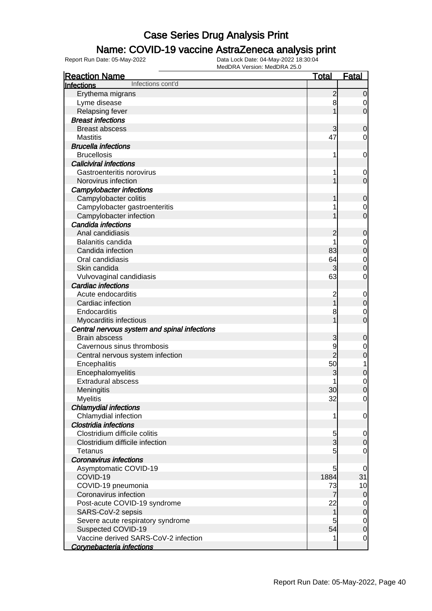### Name: COVID-19 vaccine AstraZeneca analysis print

| <b>Reaction Name</b>                         | <b>Total</b>    | <b>Fatal</b>     |
|----------------------------------------------|-----------------|------------------|
| Infections cont'd<br>Infections              |                 |                  |
| Erythema migrans                             | $\overline{c}$  | $\mathbf 0$      |
| Lyme disease                                 | 8               | 0                |
| <b>Relapsing fever</b>                       |                 | $\mathbf 0$      |
| <b>Breast infections</b>                     |                 |                  |
| <b>Breast abscess</b>                        | 3               | $\mathbf 0$      |
| <b>Mastitis</b>                              | 47              | 0                |
| <b>Brucella infections</b>                   |                 |                  |
| <b>Brucellosis</b>                           | 1               | $\mathbf 0$      |
| <b>Caliciviral infections</b>                |                 |                  |
| Gastroenteritis norovirus                    |                 | 0                |
| Norovirus infection                          |                 | $\mathbf 0$      |
| <b>Campylobacter infections</b>              |                 |                  |
| Campylobacter colitis                        |                 | $\mathbf 0$      |
| Campylobacter gastroenteritis                |                 | 0                |
| Campylobacter infection                      |                 | $\overline{0}$   |
| Candida infections                           |                 |                  |
| Anal candidiasis                             | 2               | $\mathbf 0$      |
| Balanitis candida                            |                 | 0                |
| Candida infection                            | 83              | $\pmb{0}$        |
| Oral candidiasis                             | 64              | $\mathbf 0$      |
| Skin candida                                 | 3               | $\mathbf 0$      |
| Vulvovaginal candidiasis                     | 63              | 0                |
| <b>Cardiac infections</b>                    |                 |                  |
| Acute endocarditis                           | 2               | $\mathbf 0$      |
| Cardiac infection                            |                 | $\pmb{0}$        |
| Endocarditis                                 | 8               | 0                |
| Myocarditis infectious                       |                 | 0                |
| Central nervous system and spinal infections |                 |                  |
| <b>Brain abscess</b>                         | 3               | $\mathbf 0$      |
| Cavernous sinus thrombosis                   | 9               | 0                |
| Central nervous system infection             | $\overline{2}$  | $\mathbf 0$      |
| Encephalitis                                 | 50              | 1                |
| Encephalomyelitis                            | 3               | $\mathbf 0$      |
| <b>Extradural abscess</b>                    |                 | $\mathbf 0$      |
| Meningitis                                   | 30 <sub>l</sub> | $\overline{0}$   |
| <b>Myelitis</b>                              | 32              | $\overline{0}$   |
| <b>Chlamydial infections</b>                 |                 |                  |
| Chlamydial infection                         | 1               | $\mathbf 0$      |
| <b>Clostridia infections</b>                 |                 |                  |
| Clostridium difficile colitis                | 5               | 0                |
| Clostridium difficile infection              | $\overline{3}$  | $\mathbf 0$      |
| <b>Tetanus</b>                               | 5               | $\overline{0}$   |
| <b>Coronavirus infections</b>                |                 |                  |
| Asymptomatic COVID-19                        | 5               | 0                |
| COVID-19                                     | 1884            | 31               |
| COVID-19 pneumonia                           | 73              | 10               |
| Coronavirus infection                        | 7               | $\overline{0}$   |
| Post-acute COVID-19 syndrome                 | 22              | $\overline{0}$   |
| SARS-CoV-2 sepsis                            | 1               | $\boldsymbol{0}$ |
| Severe acute respiratory syndrome            | 5               | $\overline{0}$   |
| Suspected COVID-19                           | 54              | $\boldsymbol{0}$ |
| Vaccine derived SARS-CoV-2 infection         |                 | $\mathbf 0$      |
| Corvnebacteria infections                    |                 |                  |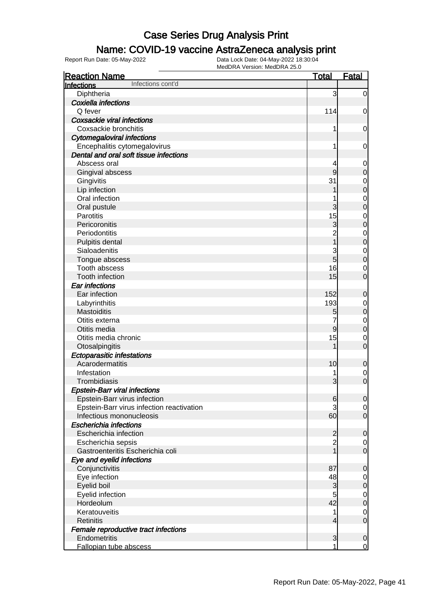#### Name: COVID-19 vaccine AstraZeneca analysis print

| <b>Reaction Name</b>                      | <b>Total</b>            | <b>Fatal</b>                     |
|-------------------------------------------|-------------------------|----------------------------------|
| Infections cont'd<br>Infections           |                         |                                  |
| Diphtheria                                | 3                       | $\overline{0}$                   |
| Coxiella infections                       |                         |                                  |
| Q fever                                   | 114                     | $\mathbf 0$                      |
| <b>Coxsackie viral infections</b>         |                         |                                  |
| Coxsackie bronchitis                      | 1                       | $\mathbf 0$                      |
| <b>Cytomegaloviral infections</b>         |                         |                                  |
| Encephalitis cytomegalovirus              | 1                       | $\mathbf 0$                      |
| Dental and oral soft tissue infections    |                         |                                  |
| Abscess oral                              |                         | $\mathbf 0$                      |
| Gingival abscess                          | 9                       | $\mathbf 0$                      |
| Gingivitis                                | 31                      | $\mathbf{0}$                     |
| Lip infection                             |                         | $\overline{0}$                   |
| Oral infection                            |                         |                                  |
| Oral pustule                              | 3                       | $0\atop 0$                       |
| Parotitis                                 | 15                      | $\mathbf{0}$                     |
| Pericoronitis                             | 3                       | $\overline{0}$                   |
| Periodontitis                             | $\overline{c}$          |                                  |
| Pulpitis dental                           | $\overline{1}$          | $\begin{matrix}0\\0\end{matrix}$ |
| Sialoadenitis                             | 3                       |                                  |
| Tongue abscess                            | 5                       | $\begin{matrix}0\\0\end{matrix}$ |
| Tooth abscess                             | 16                      | $\mathbf 0$                      |
| Tooth infection                           | 15                      | $\overline{0}$                   |
| Ear infections                            |                         |                                  |
| Ear infection                             | 152                     | $\mathbf 0$                      |
| Labyrinthitis                             | 193                     | $\mathbf{0}$                     |
| Mastoiditis                               | 5                       | $\overline{0}$                   |
| Otitis externa                            |                         |                                  |
| Otitis media                              | 9                       | $\begin{matrix}0\\0\end{matrix}$ |
| Otitis media chronic                      | 15                      | $\mathbf 0$                      |
| Otosalpingitis                            |                         | $\overline{0}$                   |
| <b>Ectoparasitic infestations</b>         |                         |                                  |
| Acarodermatitis                           | 10                      | $\mathbf 0$                      |
| Infestation                               | 1                       | $\mathbf 0$                      |
| Trombidiasis                              | 3                       | $\mathbf 0$                      |
| <b>Epstein-Barr viral infections</b>      |                         |                                  |
| Epstein-Barr virus infection              | $6 \,$                  | 0                                |
| Epstein-Barr virus infection reactivation | 3                       | $\overline{0}$                   |
| Infectious mononucleosis                  | 60                      | $\overline{0}$                   |
| <b>Escherichia infections</b>             |                         |                                  |
| Escherichia infection                     | $\overline{\mathbf{c}}$ | $\mathbf 0$                      |
| Escherichia sepsis                        | $\overline{2}$          | $\overline{0}$                   |
| Gastroenteritis Escherichia coli          | $\overline{1}$          | $\overline{0}$                   |
| Eye and eyelid infections                 |                         |                                  |
| Conjunctivitis                            | 87                      | $\mathbf 0$                      |
| Eye infection                             | 48                      | $\overline{0}$                   |
| Eyelid boil                               | 3                       | $\mathsf{O}\xspace$              |
| Eyelid infection                          | 5                       | $\mathbf 0$                      |
| Hordeolum                                 | 42                      | $\boldsymbol{0}$                 |
| Keratouveitis                             | 1                       | $\mathbf 0$                      |
| <b>Retinitis</b>                          | 4                       | $\mathbf 0$                      |
| Female reproductive tract infections      |                         |                                  |
| Endometritis                              | 3                       | $\mathbf 0$                      |
| Fallopian tube abscess                    | 1                       | $\mathbf 0$                      |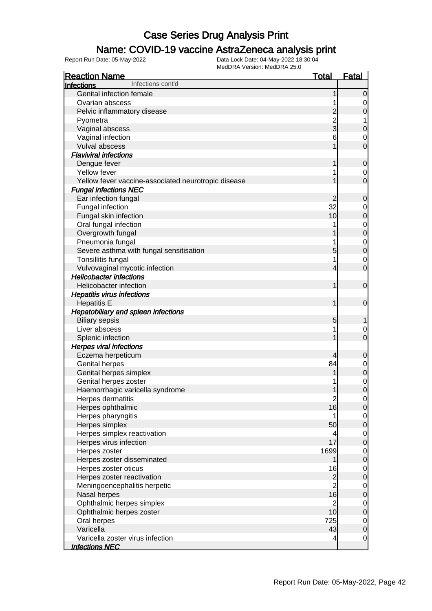### Name: COVID-19 vaccine AstraZeneca analysis print

| <b>Reaction Name</b>                                    | <b>Total</b>                           | <b>Fatal</b>                         |
|---------------------------------------------------------|----------------------------------------|--------------------------------------|
| Infections cont'd<br><b>Infections</b>                  |                                        |                                      |
| Genital infection female                                | 1                                      | $\overline{0}$                       |
| Ovarian abscess                                         |                                        | 0                                    |
| Pelvic inflammatory disease                             | $\overline{c}$                         | $\mathbf 0$                          |
| Pyometra                                                | $\overline{2}$                         | 1                                    |
| Vaginal abscess                                         | 3                                      | $\mathbf 0$                          |
| Vaginal infection                                       | 6                                      | $\mathbf 0$                          |
| Vulval abscess                                          | 1                                      | $\overline{0}$                       |
| <b>Flaviviral infections</b>                            |                                        |                                      |
| Dengue fever                                            | 1                                      | $\mathbf 0$                          |
| Yellow fever                                            |                                        | $\mathbf 0$                          |
| Yellow fever vaccine-associated neurotropic disease     |                                        | $\mathbf 0$                          |
| <b>Fungal infections NEC</b>                            |                                        |                                      |
| Ear infection fungal                                    | 2                                      | $\mathbf 0$                          |
| Fungal infection                                        | 32                                     | $\mathbf 0$                          |
| Fungal skin infection                                   | 10                                     | $\mathbf 0$                          |
| Oral fungal infection                                   | 1                                      | $\overline{0}$                       |
| Overgrowth fungal                                       |                                        | $\overline{0}$                       |
| Pneumonia fungal                                        | 1                                      |                                      |
| Severe asthma with fungal sensitisation                 | 5                                      | $\begin{matrix} 0 \\ 0 \end{matrix}$ |
| Tonsillitis fungal                                      | 1                                      | $\mathbf 0$                          |
| Vulvovaginal mycotic infection                          | 4                                      | $\mathbf 0$                          |
| <b>Helicobacter infections</b>                          |                                        |                                      |
| Helicobacter infection                                  | 1                                      | $\mathbf 0$                          |
|                                                         |                                        |                                      |
| <b>Hepatitis virus infections</b><br><b>Hepatitis E</b> | 1                                      | $\mathbf 0$                          |
|                                                         |                                        |                                      |
| Hepatobiliary and spleen infections                     |                                        |                                      |
| <b>Biliary sepsis</b><br>Liver abscess                  | 5                                      | 1                                    |
|                                                         | 1                                      | 0<br>$\mathbf 0$                     |
| Splenic infection                                       |                                        |                                      |
| <b>Herpes viral infections</b>                          |                                        |                                      |
| Eczema herpeticum<br><b>Genital herpes</b>              | 4<br>84                                | $\boldsymbol{0}$                     |
|                                                         |                                        | $\overline{0}$                       |
| Genital herpes simplex                                  | 1                                      | $\mathbf 0$                          |
| Genital herpes zoster                                   |                                        | $\begin{matrix} 0 \\ 0 \end{matrix}$ |
| Haemorrhagic varicella syndrome                         | 1                                      |                                      |
| Herpes dermatitis                                       | $\begin{array}{c} 2 \\ 16 \end{array}$ | $\overline{0}$                       |
| Herpes ophthalmic                                       |                                        | 0                                    |
| Herpes pharyngitis                                      | 1                                      | $\overline{0}$                       |
| Herpes simplex                                          | 50                                     | $\mathbf 0$                          |
| Herpes simplex reactivation                             | 4                                      | $\overline{0}$                       |
| Herpes virus infection                                  | 17                                     | $\boldsymbol{0}$                     |
| Herpes zoster                                           | 1699                                   | $\overline{0}$                       |
| Herpes zoster disseminated                              | 1                                      | $\boldsymbol{0}$                     |
| Herpes zoster oticus                                    | 16                                     | $\overline{0}$                       |
| Herpes zoster reactivation                              | $\overline{c}$                         | $\boldsymbol{0}$                     |
| Meningoencephalitis herpetic                            | $\overline{2}$                         | $\mathbf 0$                          |
| Nasal herpes                                            | 16                                     | $\boldsymbol{0}$                     |
| Ophthalmic herpes simplex                               | $\overline{2}$                         | $\overline{0}$                       |
| Ophthalmic herpes zoster                                | 10                                     | $\boldsymbol{0}$                     |
| Oral herpes                                             | 725                                    | $\mathbf 0$                          |
| Varicella                                               | 43                                     | $\boldsymbol{0}$                     |
| Varicella zoster virus infection                        | 4                                      | $\overline{0}$                       |
| <b>Infections NEC</b>                                   |                                        |                                      |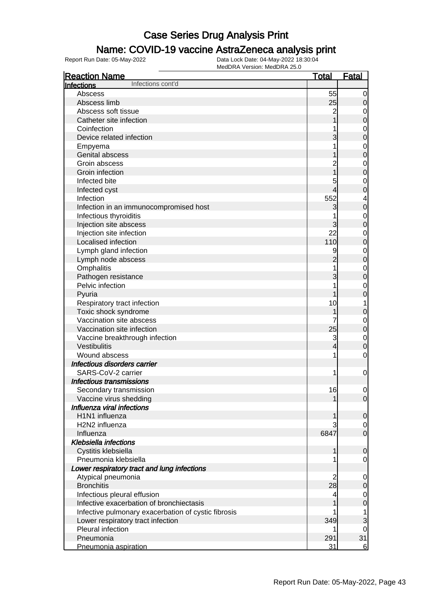### Name: COVID-19 vaccine AstraZeneca analysis print

| <b>Reaction Name</b>                                                    | <u>Total</u>   | <b>Fatal</b>               |
|-------------------------------------------------------------------------|----------------|----------------------------|
| Infections cont'd<br><b>Infections</b>                                  |                |                            |
| Abscess                                                                 | 55             | 0                          |
| Abscess limb                                                            | 25             | 0                          |
| Abscess soft tissue                                                     | $\overline{c}$ | $\mathbf 0$                |
| Catheter site infection                                                 |                | $\mathbf 0$                |
| Coinfection                                                             |                | $\mathbf 0$                |
| Device related infection                                                | 3              | $\mathbf 0$                |
| Empyema                                                                 |                | $\mathbf 0$                |
| Genital abscess                                                         |                | $\mathbf 0$                |
| Groin abscess                                                           |                | $\mathbf 0$                |
| Groin infection                                                         |                | $\mathbf 0$                |
| Infected bite                                                           | 5              |                            |
| Infected cyst                                                           | 4              | $\mathbf 0$<br>$\mathbf 0$ |
| Infection                                                               | 552            |                            |
|                                                                         |                | 4                          |
| Infection in an immunocompromised host                                  | 3              | $\mathbf 0$                |
| Infectious thyroiditis                                                  |                | $\mathbf 0$                |
| Injection site abscess                                                  | 3              | $\mathbf 0$                |
| Injection site infection                                                | 22             | $\mathbf 0$                |
| Localised infection                                                     | 110            | $\mathbf 0$                |
| Lymph gland infection                                                   | 9              | $\mathbf 0$                |
| Lymph node abscess                                                      | 2              | $\mathbf 0$                |
| Omphalitis                                                              |                | $\mathbf 0$                |
| Pathogen resistance                                                     | 3              | $\mathbf 0$                |
| Pelvic infection                                                        |                | $\mathbf 0$                |
| Pyuria                                                                  |                | $\mathbf 0$                |
| Respiratory tract infection                                             | 10             | 1                          |
| Toxic shock syndrome                                                    |                | $\mathbf 0$                |
| Vaccination site abscess                                                |                | $\mathbf 0$                |
| Vaccination site infection                                              | 25             | $\mathbf 0$                |
| Vaccine breakthrough infection                                          | 3              | $\mathbf 0$                |
| Vestibulitis                                                            | 4              | $\mathbf 0$                |
| Wound abscess                                                           | 1              | $\mathbf 0$                |
| Infectious disorders carrier                                            |                |                            |
| SARS-CoV-2 carrier                                                      | 1              | $\mathbf 0$                |
| Infectious transmissions                                                |                |                            |
| Secondary transmission                                                  | 16             | $\mathbf 0$                |
| Vaccine virus shedding                                                  | 1              | $\overline{0}$             |
| Influenza viral infections                                              |                |                            |
| H1N1 influenza                                                          |                | $\mathbf 0$                |
| H2N2 influenza                                                          |                | 0                          |
| Influenza                                                               | 6847           | $\mathbf 0$                |
| <b>Klebsiella infections</b>                                            |                |                            |
| Cystitis klebsiella                                                     | 1              | 0                          |
| Pneumonia klebsiella                                                    |                | $\overline{0}$             |
| Lower respiratory tract and lung infections                             |                |                            |
| Atypical pneumonia                                                      | 2              | 0                          |
| <b>Bronchitis</b>                                                       | 28             | 0                          |
|                                                                         |                |                            |
| Infectious pleural effusion<br>Infective exacerbation of bronchiectasis | 4              | 0                          |
|                                                                         |                | 0                          |
| Infective pulmonary exacerbation of cystic fibrosis                     |                | 1                          |
| Lower respiratory tract infection                                       | 349            | 3                          |
| Pleural infection                                                       |                | 0                          |
| Pneumonia                                                               | 291            | 31                         |
| Pneumonia aspiration                                                    | 31             | 6                          |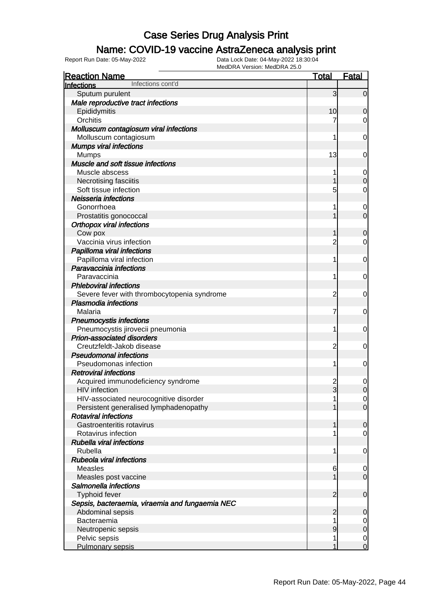### Name: COVID-19 vaccine AstraZeneca analysis print

| <b>Reaction Name</b>                            | <u>Total</u>    | <u>Fatal</u>   |
|-------------------------------------------------|-----------------|----------------|
| Infections cont'd<br>Infections                 |                 |                |
| Sputum purulent                                 | 3               | $\overline{0}$ |
| Male reproductive tract infections              |                 |                |
| Epididymitis                                    | 10 <sup>1</sup> | 0              |
| Orchitis                                        | 7               | 0              |
| Molluscum contagiosum viral infections          |                 |                |
| Molluscum contagiosum                           | 1               | 0              |
| <b>Mumps viral infections</b>                   |                 |                |
| <b>Mumps</b>                                    | 13              | 0              |
| Muscle and soft tissue infections               |                 |                |
| Muscle abscess                                  | 1               | $\mathbf 0$    |
| Necrotising fasciitis                           |                 | 0              |
| Soft tissue infection                           | 5               | 0              |
| Neisseria infections                            |                 |                |
| Gonorrhoea                                      | 1               | $\mathbf 0$    |
| Prostatitis gonococcal                          |                 | $\overline{0}$ |
| <b>Orthopox viral infections</b>                |                 |                |
| Cow pox                                         |                 | 0              |
| Vaccinia virus infection                        | $\overline{2}$  | 0              |
| Papilloma viral infections                      |                 |                |
| Papilloma viral infection                       | 1               | 0              |
| Paravaccinia infections                         |                 |                |
| Paravaccinia                                    | 1               | 0              |
| <b>Phleboviral infections</b>                   |                 |                |
| Severe fever with thrombocytopenia syndrome     | $\overline{c}$  | 0              |
| <b>Plasmodia infections</b>                     |                 |                |
| Malaria                                         | 7               | 0              |
| <b>Pneumocystis infections</b>                  |                 |                |
| Pneumocystis jirovecii pneumonia                | 1               | 0              |
| <b>Prion-associated disorders</b>               |                 |                |
| Creutzfeldt-Jakob disease                       | $\overline{c}$  | 0              |
| <b>Pseudomonal infections</b>                   |                 |                |
| Pseudomonas infection                           | 1               | 0              |
| <b>Retroviral infections</b>                    |                 |                |
| Acquired immunodeficiency syndrome              | 2               | $\mathbf 0$    |
| <b>HIV</b> infection                            | $\overline{3}$  | $\mathbf 0$    |
| HIV-associated neurocognitive disorder          |                 | $\overline{0}$ |
| Persistent generalised lymphadenopathy          |                 | $\overline{0}$ |
| <b>Rotaviral infections</b>                     |                 |                |
| Gastroenteritis rotavirus                       |                 | $\mathbf 0$    |
| Rotavirus infection                             | 1               | $\mathbf 0$    |
| <b>Rubella viral infections</b>                 |                 |                |
| Rubella                                         | 1               | 0              |
| <b>Rubeola viral infections</b>                 |                 |                |
| <b>Measles</b>                                  | 6               | $\mathbf 0$    |
| Measles post vaccine                            |                 | $\mathbf 0$    |
| Salmonella infections                           |                 |                |
| <b>Typhoid fever</b>                            | 2               | $\mathbf 0$    |
| Sepsis, bacteraemia, viraemia and fungaemia NEC |                 |                |
| Abdominal sepsis                                | $\overline{2}$  | 0              |
| Bacteraemia                                     | 1               | $\overline{0}$ |
| Neutropenic sepsis                              | 9               | $\mathbf 0$    |
| Pelvic sepsis                                   | 1               | $\mathbf 0$    |
| Pulmonary sepsis                                | 1               | $\overline{0}$ |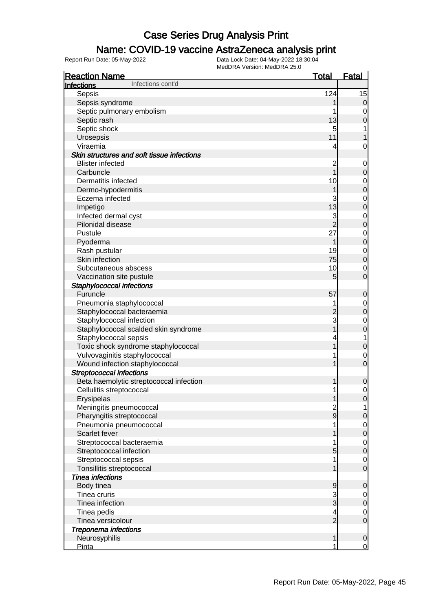### Name: COVID-19 vaccine AstraZeneca analysis print

| <b>Reaction Name</b>                       | <b>Total</b>   | <b>Fatal</b>                         |
|--------------------------------------------|----------------|--------------------------------------|
| Infections cont'd<br>Infections            |                |                                      |
| Sepsis                                     | 124            | 15                                   |
| Sepsis syndrome                            |                | $\overline{0}$                       |
| Septic pulmonary embolism                  |                | $\mathbf 0$                          |
| Septic rash                                | 13             | $\mathbf 0$                          |
| Septic shock                               | 5              | 1                                    |
| Urosepsis                                  | 11             | 1                                    |
| Viraemia                                   | 4              | $\mathbf 0$                          |
| Skin structures and soft tissue infections |                |                                      |
| <b>Blister infected</b>                    | $\overline{c}$ | $\mathbf 0$                          |
| Carbuncle                                  | $\overline{1}$ | $\mathbf 0$                          |
| Dermatitis infected                        | 10             | $\overline{0}$                       |
| Dermo-hypodermitis                         | 1              | $\overline{0}$                       |
| Eczema infected                            |                |                                      |
| Impetigo                                   | 13             | $\begin{matrix} 0 \\ 0 \end{matrix}$ |
| Infected dermal cyst                       | 3              | $\overline{0}$                       |
| Pilonidal disease                          | $\overline{c}$ | $\overline{0}$                       |
| Pustule                                    | 27             | $\mathbf{0}$                         |
| Pyoderma                                   | 1              | $\overline{0}$                       |
| Rash pustular                              | 19             | $\mathbf{0}$                         |
| Skin infection                             | 75             | $\overline{0}$                       |
| Subcutaneous abscess                       | 10             | $\mathbf 0$                          |
| Vaccination site pustule                   | 5              | $\mathbf 0$                          |
| Staphylococcal infections                  |                |                                      |
| Furuncle                                   | 57             | $\mathbf 0$                          |
| Pneumonia staphylococcal                   | 1              | $\overline{0}$                       |
| Staphylococcal bacteraemia                 | $\overline{c}$ | $\overline{0}$                       |
| Staphylococcal infection                   | 3              | $\mathbf{0}$                         |
| Staphylococcal scalded skin syndrome       | 1              | $\mathbf 0$                          |
| Staphylococcal sepsis                      | 4              | $\overline{1}$                       |
| Toxic shock syndrome staphylococcal        |                | $\mathbf 0$                          |
| Vulvovaginitis staphylococcal              |                | $\mathbf 0$                          |
| Wound infection staphylococcal             |                | $\overline{0}$                       |
| <b>Streptococcal infections</b>            |                |                                      |
| Beta haemolytic streptococcal infection    | 1              | $\mathbf 0$                          |
| Cellulitis streptococcal                   | 1              | $\mathbf 0$                          |
| Erysipelas                                 | 1              | $\overline{0}$                       |
| Meningitis pneumococcal                    |                | $\mathbf{1}$                         |
| Pharyngitis streptococcal                  | $\frac{2}{9}$  | $\pmb{0}$                            |
| Pneumonia pneumococcal                     |                | $\boldsymbol{0}$                     |
| Scarlet fever                              |                | $\overline{0}$                       |
| Streptococcal bacteraemia                  |                | $\overline{0}$                       |
| Streptococcal infection                    | 5              | $\overline{0}$                       |
| Streptococcal sepsis                       |                | $\mathbf 0$                          |
| Tonsillitis streptococcal                  |                | $\overline{0}$                       |
| <b>Tinea infections</b>                    |                |                                      |
| Body tinea                                 | 9              | $\mathbf 0$                          |
| Tinea cruris                               | 3              | $\overline{0}$                       |
| Tinea infection                            | $\overline{3}$ | $\mathbf 0$                          |
| Tinea pedis                                | 4              | $\mathbf 0$                          |
| Tinea versicolour                          | $\overline{2}$ | $\mathbf 0$                          |
| <b>Treponema infections</b>                |                |                                      |
| Neurosyphilis                              | 1              | $\mathbf 0$                          |
| <b>Pinta</b>                               | 1              | $\overline{0}$                       |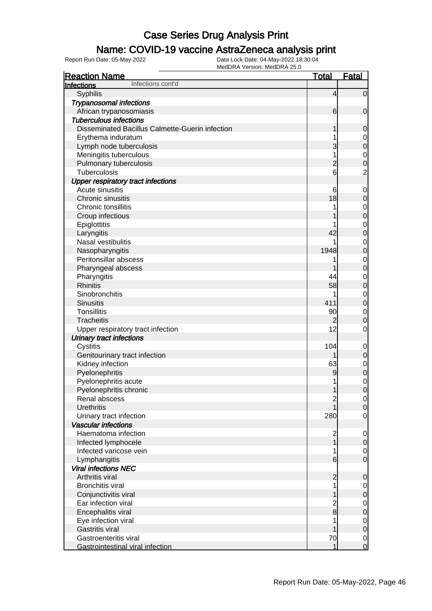### Name: COVID-19 vaccine AstraZeneca analysis print

| <b>Reaction Name</b>                            | <b>Total</b>             | <b>Fatal</b>     |
|-------------------------------------------------|--------------------------|------------------|
| Infections cont'd<br>Infections                 |                          |                  |
| Syphilis                                        | $\overline{\mathcal{L}}$ | $\overline{0}$   |
| <b>Trypanosomal infections</b>                  |                          |                  |
| African trypanosomiasis                         | 6                        | $\mathbf 0$      |
| <b>Tuberculous infections</b>                   |                          |                  |
| Disseminated Bacillus Calmette-Guerin infection | 1                        | $\mathbf 0$      |
| Erythema induratum                              |                          | $\overline{0}$   |
| Lymph node tuberculosis                         | 3                        | $\pmb{0}$        |
| Meningitis tuberculous                          |                          | $\mathbf 0$      |
| Pulmonary tuberculosis                          | $\overline{c}$           | $\mathbf 0$      |
| <b>Tuberculosis</b>                             | 6                        | $\overline{2}$   |
| <b>Upper respiratory tract infections</b>       |                          |                  |
| Acute sinusitis                                 | 6                        | $\mathbf 0$      |
| Chronic sinusitis                               | 18                       | $\mathbf 0$      |
| Chronic tonsillitis                             |                          | $\mathbf 0$      |
| Croup infectious                                |                          | $\mathbf 0$      |
| Epiglottitis                                    |                          | $\mathbf 0$      |
| Laryngitis                                      | 42                       | $\mathbf 0$      |
| Nasal vestibulitis                              |                          | $\mathbf 0$      |
| Nasopharyngitis                                 | 1948                     | $\mathbf 0$      |
| Peritonsillar abscess                           |                          | $\mathbf 0$      |
| Pharyngeal abscess                              |                          | $\mathbf 0$      |
| Pharyngitis                                     | 44                       | $\mathbf 0$      |
| <b>Rhinitis</b>                                 | 58                       | $\mathbf 0$      |
| Sinobronchitis                                  |                          | $\mathbf 0$      |
| <b>Sinusitis</b>                                | 411                      | $\mathbf 0$      |
| <b>Tonsillitis</b>                              | 90                       | $\mathbf 0$      |
| <b>Tracheitis</b>                               | $\overline{c}$           | $\boldsymbol{0}$ |
| Upper respiratory tract infection               | 12                       | $\mathbf 0$      |
| <b>Urinary tract infections</b>                 |                          |                  |
| Cystitis                                        | 104                      | $\mathbf 0$      |
| Genitourinary tract infection                   |                          | $\pmb{0}$        |
| Kidney infection                                | 63                       | $\mathbf 0$      |
| Pyelonephritis                                  | 9                        | $\pmb{0}$        |
| Pyelonephritis acute                            |                          | $\mathbf 0$      |
| Pyelonephritis chronic                          | 1                        | $\overline{0}$   |
| Renal abscess                                   | $\overline{\mathbf{c}}$  | $\overline{0}$   |
| <b>Urethritis</b>                               |                          | $\mathbf 0$      |
| Urinary tract infection                         | 280                      | $\overline{0}$   |
| <b>Vascular infections</b>                      |                          |                  |
| Haematoma infection                             | $\overline{c}$           | $\mathbf 0$      |
| Infected lymphocele                             | 1                        | $\boldsymbol{0}$ |
| Infected varicose vein                          |                          | 0                |
| Lymphangitis                                    | $6 \overline{}$          | $\overline{0}$   |
| <b>Viral infections NEC</b>                     |                          |                  |
| Arthritis viral                                 | $\overline{c}$           | $\mathbf 0$      |
| <b>Bronchitis viral</b>                         |                          | 0                |
| Conjunctivitis viral                            |                          | $\mathbf 0$      |
| Ear infection viral                             | $\overline{c}$           | $\mathbf 0$      |
| Encephalitis viral                              | $\bf{8}$                 | $\mathbf 0$      |
| Eye infection viral                             |                          | $\mathbf 0$      |
| <b>Gastritis viral</b>                          |                          | $\mathbf 0$      |
| Gastroenteritis viral                           | 70                       | $\overline{0}$   |
| Gastrointestinal viral infection                | 1                        | $\overline{0}$   |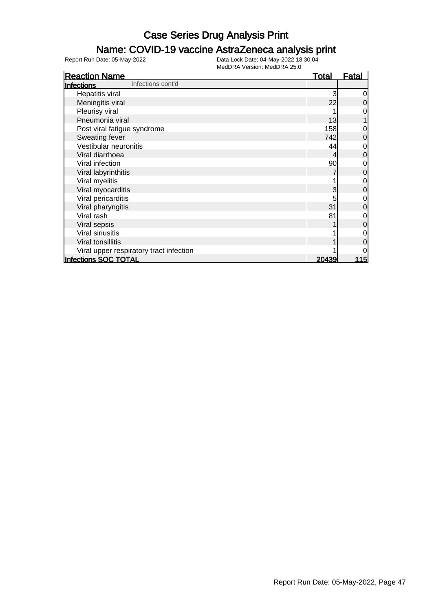### Name: COVID-19 vaccine AstraZeneca analysis print

| <b>Reaction Name</b>                    | <b>Total</b> | Fatal          |
|-----------------------------------------|--------------|----------------|
| Infections cont'd<br><b>Infections</b>  |              |                |
| Hepatitis viral                         | 3            | 0              |
| Meningitis viral                        | 22           | 0              |
| Pleurisy viral                          |              | 0              |
| Pneumonia viral                         | 13           |                |
| Post viral fatigue syndrome             | 158          | 0              |
| Sweating fever                          | 742          | $\overline{0}$ |
| Vestibular neuronitis                   | 44           | 0              |
| Viral diarrhoea                         |              | $\mathbf 0$    |
| Viral infection                         | 90           | 0              |
| Viral labyrinthitis                     |              | $\overline{0}$ |
| Viral myelitis                          |              | 0              |
| Viral myocarditis                       | 3            | $\mathbf 0$    |
| Viral pericarditis                      |              | 0              |
| Viral pharyngitis                       | 31           | $\overline{0}$ |
| Viral rash                              | 81           | 0              |
| Viral sepsis                            |              | $\mathbf 0$    |
| Viral sinusitis                         |              | 0              |
| Viral tonsillitis                       |              | 0              |
| Viral upper respiratory tract infection |              | 0              |
| Infections SOC TOTAL                    | 20439        | <u> 115</u>    |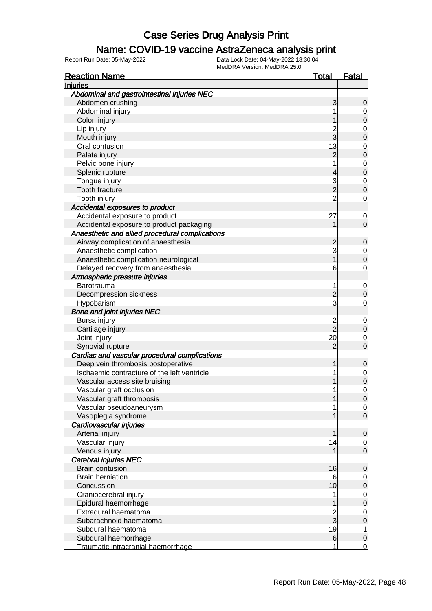### Name: COVID-19 vaccine AstraZeneca analysis print

| <b>Injuries</b><br>Abdominal and gastrointestinal injuries NEC<br>Abdomen crushing<br>3<br>0<br>Abdominal injury<br>0<br>Colon injury<br>0<br>Lip injury<br>$\mathbf 0$<br>3<br>Mouth injury<br>0<br>13<br>Oral contusion<br>$\mathbf 0$<br>$\overline{2}$<br>0<br>Palate injury<br>Pelvic bone injury<br>$\mathbf 0$<br>$\overline{0}$<br>Splenic rupture<br>4<br>3<br>Tongue injury<br>$\mathbf 0$<br>$\overline{2}$<br><b>Tooth fracture</b><br>0<br>$\overline{2}$<br>Tooth injury<br>$\mathbf 0$<br>Accidental exposures to product<br>Accidental exposure to product<br>27<br>$\mathbf 0$<br>Accidental exposure to product packaging<br>0<br>Anaesthetic and allied procedural complications<br>Airway complication of anaesthesia<br>2<br>0<br>3<br>Anaesthetic complication<br>$\mathbf 0$<br>Anaesthetic complication neurological<br>0<br>Delayed recovery from anaesthesia<br>6<br>$\mathbf 0$<br>Atmospheric pressure injuries<br>Barotrauma<br>$\mathbf 0$<br>1<br>Decompression sickness<br>$\overline{c}$<br>0<br>3<br>Hypobarism<br>0<br><b>Bone and joint injuries NEC</b><br>Bursa injury<br>$\overline{c}$<br>$\mathbf 0$<br>$\overline{2}$<br>Cartilage injury<br>0<br>20<br>Joint injury<br>$\mathbf 0$<br>$\overline{0}$<br>Synovial rupture<br>2<br>Cardiac and vascular procedural complications<br>Deep vein thrombosis postoperative<br>$\mathbf 0$<br>Ischaemic contracture of the left ventricle<br>$\mathbf 0$<br>Vascular access site bruising<br>0<br>0<br>Vascular graft occlusion<br>Vascular graft thrombosis<br> 0 <br>Vascular pseudoaneurysm<br>$\overline{0}$<br>Vasoplegia syndrome<br>$\overline{0}$<br>Cardiovascular injuries<br>Arterial injury<br>$\mathbf 0$<br>Vascular injury<br>14<br>$\mathbf 0$<br>$\mathbf 0$<br>Venous injury<br><b>Cerebral injuries NEC</b><br><b>Brain contusion</b><br>16<br>0<br><b>Brain herniation</b><br>6<br>$\mathbf 0$<br>10<br>Concussion<br>$\mathbf 0$<br>Craniocerebral injury<br>$\mathbf 0$<br>Epidural haemorrhage<br>$\mathbf 0$<br>Extradural haematoma<br>$\frac{2}{3}$<br>$\mathbf 0$<br>Subarachnoid haematoma<br>$\mathbf 0$ | <b>Reaction Name</b> | Total | <b>Fatal</b> |
|---------------------------------------------------------------------------------------------------------------------------------------------------------------------------------------------------------------------------------------------------------------------------------------------------------------------------------------------------------------------------------------------------------------------------------------------------------------------------------------------------------------------------------------------------------------------------------------------------------------------------------------------------------------------------------------------------------------------------------------------------------------------------------------------------------------------------------------------------------------------------------------------------------------------------------------------------------------------------------------------------------------------------------------------------------------------------------------------------------------------------------------------------------------------------------------------------------------------------------------------------------------------------------------------------------------------------------------------------------------------------------------------------------------------------------------------------------------------------------------------------------------------------------------------------------------------------------------------------------------------------------------------------------------------------------------------------------------------------------------------------------------------------------------------------------------------------------------------------------------------------------------------------------------------------------------------------------------------------------------------------------------------------------------------------------------------------------------------------------------------------|----------------------|-------|--------------|
|                                                                                                                                                                                                                                                                                                                                                                                                                                                                                                                                                                                                                                                                                                                                                                                                                                                                                                                                                                                                                                                                                                                                                                                                                                                                                                                                                                                                                                                                                                                                                                                                                                                                                                                                                                                                                                                                                                                                                                                                                                                                                                                           |                      |       |              |
|                                                                                                                                                                                                                                                                                                                                                                                                                                                                                                                                                                                                                                                                                                                                                                                                                                                                                                                                                                                                                                                                                                                                                                                                                                                                                                                                                                                                                                                                                                                                                                                                                                                                                                                                                                                                                                                                                                                                                                                                                                                                                                                           |                      |       |              |
|                                                                                                                                                                                                                                                                                                                                                                                                                                                                                                                                                                                                                                                                                                                                                                                                                                                                                                                                                                                                                                                                                                                                                                                                                                                                                                                                                                                                                                                                                                                                                                                                                                                                                                                                                                                                                                                                                                                                                                                                                                                                                                                           |                      |       |              |
|                                                                                                                                                                                                                                                                                                                                                                                                                                                                                                                                                                                                                                                                                                                                                                                                                                                                                                                                                                                                                                                                                                                                                                                                                                                                                                                                                                                                                                                                                                                                                                                                                                                                                                                                                                                                                                                                                                                                                                                                                                                                                                                           |                      |       |              |
|                                                                                                                                                                                                                                                                                                                                                                                                                                                                                                                                                                                                                                                                                                                                                                                                                                                                                                                                                                                                                                                                                                                                                                                                                                                                                                                                                                                                                                                                                                                                                                                                                                                                                                                                                                                                                                                                                                                                                                                                                                                                                                                           |                      |       |              |
|                                                                                                                                                                                                                                                                                                                                                                                                                                                                                                                                                                                                                                                                                                                                                                                                                                                                                                                                                                                                                                                                                                                                                                                                                                                                                                                                                                                                                                                                                                                                                                                                                                                                                                                                                                                                                                                                                                                                                                                                                                                                                                                           |                      |       |              |
|                                                                                                                                                                                                                                                                                                                                                                                                                                                                                                                                                                                                                                                                                                                                                                                                                                                                                                                                                                                                                                                                                                                                                                                                                                                                                                                                                                                                                                                                                                                                                                                                                                                                                                                                                                                                                                                                                                                                                                                                                                                                                                                           |                      |       |              |
|                                                                                                                                                                                                                                                                                                                                                                                                                                                                                                                                                                                                                                                                                                                                                                                                                                                                                                                                                                                                                                                                                                                                                                                                                                                                                                                                                                                                                                                                                                                                                                                                                                                                                                                                                                                                                                                                                                                                                                                                                                                                                                                           |                      |       |              |
|                                                                                                                                                                                                                                                                                                                                                                                                                                                                                                                                                                                                                                                                                                                                                                                                                                                                                                                                                                                                                                                                                                                                                                                                                                                                                                                                                                                                                                                                                                                                                                                                                                                                                                                                                                                                                                                                                                                                                                                                                                                                                                                           |                      |       |              |
|                                                                                                                                                                                                                                                                                                                                                                                                                                                                                                                                                                                                                                                                                                                                                                                                                                                                                                                                                                                                                                                                                                                                                                                                                                                                                                                                                                                                                                                                                                                                                                                                                                                                                                                                                                                                                                                                                                                                                                                                                                                                                                                           |                      |       |              |
|                                                                                                                                                                                                                                                                                                                                                                                                                                                                                                                                                                                                                                                                                                                                                                                                                                                                                                                                                                                                                                                                                                                                                                                                                                                                                                                                                                                                                                                                                                                                                                                                                                                                                                                                                                                                                                                                                                                                                                                                                                                                                                                           |                      |       |              |
|                                                                                                                                                                                                                                                                                                                                                                                                                                                                                                                                                                                                                                                                                                                                                                                                                                                                                                                                                                                                                                                                                                                                                                                                                                                                                                                                                                                                                                                                                                                                                                                                                                                                                                                                                                                                                                                                                                                                                                                                                                                                                                                           |                      |       |              |
|                                                                                                                                                                                                                                                                                                                                                                                                                                                                                                                                                                                                                                                                                                                                                                                                                                                                                                                                                                                                                                                                                                                                                                                                                                                                                                                                                                                                                                                                                                                                                                                                                                                                                                                                                                                                                                                                                                                                                                                                                                                                                                                           |                      |       |              |
|                                                                                                                                                                                                                                                                                                                                                                                                                                                                                                                                                                                                                                                                                                                                                                                                                                                                                                                                                                                                                                                                                                                                                                                                                                                                                                                                                                                                                                                                                                                                                                                                                                                                                                                                                                                                                                                                                                                                                                                                                                                                                                                           |                      |       |              |
|                                                                                                                                                                                                                                                                                                                                                                                                                                                                                                                                                                                                                                                                                                                                                                                                                                                                                                                                                                                                                                                                                                                                                                                                                                                                                                                                                                                                                                                                                                                                                                                                                                                                                                                                                                                                                                                                                                                                                                                                                                                                                                                           |                      |       |              |
|                                                                                                                                                                                                                                                                                                                                                                                                                                                                                                                                                                                                                                                                                                                                                                                                                                                                                                                                                                                                                                                                                                                                                                                                                                                                                                                                                                                                                                                                                                                                                                                                                                                                                                                                                                                                                                                                                                                                                                                                                                                                                                                           |                      |       |              |
|                                                                                                                                                                                                                                                                                                                                                                                                                                                                                                                                                                                                                                                                                                                                                                                                                                                                                                                                                                                                                                                                                                                                                                                                                                                                                                                                                                                                                                                                                                                                                                                                                                                                                                                                                                                                                                                                                                                                                                                                                                                                                                                           |                      |       |              |
|                                                                                                                                                                                                                                                                                                                                                                                                                                                                                                                                                                                                                                                                                                                                                                                                                                                                                                                                                                                                                                                                                                                                                                                                                                                                                                                                                                                                                                                                                                                                                                                                                                                                                                                                                                                                                                                                                                                                                                                                                                                                                                                           |                      |       |              |
|                                                                                                                                                                                                                                                                                                                                                                                                                                                                                                                                                                                                                                                                                                                                                                                                                                                                                                                                                                                                                                                                                                                                                                                                                                                                                                                                                                                                                                                                                                                                                                                                                                                                                                                                                                                                                                                                                                                                                                                                                                                                                                                           |                      |       |              |
|                                                                                                                                                                                                                                                                                                                                                                                                                                                                                                                                                                                                                                                                                                                                                                                                                                                                                                                                                                                                                                                                                                                                                                                                                                                                                                                                                                                                                                                                                                                                                                                                                                                                                                                                                                                                                                                                                                                                                                                                                                                                                                                           |                      |       |              |
|                                                                                                                                                                                                                                                                                                                                                                                                                                                                                                                                                                                                                                                                                                                                                                                                                                                                                                                                                                                                                                                                                                                                                                                                                                                                                                                                                                                                                                                                                                                                                                                                                                                                                                                                                                                                                                                                                                                                                                                                                                                                                                                           |                      |       |              |
|                                                                                                                                                                                                                                                                                                                                                                                                                                                                                                                                                                                                                                                                                                                                                                                                                                                                                                                                                                                                                                                                                                                                                                                                                                                                                                                                                                                                                                                                                                                                                                                                                                                                                                                                                                                                                                                                                                                                                                                                                                                                                                                           |                      |       |              |
|                                                                                                                                                                                                                                                                                                                                                                                                                                                                                                                                                                                                                                                                                                                                                                                                                                                                                                                                                                                                                                                                                                                                                                                                                                                                                                                                                                                                                                                                                                                                                                                                                                                                                                                                                                                                                                                                                                                                                                                                                                                                                                                           |                      |       |              |
|                                                                                                                                                                                                                                                                                                                                                                                                                                                                                                                                                                                                                                                                                                                                                                                                                                                                                                                                                                                                                                                                                                                                                                                                                                                                                                                                                                                                                                                                                                                                                                                                                                                                                                                                                                                                                                                                                                                                                                                                                                                                                                                           |                      |       |              |
|                                                                                                                                                                                                                                                                                                                                                                                                                                                                                                                                                                                                                                                                                                                                                                                                                                                                                                                                                                                                                                                                                                                                                                                                                                                                                                                                                                                                                                                                                                                                                                                                                                                                                                                                                                                                                                                                                                                                                                                                                                                                                                                           |                      |       |              |
|                                                                                                                                                                                                                                                                                                                                                                                                                                                                                                                                                                                                                                                                                                                                                                                                                                                                                                                                                                                                                                                                                                                                                                                                                                                                                                                                                                                                                                                                                                                                                                                                                                                                                                                                                                                                                                                                                                                                                                                                                                                                                                                           |                      |       |              |
|                                                                                                                                                                                                                                                                                                                                                                                                                                                                                                                                                                                                                                                                                                                                                                                                                                                                                                                                                                                                                                                                                                                                                                                                                                                                                                                                                                                                                                                                                                                                                                                                                                                                                                                                                                                                                                                                                                                                                                                                                                                                                                                           |                      |       |              |
|                                                                                                                                                                                                                                                                                                                                                                                                                                                                                                                                                                                                                                                                                                                                                                                                                                                                                                                                                                                                                                                                                                                                                                                                                                                                                                                                                                                                                                                                                                                                                                                                                                                                                                                                                                                                                                                                                                                                                                                                                                                                                                                           |                      |       |              |
|                                                                                                                                                                                                                                                                                                                                                                                                                                                                                                                                                                                                                                                                                                                                                                                                                                                                                                                                                                                                                                                                                                                                                                                                                                                                                                                                                                                                                                                                                                                                                                                                                                                                                                                                                                                                                                                                                                                                                                                                                                                                                                                           |                      |       |              |
|                                                                                                                                                                                                                                                                                                                                                                                                                                                                                                                                                                                                                                                                                                                                                                                                                                                                                                                                                                                                                                                                                                                                                                                                                                                                                                                                                                                                                                                                                                                                                                                                                                                                                                                                                                                                                                                                                                                                                                                                                                                                                                                           |                      |       |              |
|                                                                                                                                                                                                                                                                                                                                                                                                                                                                                                                                                                                                                                                                                                                                                                                                                                                                                                                                                                                                                                                                                                                                                                                                                                                                                                                                                                                                                                                                                                                                                                                                                                                                                                                                                                                                                                                                                                                                                                                                                                                                                                                           |                      |       |              |
|                                                                                                                                                                                                                                                                                                                                                                                                                                                                                                                                                                                                                                                                                                                                                                                                                                                                                                                                                                                                                                                                                                                                                                                                                                                                                                                                                                                                                                                                                                                                                                                                                                                                                                                                                                                                                                                                                                                                                                                                                                                                                                                           |                      |       |              |
|                                                                                                                                                                                                                                                                                                                                                                                                                                                                                                                                                                                                                                                                                                                                                                                                                                                                                                                                                                                                                                                                                                                                                                                                                                                                                                                                                                                                                                                                                                                                                                                                                                                                                                                                                                                                                                                                                                                                                                                                                                                                                                                           |                      |       |              |
|                                                                                                                                                                                                                                                                                                                                                                                                                                                                                                                                                                                                                                                                                                                                                                                                                                                                                                                                                                                                                                                                                                                                                                                                                                                                                                                                                                                                                                                                                                                                                                                                                                                                                                                                                                                                                                                                                                                                                                                                                                                                                                                           |                      |       |              |
|                                                                                                                                                                                                                                                                                                                                                                                                                                                                                                                                                                                                                                                                                                                                                                                                                                                                                                                                                                                                                                                                                                                                                                                                                                                                                                                                                                                                                                                                                                                                                                                                                                                                                                                                                                                                                                                                                                                                                                                                                                                                                                                           |                      |       |              |
|                                                                                                                                                                                                                                                                                                                                                                                                                                                                                                                                                                                                                                                                                                                                                                                                                                                                                                                                                                                                                                                                                                                                                                                                                                                                                                                                                                                                                                                                                                                                                                                                                                                                                                                                                                                                                                                                                                                                                                                                                                                                                                                           |                      |       |              |
|                                                                                                                                                                                                                                                                                                                                                                                                                                                                                                                                                                                                                                                                                                                                                                                                                                                                                                                                                                                                                                                                                                                                                                                                                                                                                                                                                                                                                                                                                                                                                                                                                                                                                                                                                                                                                                                                                                                                                                                                                                                                                                                           |                      |       |              |
|                                                                                                                                                                                                                                                                                                                                                                                                                                                                                                                                                                                                                                                                                                                                                                                                                                                                                                                                                                                                                                                                                                                                                                                                                                                                                                                                                                                                                                                                                                                                                                                                                                                                                                                                                                                                                                                                                                                                                                                                                                                                                                                           |                      |       |              |
|                                                                                                                                                                                                                                                                                                                                                                                                                                                                                                                                                                                                                                                                                                                                                                                                                                                                                                                                                                                                                                                                                                                                                                                                                                                                                                                                                                                                                                                                                                                                                                                                                                                                                                                                                                                                                                                                                                                                                                                                                                                                                                                           |                      |       |              |
|                                                                                                                                                                                                                                                                                                                                                                                                                                                                                                                                                                                                                                                                                                                                                                                                                                                                                                                                                                                                                                                                                                                                                                                                                                                                                                                                                                                                                                                                                                                                                                                                                                                                                                                                                                                                                                                                                                                                                                                                                                                                                                                           |                      |       |              |
|                                                                                                                                                                                                                                                                                                                                                                                                                                                                                                                                                                                                                                                                                                                                                                                                                                                                                                                                                                                                                                                                                                                                                                                                                                                                                                                                                                                                                                                                                                                                                                                                                                                                                                                                                                                                                                                                                                                                                                                                                                                                                                                           |                      |       |              |
|                                                                                                                                                                                                                                                                                                                                                                                                                                                                                                                                                                                                                                                                                                                                                                                                                                                                                                                                                                                                                                                                                                                                                                                                                                                                                                                                                                                                                                                                                                                                                                                                                                                                                                                                                                                                                                                                                                                                                                                                                                                                                                                           |                      |       |              |
|                                                                                                                                                                                                                                                                                                                                                                                                                                                                                                                                                                                                                                                                                                                                                                                                                                                                                                                                                                                                                                                                                                                                                                                                                                                                                                                                                                                                                                                                                                                                                                                                                                                                                                                                                                                                                                                                                                                                                                                                                                                                                                                           |                      |       |              |
|                                                                                                                                                                                                                                                                                                                                                                                                                                                                                                                                                                                                                                                                                                                                                                                                                                                                                                                                                                                                                                                                                                                                                                                                                                                                                                                                                                                                                                                                                                                                                                                                                                                                                                                                                                                                                                                                                                                                                                                                                                                                                                                           |                      |       |              |
|                                                                                                                                                                                                                                                                                                                                                                                                                                                                                                                                                                                                                                                                                                                                                                                                                                                                                                                                                                                                                                                                                                                                                                                                                                                                                                                                                                                                                                                                                                                                                                                                                                                                                                                                                                                                                                                                                                                                                                                                                                                                                                                           |                      |       |              |
|                                                                                                                                                                                                                                                                                                                                                                                                                                                                                                                                                                                                                                                                                                                                                                                                                                                                                                                                                                                                                                                                                                                                                                                                                                                                                                                                                                                                                                                                                                                                                                                                                                                                                                                                                                                                                                                                                                                                                                                                                                                                                                                           |                      |       |              |
|                                                                                                                                                                                                                                                                                                                                                                                                                                                                                                                                                                                                                                                                                                                                                                                                                                                                                                                                                                                                                                                                                                                                                                                                                                                                                                                                                                                                                                                                                                                                                                                                                                                                                                                                                                                                                                                                                                                                                                                                                                                                                                                           |                      |       |              |
|                                                                                                                                                                                                                                                                                                                                                                                                                                                                                                                                                                                                                                                                                                                                                                                                                                                                                                                                                                                                                                                                                                                                                                                                                                                                                                                                                                                                                                                                                                                                                                                                                                                                                                                                                                                                                                                                                                                                                                                                                                                                                                                           |                      |       |              |
|                                                                                                                                                                                                                                                                                                                                                                                                                                                                                                                                                                                                                                                                                                                                                                                                                                                                                                                                                                                                                                                                                                                                                                                                                                                                                                                                                                                                                                                                                                                                                                                                                                                                                                                                                                                                                                                                                                                                                                                                                                                                                                                           |                      |       |              |
|                                                                                                                                                                                                                                                                                                                                                                                                                                                                                                                                                                                                                                                                                                                                                                                                                                                                                                                                                                                                                                                                                                                                                                                                                                                                                                                                                                                                                                                                                                                                                                                                                                                                                                                                                                                                                                                                                                                                                                                                                                                                                                                           |                      |       |              |
|                                                                                                                                                                                                                                                                                                                                                                                                                                                                                                                                                                                                                                                                                                                                                                                                                                                                                                                                                                                                                                                                                                                                                                                                                                                                                                                                                                                                                                                                                                                                                                                                                                                                                                                                                                                                                                                                                                                                                                                                                                                                                                                           |                      |       |              |
|                                                                                                                                                                                                                                                                                                                                                                                                                                                                                                                                                                                                                                                                                                                                                                                                                                                                                                                                                                                                                                                                                                                                                                                                                                                                                                                                                                                                                                                                                                                                                                                                                                                                                                                                                                                                                                                                                                                                                                                                                                                                                                                           |                      | 19    |              |
| Subdural haematoma<br>1                                                                                                                                                                                                                                                                                                                                                                                                                                                                                                                                                                                                                                                                                                                                                                                                                                                                                                                                                                                                                                                                                                                                                                                                                                                                                                                                                                                                                                                                                                                                                                                                                                                                                                                                                                                                                                                                                                                                                                                                                                                                                                   |                      |       |              |
| $6 \,$<br>$\mathbf 0$<br>Subdural haemorrhage<br>1<br>$\mathbf 0$<br>Traumatic intracranial haemorrhage                                                                                                                                                                                                                                                                                                                                                                                                                                                                                                                                                                                                                                                                                                                                                                                                                                                                                                                                                                                                                                                                                                                                                                                                                                                                                                                                                                                                                                                                                                                                                                                                                                                                                                                                                                                                                                                                                                                                                                                                                   |                      |       |              |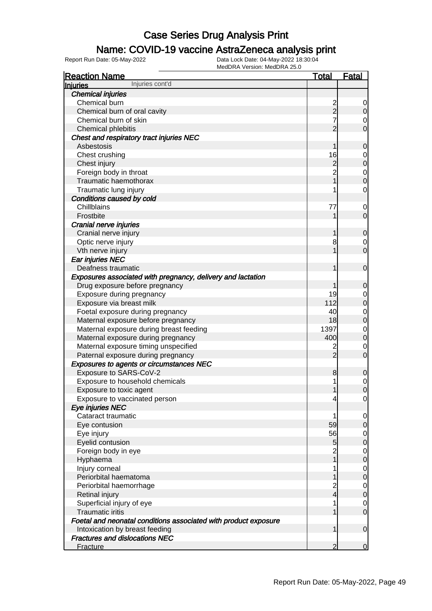### Name: COVID-19 vaccine AstraZeneca analysis print

| <b>Reaction Name</b>                                            | <u>Total</u>                                 | <b>Fatal</b>                         |
|-----------------------------------------------------------------|----------------------------------------------|--------------------------------------|
| Injuries cont'd<br><b>Injuries</b>                              |                                              |                                      |
| <b>Chemical injuries</b>                                        |                                              |                                      |
| Chemical burn                                                   |                                              | $\overline{0}$                       |
| Chemical burn of oral cavity                                    | $\begin{array}{c}\n2 \\ 2 \\ 7\n\end{array}$ | $\overline{0}$                       |
| Chemical burn of skin                                           |                                              | $\begin{matrix} 0 \\ 0 \end{matrix}$ |
| Chemical phlebitis                                              | $\overline{2}$                               |                                      |
| Chest and respiratory tract injuries NEC                        |                                              |                                      |
| Asbestosis                                                      | 1                                            | $\mathbf 0$                          |
| Chest crushing                                                  | 16                                           | $0$ 0                                |
| Chest injury                                                    |                                              |                                      |
| Foreign body in throat                                          | $\begin{array}{c} 2 \\ 2 \\ 1 \end{array}$   | $\begin{matrix}0\\0\end{matrix}$     |
| Traumatic haemothorax                                           |                                              |                                      |
| Traumatic lung injury                                           | 1                                            | $\mathbf 0$                          |
| Conditions caused by cold                                       |                                              |                                      |
| Chillblains                                                     | 77                                           | $\mathbf 0$                          |
| Frostbite                                                       | 1                                            | $\overline{O}$                       |
| Cranial nerve injuries                                          |                                              |                                      |
| Cranial nerve injury                                            | 1                                            | $\mathbf 0$                          |
| Optic nerve injury                                              | 8                                            | $\begin{matrix} 0 \\ 0 \end{matrix}$ |
| Vth nerve injury                                                | 1                                            |                                      |
| Ear injuries NEC                                                |                                              |                                      |
| Deafness traumatic                                              | 1                                            | $\boldsymbol{0}$                     |
| Exposures associated with pregnancy, delivery and lactation     |                                              |                                      |
| Drug exposure before pregnancy                                  | 1                                            | $\mathbf 0$                          |
| Exposure during pregnancy                                       | 19                                           | $0$<br>0                             |
| Exposure via breast milk                                        | 112                                          |                                      |
| Foetal exposure during pregnancy                                | 40                                           | $\begin{matrix}0\\0\end{matrix}$     |
| Maternal exposure before pregnancy                              | 18                                           |                                      |
| Maternal exposure during breast feeding                         | 1397                                         | $\begin{matrix} 0 \\ 0 \end{matrix}$ |
| Maternal exposure during pregnancy                              | 400                                          |                                      |
| Maternal exposure timing unspecified                            | $\frac{2}{2}$                                | $\begin{matrix} 0 \\ 0 \end{matrix}$ |
| Paternal exposure during pregnancy                              |                                              |                                      |
| <b>Exposures to agents or circumstances NEC</b>                 |                                              |                                      |
| Exposure to SARS-CoV-2                                          | 8                                            | $\mathbf 0$                          |
| Exposure to household chemicals                                 | 1                                            | $\begin{matrix} 0 \\ 0 \end{matrix}$ |
| Exposure to toxic agent                                         | 1                                            |                                      |
| Exposure to vaccinated person                                   | $\overline{4}$                               | 0                                    |
| Eye injuries NEC                                                |                                              |                                      |
| Cataract traumatic                                              | 1                                            | $\overline{0}$                       |
| Eye contusion                                                   | 59                                           | $\overline{0}$                       |
| Eye injury                                                      | 56                                           | $\overline{0}$                       |
| Eyelid contusion                                                | $\overline{5}$                               | $\mathbf 0$                          |
| Foreign body in eye                                             | $\frac{2}{1}$                                | $\overline{0}$                       |
| Hyphaema                                                        |                                              | $\boldsymbol{0}$                     |
| Injury corneal                                                  | 1                                            | $\overline{0}$                       |
| Periorbital haematoma                                           | 1                                            | $\mathbf 0$                          |
| Periorbital haemorrhage                                         | $\frac{2}{4}$                                | $\overline{0}$                       |
| Retinal injury                                                  |                                              | $\boldsymbol{0}$                     |
| Superficial injury of eye                                       | 1                                            | $\overline{0}$                       |
| <b>Traumatic iritis</b>                                         | 1                                            | $\overline{O}$                       |
| Foetal and neonatal conditions associated with product exposure |                                              |                                      |
| Intoxication by breast feeding                                  | 1                                            | $\mathbf 0$                          |
| <b>Fractures and dislocations NEC</b>                           |                                              |                                      |
| Fracture                                                        | $\overline{2}$                               | $\overline{0}$                       |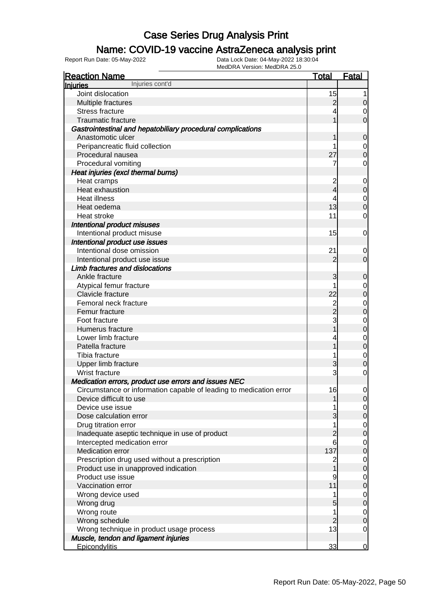### Name: COVID-19 vaccine AstraZeneca analysis print

| <b>Reaction Name</b>                                               | <b>Total</b>   | <b>Fatal</b>     |
|--------------------------------------------------------------------|----------------|------------------|
| Injuries cont'd<br><u>Injuries</u>                                 |                |                  |
| Joint dislocation                                                  | 15             | 1                |
| Multiple fractures                                                 | $\overline{c}$ | 0                |
| <b>Stress fracture</b>                                             |                | 0                |
| <b>Traumatic fracture</b>                                          |                | $\mathbf 0$      |
| Gastrointestinal and hepatobiliary procedural complications        |                |                  |
| Anastomotic ulcer                                                  |                | $\mathbf 0$      |
| Peripancreatic fluid collection                                    |                | 0                |
| Procedural nausea                                                  | 27             | $\mathbf 0$      |
| Procedural vomiting                                                | 7              | 0                |
| Heat injuries (excl thermal burns)                                 |                |                  |
| Heat cramps                                                        | 2              | $\mathbf 0$      |
| Heat exhaustion                                                    | 4              | $\mathbf 0$      |
| <b>Heat illness</b>                                                | 4              | $\mathbf 0$      |
| Heat oedema                                                        | 13             | $\mathbf 0$      |
| Heat stroke                                                        | 11             | $\mathbf 0$      |
| Intentional product misuses                                        |                |                  |
| Intentional product misuse                                         | 15             | $\mathbf 0$      |
| Intentional product use issues                                     |                |                  |
| Intentional dose omission                                          | 21             | 0                |
| Intentional product use issue                                      | $\overline{2}$ | $\mathbf 0$      |
| <b>Limb fractures and dislocations</b>                             |                |                  |
| Ankle fracture                                                     | 3              | 0                |
| Atypical femur fracture                                            |                | 0                |
| Clavicle fracture                                                  | 22             | $\mathbf 0$      |
| Femoral neck fracture                                              |                | $\mathbf 0$      |
| Femur fracture                                                     | $\frac{2}{2}$  | $\mathbf 0$      |
| Foot fracture                                                      | 3              | $\mathbf 0$      |
| Humerus fracture                                                   |                | $\mathbf 0$      |
| Lower limb fracture                                                |                | $\mathbf 0$      |
| Patella fracture                                                   |                | $\mathbf 0$      |
| Tibia fracture                                                     |                | $\mathbf 0$      |
| Upper limb fracture                                                | 3              | $\mathbf 0$      |
| Wrist fracture                                                     | 3              | 0                |
| Medication errors, product use errors and issues NEC               |                |                  |
| Circumstance or information capable of leading to medication error | 16             | 0                |
| Device difficult to use                                            |                | $\overline{0}$   |
| Device use issue                                                   |                | $\overline{0}$   |
| Dose calculation error                                             | 3              | $\mathbf 0$      |
| Drug titration error                                               | 1              | $\mathbf 0$      |
| Inadequate aseptic technique in use of product                     | $\overline{c}$ | $\boldsymbol{0}$ |
| Intercepted medication error                                       | 6              | $\mathbf 0$      |
| Medication error                                                   | 137            | 0                |
| Prescription drug used without a prescription                      | $\overline{c}$ | 0                |
| Product use in unapproved indication                               |                | 0                |
| Product use issue                                                  | 9              | 0                |
| Vaccination error                                                  | 11             | 0                |
| Wrong device used                                                  | 1              | $\mathbf 0$      |
| Wrong drug                                                         | 5              | $\mathbf 0$      |
| Wrong route                                                        | 1              | $\overline{0}$   |
| Wrong schedule                                                     | $\overline{c}$ | 0                |
| Wrong technique in product usage process                           | 13             | $\mathbf 0$      |
| Muscle, tendon and ligament injuries                               |                |                  |
| Epicondylitis                                                      | 33             | $\overline{0}$   |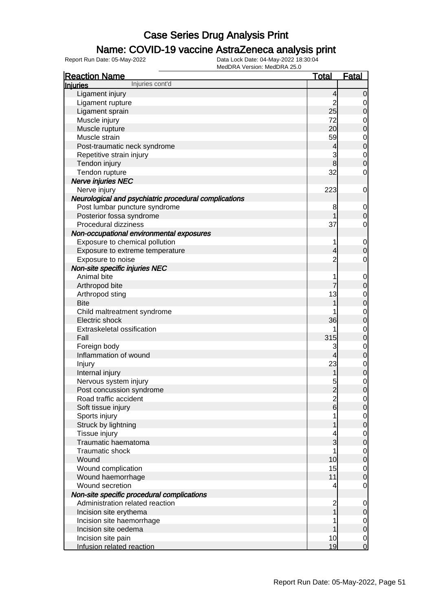### Name: COVID-19 vaccine AstraZeneca analysis print

| <b>Reaction Name</b>                                  | <b>Total</b>        | <b>Fatal</b>     |
|-------------------------------------------------------|---------------------|------------------|
| Injuries cont'd<br>Injuries                           |                     |                  |
| Ligament injury                                       | 4                   | $\overline{0}$   |
| Ligament rupture                                      | $\overline{2}$      | 0                |
| Ligament sprain                                       | 25                  | $\boldsymbol{0}$ |
| Muscle injury                                         | 72                  | $\mathbf 0$      |
| Muscle rupture                                        | 20                  | $\mathbf 0$      |
| Muscle strain                                         | 59                  | $\mathbf{0}$     |
| Post-traumatic neck syndrome                          | 4                   | $\mathbf 0$      |
| Repetitive strain injury                              | 3                   | $\mathbf{0}$     |
| Tendon injury                                         | 8                   | $\mathbf 0$      |
| Tendon rupture                                        | 32                  | $\mathbf 0$      |
| <b>Nerve injuries NEC</b>                             |                     |                  |
| Nerve injury                                          | 223                 | $\mathbf 0$      |
| Neurological and psychiatric procedural complications |                     |                  |
| Post lumbar puncture syndrome                         | 8                   | $\mathbf 0$      |
| Posterior fossa syndrome                              |                     | $\mathbf 0$      |
| Procedural dizziness                                  | 37                  | $\mathbf 0$      |
| Non-occupational environmental exposures              |                     |                  |
| Exposure to chemical pollution                        | 1                   |                  |
|                                                       |                     | $\mathbf 0$      |
| Exposure to extreme temperature                       | 4<br>$\overline{2}$ | $\mathbf 0$      |
| Exposure to noise                                     |                     | $\mathbf 0$      |
| Non-site specific injuries NEC                        |                     |                  |
| Animal bite                                           | 1                   | $\mathbf 0$      |
| Arthropod bite                                        |                     | $\boldsymbol{0}$ |
| Arthropod sting                                       | 13                  | $\mathbf 0$      |
| <b>Bite</b>                                           |                     | $\mathbf 0$      |
| Child maltreatment syndrome                           |                     | $\mathbf 0$      |
| Electric shock                                        | 36                  | $\mathbf 0$      |
| Extraskeletal ossification                            |                     | $\mathbf 0$      |
| Fall                                                  | 315                 | $\mathbf 0$      |
| Foreign body                                          | 3                   | $\mathbf 0$      |
| Inflammation of wound                                 | 4                   | $\boldsymbol{0}$ |
| Injury                                                | 23                  | $\mathbf 0$      |
| Internal injury                                       | 1                   | $\mathbf 0$      |
| Nervous system injury                                 | 5                   | $\mathbf 0$      |
| Post concussion syndrome                              | $\overline{2}$      | $\overline{0}$   |
| Road traffic accident                                 | $\frac{2}{6}$       | $\overline{0}$   |
| Soft tissue injury                                    |                     | $\mathbf 0$      |
| Sports injury                                         |                     | $\mathbf 0$      |
| Struck by lightning                                   |                     | $\boldsymbol{0}$ |
| Tissue injury                                         | 4                   | $\mathbf 0$      |
| Traumatic haematoma                                   | 3                   | $\boldsymbol{0}$ |
| <b>Traumatic shock</b>                                | 1                   | $\mathbf 0$      |
| Wound                                                 | 10                  | $\boldsymbol{0}$ |
| Wound complication                                    | 15                  | $\mathbf 0$      |
| Wound haemorrhage                                     | 11                  | $\boldsymbol{0}$ |
| Wound secretion                                       | 4                   | $\mathbf 0$      |
| Non-site specific procedural complications            |                     |                  |
| Administration related reaction                       | $\overline{c}$      | $\mathbf 0$      |
| Incision site erythema                                |                     | 0                |
| Incision site haemorrhage                             |                     | $\overline{0}$   |
| Incision site oedema                                  |                     | $\boldsymbol{0}$ |
| Incision site pain                                    | 10                  | $\overline{0}$   |
| Infusion related reaction                             | 19                  | $\overline{0}$   |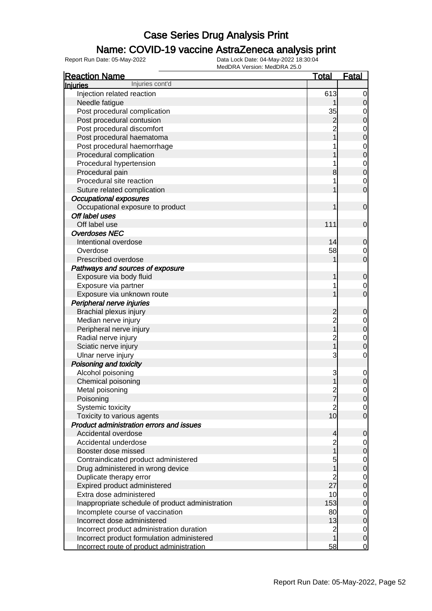### Name: COVID-19 vaccine AstraZeneca analysis print

| <b>Reaction Name</b>                                                                    | <u>Total</u>    | <b>Fatal</b>        |
|-----------------------------------------------------------------------------------------|-----------------|---------------------|
| Injuries cont'd<br><b>Injuries</b>                                                      |                 |                     |
| Injection related reaction                                                              | 613             | 0                   |
| Needle fatigue                                                                          |                 | 0                   |
| Post procedural complication                                                            | 35              | 0                   |
| Post procedural contusion                                                               | 2               | 0                   |
| Post procedural discomfort                                                              | $\overline{c}$  | 0                   |
| Post procedural haematoma                                                               |                 | 0                   |
| Post procedural haemorrhage                                                             |                 | 0                   |
| Procedural complication                                                                 |                 | 0                   |
| Procedural hypertension                                                                 |                 | $\mathbf 0$         |
| Procedural pain                                                                         | 8               | 0                   |
| Procedural site reaction                                                                |                 | 0                   |
| Suture related complication                                                             |                 | 0                   |
| <b>Occupational exposures</b>                                                           |                 |                     |
| Occupational exposure to product                                                        |                 | $\mathbf 0$         |
| Off label uses                                                                          |                 |                     |
| Off label use                                                                           | 111             | $\mathbf 0$         |
| <b>Overdoses NEC</b>                                                                    |                 |                     |
| Intentional overdose                                                                    | 14              | 0                   |
| Overdose                                                                                | 58              | 0                   |
| Prescribed overdose                                                                     |                 | 0                   |
| Pathways and sources of exposure                                                        |                 |                     |
| Exposure via body fluid                                                                 |                 | 0                   |
| Exposure via partner                                                                    | 1               | 0                   |
| Exposure via unknown route                                                              |                 | 0                   |
| Peripheral nerve injuries                                                               |                 |                     |
| Brachial plexus injury                                                                  | 2               | 0                   |
| Median nerve injury                                                                     | $\overline{c}$  | 0                   |
| Peripheral nerve injury                                                                 |                 | 0                   |
| Radial nerve injury                                                                     | $\overline{c}$  | 0                   |
| Sciatic nerve injury                                                                    |                 | 0                   |
| Ulnar nerve injury                                                                      | 3               | 0                   |
| Poisoning and toxicity                                                                  |                 |                     |
| Alcohol poisoning                                                                       | 3               | 0                   |
| Chemical poisoning                                                                      |                 | 0                   |
| Metal poisoning                                                                         | 2               | 0                   |
| Poisoning                                                                               |                 | <sub>0</sub>        |
| Systemic toxicity                                                                       | 2               | 0                   |
| Toxicity to various agents                                                              | 10 <sub>l</sub> | 0                   |
| <b>Product administration errors and issues</b>                                         |                 |                     |
| Accidental overdose                                                                     | 4               | 0                   |
| Accidental underdose                                                                    | $\overline{c}$  | 0                   |
| Booster dose missed                                                                     |                 | 0                   |
| Contraindicated product administered                                                    | 5               | 0                   |
| Drug administered in wrong device                                                       |                 | 0                   |
| Duplicate therapy error                                                                 | $\overline{c}$  | 0                   |
| Expired product administered                                                            | 27              | 0                   |
| Extra dose administered                                                                 | 10              | 0                   |
| Inappropriate schedule of product administration                                        | 153             | 0                   |
| Incomplete course of vaccination                                                        | 80              | 0                   |
| Incorrect dose administered                                                             | 13              | 0                   |
| Incorrect product administration duration                                               | $\overline{c}$  | $\mathbf 0$         |
|                                                                                         |                 |                     |
| Incorrect product formulation administered<br>Incorrect route of product administration | 58              | 0<br>$\overline{0}$ |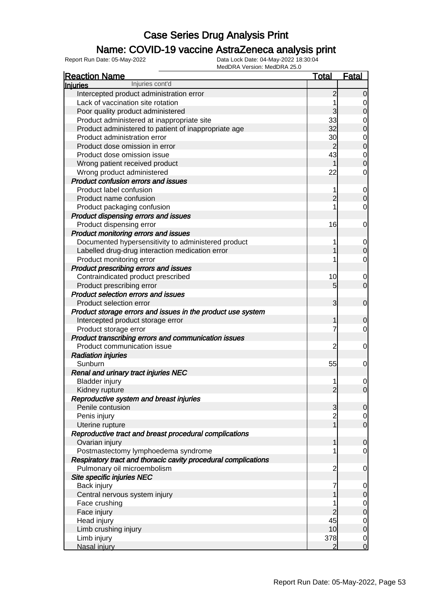### Name: COVID-19 vaccine AstraZeneca analysis print

| <b>Reaction Name</b>                                           | <b>Total</b>   | <b>Fatal</b>     |
|----------------------------------------------------------------|----------------|------------------|
| Injuries cont'd<br><b>Injuries</b>                             |                |                  |
| Intercepted product administration error                       | $\overline{c}$ | $\mathbf 0$      |
| Lack of vaccination site rotation                              | 1              | 0                |
| Poor quality product administered                              | 3              | $\boldsymbol{0}$ |
| Product administered at inappropriate site                     | 33             | 0                |
| Product administered to patient of inappropriate age           | 32             | $\boldsymbol{0}$ |
| Product administration error                                   | 30             | 0                |
| Product dose omission in error                                 | $\overline{2}$ | $\boldsymbol{0}$ |
| Product dose omission issue                                    | 43             | 0                |
| Wrong patient received product                                 | 1              | $\mathbf 0$      |
| Wrong product administered                                     | 22             | 0                |
| <b>Product confusion errors and issues</b>                     |                |                  |
| Product label confusion                                        | 1              | 0                |
| Product name confusion                                         | $\overline{2}$ | $\boldsymbol{0}$ |
| Product packaging confusion                                    |                | $\mathbf 0$      |
| Product dispensing errors and issues                           |                |                  |
| Product dispensing error                                       | 16             | 0                |
| Product monitoring errors and issues                           |                |                  |
| Documented hypersensitivity to administered product            | 1              | 0                |
| Labelled drug-drug interaction medication error                | 1              | $\mathbf 0$      |
| Product monitoring error                                       |                | $\mathbf 0$      |
| Product prescribing errors and issues                          |                |                  |
| Contraindicated product prescribed                             | 10             | 0                |
| Product prescribing error                                      | 5              | $\overline{0}$   |
| <b>Product selection errors and issues</b>                     |                |                  |
| Product selection error                                        | 3              | $\mathbf 0$      |
| Product storage errors and issues in the product use system    |                |                  |
| Intercepted product storage error                              | 1              | $\mathbf 0$      |
| Product storage error                                          | 7              | $\overline{0}$   |
| Product transcribing errors and communication issues           |                |                  |
| Product communication issue                                    | $\overline{c}$ | 0                |
| <b>Radiation injuries</b>                                      |                |                  |
| Sunburn                                                        | 55             | 0                |
| <b>Renal and urinary tract injuries NEC</b>                    |                |                  |
| <b>Bladder injury</b>                                          |                | 0                |
| Kidney rupture                                                 | $\overline{2}$ | $\mathbf 0$      |
| Reproductive system and breast injuries                        |                |                  |
| Penile contusion                                               | 3              | $\overline{0}$   |
| Penis injury                                                   | $\overline{c}$ | $\overline{0}$   |
| Uterine rupture                                                | $\mathbf{1}$   | $\overline{0}$   |
| Reproductive tract and breast procedural complications         |                |                  |
| Ovarian injury                                                 | 1              | $\mathbf 0$      |
| Postmastectomy lymphoedema syndrome                            |                | $\mathbf 0$      |
| Respiratory tract and thoracic cavity procedural complications |                |                  |
| Pulmonary oil microembolism                                    | $\overline{c}$ | $\mathbf 0$      |
| Site specific injuries NEC                                     |                |                  |
| Back injury                                                    | 7              | $\overline{0}$   |
| Central nervous system injury                                  |                | $\mathbf 0$      |
| Face crushing                                                  | 1              | $\overline{0}$   |
| Face injury                                                    | $\overline{c}$ | $\mathbf 0$      |
| Head injury                                                    | 45             | $\overline{0}$   |
| Limb crushing injury                                           | 10             | $\mathbf 0$      |
| Limb injury                                                    | 378            | $\overline{0}$   |
| Nasal injury                                                   | $\overline{2}$ | $\overline{0}$   |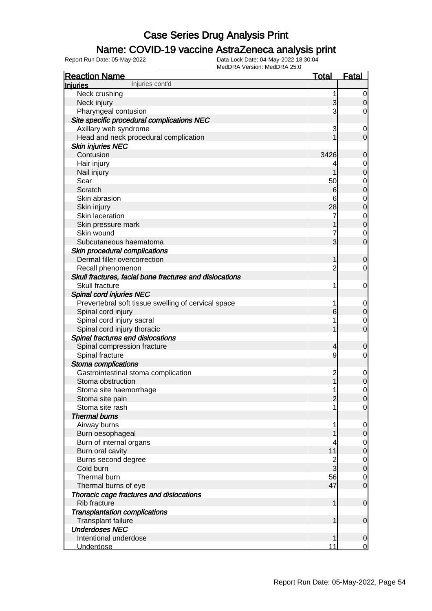### Name: COVID-19 vaccine AstraZeneca analysis print

| <b>Reaction Name</b>                                    | <u>Total</u>   | <u>Fatal</u>                         |
|---------------------------------------------------------|----------------|--------------------------------------|
| Injuries cont'd<br><b>Injuries</b>                      |                |                                      |
| Neck crushing                                           | 1              | $\overline{0}$                       |
| Neck injury                                             | 3              | $\overline{0}$                       |
| Pharyngeal contusion                                    | 3              | $\overline{0}$                       |
| Site specific procedural complications NEC              |                |                                      |
| Axillary web syndrome                                   | 3              | $\mathbf 0$                          |
| Head and neck procedural complication                   |                | $\overline{0}$                       |
| <b>Skin injuries NEC</b>                                |                |                                      |
| Contusion                                               | 3426           | 0                                    |
| Hair injury                                             | 4              |                                      |
| Nail injury                                             | 1              | $\begin{matrix} 0 \\ 0 \end{matrix}$ |
| Scar                                                    | 50             |                                      |
| Scratch                                                 | 6              | $\begin{matrix}0\\0\end{matrix}$     |
| Skin abrasion                                           | 6              |                                      |
| Skin injury                                             | 28             | $\begin{matrix}0\\0\end{matrix}$     |
| Skin laceration                                         | 7              |                                      |
| Skin pressure mark                                      |                | $\begin{matrix} 0 \\ 0 \end{matrix}$ |
| Skin wound                                              | 7              | $\mathbf 0$                          |
| Subcutaneous haematoma                                  | $\overline{3}$ | $\overline{0}$                       |
| Skin procedural complications                           |                |                                      |
| Dermal filler overcorrection                            | 1              | 0                                    |
| Recall phenomenon                                       | $\overline{c}$ | $\overline{0}$                       |
| Skull fractures, facial bone fractures and dislocations |                |                                      |
| Skull fracture                                          | 1              | $\mathbf 0$                          |
| Spinal cord injuries NEC                                |                |                                      |
| Prevertebral soft tissue swelling of cervical space     | 1              | $\overline{0}$                       |
| Spinal cord injury                                      | 6              | $\mathbf 0$                          |
| Spinal cord injury sacral                               | 1              | $\mathbf 0$                          |
| Spinal cord injury thoracic                             | 1              | $\overline{0}$                       |
| Spinal fractures and dislocations                       |                |                                      |
| Spinal compression fracture                             | 4              | $\overline{0}$                       |
| Spinal fracture                                         | 9              | $\overline{0}$                       |
| Stoma complications                                     |                |                                      |
| Gastrointestinal stoma complication                     | $\overline{c}$ | $\mathbf 0$                          |
| Stoma obstruction                                       | $\overline{1}$ | $\mathbf 0$                          |
| Stoma site haemorrhage                                  | 1              | $\mathbf 0$                          |
| Stoma site pain                                         | $\overline{2}$ | $\overline{0}$                       |
| Stoma site rash                                         | 1              | $\overline{0}$                       |
| <b>Thermal burns</b>                                    |                |                                      |
| Airway burns                                            | 1              | $\overline{0}$                       |
| Burn oesophageal                                        |                | $\mathbf 0$                          |
| Burn of internal organs                                 | 4              | $\overline{0}$                       |
| Burn oral cavity                                        | 11             | $\mathbf 0$                          |
| Burns second degree                                     | $\frac{2}{3}$  | $\overline{0}$                       |
| Cold burn                                               |                | $\mathbf 0$                          |
| Thermal burn                                            | 56             | $\overline{0}$                       |
| Thermal burns of eye                                    | 47             | $\overline{0}$                       |
| Thoracic cage fractures and dislocations                |                |                                      |
| <b>Rib fracture</b>                                     | 1              | $\mathbf 0$                          |
| <b>Transplantation complications</b>                    |                |                                      |
| Transplant failure                                      | 1              | $\mathbf 0$                          |
| <b>Underdoses NEC</b>                                   |                |                                      |
| Intentional underdose                                   | 1              | $\mathbf 0$                          |
| <b>Underdose</b>                                        | 11             | $\overline{0}$                       |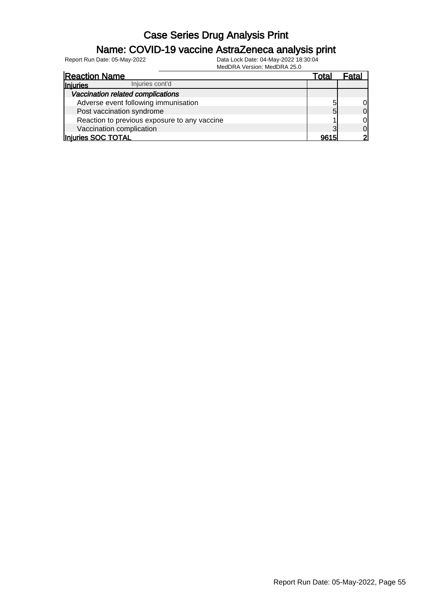### Name: COVID-19 vaccine AstraZeneca analysis print

| <b>Reaction Name</b>                         | Total | Fatal        |
|----------------------------------------------|-------|--------------|
| Injuries cont'd<br>Injuries                  |       |              |
| Vaccination related complications            |       |              |
| Adverse event following immunisation         | 5     |              |
| Post vaccination syndrome                    | 5     | <sub>0</sub> |
| Reaction to previous exposure to any vaccine |       | Οl           |
| Vaccination complication                     | っ     | Οl           |
| Injuries SOC TOTAL                           | 9615  |              |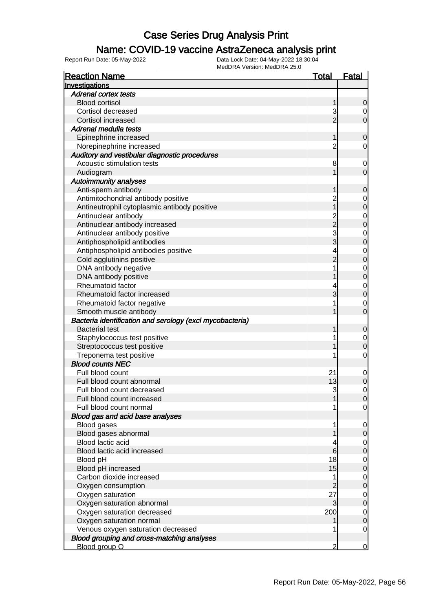### Name: COVID-19 vaccine AstraZeneca analysis print

| <b>Reaction Name</b>                                     | Total          | <b>Fatal</b> |
|----------------------------------------------------------|----------------|--------------|
| Investigations                                           |                |              |
| <b>Adrenal cortex tests</b>                              |                |              |
| <b>Blood cortisol</b>                                    | 1              | 0            |
| Cortisol decreased                                       | 3              | 0            |
| Cortisol increased                                       | $\overline{2}$ | 0            |
| Adrenal medulla tests                                    |                |              |
| Epinephrine increased                                    | 1              | 0            |
| Norepinephrine increased                                 | $\overline{c}$ | 0            |
| Auditory and vestibular diagnostic procedures            |                |              |
| Acoustic stimulation tests                               | 8              | $\mathbf 0$  |
| Audiogram                                                |                | 0            |
| <b>Autoimmunity analyses</b>                             |                |              |
| Anti-sperm antibody                                      |                | 0            |
| Antimitochondrial antibody positive                      | $\overline{c}$ | $\mathbf 0$  |
| Antineutrophil cytoplasmic antibody positive             | 1              | 0            |
| Antinuclear antibody                                     |                | $\mathbf 0$  |
| Antinuclear antibody increased                           | 2<br>2         | 0            |
| Antinuclear antibody positive                            | 3              | $\mathbf 0$  |
| Antiphospholipid antibodies                              | 3              | 0            |
| Antiphospholipid antibodies positive                     | 4              | $\mathbf 0$  |
| Cold agglutinins positive                                | $\overline{2}$ | 0            |
| DNA antibody negative                                    | 1              | $\mathbf 0$  |
| DNA antibody positive                                    |                | 0            |
| Rheumatoid factor                                        | 4              | $\mathbf 0$  |
| Rheumatoid factor increased                              | 3              | 0            |
| Rheumatoid factor negative                               | 1              | 0            |
| Smooth muscle antibody                                   |                | 0            |
| Bacteria identification and serology (excl mycobacteria) |                |              |
| <b>Bacterial test</b>                                    |                | 0            |
| Staphylococcus test positive                             | 1              | $\mathbf 0$  |
| Streptococcus test positive                              |                | 0            |
| Treponema test positive                                  | 1              | 0            |
| <b>Blood counts NEC</b>                                  |                |              |
| Full blood count                                         | 21             | $\mathbf 0$  |
| Full blood count abnormal                                | 13             | 0            |
| Full blood count decreased                               | 3              | 0            |
| Full blood count increased                               |                | Û            |
| Full blood count normal                                  | 1              | 0            |
| Blood gas and acid base analyses                         |                |              |
| Blood gases                                              | 1              | 0            |
| Blood gases abnormal                                     |                | 0            |
| Blood lactic acid                                        | 4              | 0            |
| Blood lactic acid increased                              | 6              | 0            |
| Blood pH                                                 | 18             | 0            |
| Blood pH increased                                       | 15             | 0            |
| Carbon dioxide increased                                 | 1              | 0            |
| Oxygen consumption                                       | 2              | 0            |
| Oxygen saturation                                        | 27             | 0            |
| Oxygen saturation abnormal                               | 3              | 0            |
| Oxygen saturation decreased                              | 200            | 0            |
| Oxygen saturation normal                                 |                | 0            |
| Venous oxygen saturation decreased                       | 1              | 0            |
| Blood grouping and cross-matching analyses               |                |              |
| Blood group O                                            | 2              | $\mathbf 0$  |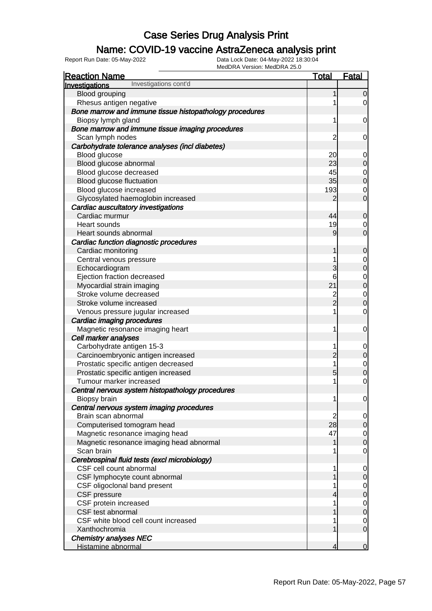### Name: COVID-19 vaccine AstraZeneca analysis print

| <b>Reaction Name</b>                                    | <b>Total</b>   | Fatal          |
|---------------------------------------------------------|----------------|----------------|
| Investigations cont'd<br>Investigations                 |                |                |
| Blood grouping                                          | 1              | $\overline{0}$ |
| Rhesus antigen negative                                 |                | 0              |
| Bone marrow and immune tissue histopathology procedures |                |                |
| Biopsy lymph gland                                      | 1              | $\mathbf 0$    |
| Bone marrow and immune tissue imaging procedures        |                |                |
| Scan lymph nodes                                        | $\overline{c}$ | $\mathbf 0$    |
| Carbohydrate tolerance analyses (incl diabetes)         |                |                |
| Blood glucose                                           | 20             | $\mathbf 0$    |
| Blood glucose abnormal                                  | 23             | $\mathbf 0$    |
| Blood glucose decreased                                 | 45             | $\mathbf{0}$   |
| Blood glucose fluctuation                               | 35             | $\overline{0}$ |
| Blood glucose increased                                 | 193            | $\mathbf 0$    |
| Glycosylated haemoglobin increased                      | 2              | $\overline{O}$ |
| Cardiac auscultatory investigations                     |                |                |
| Cardiac murmur                                          | 44             | $\mathbf 0$    |
| <b>Heart sounds</b>                                     | 19             | $\mathbf 0$    |
| Heart sounds abnormal                                   | 9              | $\overline{O}$ |
| Cardiac function diagnostic procedures                  |                |                |
| Cardiac monitoring                                      | 1              | $\mathbf 0$    |
| Central venous pressure                                 | 1              | $\mathbf{0}$   |
| Echocardiogram                                          | 3              | $\overline{0}$ |
| Ejection fraction decreased                             | 6              |                |
| Myocardial strain imaging                               | 21             | $0\atop 0$     |
| Stroke volume decreased                                 | $\frac{2}{2}$  | $\mathbf{0}$   |
| Stroke volume increased                                 |                | $\overline{0}$ |
| Venous pressure jugular increased                       | 1              | $\mathbf 0$    |
| Cardiac imaging procedures                              |                |                |
| Magnetic resonance imaging heart                        | 1              | $\mathbf 0$    |
| Cell marker analyses                                    |                |                |
| Carbohydrate antigen 15-3                               | 1              | $\mathbf 0$    |
| Carcinoembryonic antigen increased                      | $\overline{2}$ | $\overline{0}$ |
| Prostatic specific antigen decreased                    | 1              | $0\atop 0$     |
| Prostatic specific antigen increased                    | 5              |                |
| Tumour marker increased                                 | 1              | $\mathbf 0$    |
| Central nervous system histopathology procedures        |                |                |
| Biopsy brain                                            | 1              | $\overline{0}$ |
| Central nervous system imaging procedures               |                |                |
| Brain scan abnormal                                     | $\overline{c}$ | $\overline{0}$ |
| Computerised tomogram head                              | 28             | $\mathbf 0$    |
| Magnetic resonance imaging head                         | 47             | $\overline{0}$ |
| Magnetic resonance imaging head abnormal                | 1              | $\mathbf 0$    |
| Scan brain                                              |                | 0              |
| Cerebrospinal fluid tests (excl microbiology)           |                |                |
| CSF cell count abnormal                                 | 1              | $\mathbf 0$    |
| CSF lymphocyte count abnormal                           |                | $\mathbf 0$    |
| CSF oligoclonal band present                            |                | $\overline{0}$ |
| CSF pressure                                            | 4              | $\overline{0}$ |
| CSF protein increased                                   |                | $\overline{0}$ |
| CSF test abnormal                                       |                | $\overline{0}$ |
| CSF white blood cell count increased                    |                | $\overline{0}$ |
| Xanthochromia                                           |                | $\overline{O}$ |
| <b>Chemistry analyses NEC</b>                           |                |                |
| Histamine abnormal                                      | 4              | $\mathbf 0$    |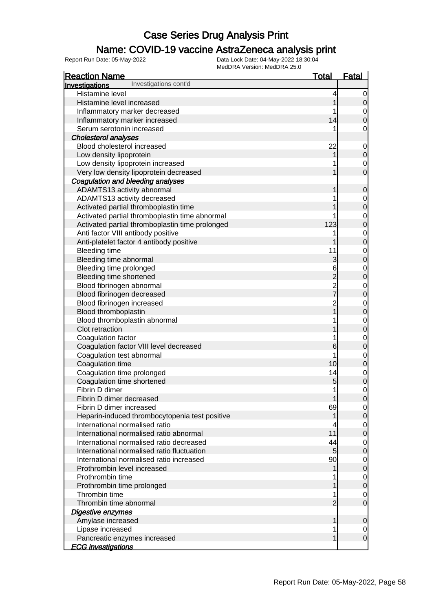### Name: COVID-19 vaccine AstraZeneca analysis print

| <b>Reaction Name</b>                            | <u>Total</u>                               | <b>Fatal</b>                     |
|-------------------------------------------------|--------------------------------------------|----------------------------------|
| Investigations cont'd<br><b>Investigations</b>  |                                            |                                  |
| Histamine level                                 | 4                                          | 0                                |
| Histamine level increased                       | 1                                          | $\mathsf{O}\xspace$              |
| Inflammatory marker decreased                   |                                            | $\mathbf{0}$                     |
| Inflammatory marker increased                   | 14                                         | $\overline{0}$                   |
| Serum serotonin increased                       | 1                                          | $\mathbf 0$                      |
| <b>Cholesterol analyses</b>                     |                                            |                                  |
| Blood cholesterol increased                     | 22                                         | $\mathbf 0$                      |
| Low density lipoprotein                         | 1                                          | $\overline{0}$                   |
| Low density lipoprotein increased               | 1                                          |                                  |
| Very low density lipoprotein decreased          | 1                                          | $\begin{matrix}0\\0\end{matrix}$ |
| Coagulation and bleeding analyses               |                                            |                                  |
| ADAMTS13 activity abnormal                      | 1                                          | $\mathbf 0$                      |
| ADAMTS13 activity decreased                     | 1                                          |                                  |
| Activated partial thromboplastin time           |                                            | $\begin{matrix}0\\0\end{matrix}$ |
| Activated partial thromboplastin time abnormal  |                                            |                                  |
| Activated partial thromboplastin time prolonged | 123                                        | $0\atop 0$                       |
| Anti factor VIII antibody positive              | 1                                          |                                  |
| Anti-platelet factor 4 antibody positive        |                                            | $0\atop 0$                       |
| <b>Bleeding time</b>                            | 11                                         |                                  |
| Bleeding time abnormal                          | 3                                          | $\begin{matrix}0\\0\end{matrix}$ |
| Bleeding time prolonged                         | 6                                          |                                  |
|                                                 |                                            | $0\atop 0$                       |
| Bleeding time shortened                         |                                            |                                  |
| Blood fibrinogen abnormal                       | $\begin{array}{c} 2 \\ 2 \\ 7 \end{array}$ | $0\atop 0$                       |
| Blood fibrinogen decreased                      |                                            |                                  |
| Blood fibrinogen increased                      | $\overline{2}$<br>$\overline{1}$           | $0\atop 0$                       |
| Blood thromboplastin                            |                                            |                                  |
| Blood thromboplastin abnormal                   | 1                                          | $0\atop 0$                       |
| Clot retraction                                 |                                            |                                  |
| Coagulation factor                              | 1                                          | $0\atop 0$                       |
| Coagulation factor VIII level decreased         | 6                                          |                                  |
| Coagulation test abnormal                       | 1                                          | $\begin{matrix}0\\0\end{matrix}$ |
| Coagulation time                                | 10                                         |                                  |
| Coagulation time prolonged                      | 14                                         | $\begin{matrix}0\\0\end{matrix}$ |
| Coagulation time shortened                      | 5                                          |                                  |
| Fibrin D dimer                                  | 1                                          | $\overline{0}$                   |
| Fibrin D dimer decreased                        | 1                                          | $\overline{0}$                   |
| Fibrin D dimer increased                        | 69                                         | $\overline{0}$                   |
| Heparin-induced thrombocytopenia test positive  | 1                                          | $\mathbf 0$                      |
| International normalised ratio                  | 4                                          | $\overline{0}$                   |
| International normalised ratio abnormal         | 11                                         | $\overline{0}$                   |
| International normalised ratio decreased        | 44                                         | $\overline{0}$                   |
| International normalised ratio fluctuation      | $5\overline{)}$                            | $\mathbf 0$                      |
| International normalised ratio increased        | 90                                         | $\overline{0}$                   |
| Prothrombin level increased                     | 1                                          | $\overline{0}$                   |
| Prothrombin time                                |                                            | $\overline{0}$                   |
| Prothrombin time prolonged                      |                                            | $\overline{0}$                   |
| Thrombin time                                   | 1                                          | $\mathbf 0$                      |
| Thrombin time abnormal                          | $\overline{2}$                             | $\overline{0}$                   |
| Digestive enzymes                               |                                            |                                  |
| Amylase increased                               | 1                                          | 0                                |
| Lipase increased                                | 1                                          | 0                                |
| Pancreatic enzymes increased                    | 1                                          | $\mathbf 0$                      |
| <b>ECG investigations</b>                       |                                            |                                  |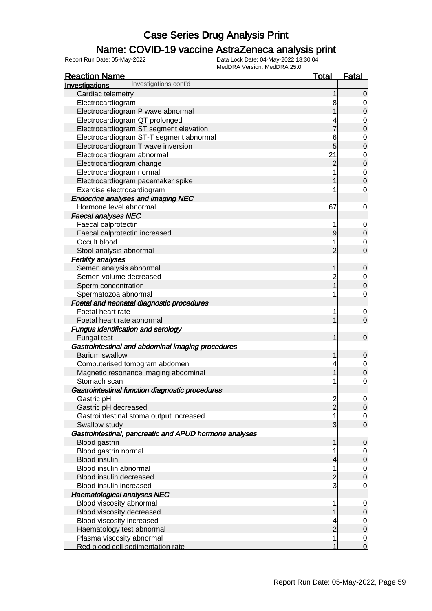### Name: COVID-19 vaccine AstraZeneca analysis print

| <b>Reaction Name</b>                                   | <b>Total</b>   | <u>Fatal</u>                         |
|--------------------------------------------------------|----------------|--------------------------------------|
| Investigations cont'd<br>Investigations                |                |                                      |
| Cardiac telemetry                                      |                | $\overline{0}$                       |
| Electrocardiogram                                      | 8              | $\mathbf 0$                          |
| Electrocardiogram P wave abnormal                      |                | $\overline{0}$                       |
| Electrocardiogram QT prolonged                         |                | $\mathbf{0}$                         |
| Electrocardiogram ST segment elevation                 |                | $\mathbf{0}$                         |
| Electrocardiogram ST-T segment abnormal                | 6              |                                      |
| Electrocardiogram T wave inversion                     | 5              | $\begin{matrix}0\\0\end{matrix}$     |
| Electrocardiogram abnormal                             | 21             |                                      |
| Electrocardiogram change                               | $\overline{2}$ | $\begin{matrix}0\\0\end{matrix}$     |
| Electrocardiogram normal                               |                | $\begin{matrix} 0 \\ 0 \end{matrix}$ |
| Electrocardiogram pacemaker spike                      |                |                                      |
| Exercise electrocardiogram                             |                | $\mathbf 0$                          |
| <b>Endocrine analyses and imaging NEC</b>              |                |                                      |
| Hormone level abnormal                                 | 67             | $\mathbf 0$                          |
| <b>Faecal analyses NEC</b>                             |                |                                      |
| Faecal calprotectin                                    |                | $\mathbf 0$                          |
| Faecal calprotectin increased                          | 9              | $\boldsymbol{0}$                     |
| Occult blood                                           |                | $\mathbf 0$                          |
| Stool analysis abnormal                                | $\overline{2}$ | $\overline{0}$                       |
| <b>Fertility analyses</b>                              |                |                                      |
| Semen analysis abnormal                                | 1              | $\mathbf 0$                          |
| Semen volume decreased                                 | $\overline{c}$ | $\overline{0}$                       |
| Sperm concentration                                    |                | $\overline{0}$                       |
| Spermatozoa abnormal                                   |                | $\mathbf 0$                          |
| Foetal and neonatal diagnostic procedures              |                |                                      |
| Foetal heart rate                                      |                | $\mathbf 0$                          |
| Foetal heart rate abnormal                             |                | $\mathbf 0$                          |
| Fungus identification and serology                     |                |                                      |
| Fungal test                                            |                | $\mathbf 0$                          |
| Gastrointestinal and abdominal imaging procedures      |                |                                      |
| <b>Barium swallow</b>                                  |                | $\mathbf 0$                          |
| Computerised tomogram abdomen                          |                | $\mathbf{0}$                         |
| Magnetic resonance imaging abdominal                   |                | $\overline{0}$                       |
| Stomach scan                                           |                | $\mathbf 0$                          |
| Gastrointestinal function diagnostic procedures        |                |                                      |
| Gastric pH                                             | $\frac{2}{2}$  | $\overline{0}$                       |
| Gastric pH decreased                                   |                | $\overline{0}$                       |
| Gastrointestinal stoma output increased                |                | $\overline{0}$                       |
| Swallow study                                          | 3              | $\overline{O}$                       |
| Gastrointestinal, pancreatic and APUD hormone analyses |                |                                      |
| Blood gastrin                                          | 1              | $\mathbf 0$                          |
| Blood gastrin normal                                   |                | $\overline{0}$                       |
| <b>Blood insulin</b>                                   | 4              | $\pmb{0}$                            |
| Blood insulin abnormal                                 | 1              | $\mathbf 0$                          |
| Blood insulin decreased                                | $\overline{c}$ | $\mathbf 0$                          |
| Blood insulin increased                                | 3              | $\mathbf 0$                          |
| <b>Haematological analyses NEC</b>                     |                |                                      |
| Blood viscosity abnormal                               | 1              | $\mathbf 0$                          |
| Blood viscosity decreased                              |                | $\mathbf 0$                          |
| Blood viscosity increased                              | 4              | $\overline{0}$                       |
| Haematology test abnormal                              | $\overline{2}$ | $\pmb{0}$                            |
| Plasma viscosity abnormal                              | 1              | $\mathbf 0$                          |
| Red blood cell sedimentation rate                      | 1              | $\mathbf 0$                          |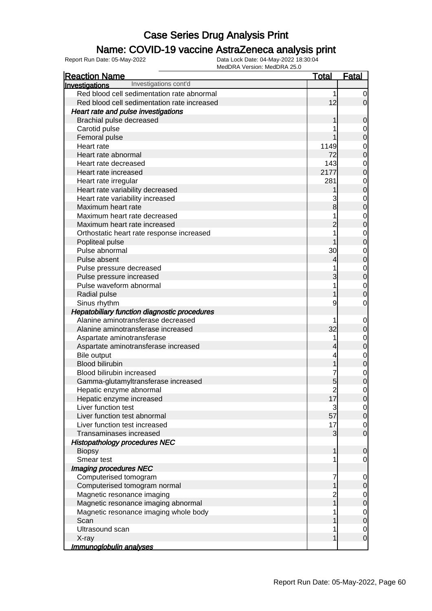### Name: COVID-19 vaccine AstraZeneca analysis print

| <b>Reaction Name</b>                         | <b>Total</b>   | <b>Fatal</b>                  |
|----------------------------------------------|----------------|-------------------------------|
| Investigations cont'd<br>Investigations      |                |                               |
| Red blood cell sedimentation rate abnormal   | 1              | 0                             |
| Red blood cell sedimentation rate increased  | 12             | $\overline{0}$                |
| Heart rate and pulse investigations          |                |                               |
| Brachial pulse decreased                     |                | $\mathbf 0$                   |
| Carotid pulse                                |                |                               |
| Femoral pulse                                |                | $\mathbf 0$                   |
| Heart rate                                   | 1149           | 0                             |
| Heart rate abnormal                          | 72             | $\mathbf 0$                   |
| Heart rate decreased                         | 143            | 0                             |
| Heart rate increased                         | 2177           | $\mathbf 0$                   |
| Heart rate irregular                         | 281            | 0                             |
| Heart rate variability decreased             |                | $\mathbf 0$                   |
| Heart rate variability increased             | 3              | 0                             |
| Maximum heart rate                           | 8              | $\mathbf 0$                   |
| Maximum heart rate decreased                 |                | 0                             |
| Maximum heart rate increased                 | $\overline{c}$ | $\mathbf 0$                   |
| Orthostatic heart rate response increased    |                | 0                             |
| Popliteal pulse                              |                | $\mathbf 0$                   |
| Pulse abnormal                               | 30             | 0                             |
| Pulse absent                                 | 4              | $\mathbf 0$                   |
| Pulse pressure decreased                     |                | 0                             |
| Pulse pressure increased                     | 3              | $\boldsymbol{0}$              |
| Pulse waveform abnormal                      |                | 0                             |
| Radial pulse                                 |                | $\mathbf 0$                   |
| Sinus rhythm                                 | 9              | 0                             |
| Hepatobiliary function diagnostic procedures |                |                               |
| Alanine aminotransferase decreased           |                | 0                             |
| Alanine aminotransferase increased           | 32             | $\mathbf 0$                   |
| Aspartate aminotransferase                   |                | $\mathbf 0$                   |
| Aspartate aminotransferase increased         | 4              | $\mathbf 0$                   |
| <b>Bile output</b>                           |                | 0                             |
| <b>Blood bilirubin</b>                       |                | $\mathbf 0$                   |
| Blood bilirubin increased                    | 7              | $\mathbf 0$                   |
| Gamma-glutamyltransferase increased          | 5              | $\mathbf 0$                   |
| Hepatic enzyme abnormal                      | $\overline{c}$ | 0                             |
| Hepatic enzyme increased                     | 17             | $\overline{0}$                |
| Liver function test                          | 3              | $\overline{0}$                |
| Liver function test abnormal                 | 57             | $\overline{0}$                |
| Liver function test increased                | 17             | $\overline{0}$                |
| Transaminases increased                      | 3              | $\overline{0}$                |
| <b>Histopathology procedures NEC</b>         |                |                               |
| <b>Biopsy</b>                                | 1              | $\mathbf 0$                   |
| Smear test                                   |                | 0                             |
| Imaging procedures NEC                       |                |                               |
| Computerised tomogram                        | 7              | $\mathbf 0$                   |
| Computerised tomogram normal                 |                | $\mathbf 0$                   |
| Magnetic resonance imaging                   | $\overline{c}$ | $\overline{0}$                |
| Magnetic resonance imaging abnormal          |                | $\mathbf 0$                   |
| Magnetic resonance imaging whole body        |                | $\overline{0}$                |
| Scan<br>Ultrasound scan                      |                | $\mathbf 0$                   |
| X-ray                                        |                | $\overline{0}$<br>$\mathbf 0$ |
| <u>Immunoglobulin analyses</u>               |                |                               |
|                                              |                |                               |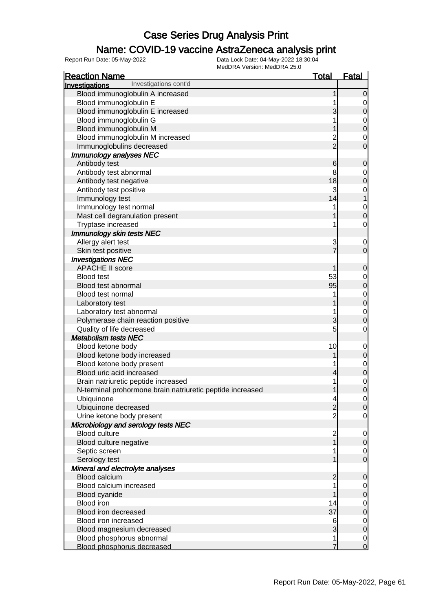#### Name: COVID-19 vaccine AstraZeneca analysis print

| <b>Reaction Name</b>                                      | <b>Total</b>             | <b>Fatal</b>     |
|-----------------------------------------------------------|--------------------------|------------------|
| Investigations cont'd<br><b>Investigations</b>            |                          |                  |
| Blood immunoglobulin A increased                          |                          | $\mathbf 0$      |
| Blood immunoglobulin E                                    |                          | 0                |
| Blood immunoglobulin E increased                          | 3                        | $\pmb{0}$        |
| Blood immunoglobulin G                                    |                          | $\mathbf 0$      |
| Blood immunoglobulin M                                    |                          | $\mathbf 0$      |
| Blood immunoglobulin M increased                          | $\overline{c}$           | $\mathbf 0$      |
| Immunoglobulins decreased                                 | $\overline{2}$           | $\mathbf 0$      |
| Immunology analyses NEC                                   |                          |                  |
| Antibody test                                             | 6                        | $\boldsymbol{0}$ |
| Antibody test abnormal                                    | 8                        | $\mathbf 0$      |
| Antibody test negative                                    | 18                       | $\mathbf 0$      |
| Antibody test positive                                    | 3                        | $\mathbf 0$      |
| Immunology test                                           | 14                       | 1                |
| Immunology test normal                                    |                          | $\mathbf 0$      |
| Mast cell degranulation present                           |                          | $\mathbf 0$      |
| Tryptase increased                                        |                          | $\mathbf 0$      |
| Immunology skin tests NEC                                 |                          |                  |
| Allergy alert test                                        | 3                        | 0                |
| Skin test positive                                        |                          | $\mathbf 0$      |
| <b>Investigations NEC</b>                                 |                          |                  |
| <b>APACHE II score</b>                                    |                          | $\boldsymbol{0}$ |
| <b>Blood test</b>                                         | 53                       | $\mathbf 0$      |
| Blood test abnormal                                       | 95                       | $\mathbf 0$      |
| Blood test normal                                         |                          | $\mathbf 0$      |
| Laboratory test                                           |                          | $\mathbf 0$      |
| Laboratory test abnormal                                  |                          | $\mathbf 0$      |
| Polymerase chain reaction positive                        | 3                        | $\mathbf 0$      |
| Quality of life decreased                                 | 5                        | $\mathbf 0$      |
| <b>Metabolism tests NEC</b>                               |                          |                  |
| Blood ketone body                                         | 10                       | $\mathbf 0$      |
| Blood ketone body increased                               |                          | $\mathbf 0$      |
| Blood ketone body present                                 |                          | $\mathbf 0$      |
| Blood uric acid increased                                 | 4                        | $\pmb{0}$        |
| Brain natriuretic peptide increased                       |                          | $\mathbf{0}$     |
| N-terminal prohormone brain natriuretic peptide increased |                          | $\overline{0}$   |
| Ubiquinone                                                | $\overline{\mathcal{A}}$ | $\overline{0}$   |
| Ubiquinone decreased                                      | $\overline{c}$           | $\overline{0}$   |
| Urine ketone body present                                 | $\overline{2}$           | $\overline{0}$   |
| Microbiology and serology tests NEC                       |                          |                  |
| <b>Blood culture</b>                                      | $\overline{c}$           | $\mathbf 0$      |
| Blood culture negative                                    | $\overline{1}$           | $\mathbf 0$      |
| Septic screen                                             |                          | $\overline{0}$   |
| Serology test                                             |                          | $\mathbf 0$      |
| Mineral and electrolyte analyses                          |                          |                  |
| <b>Blood calcium</b>                                      | 2                        | $\mathbf 0$      |
| Blood calcium increased                                   |                          | 0                |
| Blood cyanide                                             |                          | $\pmb{0}$        |
| <b>Blood iron</b>                                         | 14                       | $\mathbf 0$      |
| Blood iron decreased                                      | 37                       | $\mathbf 0$      |
| Blood iron increased                                      | 6                        | $\overline{0}$   |
| Blood magnesium decreased                                 | 3                        | $\pmb{0}$        |
| Blood phosphorus abnormal                                 | 1                        | $\overline{0}$   |
| Blood phosphorus decreased                                |                          | $\overline{0}$   |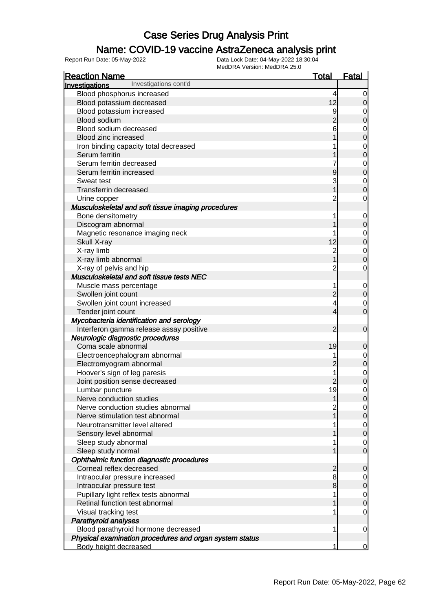### Name: COVID-19 vaccine AstraZeneca analysis print

| <b>Reaction Name</b>                                    | <b>Total</b>   | <b>Fatal</b>                         |
|---------------------------------------------------------|----------------|--------------------------------------|
| Investigations cont'd<br>Investigations                 |                |                                      |
| Blood phosphorus increased                              | 4              | $\overline{0}$                       |
| Blood potassium decreased                               | 12             | $\mathbf 0$                          |
| Blood potassium increased                               | 9              | $\mathbf 0$                          |
| Blood sodium                                            | $\overline{2}$ | $\mathbf 0$                          |
| Blood sodium decreased                                  | 6              |                                      |
| Blood zinc increased                                    |                | $\begin{matrix}0\\0\end{matrix}$     |
| Iron binding capacity total decreased                   |                |                                      |
| Serum ferritin                                          |                | $\begin{matrix}0\\0\end{matrix}$     |
| Serum ferritin decreased                                |                |                                      |
| Serum ferritin increased                                | 9              | $\begin{matrix} 0 \\ 0 \end{matrix}$ |
| Sweat test                                              | 3              | $\mathbf{0}$                         |
| <b>Transferrin decreased</b>                            | 1              | $\overline{0}$                       |
| Urine copper                                            | $\overline{2}$ | $\mathbf 0$                          |
| Musculoskeletal and soft tissue imaging procedures      |                |                                      |
| Bone densitometry                                       | 1              | $\mathbf 0$                          |
| Discogram abnormal                                      |                | $\boldsymbol{0}$                     |
| Magnetic resonance imaging neck                         |                |                                      |
| Skull X-ray                                             | 12             | $\begin{matrix} 0 \\ 0 \end{matrix}$ |
| X-ray limb                                              | $\overline{c}$ | $\mathbf{0}$                         |
| X-ray limb abnormal                                     | $\overline{1}$ | $\overline{0}$                       |
| X-ray of pelvis and hip                                 | $\overline{2}$ | $\mathbf 0$                          |
| Musculoskeletal and soft tissue tests NEC               |                |                                      |
| Muscle mass percentage                                  | 1              | $\mathbf{0}$                         |
| Swollen joint count                                     | $\overline{2}$ | $\boldsymbol{0}$                     |
| Swollen joint count increased                           | 4              | $\mathbf 0$                          |
| Tender joint count                                      | 4              | $\overline{0}$                       |
| Mycobacteria identification and serology                |                |                                      |
| Interferon gamma release assay positive                 | 2              | $\mathbf 0$                          |
| Neurologic diagnostic procedures                        |                |                                      |
| Coma scale abnormal                                     | 19             | $\boldsymbol{0}$                     |
| Electroencephalogram abnormal                           | 1              |                                      |
| Electromyogram abnormal                                 | $\overline{2}$ | $0\atop 0$                           |
| Hoover's sign of leg paresis                            | 1              | $\begin{matrix}0\\0\end{matrix}$     |
| Joint position sense decreased                          | $\overline{2}$ |                                      |
| Lumbar puncture                                         | 19             | $\mathbf 0$                          |
| Nerve conduction studies                                | 1              | $\overline{0}$                       |
| Nerve conduction studies abnormal                       |                | $\overline{0}$                       |
| Nerve stimulation test abnormal                         |                | $\mathsf{O}$                         |
| Neurotransmitter level altered                          |                | $\overline{0}$                       |
| Sensory level abnormal                                  |                | $\overline{0}$                       |
| Sleep study abnormal                                    |                | $\mathbf 0$                          |
| Sleep study normal                                      |                | $\mathbf 0$                          |
| Ophthalmic function diagnostic procedures               |                |                                      |
| Corneal reflex decreased                                | $\overline{2}$ | $\mathbf 0$                          |
| Intraocular pressure increased                          | 8              | $\overline{0}$                       |
| Intraocular pressure test                               | 8              | $\boldsymbol{0}$                     |
| Pupillary light reflex tests abnormal                   |                | $\overline{0}$                       |
| Retinal function test abnormal                          |                | $\mathbf 0$                          |
| Visual tracking test                                    |                | 0                                    |
| <b>Parathyroid analyses</b>                             |                |                                      |
| Blood parathyroid hormone decreased                     | 1              | $\mathbf 0$                          |
| Physical examination procedures and organ system status |                |                                      |
| <b>Body height decreased</b>                            | 1              | $\mathbf 0$                          |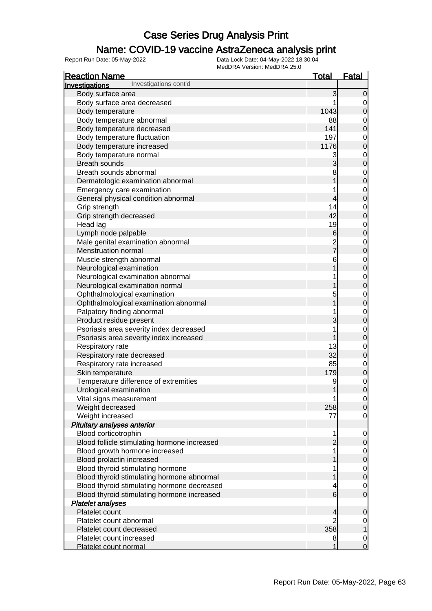### Name: COVID-19 vaccine AstraZeneca analysis print

| <b>Reaction Name</b>                           | <b>Total</b>            | <b>Fatal</b>   |
|------------------------------------------------|-------------------------|----------------|
| Investigations cont'd<br><b>Investigations</b> |                         |                |
| Body surface area                              | 3                       | 0              |
| Body surface area decreased                    |                         | 0              |
| Body temperature                               | 1043                    | 0              |
| Body temperature abnormal                      | 88                      | 0              |
| Body temperature decreased                     | 141                     | 0              |
| Body temperature fluctuation                   | 197                     | 0              |
| Body temperature increased                     | 1176                    | 0              |
| Body temperature normal                        | 3                       | 0              |
| <b>Breath sounds</b>                           |                         | 0              |
| Breath sounds abnormal                         | 8                       | 0              |
| Dermatologic examination abnormal              |                         | 0              |
|                                                |                         |                |
| Emergency care examination                     |                         | 0              |
| General physical condition abnormal            | 4                       | 0              |
| Grip strength                                  | 14                      | 0              |
| Grip strength decreased                        | 42                      | 0              |
| Head lag                                       | 19                      | 0              |
| Lymph node palpable                            | $6 \,$                  | 0              |
| Male genital examination abnormal              | $\overline{\mathbf{c}}$ | 0              |
| Menstruation normal                            | $\overline{7}$          | 0              |
| Muscle strength abnormal                       | 6                       | 0              |
| Neurological examination                       |                         | 0              |
| Neurological examination abnormal              |                         | 0              |
| Neurological examination normal                |                         | 0              |
| Ophthalmological examination                   | 5                       | 0              |
| Ophthalmological examination abnormal          |                         | 0              |
| Palpatory finding abnormal                     |                         | 0              |
| Product residue present                        |                         | 0              |
| Psoriasis area severity index decreased        |                         | 0              |
| Psoriasis area severity index increased        |                         | 0              |
| Respiratory rate                               | 13                      | 0              |
| Respiratory rate decreased                     | 32                      | 0              |
| Respiratory rate increased                     | 85                      | 0              |
| Skin temperature                               | 179                     | 0              |
| Temperature difference of extremities          | 9                       | 0              |
| Urological examination                         |                         | 0              |
| Vital signs measurement                        |                         | $\overline{0}$ |
| Weight decreased                               | 258                     | $\Omega$       |
| Weight increased                               | 77                      | 0              |
| Pituitary analyses anterior                    |                         |                |
| Blood corticotrophin                           | 1                       | 0              |
| Blood follicle stimulating hormone increased   |                         | 0              |
| Blood growth hormone increased                 |                         | $\overline{0}$ |
| Blood prolactin increased                      |                         | 0              |
| Blood thyroid stimulating hormone              |                         | $\mathbf 0$    |
| Blood thyroid stimulating hormone abnormal     |                         | 0              |
| Blood thyroid stimulating hormone decreased    | 4                       | 0              |
| Blood thyroid stimulating hormone increased    | 6                       | 0              |
| <b>Platelet analyses</b>                       |                         |                |
| Platelet count                                 |                         |                |
|                                                | 4<br>2                  | 0              |
| Platelet count abnormal                        | 358                     | 0              |
| Platelet count decreased                       |                         |                |
| Platelet count increased                       | 8                       | $\mathbf 0$    |
| Platelet count normal                          |                         | 0              |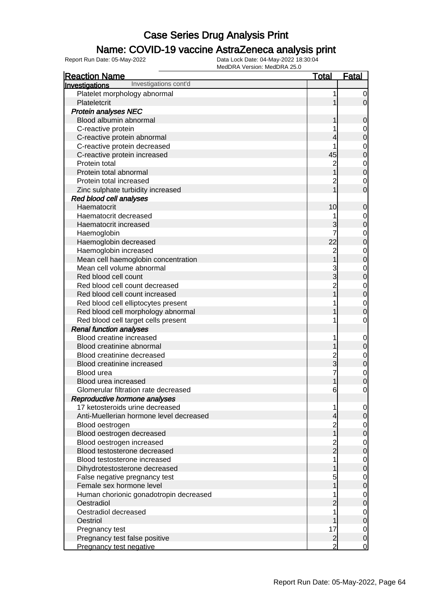#### Name: COVID-19 vaccine AstraZeneca analysis print

| <b>Reaction Name</b>                    | <b>Total</b>   | <b>Fatal</b>                     |
|-----------------------------------------|----------------|----------------------------------|
| Investigations cont'd<br>Investigations |                |                                  |
| Platelet morphology abnormal            | 1              | $\overline{0}$                   |
| Plateletcrit                            |                | $\mathbf 0$                      |
| <b>Protein analyses NEC</b>             |                |                                  |
| Blood albumin abnormal                  |                | $\mathbf 0$                      |
| C-reactive protein                      |                | $\mathbf{0}$                     |
| C-reactive protein abnormal             |                | $\overline{0}$                   |
| C-reactive protein decreased            |                |                                  |
| C-reactive protein increased            | 45             | $\begin{matrix}0\\0\end{matrix}$ |
| Protein total                           | $\overline{2}$ |                                  |
| Protein total abnormal                  |                | $\begin{matrix}0\\0\end{matrix}$ |
| Protein total increased                 | 2              | $\mathbf 0$                      |
| Zinc sulphate turbidity increased       |                | $\overline{0}$                   |
| Red blood cell analyses                 |                |                                  |
| Haematocrit                             | 10             | $\mathbf 0$                      |
| Haematocrit decreased                   |                |                                  |
| Haematocrit increased                   | 3              | $0$ 0                            |
| Haemoglobin                             | 7              |                                  |
| Haemoglobin decreased                   | 22             | $\begin{matrix}0\\0\end{matrix}$ |
| Haemoglobin increased                   | $\overline{c}$ |                                  |
| Mean cell haemoglobin concentration     |                | $\begin{matrix}0\\0\end{matrix}$ |
| Mean cell volume abnormal               | 3              |                                  |
| Red blood cell count                    | 3              | $\begin{matrix}0\\0\end{matrix}$ |
| Red blood cell count decreased          | $\overline{2}$ |                                  |
| Red blood cell count increased          |                | 0                                |
| Red blood cell elliptocytes present     |                |                                  |
| Red blood cell morphology abnormal      |                | $\begin{matrix}0\\0\end{matrix}$ |
| Red blood cell target cells present     |                | $\mathbf 0$                      |
| <b>Renal function analyses</b>          |                |                                  |
| Blood creatine increased                | 1              | $\mathbf{0}$                     |
| Blood creatinine abnormal               |                | $\mathbf 0$                      |
| Blood creatinine decreased              | 2              |                                  |
| Blood creatinine increased              | 3              | 0<br>0                           |
| Blood urea                              | 7              |                                  |
| Blood urea increased                    |                | 0<br>0                           |
| Glomerular filtration rate decreased    | 6              | $\mathbf{0}$                     |
| Reproductive hormone analyses           |                |                                  |
| 17 ketosteroids urine decreased         | 1              | $\overline{0}$                   |
| Anti-Muellerian hormone level decreased | 4              | 0                                |
| Blood oestrogen                         | $\overline{c}$ | $\mathbf 0$                      |
| Blood oestrogen decreased               | 1              | 0                                |
| Blood oestrogen increased               | $\overline{c}$ | $\mathbf 0$                      |
| Blood testosterone decreased            | $\overline{2}$ | 0                                |
| Blood testosterone increased            |                | $\mathbf 0$                      |
| Dihydrotestosterone decreased           |                | 0                                |
| False negative pregnancy test           | 5              | $\mathbf 0$                      |
| Female sex hormone level                |                | $\mathbf 0$                      |
| Human chorionic gonadotropin decreased  |                | $\mathbf 0$                      |
| Oestradiol                              |                | $\mathbf 0$                      |
| Oestradiol decreased                    |                | $\mathbf 0$                      |
| Oestriol                                |                | 0                                |
| Pregnancy test                          | 17             | $\overline{0}$                   |
| Pregnancy test false positive           | $\overline{c}$ | $\pmb{0}$                        |
| Pregnancy test negative                 | $\overline{2}$ | $\overline{0}$                   |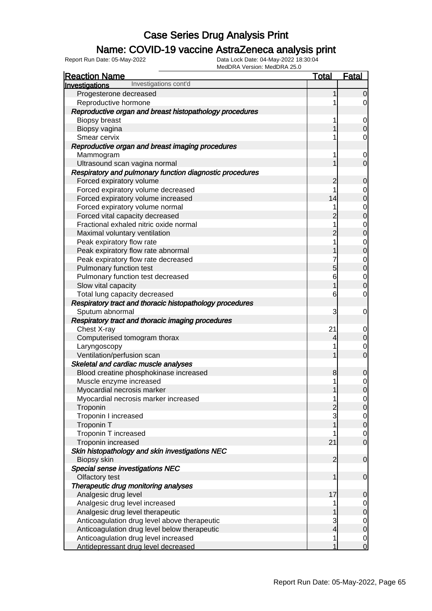### Name: COVID-19 vaccine AstraZeneca analysis print

| <b>Reaction Name</b>                                     | Total               | <b>Fatal</b>                     |
|----------------------------------------------------------|---------------------|----------------------------------|
| Investigations cont'd<br>Investigations                  |                     |                                  |
| Progesterone decreased                                   |                     | 0                                |
| Reproductive hormone                                     | 1                   | 0                                |
| Reproductive organ and breast histopathology procedures  |                     |                                  |
| <b>Biopsy breast</b>                                     | 1                   | $\overline{0}$                   |
| Biopsy vagina                                            |                     |                                  |
| Smear cervix                                             | 1                   | 0                                |
| Reproductive organ and breast imaging procedures         |                     |                                  |
| Mammogram                                                | 1                   | 0                                |
| Ultrasound scan vagina normal                            |                     | 0                                |
| Respiratory and pulmonary function diagnostic procedures |                     |                                  |
| Forced expiratory volume                                 | 2                   | 0                                |
| Forced expiratory volume decreased                       | 1                   | 0                                |
| Forced expiratory volume increased                       | 14                  | 0                                |
| Forced expiratory volume normal                          | 1                   | $\mathbf 0$                      |
| Forced vital capacity decreased                          |                     | 0                                |
| Fractional exhaled nitric oxide normal                   | 1                   | 0                                |
| Maximal voluntary ventilation                            | $\overline{2}$      | 0                                |
| Peak expiratory flow rate                                | 1                   | 0                                |
| Peak expiratory flow rate abnormal                       |                     | 0                                |
| Peak expiratory flow rate decreased                      | 7                   | 0                                |
| Pulmonary function test                                  | 5                   | 0                                |
| Pulmonary function test decreased                        | 6                   | $\mathbf 0$                      |
| Slow vital capacity                                      | 1                   | 0                                |
| Total lung capacity decreased                            | 6                   | 0                                |
| Respiratory tract and thoracic histopathology procedures |                     |                                  |
| Sputum abnormal                                          | 3                   | 0                                |
| Respiratory tract and thoracic imaging procedures        |                     |                                  |
| Chest X-ray                                              | 21                  | $\mathbf 0$                      |
| Computerised tomogram thorax                             | 4                   | 0                                |
| Laryngoscopy                                             | 1                   | 0                                |
| Ventilation/perfusion scan                               | 1                   | $\overline{0}$                   |
| Skeletal and cardiac muscle analyses                     |                     |                                  |
| Blood creatine phosphokinase increased                   | 8<br>1              | 0                                |
| Muscle enzyme increased                                  |                     | 0<br>0                           |
| Myocardial necrosis marker                               |                     |                                  |
| Myocardial necrosis marker increased<br>Troponin         | 1<br>$\overline{2}$ | $\overline{0}$<br>$\overline{0}$ |
| Troponin I increased                                     | 3                   |                                  |
| Troponin T                                               |                     | $\overline{0}$<br>$\mathbf 0$    |
| Troponin T increased                                     | 1                   | $\mathbf 0$                      |
| Troponin increased                                       | 21                  | $\overline{0}$                   |
| Skin histopathology and skin investigations NEC          |                     |                                  |
| Biopsy skin                                              | 2                   | $\mathbf 0$                      |
| <b>Special sense investigations NEC</b>                  |                     |                                  |
| Olfactory test                                           | 1                   | $\mathbf 0$                      |
| Therapeutic drug monitoring analyses                     |                     |                                  |
| Analgesic drug level                                     | 17                  | 0                                |
| Analgesic drug level increased                           | 1                   | $\mathbf 0$                      |
| Analgesic drug level therapeutic                         |                     | $\mathbf 0$                      |
| Anticoagulation drug level above therapeutic             | 3                   | $\mathbf 0$                      |
| Anticoagulation drug level below therapeutic             | $\overline{4}$      | $\mathbf 0$                      |
| Anticoagulation drug level increased                     | 1                   | $\mathbf 0$                      |
| Antidepressant drug level decreased                      | 1                   | $\overline{0}$                   |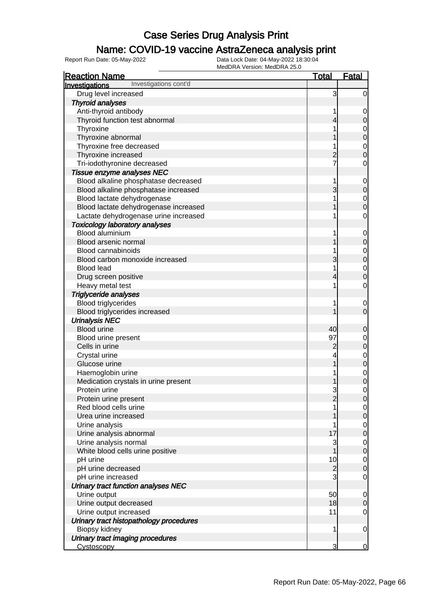### Name: COVID-19 vaccine AstraZeneca analysis print

| <b>Reaction Name</b>                              | <b>Total</b>   | <b>Fatal</b>                     |
|---------------------------------------------------|----------------|----------------------------------|
| Investigations cont'd<br>Investigations           |                |                                  |
| Drug level increased                              | 3              | $\overline{0}$                   |
| <b>Thyroid analyses</b>                           |                |                                  |
| Anti-thyroid antibody                             |                | $\mathbf 0$                      |
| Thyroid function test abnormal                    | 4              | $\mathbf 0$                      |
| Thyroxine                                         |                | $\mathbf 0$                      |
| Thyroxine abnormal                                |                | $\overline{0}$                   |
| Thyroxine free decreased                          |                | $\mathbf 0$                      |
| Thyroxine increased                               | $\overline{c}$ | $\overline{0}$                   |
| Tri-iodothyronine decreased                       | 7              | $\mathbf 0$                      |
| Tissue enzyme analyses NEC                        |                |                                  |
| Blood alkaline phosphatase decreased              | 1              | $\mathbf 0$                      |
| Blood alkaline phosphatase increased              | 3              | $\pmb{0}$                        |
| Blood lactate dehydrogenase                       |                | $\overline{0}$                   |
| Blood lactate dehydrogenase increased             |                | $\overline{0}$                   |
| Lactate dehydrogenase urine increased             |                | $\mathbf 0$                      |
| <b>Toxicology laboratory analyses</b>             |                |                                  |
| Blood aluminium                                   |                | $\mathbf 0$                      |
| Blood arsenic normal                              |                | $\pmb{0}$                        |
| <b>Blood cannabinoids</b>                         |                | $\mathbf 0$                      |
| Blood carbon monoxide increased                   | 3              | $\overline{0}$                   |
| <b>Blood lead</b>                                 |                | $\mathbf 0$                      |
| Drug screen positive                              | 4              | $\overline{0}$                   |
| Heavy metal test                                  |                | $\mathbf 0$                      |
| Triglyceride analyses                             |                |                                  |
| <b>Blood triglycerides</b>                        |                | 0                                |
| Blood triglycerides increased                     |                | $\overline{0}$                   |
| <b>Urinalysis NEC</b>                             |                |                                  |
| <b>Blood urine</b>                                | 40             | $\mathbf 0$                      |
| Blood urine present                               | 97             | $\overline{0}$                   |
| Cells in urine                                    | $\overline{c}$ | $\mathbf 0$                      |
| Crystal urine                                     |                | $\mathbf{0}$                     |
| Glucose urine                                     |                | $\overline{0}$                   |
| Haemoglobin urine                                 |                | $\overline{0}$                   |
| Medication crystals in urine present              |                | $\overline{0}$                   |
| Protein urine                                     | 3              | $\mathbf 0$                      |
| Protein urine present                             | $\overline{2}$ | 0                                |
| Red blood cells urine                             |                | $\overline{0}$                   |
| Urea urine increased                              |                | $\overline{O}$                   |
| Urine analysis                                    |                | $\overline{0}$                   |
| Urine analysis abnormal                           | 17             | $\overline{0}$                   |
| Urine analysis normal                             | 3              | $\overline{0}$                   |
| White blood cells urine positive                  | 1              | $\pmb{0}$                        |
| pH urine                                          | 10             | $\overline{0}$                   |
| pH urine decreased                                | $\overline{c}$ | $\mathbf 0$                      |
| pH urine increased                                | 3              | $\mathbf 0$                      |
| Urinary tract function analyses NEC               |                |                                  |
| Urine output                                      | 50             |                                  |
| Urine output decreased                            | 18             | $\overline{0}$<br>$\overline{0}$ |
| Urine output increased                            | 11             | $\overline{0}$                   |
|                                                   |                |                                  |
| Urinary tract histopathology procedures           | 1              | $\mathbf 0$                      |
| Biopsy kidney<br>Urinary tract imaging procedures |                |                                  |
| <b>Cystoscopy</b>                                 | 3              | $\overline{0}$                   |
|                                                   |                |                                  |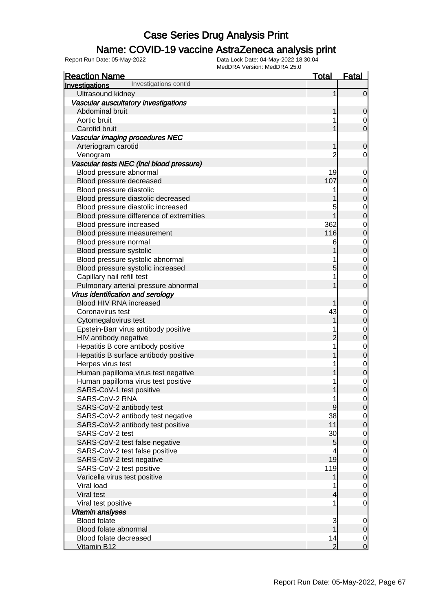### Name: COVID-19 vaccine AstraZeneca analysis print

| <b>Reaction Name</b>                     | <u>Total</u>   | <b>Fatal</b>                         |
|------------------------------------------|----------------|--------------------------------------|
| Investigations cont'd<br>Investigations  |                |                                      |
| Ultrasound kidney                        | 1              | $\overline{0}$                       |
| Vascular auscultatory investigations     |                |                                      |
| Abdominal bruit                          |                | $\mathbf 0$                          |
| Aortic bruit                             |                | $\overline{0}$                       |
| Carotid bruit                            |                | $\mathbf 0$                          |
| Vascular imaging procedures NEC          |                |                                      |
| Arteriogram carotid                      |                | $\mathbf 0$                          |
| Venogram                                 | 2              | $\overline{0}$                       |
| Vascular tests NEC (incl blood pressure) |                |                                      |
| Blood pressure abnormal                  | 19             | $\mathbf{0}$                         |
| Blood pressure decreased                 | 107            | $\mathbf 0$                          |
| Blood pressure diastolic                 |                |                                      |
| Blood pressure diastolic decreased       |                | $0\atop 0$                           |
| Blood pressure diastolic increased       | 5              | $\begin{matrix} 0 \\ 0 \end{matrix}$ |
| Blood pressure difference of extremities |                |                                      |
| Blood pressure increased                 | 362            | $\begin{matrix}0\\0\end{matrix}$     |
| Blood pressure measurement               | 116            |                                      |
| Blood pressure normal                    | 6              | $\begin{matrix}0\\0\end{matrix}$     |
| Blood pressure systolic                  |                |                                      |
| Blood pressure systolic abnormal         |                | $\begin{matrix} 0 \\ 0 \end{matrix}$ |
| Blood pressure systolic increased        | 5              |                                      |
| Capillary nail refill test               |                | $\overline{0}$                       |
| Pulmonary arterial pressure abnormal     |                | $\overline{0}$                       |
| Virus identification and serology        |                |                                      |
| Blood HIV RNA increased                  |                | 0                                    |
| Coronavirus test                         | 43             |                                      |
| Cytomegalovirus test                     |                | $0\atop 0$                           |
| Epstein-Barr virus antibody positive     |                | $0\atop 0$                           |
| HIV antibody negative                    | 2              |                                      |
| Hepatitis B core antibody positive       | 1              | $\begin{matrix}0\\0\end{matrix}$     |
| Hepatitis B surface antibody positive    |                |                                      |
| Herpes virus test                        |                | $\begin{matrix}0\\0\end{matrix}$     |
| Human papilloma virus test negative      |                |                                      |
| Human papilloma virus test positive      |                | $\begin{matrix} 0 \\ 0 \end{matrix}$ |
| SARS-CoV-1 test positive                 |                |                                      |
| SARS-CoV-2 RNA                           | 1              | $\Omega$                             |
| SARS-CoV-2 antibody test                 | 9              | 0                                    |
| SARS-CoV-2 antibody test negative        | 38             | $\overline{0}$                       |
| SARS-CoV-2 antibody test positive        | 11             | $\mathbf 0$                          |
| SARS-CoV-2 test                          | 30             | $\overline{0}$                       |
| SARS-CoV-2 test false negative           | 5              | $\mathbf 0$                          |
| SARS-CoV-2 test false positive           | 4              | $\overline{0}$                       |
| SARS-CoV-2 test negative                 | 19             | $\pmb{0}$                            |
| SARS-CoV-2 test positive                 | 119            | $\overline{0}$                       |
| Varicella virus test positive            |                | $\mathbf 0$                          |
| Viral load                               |                | $\overline{0}$                       |
| Viral test                               | 4              | $\mathbf 0$                          |
| Viral test positive                      | 1              | $\overline{0}$                       |
| Vitamin analyses                         |                |                                      |
| <b>Blood folate</b>                      | 3              | $\overline{0}$                       |
| Blood folate abnormal                    |                | $\mathbf 0$                          |
| Blood folate decreased                   | 14             | $\overline{0}$                       |
| Vitamin B12                              | $\overline{2}$ | $\overline{O}$                       |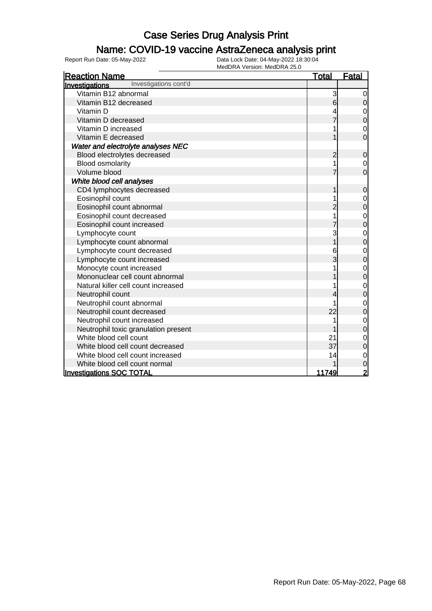### Name: COVID-19 vaccine AstraZeneca analysis print

| <b>Reaction Name</b>                    | <b>Total</b>   | <b>Fatal</b>   |
|-----------------------------------------|----------------|----------------|
| Investigations cont'd<br>Investigations |                |                |
| Vitamin B12 abnormal                    | 3              | 0              |
| Vitamin B12 decreased                   | 6              | $\mathbf 0$    |
| Vitamin D                               |                | $\mathbf 0$    |
| Vitamin D decreased                     |                | $\mathbf 0$    |
| Vitamin D increased                     |                | $\mathbf 0$    |
| Vitamin E decreased                     |                | $\overline{0}$ |
| Water and electrolyte analyses NEC      |                |                |
| Blood electrolytes decreased            | $\overline{2}$ | $\mathbf 0$    |
| <b>Blood osmolarity</b>                 |                | $\overline{0}$ |
| Volume blood                            |                | $\mathbf 0$    |
| White blood cell analyses               |                |                |
| CD4 lymphocytes decreased               |                | $\mathbf 0$    |
| Eosinophil count                        |                | $\mathbf 0$    |
| Eosinophil count abnormal               |                | $\mathbf 0$    |
| Eosinophil count decreased              |                | $\mathbf 0$    |
| Eosinophil count increased              |                | $\mathbf 0$    |
| Lymphocyte count                        | 3              | $\mathbf 0$    |
| Lymphocyte count abnormal               |                | $\overline{0}$ |
| Lymphocyte count decreased              | 6              | $\mathbf 0$    |
| Lymphocyte count increased              | 3              | $\overline{0}$ |
| Monocyte count increased                |                | $\mathbf 0$    |
| Mononuclear cell count abnormal         |                | $\mathbf 0$    |
| Natural killer cell count increased     |                | $\mathbf 0$    |
| Neutrophil count                        |                | $\mathbf 0$    |
| Neutrophil count abnormal               |                | $\mathbf 0$    |
| Neutrophil count decreased              | 22             | $\mathbf 0$    |
| Neutrophil count increased              |                | $\mathbf 0$    |
| Neutrophil toxic granulation present    |                | $\overline{0}$ |
| White blood cell count                  | 21             | $\mathbf 0$    |
| White blood cell count decreased        | 37             | $\mathbf 0$    |
| White blood cell count increased        | 14             | $\mathbf 0$    |
| White blood cell count normal           |                | 0              |
| <b>Investigations SOC TOTAL</b>         | 11749          | 2              |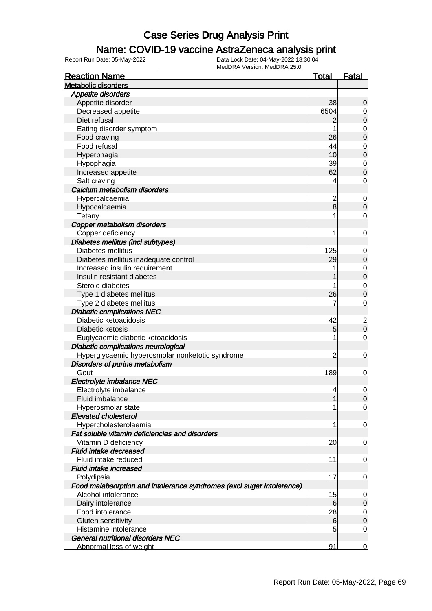### Name: COVID-19 vaccine AstraZeneca analysis print

| <b>Reaction Name</b>                                                  | <u>Total</u>            | <u>Fatal</u>            |
|-----------------------------------------------------------------------|-------------------------|-------------------------|
| <b>Metabolic disorders</b>                                            |                         |                         |
| Appetite disorders                                                    |                         |                         |
| Appetite disorder                                                     | 38                      | 0                       |
| Decreased appetite                                                    | 6504                    | $\overline{0}$          |
| Diet refusal                                                          | $\overline{c}$          | 0                       |
| Eating disorder symptom                                               | 1                       | 0                       |
| Food craving                                                          | 26                      | $\mathbf 0$             |
| Food refusal                                                          | 44                      | 0                       |
| Hyperphagia                                                           | 10                      | $\mathbf 0$             |
| Hypophagia                                                            | 39                      | $\mathbf 0$             |
| Increased appetite                                                    | 62                      | 0                       |
| Salt craving                                                          | 4                       | 0                       |
| Calcium metabolism disorders                                          |                         |                         |
| Hypercalcaemia                                                        | $\overline{\mathbf{c}}$ | $\mathbf 0$             |
| Hypocalcaemia                                                         | 8                       | 0                       |
| Tetany                                                                | 1                       | 0                       |
| Copper metabolism disorders                                           |                         |                         |
| Copper deficiency                                                     | 1                       | $\mathbf 0$             |
| Diabetes mellitus (incl subtypes)                                     |                         |                         |
| Diabetes mellitus                                                     | 125                     | $\mathbf 0$             |
| Diabetes mellitus inadequate control                                  | 29                      | 0                       |
| Increased insulin requirement                                         | 1                       | $\mathbf 0$             |
| Insulin resistant diabetes                                            |                         | $\boldsymbol{0}$        |
| Steroid diabetes                                                      | 1                       | $\mathbf 0$             |
| Type 1 diabetes mellitus                                              | 26                      | 0                       |
| Type 2 diabetes mellitus                                              | 7                       | 0                       |
| <b>Diabetic complications NEC</b>                                     |                         |                         |
| Diabetic ketoacidosis                                                 | 42                      | $\overline{\mathbf{c}}$ |
| Diabetic ketosis                                                      | 5                       | $\mathbf 0$             |
| Euglycaemic diabetic ketoacidosis                                     | 1                       | 0                       |
| Diabetic complications neurological                                   |                         |                         |
| Hyperglycaemic hyperosmolar nonketotic syndrome                       | $\overline{c}$          | $\mathbf 0$             |
| Disorders of purine metabolism                                        |                         |                         |
| Gout                                                                  | 189                     | 0                       |
| Electrolyte imbalance NEC                                             |                         |                         |
| Electrolyte imbalance                                                 | 4                       | $\mathbf 0$             |
| Fluid imbalance                                                       | 1                       | 0                       |
| Hyperosmolar state                                                    | 1                       | $\overline{0}$          |
| <b>Elevated cholesterol</b>                                           |                         |                         |
| Hypercholesterolaemia                                                 | 1                       | $\mathbf 0$             |
| Fat soluble vitamin deficiencies and disorders                        |                         |                         |
| Vitamin D deficiency                                                  | 20                      | 0                       |
| <b>Fluid intake decreased</b>                                         |                         |                         |
| Fluid intake reduced                                                  | 11                      | $\mathbf 0$             |
| <b>Fluid intake increased</b>                                         |                         |                         |
| Polydipsia                                                            | 17                      | $\mathbf 0$             |
| Food malabsorption and intolerance syndromes (excl sugar intolerance) |                         |                         |
| Alcohol intolerance                                                   | 15                      | 0                       |
| Dairy intolerance                                                     | 6                       | 0                       |
| Food intolerance                                                      | 28                      | $\mathbf 0$             |
| Gluten sensitivity                                                    | 6                       | $\mathbf 0$             |
| Histamine intolerance                                                 | 5                       | 0                       |
| <b>General nutritional disorders NEC</b>                              |                         |                         |
| Abnormal loss of weight                                               | 91                      | 0                       |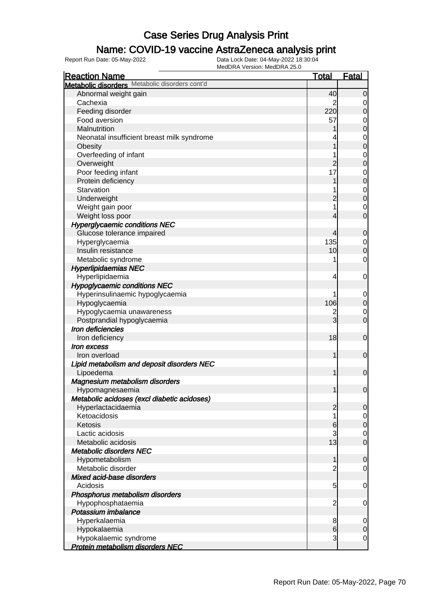### Name: COVID-19 vaccine AstraZeneca analysis print

| Metabolic disorders Metabolic disorders cont'd<br>Abnormal weight gain<br>40<br>Cachexia<br>2<br>220<br>Feeding disorder<br>Food aversion<br>57<br>Malnutrition<br>Neonatal insufficient breast milk syndrome<br>Obesity<br>Overfeeding of infant<br>$\overline{c}$<br>Overweight<br>Poor feeding infant<br>17<br>Protein deficiency |  | <b>Fatal</b>     |
|--------------------------------------------------------------------------------------------------------------------------------------------------------------------------------------------------------------------------------------------------------------------------------------------------------------------------------------|--|------------------|
|                                                                                                                                                                                                                                                                                                                                      |  |                  |
|                                                                                                                                                                                                                                                                                                                                      |  | $\mathbf 0$      |
|                                                                                                                                                                                                                                                                                                                                      |  | 0                |
|                                                                                                                                                                                                                                                                                                                                      |  | $\mathbf 0$      |
|                                                                                                                                                                                                                                                                                                                                      |  | 0                |
|                                                                                                                                                                                                                                                                                                                                      |  | $\mathbf 0$      |
|                                                                                                                                                                                                                                                                                                                                      |  | 0                |
|                                                                                                                                                                                                                                                                                                                                      |  | $\mathbf 0$      |
|                                                                                                                                                                                                                                                                                                                                      |  | 0                |
|                                                                                                                                                                                                                                                                                                                                      |  | $\mathbf 0$      |
|                                                                                                                                                                                                                                                                                                                                      |  | 0                |
|                                                                                                                                                                                                                                                                                                                                      |  | $\mathbf 0$      |
| Starvation                                                                                                                                                                                                                                                                                                                           |  | 0                |
| Underweight<br>$\overline{c}$                                                                                                                                                                                                                                                                                                        |  | $\mathbf 0$      |
| Weight gain poor                                                                                                                                                                                                                                                                                                                     |  | 0                |
| Weight loss poor<br>4                                                                                                                                                                                                                                                                                                                |  | $\overline{0}$   |
| <b>Hyperglycaemic conditions NEC</b>                                                                                                                                                                                                                                                                                                 |  |                  |
| Glucose tolerance impaired<br>4                                                                                                                                                                                                                                                                                                      |  |                  |
| 135                                                                                                                                                                                                                                                                                                                                  |  | $\mathbf 0$      |
| Hyperglycaemia<br>Insulin resistance<br>10                                                                                                                                                                                                                                                                                           |  | 0                |
|                                                                                                                                                                                                                                                                                                                                      |  | $\boldsymbol{0}$ |
| Metabolic syndrome                                                                                                                                                                                                                                                                                                                   |  | 0                |
| <b>Hyperlipidaemias NEC</b>                                                                                                                                                                                                                                                                                                          |  |                  |
| Hyperlipidaemia<br>4                                                                                                                                                                                                                                                                                                                 |  | 0                |
| <b>Hypoglycaemic conditions NEC</b>                                                                                                                                                                                                                                                                                                  |  |                  |
| Hyperinsulinaemic hypoglycaemia                                                                                                                                                                                                                                                                                                      |  | 0                |
| 106<br>Hypoglycaemia                                                                                                                                                                                                                                                                                                                 |  | $\mathbf 0$      |
| Hypoglycaemia unawareness<br>$\overline{c}$                                                                                                                                                                                                                                                                                          |  | 0                |
| 3<br>Postprandial hypoglycaemia                                                                                                                                                                                                                                                                                                      |  | $\overline{0}$   |
| Iron deficiencies                                                                                                                                                                                                                                                                                                                    |  |                  |
| 18<br>Iron deficiency                                                                                                                                                                                                                                                                                                                |  | $\mathbf 0$      |
| Iron excess                                                                                                                                                                                                                                                                                                                          |  |                  |
| 1<br>Iron overload                                                                                                                                                                                                                                                                                                                   |  | $\mathbf 0$      |
| Lipid metabolism and deposit disorders NEC                                                                                                                                                                                                                                                                                           |  |                  |
| Lipoedema<br>1                                                                                                                                                                                                                                                                                                                       |  | $\mathbf 0$      |
| Magnesium metabolism disorders                                                                                                                                                                                                                                                                                                       |  |                  |
| 1<br>Hypomagnesaemia                                                                                                                                                                                                                                                                                                                 |  | $\mathbf 0$      |
| Metabolic acidoses (excl diabetic acidoses)                                                                                                                                                                                                                                                                                          |  |                  |
| $\overline{2}$<br>Hyperlactacidaemia                                                                                                                                                                                                                                                                                                 |  | $\overline{0}$   |
| Ketoacidosis                                                                                                                                                                                                                                                                                                                         |  | 0                |
| Ketosis<br>6                                                                                                                                                                                                                                                                                                                         |  | $\mathbf 0$      |
| Lactic acidosis<br>3                                                                                                                                                                                                                                                                                                                 |  | 0                |
| 13<br>Metabolic acidosis                                                                                                                                                                                                                                                                                                             |  | $\overline{0}$   |
| <b>Metabolic disorders NEC</b>                                                                                                                                                                                                                                                                                                       |  |                  |
| 1<br>Hypometabolism                                                                                                                                                                                                                                                                                                                  |  | $\mathbf 0$      |
| Metabolic disorder<br>$\overline{c}$                                                                                                                                                                                                                                                                                                 |  | 0                |
| Mixed acid-base disorders                                                                                                                                                                                                                                                                                                            |  |                  |
| Acidosis<br>5                                                                                                                                                                                                                                                                                                                        |  | 0                |
| Phosphorus metabolism disorders                                                                                                                                                                                                                                                                                                      |  |                  |
| $\overline{c}$<br>Hypophosphataemia                                                                                                                                                                                                                                                                                                  |  | 0                |
| Potassium imbalance                                                                                                                                                                                                                                                                                                                  |  |                  |
| Hyperkalaemia<br>8                                                                                                                                                                                                                                                                                                                   |  | 0                |
| $6 \overline{}$<br>Hypokalaemia                                                                                                                                                                                                                                                                                                      |  | $\mathbf 0$      |
| 3<br>Hypokalaemic syndrome                                                                                                                                                                                                                                                                                                           |  | $\mathbf 0$      |
| <b>Protein metabolism disorders NEC</b>                                                                                                                                                                                                                                                                                              |  |                  |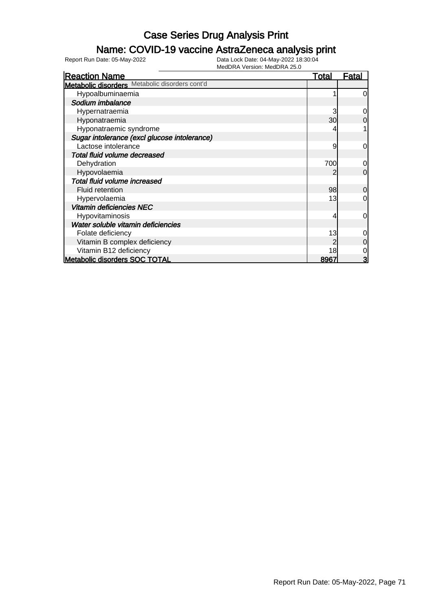### Name: COVID-19 vaccine AstraZeneca analysis print

| <b>Reaction Name</b>                           | <b>Total</b> | <u>Fatal</u>   |
|------------------------------------------------|--------------|----------------|
| Metabolic disorders Metabolic disorders cont'd |              |                |
| Hypoalbuminaemia                               |              | $\overline{0}$ |
| Sodium imbalance                               |              |                |
| Hypernatraemia                                 | 3            | $\overline{0}$ |
| Hyponatraemia                                  | 30           | 0              |
| Hyponatraemic syndrome                         |              |                |
| Sugar intolerance (excl glucose intolerance)   |              |                |
| Lactose intolerance                            | 9            | $\overline{0}$ |
| Total fluid volume decreased                   |              |                |
| Dehydration                                    | 700          | $\overline{0}$ |
| Hypovolaemia                                   |              | $\Omega$       |
| Total fluid volume increased                   |              |                |
| Fluid retention                                | 98           | $\overline{0}$ |
| Hypervolaemia                                  | 13           | 0              |
| Vitamin deficiencies NEC                       |              |                |
| <b>Hypovitaminosis</b>                         | 4            | $\overline{0}$ |
| Water soluble vitamin deficiencies             |              |                |
| Folate deficiency                              | 13           | 0              |
| Vitamin B complex deficiency                   |              | $\overline{0}$ |
| Vitamin B12 deficiency                         | 18           | $\mathbf 0$    |
| <b>Metabolic disorders SOC TOTAL</b>           | 8967         | $\overline{3}$ |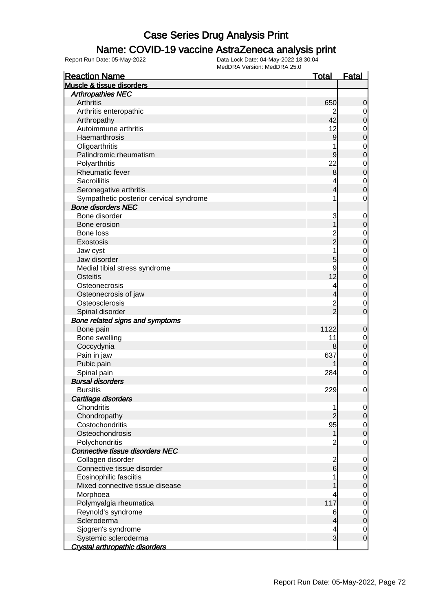#### Name: COVID-19 vaccine AstraZeneca analysis print

| <b>Arthropathies NEC</b><br>Arthritis<br>650<br>0<br>Arthritis enteropathic<br>0<br>Arthropathy<br>42<br>0<br>Autoimmune arthritis<br>12<br>0<br>Haemarthrosis<br>9<br>0<br>Oligoarthritis<br>$\mathbf 0$<br>Palindromic rheumatism<br>9<br>0<br>22<br>Polyarthritis<br>$\mathbf 0$<br>Rheumatic fever<br>0<br>8<br><b>Sacroiliitis</b><br>$\mathbf 0$<br>4<br>Seronegative arthritis<br>0<br>Sympathetic posterior cervical syndrome<br>0<br>1<br><b>Bone disorders NEC</b><br>Bone disorder<br>3<br>$\mathbf 0$<br>Bone erosion<br>0<br>Bone loss<br>$\mathbf 2$<br>$\mathbf 0$<br>$\overline{2}$<br>Exostosis<br>0<br>Jaw cyst<br>1<br>$\mathbf 0$<br>Jaw disorder<br>5<br>0<br>9<br>Medial tibial stress syndrome<br>$\mathbf 0$<br>12<br><b>Osteitis</b><br>0<br>Osteonecrosis<br>4<br>$\mathbf 0$<br>Osteonecrosis of jaw<br>0<br>Osteosclerosis<br>2<br>0<br>$\overline{c}$<br>Spinal disorder<br>0<br>Bone related signs and symptoms<br>1122<br>Bone pain<br>0<br>Bone swelling<br>11<br>$\mathbf 0$<br>Coccydynia<br>0<br>8<br>637<br>Pain in jaw<br>$\mathbf 0$<br>Pubic pain<br>0<br>Spinal pain<br>284<br>0<br><b>Bursal disorders</b><br><b>Bursitis</b><br>229<br>0<br>Cartilage disorders<br>Chondritis<br>0<br>1<br>Chondropathy<br>0<br>Costochondritis<br>95<br>0<br>Osteochondrosis<br>$\Omega$<br>Polychondritis<br>2<br>0<br>Connective tissue disorders NEC<br>Collagen disorder<br>$\overline{c}$<br>0<br>$6 \overline{6}$<br>Connective tissue disorder<br>0<br>Eosinophilic fasciitis<br>0<br>Mixed connective tissue disease<br>0<br>Morphoea<br>0<br>4<br>117<br>Polymyalgia rheumatica<br>0<br>Reynold's syndrome<br>6<br>0 | <b>Reaction Name</b>      | <u>Total</u> | <b>Fatal</b> |
|----------------------------------------------------------------------------------------------------------------------------------------------------------------------------------------------------------------------------------------------------------------------------------------------------------------------------------------------------------------------------------------------------------------------------------------------------------------------------------------------------------------------------------------------------------------------------------------------------------------------------------------------------------------------------------------------------------------------------------------------------------------------------------------------------------------------------------------------------------------------------------------------------------------------------------------------------------------------------------------------------------------------------------------------------------------------------------------------------------------------------------------------------------------------------------------------------------------------------------------------------------------------------------------------------------------------------------------------------------------------------------------------------------------------------------------------------------------------------------------------------------------------------------------------------------------------------------------------------------------------------------------------------------|---------------------------|--------------|--------------|
|                                                                                                                                                                                                                                                                                                                                                                                                                                                                                                                                                                                                                                                                                                                                                                                                                                                                                                                                                                                                                                                                                                                                                                                                                                                                                                                                                                                                                                                                                                                                                                                                                                                          | Muscle & tissue disorders |              |              |
|                                                                                                                                                                                                                                                                                                                                                                                                                                                                                                                                                                                                                                                                                                                                                                                                                                                                                                                                                                                                                                                                                                                                                                                                                                                                                                                                                                                                                                                                                                                                                                                                                                                          |                           |              |              |
|                                                                                                                                                                                                                                                                                                                                                                                                                                                                                                                                                                                                                                                                                                                                                                                                                                                                                                                                                                                                                                                                                                                                                                                                                                                                                                                                                                                                                                                                                                                                                                                                                                                          |                           |              |              |
|                                                                                                                                                                                                                                                                                                                                                                                                                                                                                                                                                                                                                                                                                                                                                                                                                                                                                                                                                                                                                                                                                                                                                                                                                                                                                                                                                                                                                                                                                                                                                                                                                                                          |                           |              |              |
|                                                                                                                                                                                                                                                                                                                                                                                                                                                                                                                                                                                                                                                                                                                                                                                                                                                                                                                                                                                                                                                                                                                                                                                                                                                                                                                                                                                                                                                                                                                                                                                                                                                          |                           |              |              |
|                                                                                                                                                                                                                                                                                                                                                                                                                                                                                                                                                                                                                                                                                                                                                                                                                                                                                                                                                                                                                                                                                                                                                                                                                                                                                                                                                                                                                                                                                                                                                                                                                                                          |                           |              |              |
|                                                                                                                                                                                                                                                                                                                                                                                                                                                                                                                                                                                                                                                                                                                                                                                                                                                                                                                                                                                                                                                                                                                                                                                                                                                                                                                                                                                                                                                                                                                                                                                                                                                          |                           |              |              |
|                                                                                                                                                                                                                                                                                                                                                                                                                                                                                                                                                                                                                                                                                                                                                                                                                                                                                                                                                                                                                                                                                                                                                                                                                                                                                                                                                                                                                                                                                                                                                                                                                                                          |                           |              |              |
|                                                                                                                                                                                                                                                                                                                                                                                                                                                                                                                                                                                                                                                                                                                                                                                                                                                                                                                                                                                                                                                                                                                                                                                                                                                                                                                                                                                                                                                                                                                                                                                                                                                          |                           |              |              |
|                                                                                                                                                                                                                                                                                                                                                                                                                                                                                                                                                                                                                                                                                                                                                                                                                                                                                                                                                                                                                                                                                                                                                                                                                                                                                                                                                                                                                                                                                                                                                                                                                                                          |                           |              |              |
|                                                                                                                                                                                                                                                                                                                                                                                                                                                                                                                                                                                                                                                                                                                                                                                                                                                                                                                                                                                                                                                                                                                                                                                                                                                                                                                                                                                                                                                                                                                                                                                                                                                          |                           |              |              |
|                                                                                                                                                                                                                                                                                                                                                                                                                                                                                                                                                                                                                                                                                                                                                                                                                                                                                                                                                                                                                                                                                                                                                                                                                                                                                                                                                                                                                                                                                                                                                                                                                                                          |                           |              |              |
|                                                                                                                                                                                                                                                                                                                                                                                                                                                                                                                                                                                                                                                                                                                                                                                                                                                                                                                                                                                                                                                                                                                                                                                                                                                                                                                                                                                                                                                                                                                                                                                                                                                          |                           |              |              |
|                                                                                                                                                                                                                                                                                                                                                                                                                                                                                                                                                                                                                                                                                                                                                                                                                                                                                                                                                                                                                                                                                                                                                                                                                                                                                                                                                                                                                                                                                                                                                                                                                                                          |                           |              |              |
|                                                                                                                                                                                                                                                                                                                                                                                                                                                                                                                                                                                                                                                                                                                                                                                                                                                                                                                                                                                                                                                                                                                                                                                                                                                                                                                                                                                                                                                                                                                                                                                                                                                          |                           |              |              |
|                                                                                                                                                                                                                                                                                                                                                                                                                                                                                                                                                                                                                                                                                                                                                                                                                                                                                                                                                                                                                                                                                                                                                                                                                                                                                                                                                                                                                                                                                                                                                                                                                                                          |                           |              |              |
|                                                                                                                                                                                                                                                                                                                                                                                                                                                                                                                                                                                                                                                                                                                                                                                                                                                                                                                                                                                                                                                                                                                                                                                                                                                                                                                                                                                                                                                                                                                                                                                                                                                          |                           |              |              |
|                                                                                                                                                                                                                                                                                                                                                                                                                                                                                                                                                                                                                                                                                                                                                                                                                                                                                                                                                                                                                                                                                                                                                                                                                                                                                                                                                                                                                                                                                                                                                                                                                                                          |                           |              |              |
|                                                                                                                                                                                                                                                                                                                                                                                                                                                                                                                                                                                                                                                                                                                                                                                                                                                                                                                                                                                                                                                                                                                                                                                                                                                                                                                                                                                                                                                                                                                                                                                                                                                          |                           |              |              |
|                                                                                                                                                                                                                                                                                                                                                                                                                                                                                                                                                                                                                                                                                                                                                                                                                                                                                                                                                                                                                                                                                                                                                                                                                                                                                                                                                                                                                                                                                                                                                                                                                                                          |                           |              |              |
|                                                                                                                                                                                                                                                                                                                                                                                                                                                                                                                                                                                                                                                                                                                                                                                                                                                                                                                                                                                                                                                                                                                                                                                                                                                                                                                                                                                                                                                                                                                                                                                                                                                          |                           |              |              |
|                                                                                                                                                                                                                                                                                                                                                                                                                                                                                                                                                                                                                                                                                                                                                                                                                                                                                                                                                                                                                                                                                                                                                                                                                                                                                                                                                                                                                                                                                                                                                                                                                                                          |                           |              |              |
|                                                                                                                                                                                                                                                                                                                                                                                                                                                                                                                                                                                                                                                                                                                                                                                                                                                                                                                                                                                                                                                                                                                                                                                                                                                                                                                                                                                                                                                                                                                                                                                                                                                          |                           |              |              |
|                                                                                                                                                                                                                                                                                                                                                                                                                                                                                                                                                                                                                                                                                                                                                                                                                                                                                                                                                                                                                                                                                                                                                                                                                                                                                                                                                                                                                                                                                                                                                                                                                                                          |                           |              |              |
|                                                                                                                                                                                                                                                                                                                                                                                                                                                                                                                                                                                                                                                                                                                                                                                                                                                                                                                                                                                                                                                                                                                                                                                                                                                                                                                                                                                                                                                                                                                                                                                                                                                          |                           |              |              |
|                                                                                                                                                                                                                                                                                                                                                                                                                                                                                                                                                                                                                                                                                                                                                                                                                                                                                                                                                                                                                                                                                                                                                                                                                                                                                                                                                                                                                                                                                                                                                                                                                                                          |                           |              |              |
|                                                                                                                                                                                                                                                                                                                                                                                                                                                                                                                                                                                                                                                                                                                                                                                                                                                                                                                                                                                                                                                                                                                                                                                                                                                                                                                                                                                                                                                                                                                                                                                                                                                          |                           |              |              |
|                                                                                                                                                                                                                                                                                                                                                                                                                                                                                                                                                                                                                                                                                                                                                                                                                                                                                                                                                                                                                                                                                                                                                                                                                                                                                                                                                                                                                                                                                                                                                                                                                                                          |                           |              |              |
|                                                                                                                                                                                                                                                                                                                                                                                                                                                                                                                                                                                                                                                                                                                                                                                                                                                                                                                                                                                                                                                                                                                                                                                                                                                                                                                                                                                                                                                                                                                                                                                                                                                          |                           |              |              |
|                                                                                                                                                                                                                                                                                                                                                                                                                                                                                                                                                                                                                                                                                                                                                                                                                                                                                                                                                                                                                                                                                                                                                                                                                                                                                                                                                                                                                                                                                                                                                                                                                                                          |                           |              |              |
|                                                                                                                                                                                                                                                                                                                                                                                                                                                                                                                                                                                                                                                                                                                                                                                                                                                                                                                                                                                                                                                                                                                                                                                                                                                                                                                                                                                                                                                                                                                                                                                                                                                          |                           |              |              |
|                                                                                                                                                                                                                                                                                                                                                                                                                                                                                                                                                                                                                                                                                                                                                                                                                                                                                                                                                                                                                                                                                                                                                                                                                                                                                                                                                                                                                                                                                                                                                                                                                                                          |                           |              |              |
|                                                                                                                                                                                                                                                                                                                                                                                                                                                                                                                                                                                                                                                                                                                                                                                                                                                                                                                                                                                                                                                                                                                                                                                                                                                                                                                                                                                                                                                                                                                                                                                                                                                          |                           |              |              |
|                                                                                                                                                                                                                                                                                                                                                                                                                                                                                                                                                                                                                                                                                                                                                                                                                                                                                                                                                                                                                                                                                                                                                                                                                                                                                                                                                                                                                                                                                                                                                                                                                                                          |                           |              |              |
|                                                                                                                                                                                                                                                                                                                                                                                                                                                                                                                                                                                                                                                                                                                                                                                                                                                                                                                                                                                                                                                                                                                                                                                                                                                                                                                                                                                                                                                                                                                                                                                                                                                          |                           |              |              |
|                                                                                                                                                                                                                                                                                                                                                                                                                                                                                                                                                                                                                                                                                                                                                                                                                                                                                                                                                                                                                                                                                                                                                                                                                                                                                                                                                                                                                                                                                                                                                                                                                                                          |                           |              |              |
|                                                                                                                                                                                                                                                                                                                                                                                                                                                                                                                                                                                                                                                                                                                                                                                                                                                                                                                                                                                                                                                                                                                                                                                                                                                                                                                                                                                                                                                                                                                                                                                                                                                          |                           |              |              |
|                                                                                                                                                                                                                                                                                                                                                                                                                                                                                                                                                                                                                                                                                                                                                                                                                                                                                                                                                                                                                                                                                                                                                                                                                                                                                                                                                                                                                                                                                                                                                                                                                                                          |                           |              |              |
|                                                                                                                                                                                                                                                                                                                                                                                                                                                                                                                                                                                                                                                                                                                                                                                                                                                                                                                                                                                                                                                                                                                                                                                                                                                                                                                                                                                                                                                                                                                                                                                                                                                          |                           |              |              |
|                                                                                                                                                                                                                                                                                                                                                                                                                                                                                                                                                                                                                                                                                                                                                                                                                                                                                                                                                                                                                                                                                                                                                                                                                                                                                                                                                                                                                                                                                                                                                                                                                                                          |                           |              |              |
|                                                                                                                                                                                                                                                                                                                                                                                                                                                                                                                                                                                                                                                                                                                                                                                                                                                                                                                                                                                                                                                                                                                                                                                                                                                                                                                                                                                                                                                                                                                                                                                                                                                          |                           |              |              |
|                                                                                                                                                                                                                                                                                                                                                                                                                                                                                                                                                                                                                                                                                                                                                                                                                                                                                                                                                                                                                                                                                                                                                                                                                                                                                                                                                                                                                                                                                                                                                                                                                                                          |                           |              |              |
|                                                                                                                                                                                                                                                                                                                                                                                                                                                                                                                                                                                                                                                                                                                                                                                                                                                                                                                                                                                                                                                                                                                                                                                                                                                                                                                                                                                                                                                                                                                                                                                                                                                          |                           |              |              |
|                                                                                                                                                                                                                                                                                                                                                                                                                                                                                                                                                                                                                                                                                                                                                                                                                                                                                                                                                                                                                                                                                                                                                                                                                                                                                                                                                                                                                                                                                                                                                                                                                                                          |                           |              |              |
|                                                                                                                                                                                                                                                                                                                                                                                                                                                                                                                                                                                                                                                                                                                                                                                                                                                                                                                                                                                                                                                                                                                                                                                                                                                                                                                                                                                                                                                                                                                                                                                                                                                          |                           |              |              |
|                                                                                                                                                                                                                                                                                                                                                                                                                                                                                                                                                                                                                                                                                                                                                                                                                                                                                                                                                                                                                                                                                                                                                                                                                                                                                                                                                                                                                                                                                                                                                                                                                                                          |                           |              |              |
|                                                                                                                                                                                                                                                                                                                                                                                                                                                                                                                                                                                                                                                                                                                                                                                                                                                                                                                                                                                                                                                                                                                                                                                                                                                                                                                                                                                                                                                                                                                                                                                                                                                          |                           |              |              |
|                                                                                                                                                                                                                                                                                                                                                                                                                                                                                                                                                                                                                                                                                                                                                                                                                                                                                                                                                                                                                                                                                                                                                                                                                                                                                                                                                                                                                                                                                                                                                                                                                                                          |                           |              |              |
|                                                                                                                                                                                                                                                                                                                                                                                                                                                                                                                                                                                                                                                                                                                                                                                                                                                                                                                                                                                                                                                                                                                                                                                                                                                                                                                                                                                                                                                                                                                                                                                                                                                          |                           |              |              |
|                                                                                                                                                                                                                                                                                                                                                                                                                                                                                                                                                                                                                                                                                                                                                                                                                                                                                                                                                                                                                                                                                                                                                                                                                                                                                                                                                                                                                                                                                                                                                                                                                                                          |                           |              |              |
| Scleroderma                                                                                                                                                                                                                                                                                                                                                                                                                                                                                                                                                                                                                                                                                                                                                                                                                                                                                                                                                                                                                                                                                                                                                                                                                                                                                                                                                                                                                                                                                                                                                                                                                                              |                           |              |              |
| 0<br>4                                                                                                                                                                                                                                                                                                                                                                                                                                                                                                                                                                                                                                                                                                                                                                                                                                                                                                                                                                                                                                                                                                                                                                                                                                                                                                                                                                                                                                                                                                                                                                                                                                                   |                           |              |              |
| Sjogren's syndrome<br>4<br>0<br>3<br>Systemic scleroderma                                                                                                                                                                                                                                                                                                                                                                                                                                                                                                                                                                                                                                                                                                                                                                                                                                                                                                                                                                                                                                                                                                                                                                                                                                                                                                                                                                                                                                                                                                                                                                                                |                           |              |              |
| 0<br>Crystal arthropathic disorders                                                                                                                                                                                                                                                                                                                                                                                                                                                                                                                                                                                                                                                                                                                                                                                                                                                                                                                                                                                                                                                                                                                                                                                                                                                                                                                                                                                                                                                                                                                                                                                                                      |                           |              |              |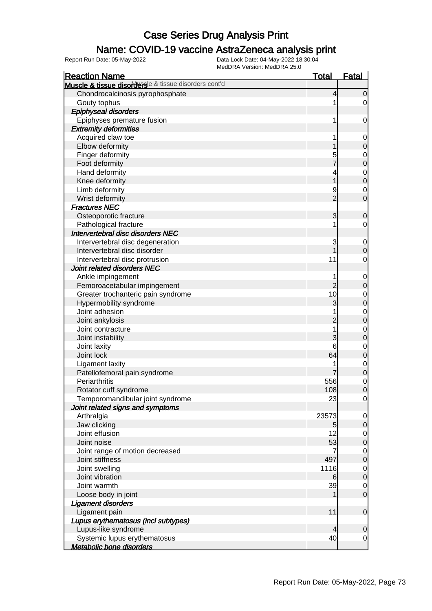### Name: COVID-19 vaccine AstraZeneca analysis print

| <b>Reaction Name</b>                                  | <b>Total</b>   | <b>Fatal</b>     |
|-------------------------------------------------------|----------------|------------------|
| Muscle & tissue disordersle & tissue disorders cont'd |                |                  |
| Chondrocalcinosis pyrophosphate                       | 4              | $\overline{0}$   |
| Gouty tophus                                          |                | $\overline{0}$   |
| <b>Epiphyseal disorders</b>                           |                |                  |
| Epiphyses premature fusion                            | 1              | $\mathbf 0$      |
| <b>Extremity deformities</b>                          |                |                  |
| Acquired claw toe                                     |                | 0                |
| Elbow deformity                                       |                | $\mathbf 0$      |
| Finger deformity                                      | 5              | $\mathbf 0$      |
| Foot deformity                                        |                | $\mathbf 0$      |
| Hand deformity                                        | 4              | $\mathbf 0$      |
| Knee deformity                                        | 1              | $\mathbf 0$      |
| Limb deformity                                        | 9              | $\mathbf 0$      |
| Wrist deformity                                       | $\overline{2}$ | $\mathbf 0$      |
| <b>Fractures NEC</b>                                  |                |                  |
| Osteoporotic fracture                                 | 3              | $\mathbf 0$      |
| Pathological fracture                                 |                | 0                |
| Intervertebral disc disorders NEC                     |                |                  |
| Intervertebral disc degeneration                      | 3              | 0                |
| Intervertebral disc disorder                          |                | $\boldsymbol{0}$ |
| Intervertebral disc protrusion                        | 11             | $\mathbf 0$      |
| Joint related disorders NEC                           |                |                  |
| Ankle impingement                                     |                | $\mathbf 0$      |
| Femoroacetabular impingement                          | $\overline{c}$ | $\pmb{0}$        |
| Greater trochanteric pain syndrome                    | 10             | $\mathbf 0$      |
| Hypermobility syndrome                                | 3              | $\mathbf 0$      |
| Joint adhesion                                        |                | $\mathbf 0$      |
| Joint ankylosis                                       | $\overline{c}$ | $\mathbf 0$      |
| Joint contracture                                     | 1              | $\mathbf 0$      |
| Joint instability                                     | 3              | $\mathbf 0$      |
| Joint laxity                                          | 6              | $\mathbf 0$      |
| Joint lock                                            | 64             | $\mathbf 0$      |
| <b>Ligament laxity</b>                                |                | $\mathbf 0$      |
| Patellofemoral pain syndrome                          |                | $\mathbf 0$      |
| Periarthritis                                         | 556            | $\mathbf 0$      |
| Rotator cuff syndrome                                 | 108            | $\overline{0}$   |
| Temporomandibular joint syndrome                      | 23             | $\overline{0}$   |
| Joint related signs and symptoms                      |                |                  |
| Arthralgia                                            | 23573          | 0                |
| Jaw clicking                                          | 5              | $\mathbf 0$      |
| Joint effusion                                        | 12             | $\overline{0}$   |
| Joint noise                                           | 53             | $\pmb{0}$        |
| Joint range of motion decreased                       |                | $\overline{0}$   |
| Joint stiffness                                       | 497            | $\pmb{0}$        |
| Joint swelling                                        | 1116           | $\overline{0}$   |
| Joint vibration                                       | 6              | $\pmb{0}$        |
| Joint warmth                                          | 39             | $\overline{0}$   |
| Loose body in joint                                   |                | $\mathbf 0$      |
| <b>Ligament disorders</b>                             |                |                  |
| Ligament pain                                         | 11             | $\mathbf 0$      |
| Lupus erythematosus (incl subtypes)                   |                |                  |
| Lupus-like syndrome                                   | 4              | $\mathbf 0$      |
| Systemic lupus erythematosus                          | 40             | $\mathbf 0$      |
| Metabolic bone disorders                              |                |                  |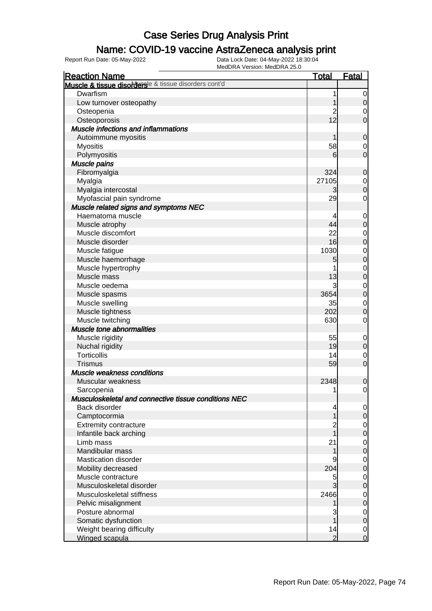### Name: COVID-19 vaccine AstraZeneca analysis print

| <b>Reaction Name</b>                                 | <b>Total</b>   | <b>Fatal</b>               |
|------------------------------------------------------|----------------|----------------------------|
| Muscle & tissue disorderse & tissue disorders cont'd |                |                            |
| Dwarfism                                             | 1              | $\overline{0}$             |
| Low turnover osteopathy                              |                | $\mathbf 0$                |
| Osteopenia                                           | $\overline{c}$ | $\mathbf 0$                |
| Osteoporosis                                         | 12             | $\mathbf 0$                |
| <b>Muscle infections and inflammations</b>           |                |                            |
| Autoimmune myositis                                  |                | $\mathbf 0$                |
| <b>Myositis</b>                                      | 58             | 0                          |
| Polymyositis                                         | 6              | $\mathbf 0$                |
| Muscle pains                                         |                |                            |
| Fibromyalgia                                         | 324            | $\mathbf 0$                |
| Myalgia                                              | 27105          | $\mathbf 0$                |
| Myalgia intercostal                                  | 3              | $\mathbf 0$                |
| Myofascial pain syndrome                             | 29             | $\mathbf 0$                |
| Muscle related signs and symptoms NEC                |                |                            |
| Haematoma muscle                                     | 4              | $\mathbf 0$                |
| Muscle atrophy                                       | 44             | $\mathbf 0$                |
| Muscle discomfort                                    | 22             | $\mathbf 0$                |
| Muscle disorder                                      | 16             | $\mathbf 0$                |
| Muscle fatigue                                       | 1030           | $\mathbf 0$                |
| Muscle haemorrhage                                   | 5              | $\mathbf 0$                |
| Muscle hypertrophy                                   |                | $\mathbf{0}$               |
| Muscle mass                                          | 13             | $\mathbf 0$                |
| Muscle oedema                                        | 3              | $\mathbf{0}$               |
| Muscle spasms                                        | 3654           | $\mathbf 0$                |
| Muscle swelling                                      | 35             | $\mathbf{0}$               |
| Muscle tightness                                     | 202            | $\mathbf 0$                |
| Muscle twitching                                     | 630            | $\mathbf 0$                |
| Muscle tone abnormalities                            |                |                            |
| Muscle rigidity                                      | 55             | $\mathbf 0$                |
| Nuchal rigidity                                      | 19             | $\pmb{0}$                  |
| <b>Torticollis</b>                                   | 14             | $\mathbf 0$                |
| <b>Trismus</b>                                       | 59             | $\mathbf 0$                |
| Muscle weakness conditions                           |                |                            |
| Muscular weakness                                    | 2348           | $\mathbf 0$                |
| Sarcopenia                                           | 1              | $\mathbf 0$                |
| Musculoskeletal and connective tissue conditions NEC |                |                            |
| Back disorder                                        | 4              | $\overline{0}$             |
| Camptocormia                                         | 1              | $\mathbf 0$                |
| <b>Extremity contracture</b>                         | $\overline{c}$ | $\overline{0}$             |
| Infantile back arching                               |                | $\mathbf 0$                |
| Limb mass                                            | 21             | $\mathbf 0$                |
| Mandibular mass                                      | 1              | $\mathbf 0$                |
| Mastication disorder                                 | 9              | $\mathbf 0$                |
| Mobility decreased                                   | 204            | $\mathbf 0$                |
| Muscle contracture                                   | 5              | $\mathbf 0$                |
| Musculoskeletal disorder                             | 3              | $\mathbf 0$                |
| Musculoskeletal stiffness                            | 2466           |                            |
| Pelvic misalignment                                  |                | $\mathbf 0$<br>$\mathbf 0$ |
| Posture abnormal                                     | 3              | $\overline{0}$             |
| Somatic dysfunction                                  | 1              | $\mathbf 0$                |
| Weight bearing difficulty                            | 14             | $\overline{0}$             |
| Winged scapula                                       | $\overline{2}$ | $\mathbf 0$                |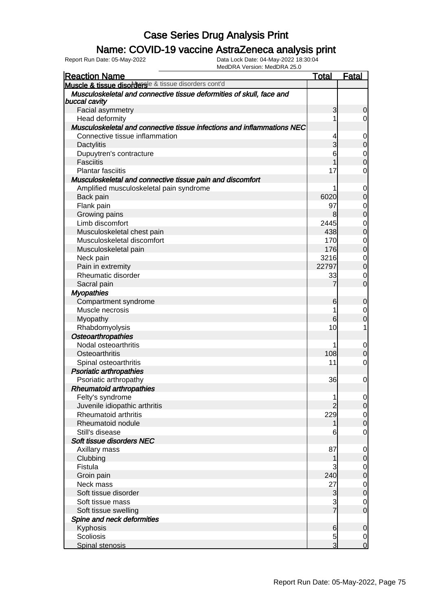### Name: COVID-19 vaccine AstraZeneca analysis print

| <b>Reaction Name</b>                                                                  | <u>Total</u>   | <b>Fatal</b>                     |
|---------------------------------------------------------------------------------------|----------------|----------------------------------|
| Muscle & tissue disorders & tissue disorders cont'd                                   |                |                                  |
| Musculoskeletal and connective tissue deformities of skull, face and<br>buccal cavity |                |                                  |
| Facial asymmetry                                                                      | 3              | $\mathbf 0$                      |
| Head deformity                                                                        | 1              | $\overline{0}$                   |
| Musculoskeletal and connective tissue infections and inflammations NEC                |                |                                  |
| Connective tissue inflammation                                                        | 4              | 0                                |
| <b>Dactylitis</b>                                                                     | 3              | $\overline{0}$                   |
| Dupuytren's contracture                                                               | 6              | $\mathbf 0$                      |
| <b>Fasciitis</b>                                                                      | 1              | $\overline{0}$                   |
| <b>Plantar fasciitis</b>                                                              | 17             | $\mathbf 0$                      |
| Musculoskeletal and connective tissue pain and discomfort                             |                |                                  |
| Amplified musculoskeletal pain syndrome                                               |                | $\mathbf 0$                      |
| Back pain                                                                             | 6020           | $\mathbf 0$                      |
| Flank pain                                                                            | 97             | $\mathbf{0}$                     |
| Growing pains                                                                         | 8              | $\mathbf 0$                      |
| Limb discomfort                                                                       | 2445           |                                  |
| Musculoskeletal chest pain                                                            | 438            | $\begin{matrix}0\\0\end{matrix}$ |
| Musculoskeletal discomfort                                                            | 170            | $\mathbf{0}$                     |
| Musculoskeletal pain                                                                  | 176            | $\overline{0}$                   |
| Neck pain                                                                             | 3216           | $\mathbf 0$                      |
| Pain in extremity                                                                     | 22797          | $\overline{0}$                   |
| Rheumatic disorder                                                                    | 33             | $\mathbf 0$                      |
| Sacral pain                                                                           | 7              | $\overline{0}$                   |
| <b>Myopathies</b>                                                                     |                |                                  |
| Compartment syndrome                                                                  | 6              | $\mathbf 0$                      |
| Muscle necrosis                                                                       | 1              | $\mathbf 0$                      |
| Myopathy                                                                              | 6              | $\overline{0}$                   |
| Rhabdomyolysis                                                                        | 10             | 1                                |
| Osteoarthropathies                                                                    |                |                                  |
| Nodal osteoarthritis                                                                  | 1              |                                  |
| Osteoarthritis                                                                        | 108            | $\mathbf 0$<br>$\mathbf 0$       |
|                                                                                       | 11             | $\mathbf 0$                      |
| Spinal osteoarthritis                                                                 |                |                                  |
| <b>Psoriatic arthropathies</b>                                                        |                |                                  |
| Psoriatic arthropathy                                                                 | 36             | $\mathbf{0}$                     |
| <b>Rheumatoid arthropathies</b>                                                       |                |                                  |
| Felty's syndrome                                                                      | 1              | $\overline{0}$                   |
| Juvenile idiopathic arthritis                                                         | $\overline{2}$ | $\overline{0}$                   |
| Rheumatoid arthritis                                                                  | 229            | $\mathbf 0$                      |
| Rheumatoid nodule                                                                     | 1              | $\overline{0}$                   |
| Still's disease                                                                       | 6              | $\mathbf 0$                      |
| Soft tissue disorders NEC                                                             |                |                                  |
| Axillary mass                                                                         | 87             | $\mathbf 0$                      |
| Clubbing                                                                              | 1              | $\mathbf 0$                      |
| Fistula                                                                               | 3              | $\mathbf 0$                      |
| Groin pain                                                                            | 240            | $\overline{0}$                   |
| Neck mass                                                                             | 27             | $\overline{0}$                   |
| Soft tissue disorder                                                                  | 3              | $\overline{0}$                   |
| Soft tissue mass                                                                      | $rac{3}{7}$    | $\mathbf 0$                      |
| Soft tissue swelling                                                                  |                | $\overline{0}$                   |
| Spine and neck deformities                                                            |                |                                  |
| Kyphosis                                                                              | 6              | $\mathbf 0$                      |
| Scoliosis                                                                             | 5              | $\mathbf 0$                      |
| Spinal stenosis                                                                       | $\overline{3}$ | $\overline{0}$                   |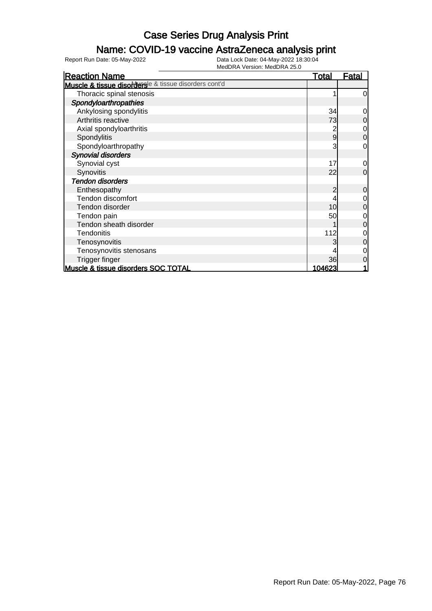### Name: COVID-19 vaccine AstraZeneca analysis print

| <b>Reaction Name</b>                                  | <b>Total</b> | <b>Fatal</b>   |
|-------------------------------------------------------|--------------|----------------|
| Muscle & tissue disordersle & tissue disorders cont'd |              |                |
| Thoracic spinal stenosis                              |              | $\overline{0}$ |
| Spondyloarthropathies                                 |              |                |
| Ankylosing spondylitis                                | 34           | $\overline{0}$ |
| Arthritis reactive                                    | 73           | $\overline{0}$ |
| Axial spondyloarthritis                               |              | $\overline{O}$ |
| Spondylitis                                           | 9            | $\overline{0}$ |
| Spondyloarthropathy                                   | 3            | $\overline{0}$ |
| <b>Synovial disorders</b>                             |              |                |
| Synovial cyst                                         | 17           | $\overline{0}$ |
| Synovitis                                             | 22           | $\overline{0}$ |
| <b>Tendon disorders</b>                               |              |                |
| Enthesopathy                                          | 2            | $\overline{0}$ |
| Tendon discomfort                                     |              | $\overline{O}$ |
| Tendon disorder                                       | 10           | $\overline{0}$ |
| Tendon pain                                           | 50           | $\overline{0}$ |
| Tendon sheath disorder                                |              | $\overline{0}$ |
| <b>Tendonitis</b>                                     | 112          | 0              |
| Tenosynovitis                                         |              | $\overline{0}$ |
| Tenosynovitis stenosans                               |              | $\overline{0}$ |
| Trigger finger                                        | 36           | $\overline{0}$ |
| Muscle & tissue disorders SOC TOTAL                   | 104623       | 1              |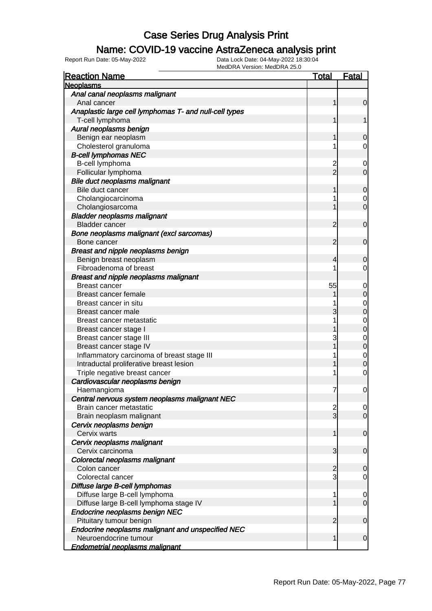### Name: COVID-19 vaccine AstraZeneca analysis print

| <b>Reaction Name</b>                                   | <u>Total</u>   | <b>Fatal</b>   |
|--------------------------------------------------------|----------------|----------------|
| <b>Neoplasms</b>                                       |                |                |
| Anal canal neoplasms malignant                         |                |                |
| Anal cancer                                            | 1              | $\mathbf 0$    |
| Anaplastic large cell lymphomas T- and null-cell types |                |                |
| T-cell lymphoma                                        | 1              | 1              |
| Aural neoplasms benign                                 |                |                |
| Benign ear neoplasm                                    |                | 0              |
| Cholesterol granuloma                                  |                | 0              |
| <b>B-cell lymphomas NEC</b>                            |                |                |
| B-cell lymphoma                                        | $\overline{c}$ | 0              |
| Follicular lymphoma                                    | $\overline{2}$ | $\mathbf 0$    |
| Bile duct neoplasms malignant                          |                |                |
| Bile duct cancer                                       | 1              | $\mathbf 0$    |
| Cholangiocarcinoma                                     |                | 0              |
| Cholangiosarcoma                                       |                | $\mathbf 0$    |
| <b>Bladder neoplasms malignant</b>                     |                |                |
| <b>Bladder cancer</b>                                  | $\overline{2}$ | $\mathbf 0$    |
| Bone neoplasms malignant (excl sarcomas)               |                |                |
| Bone cancer                                            | $\overline{2}$ | $\mathbf 0$    |
| Breast and nipple neoplasms benign                     |                |                |
| Benign breast neoplasm                                 | 4              | 0              |
| Fibroadenoma of breast                                 |                | 0              |
| Breast and nipple neoplasms malignant                  |                |                |
| <b>Breast cancer</b>                                   | 55             | 0              |
| Breast cancer female                                   |                | $\mathbf 0$    |
| Breast cancer in situ                                  |                | 0              |
| Breast cancer male                                     | 3              | 0              |
| Breast cancer metastatic                               |                | 0              |
| Breast cancer stage I                                  |                | 0              |
| Breast cancer stage III                                | 3              | 0              |
| Breast cancer stage IV                                 |                | $\mathbf 0$    |
| Inflammatory carcinoma of breast stage III             |                | $\mathbf 0$    |
| Intraductal proliferative breast lesion                |                | 0              |
| Triple negative breast cancer                          |                | $\mathbf 0$    |
| Cardiovascular neoplasms benign                        |                |                |
| Haemangioma                                            | 7              | $\mathbf 0$    |
| Central nervous system neoplasms malignant NEC         |                |                |
| Brain cancer metastatic                                | $\frac{2}{3}$  | $\overline{0}$ |
| Brain neoplasm malignant                               |                | $\overline{0}$ |
| Cervix neoplasms benign                                |                |                |
| Cervix warts                                           | 1              | $\mathbf 0$    |
| Cervix neoplasms malignant                             |                |                |
| Cervix carcinoma                                       | 3              | $\mathbf 0$    |
| Colorectal neoplasms malignant                         |                |                |
| Colon cancer                                           | $\overline{c}$ | $\mathbf 0$    |
| Colorectal cancer                                      | 3              | $\mathbf 0$    |
| Diffuse large B-cell lymphomas                         |                |                |
| Diffuse large B-cell lymphoma                          | 1              | 0              |
| Diffuse large B-cell lymphoma stage IV                 |                | $\mathbf 0$    |
| Endocrine neoplasms benign NEC                         |                |                |
| Pituitary tumour benign                                | $\overline{2}$ | $\mathbf 0$    |
| Endocrine neoplasms malignant and unspecified NEC      |                |                |
| Neuroendocrine tumour                                  | 1              | $\mathbf 0$    |
| <b>Endometrial neoplasms malignant</b>                 |                |                |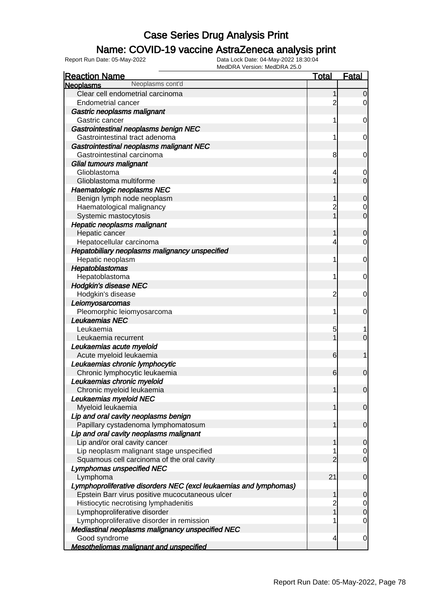### Name: COVID-19 vaccine AstraZeneca analysis print

| <b>Reaction Name</b>                                              | <b>Total</b>   | <b>Fatal</b>     |
|-------------------------------------------------------------------|----------------|------------------|
| Neoplasms cont'd<br><b>Neoplasms</b>                              |                |                  |
| Clear cell endometrial carcinoma                                  | 1              | $\mathbf 0$      |
| <b>Endometrial cancer</b>                                         | $\overline{c}$ | $\overline{0}$   |
| Gastric neoplasms malignant                                       |                |                  |
| Gastric cancer                                                    | 1              | 0                |
| Gastrointestinal neoplasms benign NEC                             |                |                  |
| Gastrointestinal tract adenoma                                    | 1              | 0                |
| Gastrointestinal neoplasms malignant NEC                          |                |                  |
| Gastrointestinal carcinoma                                        | 8              | 0                |
| Glial tumours malignant                                           |                |                  |
| Glioblastoma                                                      | 4              | 0                |
| Glioblastoma multiforme                                           |                | $\mathbf 0$      |
| <b>Haematologic neoplasms NEC</b>                                 |                |                  |
| Benign lymph node neoplasm                                        | 1              | $\mathbf 0$      |
| Haematological malignancy                                         | 2              |                  |
| Systemic mastocytosis                                             |                | $\overline{0}$   |
| <b>Hepatic neoplasms malignant</b>                                |                |                  |
| Hepatic cancer                                                    | 1              | $\mathbf 0$      |
| Hepatocellular carcinoma                                          | 4              | 0                |
| Hepatobiliary neoplasms malignancy unspecified                    |                |                  |
| Hepatic neoplasm                                                  | 1              | 0                |
| Hepatoblastomas                                                   |                |                  |
| Hepatoblastoma                                                    | 1              | 0                |
| <b>Hodgkin's disease NEC</b>                                      |                |                  |
| Hodgkin's disease                                                 | $\overline{c}$ | 0                |
| Leiomyosarcomas                                                   |                |                  |
| Pleomorphic leiomyosarcoma                                        | 1              | 0                |
| Leukaemias NEC                                                    |                |                  |
| Leukaemia                                                         | 5              |                  |
| Leukaemia recurrent                                               |                | $\overline{0}$   |
| Leukaemias acute myeloid                                          |                |                  |
| Acute myeloid leukaemia                                           | 6              | 1                |
| Leukaemias chronic lymphocytic                                    |                |                  |
| Chronic lymphocytic leukaemia                                     | 6              | $\mathbf 0$      |
| Leukaemias chronic myeloid                                        |                |                  |
| Chronic myeloid leukaemia                                         | 1              | $\mathbf 0$      |
| Leukaemias myeloid NEC                                            |                |                  |
| Myeloid leukaemia                                                 | 1              | $\overline{0}$   |
| Lip and oral cavity neoplasms benign                              |                |                  |
| Papillary cystadenoma lymphomatosum                               | 1              | $\mathbf 0$      |
| Lip and oral cavity neoplasms malignant                           |                |                  |
| Lip and/or oral cavity cancer                                     | 1              | $\mathbf 0$      |
| Lip neoplasm malignant stage unspecified                          |                | 0                |
| Squamous cell carcinoma of the oral cavity                        | $\overline{2}$ | $\overline{0}$   |
| <b>Lymphomas unspecified NEC</b>                                  |                |                  |
| Lymphoma                                                          | 21             | $\mathbf 0$      |
| Lymphoproliferative disorders NEC (excl leukaemias and lymphomas) |                |                  |
| Epstein Barr virus positive mucocutaneous ulcer                   | 1              | $\mathbf 0$      |
| Histiocytic necrotising lymphadenitis                             | $\overline{c}$ | 0                |
| Lymphoproliferative disorder                                      | $\overline{1}$ | $\boldsymbol{0}$ |
| Lymphoproliferative disorder in remission                         |                | 0                |
| Mediastinal neoplasms malignancy unspecified NEC                  |                |                  |
| Good syndrome                                                     | 4              | $\mathbf 0$      |
| <b>Mesotheliomas malignant and unspecified</b>                    |                |                  |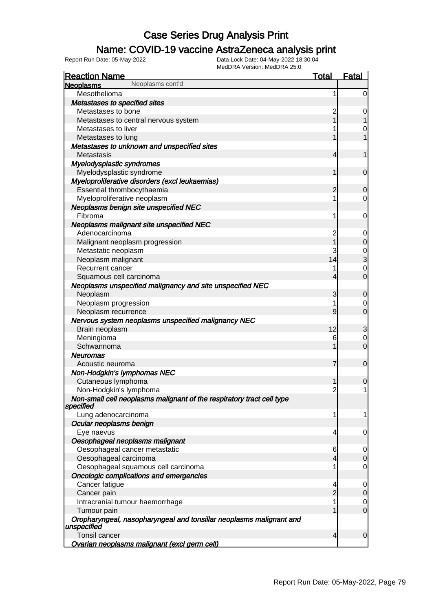### Name: COVID-19 vaccine AstraZeneca analysis print

| <b>Reaction Name</b>                                                               | <b>Total</b>            | <b>Fatal</b>     |
|------------------------------------------------------------------------------------|-------------------------|------------------|
| Neoplasms cont'd<br><b>Neoplasms</b>                                               |                         |                  |
| Mesothelioma                                                                       | 1                       | $\overline{0}$   |
| Metastases to specified sites                                                      |                         |                  |
| Metastases to bone                                                                 | $\overline{c}$          | 0                |
| Metastases to central nervous system                                               |                         | 1                |
| Metastases to liver                                                                |                         | $\mathbf 0$      |
| Metastases to lung                                                                 |                         | 1                |
| Metastases to unknown and unspecified sites                                        |                         |                  |
| Metastasis                                                                         | 4                       | 1                |
| Myelodysplastic syndromes                                                          |                         |                  |
| Myelodysplastic syndrome                                                           | 1                       | $\mathbf 0$      |
| Myeloproliferative disorders (excl leukaemias)                                     |                         |                  |
| Essential thrombocythaemia                                                         | 2                       | 0                |
| Myeloproliferative neoplasm                                                        | 1                       | $\overline{0}$   |
| Neoplasms benign site unspecified NEC                                              |                         |                  |
| Fibroma                                                                            | 1                       | $\mathbf 0$      |
| Neoplasms malignant site unspecified NEC                                           |                         |                  |
| Adenocarcinoma                                                                     | $\overline{c}$          | $\mathbf 0$      |
| Malignant neoplasm progression                                                     |                         | $\boldsymbol{0}$ |
| Metastatic neoplasm                                                                | 3                       |                  |
| Neoplasm malignant                                                                 | 14                      | 0<br>3           |
| Recurrent cancer                                                                   | 1                       | $\mathbf 0$      |
| Squamous cell carcinoma                                                            | 4                       | $\overline{0}$   |
| Neoplasms unspecified malignancy and site unspecified NEC                          |                         |                  |
| Neoplasm                                                                           | 3                       | $\mathbf 0$      |
| Neoplasm progression                                                               | 1                       | 0                |
| Neoplasm recurrence                                                                | 9                       | $\overline{0}$   |
| Nervous system neoplasms unspecified malignancy NEC                                |                         |                  |
| Brain neoplasm                                                                     | 12                      | 3                |
| Meningioma                                                                         | 6                       | $\mathbf 0$      |
| Schwannoma                                                                         |                         | $\mathbf 0$      |
| <b>Neuromas</b>                                                                    |                         |                  |
| Acoustic neuroma                                                                   | 7                       | $\mathbf 0$      |
| Non-Hodgkin's lymphomas NEC                                                        |                         |                  |
| Cutaneous lymphoma                                                                 | 1                       | 0                |
| Non-Hodgkin's lymphoma                                                             | $\overline{\mathbf{c}}$ | $\mathbf{1}$     |
| Non-small cell neoplasms malignant of the respiratory tract cell type<br>specified |                         |                  |
| Lung adenocarcinoma                                                                | 1                       | 1                |
| Ocular neoplasms benign                                                            |                         |                  |
| Eye naevus                                                                         | 4                       | 0                |
| Oesophageal neoplasms malignant                                                    |                         |                  |
| Oesophageal cancer metastatic                                                      | 6                       | 0                |
| Oesophageal carcinoma                                                              | 4                       | 0                |
| Oesophageal squamous cell carcinoma                                                | 1                       | 0                |
| <b>Oncologic complications and emergencies</b>                                     |                         |                  |
| Cancer fatigue                                                                     | 4                       | 0                |
| Cancer pain                                                                        | $\overline{2}$          | 0                |
| Intracranial tumour haemorrhage                                                    | 1                       | $\mathbf 0$      |
| Tumour pain                                                                        |                         | $\overline{0}$   |
| Oropharyngeal, nasopharyngeal and tonsillar neoplasms malignant and<br>unspecified |                         |                  |
| Tonsil cancer                                                                      | 4                       | $\overline{0}$   |
| <b>Ovarian neoplasms malignant (excl germ cell)</b>                                |                         |                  |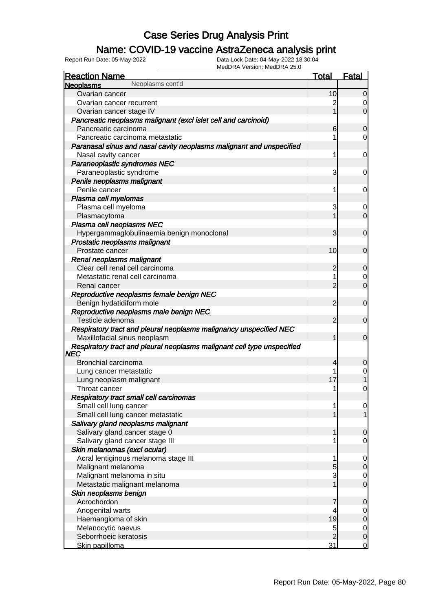### Name: COVID-19 vaccine AstraZeneca analysis print

| <b>Reaction Name</b>                                                    | <b>Total</b>   | <b>Fatal</b>                         |
|-------------------------------------------------------------------------|----------------|--------------------------------------|
| Neoplasms cont'd<br><b>Neoplasms</b>                                    |                |                                      |
| Ovarian cancer                                                          | 10             | $\overline{0}$                       |
| Ovarian cancer recurrent                                                |                |                                      |
| Ovarian cancer stage IV                                                 |                | $\overline{0}$                       |
| Pancreatic neoplasms malignant (excl islet cell and carcinoid)          |                |                                      |
| Pancreatic carcinoma                                                    | 6              | $\overline{0}$                       |
| Pancreatic carcinoma metastatic                                         |                | $\overline{0}$                       |
| Paranasal sinus and nasal cavity neoplasms malignant and unspecified    |                |                                      |
| Nasal cavity cancer                                                     | 1              | $\mathbf 0$                          |
| Paraneoplastic syndromes NEC                                            |                |                                      |
| Paraneoplastic syndrome                                                 | 3              | $\mathbf 0$                          |
| Penile neoplasms malignant                                              |                |                                      |
| Penile cancer                                                           | 1              | $\mathbf 0$                          |
| Plasma cell myelomas                                                    |                |                                      |
| Plasma cell myeloma                                                     | 3              | 0                                    |
| Plasmacytoma                                                            |                | $\overline{0}$                       |
| Plasma cell neoplasms NEC                                               |                |                                      |
| Hypergammaglobulinaemia benign monoclonal                               | 3              | $\overline{0}$                       |
| Prostatic neoplasms malignant                                           |                |                                      |
| Prostate cancer                                                         | 10             | $\overline{0}$                       |
| Renal neoplasms malignant                                               |                |                                      |
| Clear cell renal cell carcinoma                                         | $\overline{c}$ | $\overline{0}$                       |
| Metastatic renal cell carcinoma                                         | 1              | $\overline{0}$                       |
| Renal cancer                                                            | $\overline{2}$ | $\overline{0}$                       |
| Reproductive neoplasms female benign NEC                                |                |                                      |
| Benign hydatidiform mole                                                | $\overline{2}$ | $\overline{0}$                       |
| Reproductive neoplasms male benign NEC                                  |                |                                      |
| Testicle adenoma                                                        | 2              | $\overline{0}$                       |
| Respiratory tract and pleural neoplasms malignancy unspecified NEC      |                |                                      |
| Maxillofacial sinus neoplasm                                            | 1              | $\overline{0}$                       |
| Respiratory tract and pleural neoplasms malignant cell type unspecified |                |                                      |
| NEC                                                                     |                |                                      |
| Bronchial carcinoma                                                     | 4              | 0                                    |
| Lung cancer metastatic                                                  | 1              | 0                                    |
| Lung neoplasm malignant                                                 | 17             |                                      |
| Throat cancer                                                           | 1              | 0                                    |
| Respiratory tract small cell carcinomas                                 |                |                                      |
| Small cell lung cancer                                                  | 1              | $\overline{0}$                       |
| Small cell lung cancer metastatic                                       | 1              | $\overline{1}$                       |
| Salivary gland neoplasms malignant                                      |                |                                      |
| Salivary gland cancer stage 0                                           | 1              | $\mathbf 0$                          |
| Salivary gland cancer stage III                                         | 1              | $\overline{O}$                       |
| Skin melanomas (excl ocular)                                            |                |                                      |
| Acral lentiginous melanoma stage III                                    | 1              |                                      |
| Malignant melanoma                                                      | 5              | $\begin{matrix} 0 \\ 0 \end{matrix}$ |
| Malignant melanoma in situ                                              | 3              |                                      |
| Metastatic malignant melanoma                                           | $\overline{1}$ | $\begin{matrix} 0 \\ 0 \end{matrix}$ |
| Skin neoplasms benign                                                   |                |                                      |
| Acrochordon                                                             | 7              | $\mathbf 0$                          |
| Anogenital warts                                                        | 4              |                                      |
| Haemangioma of skin                                                     | 19             | $\begin{matrix}0\\0\end{matrix}$     |
| Melanocytic naevus                                                      | 5              |                                      |
| Seborrhoeic keratosis                                                   | $\overline{2}$ | $\begin{matrix} 0 \\ 0 \end{matrix}$ |
| Skin papilloma                                                          | 31             | $\overline{0}$                       |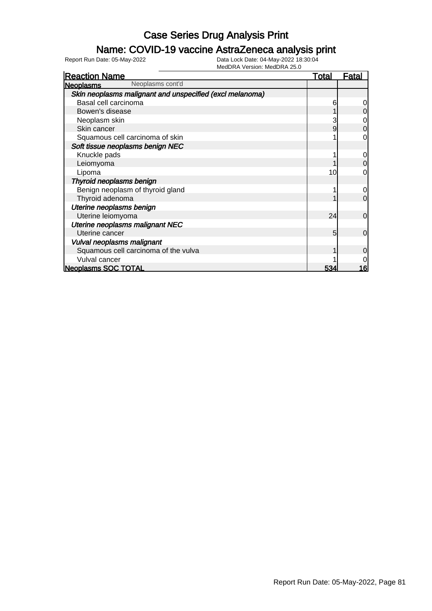### Name: COVID-19 vaccine AstraZeneca analysis print

| <b>Reaction Name</b>                                     | <u>Total</u> | Fatal          |
|----------------------------------------------------------|--------------|----------------|
| Neoplasms cont'd<br><b>Neoplasms</b>                     |              |                |
| Skin neoplasms malignant and unspecified (excl melanoma) |              |                |
| Basal cell carcinoma                                     | 6            |                |
| Bowen's disease                                          |              |                |
| Neoplasm skin                                            |              |                |
| Skin cancer                                              | 9            | 0              |
| Squamous cell carcinoma of skin                          |              | 0              |
| Soft tissue neoplasms benign NEC                         |              |                |
| Knuckle pads                                             |              | 0              |
| Leiomyoma                                                |              | 0              |
| Lipoma                                                   | 10           | 0              |
| Thyroid neoplasms benign                                 |              |                |
| Benign neoplasm of thyroid gland                         |              | 0              |
| Thyroid adenoma                                          |              | $\overline{0}$ |
| Uterine neoplasms benign                                 |              |                |
| Uterine leiomyoma                                        | 24           | $\Omega$       |
| Uterine neoplasms malignant NEC                          |              |                |
| Uterine cancer                                           | 5            | $\overline{0}$ |
| Vulval neoplasms malignant                               |              |                |
| Squamous cell carcinoma of the vulva                     |              | 0              |
| Vulval cancer                                            |              |                |
| <b>Neoplasms SOC TOTAL</b>                               | 534          | 16             |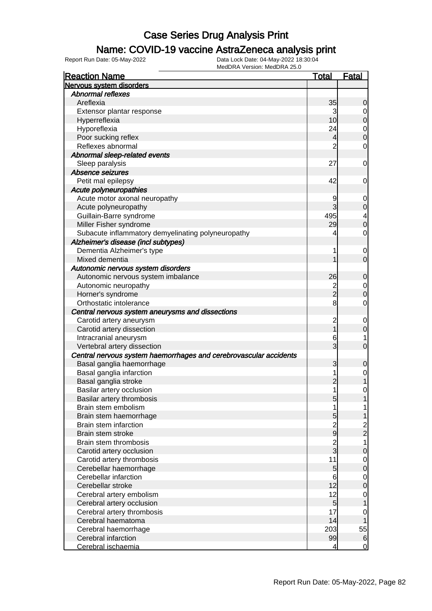### Name: COVID-19 vaccine AstraZeneca analysis print

| <b>Reaction Name</b>                                              | <u>Total</u>    | <b>Fatal</b>  |
|-------------------------------------------------------------------|-----------------|---------------|
| Nervous system disorders                                          |                 |               |
| <b>Abnormal reflexes</b>                                          |                 |               |
| Areflexia                                                         | 35              | 0             |
| Extensor plantar response                                         | 3               | 0             |
| Hyperreflexia                                                     | 10 <sup>1</sup> | 0             |
| Hyporeflexia                                                      | 24              | 0             |
| Poor sucking reflex                                               | 4               | 0             |
| Reflexes abnormal                                                 | $\overline{2}$  | 0             |
| Abnormal sleep-related events                                     |                 |               |
| Sleep paralysis                                                   | 27              | 0             |
| Absence seizures                                                  |                 |               |
| Petit mal epilepsy                                                | 42              | 0             |
| Acute polyneuropathies                                            |                 |               |
| Acute motor axonal neuropathy                                     | 9               | 0             |
| Acute polyneuropathy                                              | 3               | 0             |
| Guillain-Barre syndrome                                           | 495             | 4             |
| Miller Fisher syndrome                                            | 29              | 0             |
| Subacute inflammatory demyelinating polyneuropathy                | 4               | 0             |
| Alzheimer's disease (incl subtypes)                               |                 |               |
| Dementia Alzheimer's type                                         | 1               | 0             |
| Mixed dementia                                                    |                 | 0             |
| Autonomic nervous system disorders                                |                 |               |
|                                                                   | 26              |               |
| Autonomic nervous system imbalance                                |                 | 0             |
| Autonomic neuropathy                                              | 2<br>2          | $\mathbf 0$   |
| Horner's syndrome                                                 |                 | 0             |
| Orthostatic intolerance                                           | 8               | 0             |
| Central nervous system aneurysms and dissections                  |                 |               |
| Carotid artery aneurysm                                           | $\overline{c}$  | 0             |
| Carotid artery dissection                                         |                 | 0             |
| Intracranial aneurysm                                             | 6               | 1             |
| Vertebral artery dissection                                       | 3               | 0             |
| Central nervous system haemorrhages and cerebrovascular accidents |                 |               |
| Basal ganglia haemorrhage                                         | 3               | 0             |
| Basal ganglia infarction                                          | 1               | 0             |
| Basal ganglia stroke                                              | $\overline{c}$  |               |
| Basilar artery occlusion                                          | 1               | 0             |
| Basilar artery thrombosis                                         | $\overline{5}$  |               |
| Brain stem embolism                                               | 1               | 1             |
| Brain stem haemorrhage                                            | 5               |               |
| Brain stem infarction                                             | $\frac{2}{9}$   | $\frac{2}{2}$ |
| Brain stem stroke                                                 |                 |               |
| Brain stem thrombosis                                             | 2<br>3          | 1             |
| Carotid artery occlusion                                          |                 | 0             |
| Carotid artery thrombosis                                         | 11              | 0             |
| Cerebellar haemorrhage                                            | $\overline{5}$  | 0             |
| Cerebellar infarction                                             | 6               | $\mathbf 0$   |
| Cerebellar stroke                                                 | 12              | 0             |
| Cerebral artery embolism                                          | 12              | $\mathbf 0$   |
| Cerebral artery occlusion                                         | $\overline{5}$  |               |
| Cerebral artery thrombosis                                        | 17              | 0             |
| Cerebral haematoma                                                | 14              |               |
| Cerebral haemorrhage                                              | 203             | 55            |
| Cerebral infarction                                               | 99              | 6             |
| Cerebral ischaemia                                                | 4               | 0             |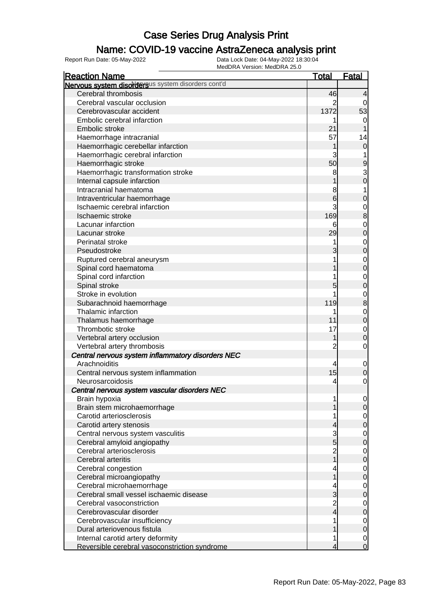### Name: COVID-19 vaccine AstraZeneca analysis print

| <b>Reaction Name</b>                               | <u>Total</u>   | <b>Fatal</b>     |
|----------------------------------------------------|----------------|------------------|
| Nervous system disordersus system disorders cont'd |                |                  |
| Cerebral thrombosis                                | 46             | $\overline{4}$   |
| Cerebral vascular occlusion                        | 2              | 0                |
| Cerebrovascular accident                           | 1372           | 53               |
| Embolic cerebral infarction                        |                | $\mathbf 0$      |
| Embolic stroke                                     | 21             | 1                |
| Haemorrhage intracranial                           | 57             | 14               |
| Haemorrhagic cerebellar infarction                 |                | $\mathbf 0$      |
| Haemorrhagic cerebral infarction                   |                | 1                |
| Haemorrhagic stroke                                | 50             | 9                |
| Haemorrhagic transformation stroke                 | 8              |                  |
| Internal capsule infarction                        |                | $\frac{3}{0}$    |
| Intracranial haematoma                             | 8              | 1                |
| Intraventricular haemorrhage                       | 6              | $\mathbf 0$      |
| Ischaemic cerebral infarction                      | 3              | $\mathbf{0}$     |
| Ischaemic stroke                                   | 169            | 8                |
| Lacunar infarction                                 | 6              | $\mathbf{0}$     |
| Lacunar stroke                                     | 29             | $\mathbf 0$      |
| Perinatal stroke                                   |                | $\mathbf{0}$     |
| Pseudostroke                                       |                | $\mathbf 0$      |
| Ruptured cerebral aneurysm                         |                | $\mathbf{0}$     |
| Spinal cord haematoma                              |                | $\mathbf 0$      |
| Spinal cord infarction                             |                | $\mathbf{0}$     |
| Spinal stroke                                      | 5              | $\mathbf 0$      |
| Stroke in evolution                                |                | $\mathbf{0}$     |
| Subarachnoid haemorrhage                           | 119            | 8                |
| Thalamic infarction                                |                | $\mathbf{0}$     |
| Thalamus haemorrhage                               | 11             | $\mathbf 0$      |
| Thrombotic stroke                                  | 17             | $\mathbf 0$      |
| Vertebral artery occlusion                         |                | $\mathbf 0$      |
| Vertebral artery thrombosis                        | $\overline{c}$ | $\mathbf 0$      |
| Central nervous system inflammatory disorders NEC  |                |                  |
| Arachnoiditis                                      | 4              | $\mathbf 0$      |
| Central nervous system inflammation                | 15             | 0                |
| Neurosarcoidosis                                   | 4              | $\mathbf 0$      |
| Central nervous system vascular disorders NEC      |                |                  |
| Brain hypoxia                                      | 1              | $\overline{0}$   |
| Brain stem microhaemorrhage                        |                | $\mathbf 0$      |
| Carotid arteriosclerosis                           |                | $\overline{0}$   |
| Carotid artery stenosis                            | 4              | 0                |
| Central nervous system vasculitis                  | 3              | $\mathbf 0$      |
| Cerebral amyloid angiopathy                        | $\overline{5}$ | $\boldsymbol{0}$ |
| Cerebral arteriosclerosis                          | 2<br>1         | $\overline{0}$   |
| Cerebral arteritis                                 |                | 0                |
| Cerebral congestion                                |                | $\mathbf 0$      |
| Cerebral microangiopathy                           |                | 0                |
| Cerebral microhaemorrhage                          |                | $\overline{0}$   |
| Cerebral small vessel ischaemic disease            | 3              | 0                |
| Cerebral vasoconstriction                          |                | $\mathbf 0$      |
| Cerebrovascular disorder                           | 2<br>4         | 0                |
| Cerebrovascular insufficiency                      |                | $\overline{0}$   |
| Dural arteriovenous fistula                        |                | $\mathbf 0$      |
| Internal carotid artery deformity                  | 1              | $\mathbf 0$      |
| Reversible cerebral vasoconstriction syndrome      | 4              | $\overline{0}$   |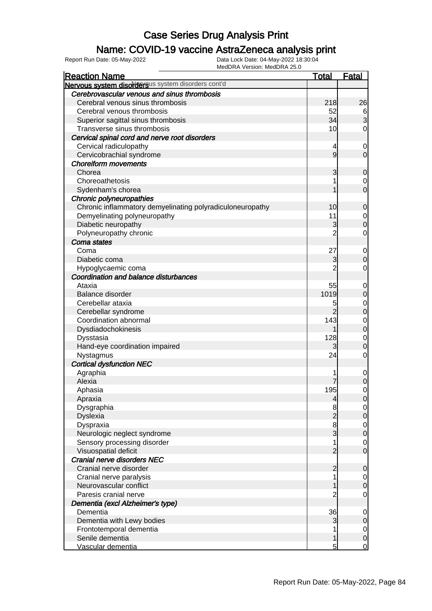### Name: COVID-19 vaccine AstraZeneca analysis print

| <b>Reaction Name</b>                                      | <b>Total</b>    | <b>Fatal</b>                         |
|-----------------------------------------------------------|-----------------|--------------------------------------|
| Nervous system disordersus system disorders cont'd        |                 |                                      |
| Cerebrovascular venous and sinus thrombosis               |                 |                                      |
| Cerebral venous sinus thrombosis                          | 218             | 26                                   |
| Cerebral venous thrombosis                                | 52              | $\frac{6}{3}$                        |
| Superior sagittal sinus thrombosis                        | 34              |                                      |
| Transverse sinus thrombosis                               | 10 <sub>l</sub> | $\mathbf 0$                          |
| Cervical spinal cord and nerve root disorders             |                 |                                      |
| Cervical radiculopathy                                    | 4               | $\mathbf 0$                          |
| Cervicobrachial syndrome                                  | 9               | $\overline{0}$                       |
| <b>Choreiform movements</b>                               |                 |                                      |
| Chorea                                                    | 3               | $\mathbf 0$                          |
| Choreoathetosis                                           | 1               | $\mathbf 0$                          |
| Sydenham's chorea                                         | 1               | $\overline{O}$                       |
| Chronic polyneuropathies                                  |                 |                                      |
| Chronic inflammatory demyelinating polyradiculoneuropathy | 10              | $\mathbf 0$                          |
| Demyelinating polyneuropathy                              | 11              | $\overline{0}$                       |
| Diabetic neuropathy                                       | 3               | $\overline{0}$                       |
| Polyneuropathy chronic                                    | $\overline{2}$  | $\mathbf 0$                          |
| Coma states                                               |                 |                                      |
| Coma                                                      | 27              | $\mathbf 0$                          |
| Diabetic coma                                             | 3               | $\mathbf 0$                          |
| Hypoglycaemic coma                                        | $\overline{2}$  | $\mathbf 0$                          |
| Coordination and balance disturbances                     |                 |                                      |
| Ataxia                                                    | 55              | $\mathbf 0$                          |
| Balance disorder                                          | 1019            | $\mathbf 0$                          |
| Cerebellar ataxia                                         | 5               | $\mathbf 0$                          |
| Cerebellar syndrome                                       | $\overline{2}$  | $\overline{0}$                       |
| Coordination abnormal                                     | 143             | $\mathbf 0$                          |
| Dysdiadochokinesis                                        | 1               | $\overline{0}$                       |
| Dysstasia                                                 | 128             | $\mathbf 0$                          |
| Hand-eye coordination impaired                            | 3               | $\mathbf 0$                          |
| Nystagmus                                                 | 24              | $\mathbf 0$                          |
| <b>Cortical dysfunction NEC</b>                           |                 |                                      |
| Agraphia                                                  |                 | $\mathbf 0$                          |
| Alexia                                                    |                 | $\overline{0}$                       |
| Aphasia                                                   | 195             | $\mathbf 0$                          |
| Apraxia                                                   | $\overline{4}$  | 0                                    |
| Dysgraphia                                                | 8               | $\overline{0}$                       |
| Dyslexia                                                  | $\overline{c}$  | $\mathbf 0$                          |
| Dyspraxia                                                 |                 |                                      |
| Neurologic neglect syndrome                               | $\frac{8}{3}$   | $\begin{matrix} 0 \\ 0 \end{matrix}$ |
| Sensory processing disorder                               | 1               | $\mathbf 0$                          |
| Visuospatial deficit                                      | $\overline{2}$  | $\overline{0}$                       |
| Cranial nerve disorders NEC                               |                 |                                      |
| Cranial nerve disorder                                    | $\overline{2}$  | $\mathbf 0$                          |
| Cranial nerve paralysis                                   | 1               | $\overline{0}$                       |
| Neurovascular conflict                                    | 1               | $\mathbf 0$                          |
| Paresis cranial nerve                                     | $\overline{c}$  | $\mathbf 0$                          |
| Dementia (excl Alzheimer's type)                          |                 |                                      |
| Dementia                                                  | 36              | $\mathbf 0$                          |
| Dementia with Lewy bodies                                 | 3               | $\pmb{0}$                            |
| Frontotemporal dementia                                   | 1               | $\overline{0}$                       |
| Senile dementia                                           | 1               | $\pmb{0}$                            |
| Vascular dementia                                         | 5               | $\overline{0}$                       |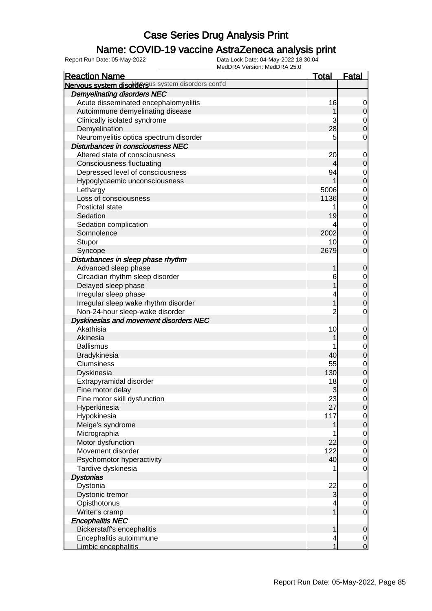### Name: COVID-19 vaccine AstraZeneca analysis print

| <b>Reaction Name</b>                               | <b>Total</b>    | <u>Fatal</u>                         |
|----------------------------------------------------|-----------------|--------------------------------------|
| Nervous system disordersus system disorders cont'd |                 |                                      |
| <b>Demyelinating disorders NEC</b>                 |                 |                                      |
| Acute disseminated encephalomyelitis               | 16              | 0                                    |
| Autoimmune demyelinating disease                   |                 | 0                                    |
| Clinically isolated syndrome                       | 3               |                                      |
| Demyelination                                      | 28              | $\begin{matrix} 0 \\ 0 \end{matrix}$ |
| Neuromyelitis optica spectrum disorder             | 5               | 0                                    |
| Disturbances in consciousness NEC                  |                 |                                      |
| Altered state of consciousness                     | 20              | $\mathbf 0$                          |
| Consciousness fluctuating                          | 4               | $\mathbf 0$                          |
| Depressed level of consciousness                   | 94              |                                      |
| Hypoglycaemic unconsciousness                      |                 | $\begin{matrix}0\\0\end{matrix}$     |
| Lethargy                                           | 5006            |                                      |
| Loss of consciousness                              | 1136            | $0\atop 0$                           |
| Postictal state                                    | 1               |                                      |
| Sedation                                           | 19              | $0\atop 0$                           |
| Sedation complication                              | 4               |                                      |
| Somnolence                                         | 2002            | $0\atop 0$                           |
| Stupor                                             | 10 <sup>1</sup> | $\mathbf 0$                          |
| Syncope                                            | 2679            | $\overline{0}$                       |
| Disturbances in sleep phase rhythm                 |                 |                                      |
| Advanced sleep phase                               | 1               | $\mathbf 0$                          |
| Circadian rhythm sleep disorder                    | 6               |                                      |
| Delayed sleep phase                                |                 | $0\atop 0$                           |
| Irregular sleep phase                              | 4               |                                      |
| Irregular sleep wake rhythm disorder               | 1               | $\begin{matrix}0\\0\end{matrix}$     |
| Non-24-hour sleep-wake disorder                    | $\overline{2}$  | 0                                    |
| Dyskinesias and movement disorders NEC             |                 |                                      |
| Akathisia                                          | 10              |                                      |
| Akinesia                                           |                 | $\mathbf{0}$<br>$\overline{0}$       |
| <b>Ballismus</b>                                   |                 |                                      |
| Bradykinesia                                       | 40              | 0<br>0                               |
| <b>Clumsiness</b>                                  | 55              |                                      |
|                                                    | 130             | $0\atop 0$                           |
| Dyskinesia                                         | 18              |                                      |
| Extrapyramidal disorder                            |                 | $\begin{matrix}0\\0\end{matrix}$     |
| Fine motor delay                                   | 3               |                                      |
| Fine motor skill dysfunction                       | 23<br>27        | 이                                    |
| Hyperkinesia                                       |                 | $\overline{0}$                       |
| Hypokinesia                                        | 117             | $\begin{matrix} 0 \\ 0 \end{matrix}$ |
| Meige's syndrome                                   |                 |                                      |
| Micrographia                                       |                 | $\begin{matrix}0\\0\end{matrix}$     |
| Motor dysfunction                                  | 22              |                                      |
| Movement disorder                                  | 122             | $\begin{matrix}0\\0\end{matrix}$     |
| Psychomotor hyperactivity                          | 40              |                                      |
| Tardive dyskinesia                                 | 1               | $\mathbf 0$                          |
| <b>Dystonias</b>                                   |                 |                                      |
| Dystonia                                           | 22              | $\mathbf{0}$                         |
| Dystonic tremor                                    | 3               | $\mathbf 0$                          |
| Opisthotonus                                       | 4               | $\mathbf 0$                          |
| Writer's cramp                                     | 1               | $\overline{0}$                       |
| <b>Encephalitis NEC</b>                            |                 |                                      |
| Bickerstaff's encephalitis                         | 1               | 0                                    |
| Encephalitis autoimmune                            | 4               | $\begin{matrix}0\\0\end{matrix}$     |
| Limbic encephalitis                                | 1               |                                      |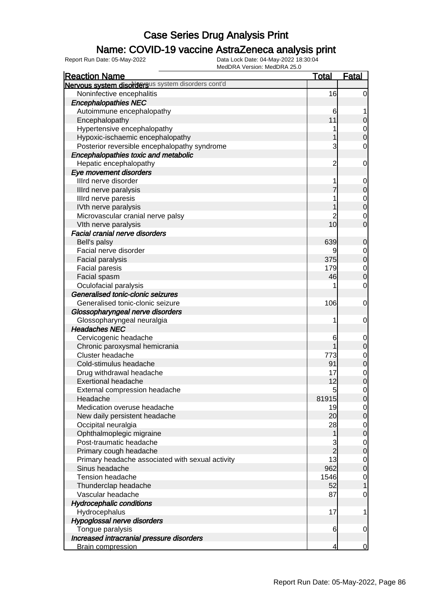### Name: COVID-19 vaccine AstraZeneca analysis print

| <b>Reaction Name</b>                               | <b>Total</b>   | <b>Fatal</b>   |
|----------------------------------------------------|----------------|----------------|
| Nervous system disordersus system disorders cont'd |                |                |
| Noninfective encephalitis                          | 16             | $\overline{0}$ |
| <b>Encephalopathies NEC</b>                        |                |                |
| Autoimmune encephalopathy                          | 6              |                |
| Encephalopathy                                     | 11             | 0              |
| Hypertensive encephalopathy                        |                | $\mathbf 0$    |
| Hypoxic-ischaemic encephalopathy                   |                | $\overline{0}$ |
| Posterior reversible encephalopathy syndrome       | 3              | 0              |
| Encephalopathies toxic and metabolic               |                |                |
| Hepatic encephalopathy                             | $\overline{c}$ | $\mathbf 0$    |
| Eye movement disorders                             |                |                |
| Illrd nerve disorder                               |                | 0              |
| Illrd nerve paralysis                              |                | $\mathbf 0$    |
| Illrd nerve paresis                                |                | 0              |
| IVth nerve paralysis                               |                | $\mathbf 0$    |
| Microvascular cranial nerve palsy                  |                | 0              |
| VIth nerve paralysis                               | 10             | $\overline{0}$ |
| <b>Facial cranial nerve disorders</b>              |                |                |
| Bell's palsy                                       | 639            | 0              |
| Facial nerve disorder                              | 9              | 0              |
| Facial paralysis                                   | 375            | $\mathbf 0$    |
| Facial paresis                                     | 179            | $\mathbf 0$    |
| Facial spasm                                       | 46             | $\mathbf 0$    |
| Oculofacial paralysis                              |                | 0              |
| Generalised tonic-clonic seizures                  |                |                |
| Generalised tonic-clonic seizure                   | 106            | 0              |
| Glossopharyngeal nerve disorders                   |                |                |
| Glossopharyngeal neuralgia                         | 1              | $\mathbf 0$    |
| <b>Headaches NEC</b>                               |                |                |
| Cervicogenic headache                              | 6              | $\mathbf 0$    |
| Chronic paroxysmal hemicrania                      |                | $\mathbf 0$    |
| Cluster headache                                   | 773            | $\mathbf 0$    |
| Cold-stimulus headache                             | 91             | $\mathbf 0$    |
| Drug withdrawal headache                           | 17             | 0              |
| <b>Exertional headache</b>                         | 12             | $\mathbf 0$    |
| External compression headache                      | 5              | 0              |
| Headache                                           | 81915          | $\overline{0}$ |
| Medication overuse headache                        | 19             | $\overline{0}$ |
| New daily persistent headache                      | 20             | $\mathbf 0$    |
| Occipital neuralgia                                | 28             | $\overline{0}$ |
| Ophthalmoplegic migraine                           | 1              | $\mathbf 0$    |
| Post-traumatic headache                            | 3              | $\overline{0}$ |
| Primary cough headache                             | $\overline{2}$ | $\mathbf 0$    |
| Primary headache associated with sexual activity   | 13             | $\overline{0}$ |
| Sinus headache                                     | 962            | $\mathbf 0$    |
| <b>Tension headache</b>                            | 1546           | $\mathbf 0$    |
| Thunderclap headache                               | 52             | 1              |
| Vascular headache                                  | 87             | 0              |
| <b>Hydrocephalic conditions</b>                    |                |                |
| Hydrocephalus                                      | 17             | 1              |
| Hypoglossal nerve disorders                        |                |                |
| Tongue paralysis                                   | 6              | $\mathbf 0$    |
| Increased intracranial pressure disorders          |                |                |
| <b>Brain compression</b>                           | 4              | $\overline{0}$ |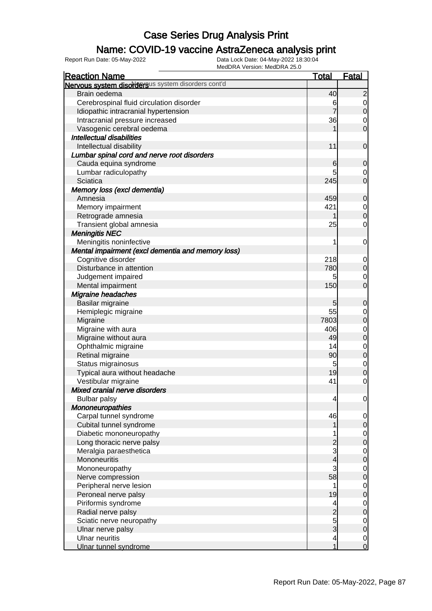### Name: COVID-19 vaccine AstraZeneca analysis print

| MEUDRA VEISION. MEUDRA 23.U<br><b>Reaction Name</b> | <u>Total</u>                               | <b>Fatal</b>                         |
|-----------------------------------------------------|--------------------------------------------|--------------------------------------|
| Nervous system disordersus system disorders cont'd  |                                            |                                      |
| Brain oedema                                        | 40                                         | $\overline{c}$                       |
| Cerebrospinal fluid circulation disorder            | 6                                          |                                      |
| Idiopathic intracranial hypertension                |                                            | $\begin{matrix} 0 \\ 0 \end{matrix}$ |
| Intracranial pressure increased                     | 36                                         | $\mathbf 0$                          |
| Vasogenic cerebral oedema                           |                                            | $\overline{0}$                       |
| <b>Intellectual disabilities</b>                    |                                            |                                      |
| Intellectual disability                             | 11                                         | $\mathbf 0$                          |
| Lumbar spinal cord and nerve root disorders         |                                            |                                      |
|                                                     |                                            |                                      |
| Cauda equina syndrome                               | 6                                          | $\mathbf 0$                          |
| Lumbar radiculopathy<br>Sciatica                    | 245                                        | 0<br>$\overline{0}$                  |
|                                                     |                                            |                                      |
| Memory loss (excl dementia)                         |                                            |                                      |
| Amnesia                                             | 459                                        | $\mathbf 0$                          |
| Memory impairment                                   | 421                                        | $\begin{matrix} 0 \\ 0 \end{matrix}$ |
| Retrograde amnesia                                  | 1                                          |                                      |
| Transient global amnesia                            | 25                                         | 0                                    |
| <b>Meningitis NEC</b>                               |                                            |                                      |
| Meningitis noninfective                             | 1                                          | $\mathbf 0$                          |
| Mental impairment (excl dementia and memory loss)   |                                            |                                      |
| Cognitive disorder                                  | 218                                        | $\mathbf 0$                          |
| Disturbance in attention                            | 780                                        | $\overline{0}$                       |
| Judgement impaired                                  | 5                                          | 0                                    |
| Mental impairment                                   | 150                                        | $\overline{0}$                       |
| <b>Migraine headaches</b>                           |                                            |                                      |
| Basilar migraine                                    | 5                                          | $\mathbf 0$                          |
| Hemiplegic migraine                                 | 55                                         | $\mathbf{0}$                         |
| Migraine                                            | 7803                                       | $\overline{0}$                       |
| Migraine with aura                                  | 406                                        | $\begin{matrix}0\\0\end{matrix}$     |
| Migraine without aura                               | 49                                         |                                      |
| Ophthalmic migraine                                 | 14                                         | $\begin{matrix}0\\0\end{matrix}$     |
| Retinal migraine                                    | 90                                         |                                      |
| Status migrainosus                                  | 5                                          | $\mathbf{0}$                         |
| Typical aura without headache                       | 19                                         | $\overline{0}$                       |
| Vestibular migraine                                 | 41                                         | $\overline{0}$                       |
| Mixed cranial nerve disorders                       |                                            |                                      |
| <b>Bulbar palsy</b>                                 | 4                                          | $\mathbf 0$                          |
| <b>Mononeuropathies</b>                             |                                            |                                      |
| Carpal tunnel syndrome                              | 46                                         | $\overline{0}$                       |
| Cubital tunnel syndrome                             |                                            | $\overline{O}$                       |
| Diabetic mononeuropathy                             |                                            |                                      |
| Long thoracic nerve palsy                           |                                            | $\begin{matrix}0\\0\end{matrix}$     |
| Meralgia paraesthetica                              | $\begin{array}{c} 2 \\ 3 \\ 4 \end{array}$ |                                      |
| Mononeuritis                                        |                                            | $\begin{matrix}0\\0\end{matrix}$     |
| Mononeuropathy                                      | 3                                          |                                      |
| Nerve compression                                   | 58                                         | $\begin{matrix}0\\0\end{matrix}$     |
| Peripheral nerve lesion                             | 1                                          |                                      |
| Peroneal nerve palsy                                | 19                                         | $\begin{matrix}0\\0\end{matrix}$     |
| Piriformis syndrome                                 | $\overline{\mathcal{A}}$                   |                                      |
| Radial nerve palsy                                  |                                            | $\begin{matrix}0\\0\end{matrix}$     |
| Sciatic nerve neuropathy                            | $\begin{array}{c}\n2 \\ 3\n\end{array}$    |                                      |
| Ulnar nerve palsy                                   |                                            | $\begin{matrix}0\\0\end{matrix}$     |
| <b>Ulnar neuritis</b>                               | $\overline{\mathbf{4}}$                    |                                      |
| Ulnar tunnel syndrome                               | 1                                          | $\begin{matrix}0\\0\end{matrix}$     |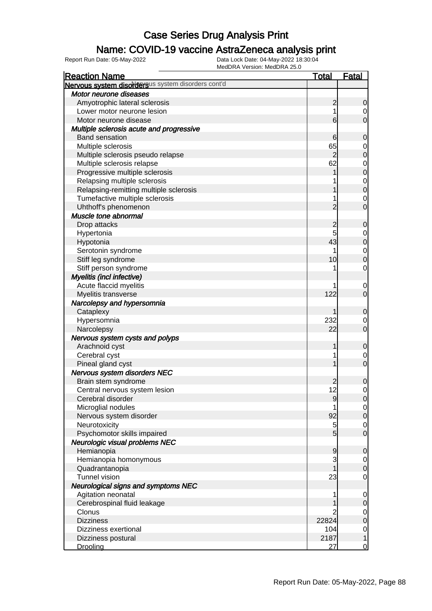### Name: COVID-19 vaccine AstraZeneca analysis print

| <b>Reaction Name</b>                               | <b>Total</b>    | <b>Fatal</b>     |
|----------------------------------------------------|-----------------|------------------|
| Nervous system disordersus system disorders cont'd |                 |                  |
| Motor neurone diseases                             |                 |                  |
| Amyotrophic lateral sclerosis                      | $\overline{c}$  | $\mathbf 0$      |
| Lower motor neurone lesion                         |                 | 0                |
| Motor neurone disease                              | 6               | $\overline{0}$   |
| Multiple sclerosis acute and progressive           |                 |                  |
| <b>Band sensation</b>                              | 6               | $\mathbf 0$      |
| Multiple sclerosis                                 | 65              | 0                |
| Multiple sclerosis pseudo relapse                  | $\overline{c}$  | $\mathbf 0$      |
| Multiple sclerosis relapse                         | 62              | $\mathbf 0$      |
| Progressive multiple sclerosis                     |                 | $\mathbf 0$      |
| Relapsing multiple sclerosis                       |                 | $\mathbf 0$      |
| Relapsing-remitting multiple sclerosis             |                 | $\overline{0}$   |
| Tumefactive multiple sclerosis                     |                 | 0                |
| Uhthoff's phenomenon                               | $\overline{2}$  | $\overline{0}$   |
| Muscle tone abnormal                               |                 |                  |
|                                                    | $\overline{c}$  |                  |
| Drop attacks                                       |                 | $\mathbf 0$      |
| Hypertonia                                         | 5<br>43         | 0                |
| Hypotonia                                          |                 | $\boldsymbol{0}$ |
| Serotonin syndrome                                 |                 | $\mathbf 0$      |
| Stiff leg syndrome                                 | 10              | $\overline{0}$   |
| Stiff person syndrome                              |                 | 0                |
| Myelitis (incl infective)                          |                 |                  |
| Acute flaccid myelitis                             |                 | $\mathbf 0$      |
| Myelitis transverse                                | 122             | $\overline{0}$   |
| Narcolepsy and hypersomnia                         |                 |                  |
| Cataplexy                                          | 1               | $\mathbf 0$      |
| Hypersomnia                                        | 232             | 0                |
| Narcolepsy                                         | 22              | $\overline{0}$   |
| Nervous system cysts and polyps                    |                 |                  |
| Arachnoid cyst                                     | 1               | $\mathbf 0$      |
| Cerebral cyst                                      |                 | $\mathbf 0$      |
| Pineal gland cyst                                  |                 | $\overline{0}$   |
| Nervous system disorders NEC                       |                 |                  |
| Brain stem syndrome                                | 2               | $\mathbf 0$      |
| Central nervous system lesion                      | 12              | $\overline{0}$   |
| Cerebral disorder                                  | 9               | $\overline{0}$   |
| Microglial nodules                                 |                 | $\overline{0}$   |
| Nervous system disorder                            | 92              | $\mathbf 0$      |
| Neurotoxicity                                      | 5               | $\overline{0}$   |
| Psychomotor skills impaired                        | $5\overline{)}$ | $\mathbf 0$      |
| Neurologic visual problems NEC                     |                 |                  |
| Hemianopia                                         | $\overline{9}$  | $\mathbf 0$      |
| Hemianopia homonymous                              | 3               | $\overline{0}$   |
| Quadrantanopia                                     |                 | $\mathbf 0$      |
| <b>Tunnel vision</b>                               | 23              | $\mathbf 0$      |
| Neurological signs and symptoms NEC                |                 |                  |
| Agitation neonatal                                 |                 | $\mathbf 0$      |
| Cerebrospinal fluid leakage                        |                 | $\pmb{0}$        |
| Clonus                                             |                 | $\overline{0}$   |
| <b>Dizziness</b>                                   | 22824           | $\mathbf 0$      |
| Dizziness exertional                               | 104             | $\overline{0}$   |
| Dizziness postural                                 | 2187            | $\mathbf{1}$     |
| Drooling                                           | 27              | $\overline{0}$   |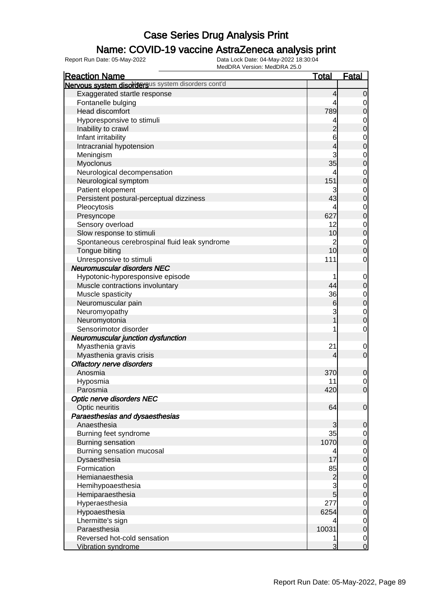#### Name: COVID-19 vaccine AstraZeneca analysis print

| <b>Reaction Name</b>                               | <u>Total</u>   | <b>Fatal</b>                     |
|----------------------------------------------------|----------------|----------------------------------|
| Nervous system disordersus system disorders cont'd |                |                                  |
| Exaggerated startle response                       | 4              | $\mathbf 0$                      |
| Fontanelle bulging                                 | 4              | $\mathbf 0$                      |
| Head discomfort                                    | 789            | $\mathbf 0$                      |
| Hyporesponsive to stimuli                          | 4              | $\mathbf{0}$                     |
| Inability to crawl                                 | $\overline{c}$ | $\overline{0}$                   |
| Infant irritability                                | 6              |                                  |
| Intracranial hypotension                           | 4              | $\begin{matrix}0\\0\end{matrix}$ |
| Meningism                                          | 3              | $\mathbf{0}$                     |
| Myoclonus                                          | 35             | $\overline{0}$                   |
| Neurological decompensation                        | 4              | $\mathbf{0}$                     |
| Neurological symptom                               | 151            | $\overline{0}$                   |
| Patient elopement                                  | 3              | $\mathbf{0}$                     |
| Persistent postural-perceptual dizziness           | 43             | $\overline{0}$                   |
| Pleocytosis                                        | 4              | $\mathbf{0}$                     |
| Presyncope                                         | 627            | $\overline{0}$                   |
| Sensory overload                                   | 12             |                                  |
| Slow response to stimuli                           | 10             | $\begin{matrix}0\\0\end{matrix}$ |
| Spontaneous cerebrospinal fluid leak syndrome      | $\overline{c}$ | $\mathbf{0}$                     |
| Tongue biting                                      | 10             | $\overline{0}$                   |
| Unresponsive to stimuli                            | 111            | $\mathbf 0$                      |
| <b>Neuromuscular disorders NEC</b>                 |                |                                  |
| Hypotonic-hyporesponsive episode                   | 1              | $\mathbf 0$                      |
| Muscle contractions involuntary                    | 44             | $\mathbf 0$                      |
| Muscle spasticity                                  | 36             |                                  |
| Neuromuscular pain                                 | $6 \,$         | $0$<br>0                         |
| Neuromyopathy                                      | 3              | $\mathbf{0}$                     |
| Neuromyotonia                                      | 1              | $\overline{0}$                   |
| Sensorimotor disorder                              | 1              | $\mathbf 0$                      |
| Neuromuscular junction dysfunction                 |                |                                  |
| Myasthenia gravis                                  | 21             | $\mathbf 0$                      |
| Myasthenia gravis crisis                           | 4              | $\mathbf 0$                      |
| <b>Olfactory nerve disorders</b>                   |                |                                  |
| Anosmia                                            | 370            | $\mathbf 0$                      |
| Hyposmia                                           | 11             |                                  |
| Parosmia                                           | 420            | $\begin{matrix}0\\0\end{matrix}$ |
| Optic nerve disorders NEC                          |                |                                  |
| Optic neuritis                                     | 64             | $\overline{0}$                   |
| Paraesthesias and dysaesthesias                    |                |                                  |
| Anaesthesia                                        | 3              | $\mathbf 0$                      |
| Burning feet syndrome                              | 35             | $\overline{0}$                   |
| <b>Burning sensation</b>                           | 1070           | $\mathbf 0$                      |
| Burning sensation mucosal                          | 4              | $\mathbf 0$                      |
| Dysaesthesia                                       | 17             | $\mathbf 0$                      |
| Formication                                        | 85             | $\mathbf 0$                      |
| Hemianaesthesia                                    | $\overline{c}$ | $\mathbf 0$                      |
| Hemihypoaesthesia                                  | 3              | $\mathbf 0$                      |
| Hemiparaesthesia                                   | 5              | $\mathbf 0$                      |
| Hyperaesthesia                                     | 277            | $\mathbf 0$                      |
| Hypoaesthesia                                      | 6254           | $\mathbf 0$                      |
| Lhermitte's sign                                   | 4              | $\mathbf 0$                      |
| Paraesthesia                                       | 10031          | $\mathbf 0$                      |
| Reversed hot-cold sensation                        |                | $\overline{0}$                   |
| <b>Vibration syndrome</b>                          | 3              | $\overline{0}$                   |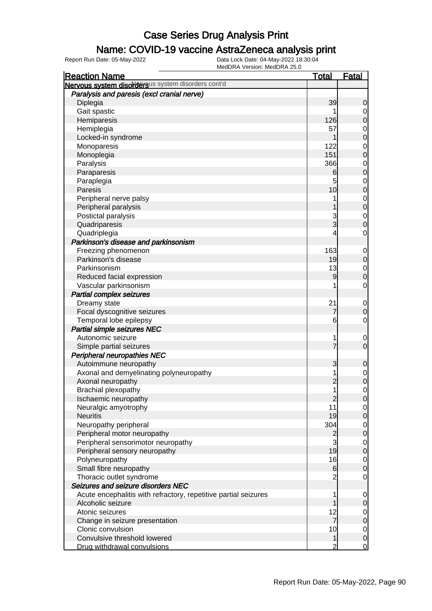### Name: COVID-19 vaccine AstraZeneca analysis print

| <b>Reaction Name</b>                                            | <b>Total</b>    | <b>Fatal</b>               |
|-----------------------------------------------------------------|-----------------|----------------------------|
| Nervous system disordersus system disorders cont'd              |                 |                            |
| Paralysis and paresis (excl cranial nerve)                      |                 |                            |
| Diplegia                                                        | 39              | 0                          |
| Gait spastic                                                    |                 | 0                          |
| Hemiparesis                                                     | 126             | $\boldsymbol{0}$           |
| Hemiplegia                                                      | 57              | $\mathbf 0$                |
| Locked-in syndrome                                              |                 | $\mathbf 0$                |
| Monoparesis                                                     | 122             | $\mathbf 0$                |
| Monoplegia                                                      | 151             | $\mathbf 0$                |
| Paralysis                                                       | 366             | $\mathbf 0$                |
| Paraparesis                                                     | 6               | $\mathbf 0$                |
| Paraplegia                                                      | 5               | $\mathbf 0$                |
| Paresis                                                         | 10              | $\mathbf 0$                |
| Peripheral nerve palsy                                          |                 | $\mathbf 0$                |
| Peripheral paralysis                                            |                 | $\mathbf 0$                |
| Postictal paralysis                                             | 3               | $\mathbf 0$                |
| Quadriparesis                                                   | 3               | $\mathbf 0$                |
| Quadriplegia                                                    | 4               | $\mathbf 0$                |
| Parkinson's disease and parkinsonism                            |                 |                            |
| Freezing phenomenon                                             | 163             | $\mathbf 0$                |
| Parkinson's disease                                             | 19              | $\mathbf 0$                |
| Parkinsonism                                                    | 13              | $\mathbf 0$                |
| Reduced facial expression                                       | $\overline{9}$  | $\mathbf 0$                |
| Vascular parkinsonism                                           |                 | $\mathbf 0$                |
| <b>Partial complex seizures</b>                                 |                 |                            |
| Dreamy state                                                    | 21              | $\mathbf 0$                |
| Focal dyscognitive seizures                                     | 7               | $\mathbf 0$                |
| Temporal lobe epilepsy                                          | 6               | $\mathbf 0$                |
| <b>Partial simple seizures NEC</b>                              |                 |                            |
| Autonomic seizure                                               |                 |                            |
|                                                                 | 1<br>7          | $\mathbf 0$<br>$\mathbf 0$ |
| Simple partial seizures<br><b>Peripheral neuropathies NEC</b>   |                 |                            |
| Autoimmune neuropathy                                           |                 |                            |
|                                                                 | 3               | $\mathbf 0$                |
| Axonal and demyelinating polyneuropathy                         | 1               | $\mathbf 0$                |
| Axonal neuropathy                                               | $\overline{c}$  | $\mathbf 0$                |
| Brachial plexopathy                                             | 1               | $\mathbf 0$                |
| Ischaemic neuropathy                                            | $\overline{2}$  | $\overline{0}$             |
| Neuralgic amyotrophy                                            | 11              | $\overline{0}$             |
| <b>Neuritis</b>                                                 | 19              | 0                          |
| Neuropathy peripheral                                           | 304             | $\overline{0}$             |
| Peripheral motor neuropathy                                     | $\overline{c}$  | $\pmb{0}$                  |
| Peripheral sensorimotor neuropathy                              | 3               | $\overline{0}$             |
| Peripheral sensory neuropathy                                   | 19              | $\boldsymbol{0}$           |
| Polyneuropathy                                                  | 16              | $\overline{0}$             |
| Small fibre neuropathy                                          | $6 \overline{}$ | $\mathbf 0$                |
| Thoracic outlet syndrome                                        | $\overline{2}$  | $\mathbf 0$                |
| Seizures and seizure disorders NEC                              |                 |                            |
| Acute encephalitis with refractory, repetitive partial seizures | 1               | $\mathbf 0$                |
| Alcoholic seizure                                               |                 | $\mathbf 0$                |
| Atonic seizures                                                 | 12              | $\overline{0}$             |
| Change in seizure presentation                                  | $\overline{7}$  | $\mathbf 0$                |
| Clonic convulsion                                               | 10              | $\overline{0}$             |
| Convulsive threshold lowered                                    | 1               | $\mathbf 0$                |
| Drug withdrawal convulsions                                     | 2               | $\overline{0}$             |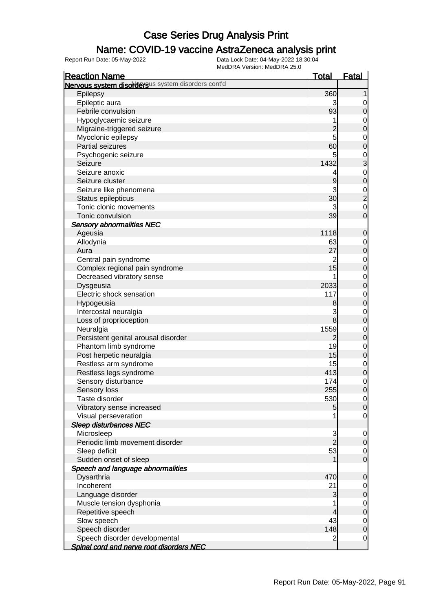### Name: COVID-19 vaccine AstraZeneca analysis print

| <b>Reaction Name</b>                               | <u>Total</u>   | <b>Fatal</b>                     |
|----------------------------------------------------|----------------|----------------------------------|
| Nervous system disordersus system disorders cont'd |                |                                  |
| Epilepsy                                           | 360            | 1                                |
| Epileptic aura                                     | 3              | $\mathbf 0$                      |
| Febrile convulsion                                 | 93             | $\boldsymbol{0}$                 |
| Hypoglycaemic seizure                              | 1              | $\mathbf{0}$                     |
| Migraine-triggered seizure                         | $\overline{c}$ | $\overline{0}$                   |
| Myoclonic epilepsy                                 | 5              | $\overline{0}$                   |
| <b>Partial seizures</b>                            | 60             | $\overline{0}$                   |
| Psychogenic seizure                                | 5              |                                  |
| Seizure                                            | 1432           | $\frac{0}{3}$                    |
| Seizure anoxic                                     | 4              | $\mathbf{0}$                     |
| Seizure cluster                                    | 9              | $\overline{0}$                   |
| Seizure like phenomena                             | 3              |                                  |
| Status epilepticus                                 | 30             | $\frac{0}{2}$                    |
| Tonic clonic movements                             | 3              | $\mathbf{0}$                     |
| Tonic convulsion                                   | 39             | $\overline{0}$                   |
| <b>Sensory abnormalities NEC</b>                   |                |                                  |
| Ageusia                                            | 1118           | $\mathbf 0$                      |
| Allodynia                                          | 63             | $\mathbf{0}$                     |
| Aura                                               | 27             | $\mathbf 0$                      |
| Central pain syndrome                              | $\overline{c}$ |                                  |
| Complex regional pain syndrome                     | 15             | $0\atop 0$                       |
| Decreased vibratory sense                          |                |                                  |
| Dysgeusia                                          | 2033           | $\begin{matrix}0\\0\end{matrix}$ |
| Electric shock sensation                           | 117            | $\mathbf{0}$                     |
| Hypogeusia                                         | 8              | $\overline{0}$                   |
| Intercostal neuralgia                              | 3              | $\mathbf{0}$                     |
| Loss of proprioception                             | $\bf{8}$       | $\overline{0}$                   |
| Neuralgia                                          | 1559           | $\mathbf{0}$                     |
| Persistent genital arousal disorder                | $\overline{2}$ | $\mathbf 0$                      |
| Phantom limb syndrome                              | 19             | $\mathbf{0}$                     |
| Post herpetic neuralgia                            | 15             | $\mathbf 0$                      |
| Restless arm syndrome                              | 15             | $\mathbf{0}$                     |
| Restless legs syndrome                             | 413            | $\mathbf 0$                      |
| Sensory disturbance                                | 174            | $\mathbf 0$                      |
| Sensory loss                                       | 255            | $\overline{0}$                   |
| Taste disorder                                     | 530            | $\overline{0}$                   |
| Vibratory sense increased                          | 5              | $\mathbf 0$                      |
| Visual perseveration                               |                | $\mathbf 0$                      |
| Sleep disturbances NEC                             |                |                                  |
| Microsleep                                         |                | $\mathbf 0$                      |
| Periodic limb movement disorder                    | $\frac{3}{2}$  | $\pmb{0}$                        |
| Sleep deficit                                      | 53             | $\overline{0}$                   |
| Sudden onset of sleep                              |                | $\mathbf 0$                      |
| Speech and language abnormalities                  |                |                                  |
| Dysarthria                                         | 470            | $\mathbf 0$                      |
| Incoherent                                         | 21             | $\overline{0}$                   |
| Language disorder                                  | 3              | $\mathbf 0$                      |
| Muscle tension dysphonia                           | 1              | $\mathbf 0$                      |
| Repetitive speech                                  | 4              | $\mathbf 0$                      |
| Slow speech                                        | 43             | $\mathbf 0$                      |
| Speech disorder                                    | 148            | $\boldsymbol{0}$                 |
| Speech disorder developmental                      | $\overline{2}$ | $\mathbf 0$                      |
| Spinal cord and nerve root disorders NEC           |                |                                  |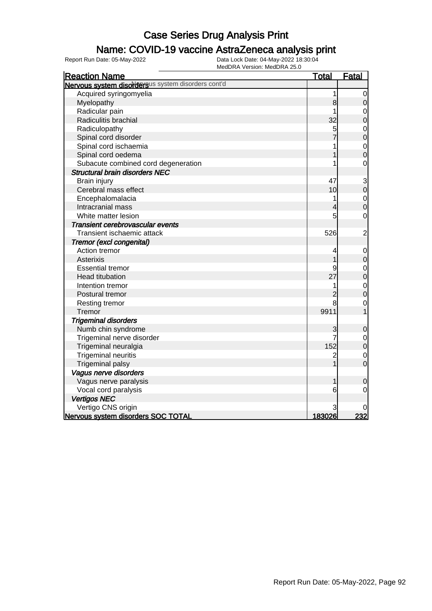#### Name: COVID-19 vaccine AstraZeneca analysis print

| <b>Reaction Name</b>                               | <u>Total</u>   | <b>Fatal</b>                     |
|----------------------------------------------------|----------------|----------------------------------|
| Nervous system disordersus system disorders cont'd |                |                                  |
| Acquired syringomyelia                             | 1              | 0                                |
| Myelopathy                                         | 8              | $\pmb{0}$                        |
| Radicular pain                                     |                | $\mathbf 0$                      |
| Radiculitis brachial                               | 32             | $\overline{0}$                   |
| Radiculopathy                                      | 5              |                                  |
| Spinal cord disorder                               |                | $\begin{matrix}0\\0\end{matrix}$ |
| Spinal cord ischaemia                              | 1              | $\mathbf{0}$                     |
| Spinal cord oedema                                 |                | $\overline{0}$                   |
| Subacute combined cord degeneration                |                | $\overline{0}$                   |
| <b>Structural brain disorders NEC</b>              |                |                                  |
| Brain injury                                       | 47             | 3                                |
| Cerebral mass effect                               | 10             | $\overline{0}$                   |
| Encephalomalacia                                   | 1              |                                  |
| Intracranial mass                                  | 4              | $\begin{matrix}0\\0\end{matrix}$ |
| White matter lesion                                | 5              | $\overline{0}$                   |
| Transient cerebrovascular events                   |                |                                  |
| Transient ischaemic attack                         | 526            | $\overline{\mathbf{c}}$          |
| Tremor (excl congenital)                           |                |                                  |
| Action tremor                                      | 4              | $\mathbf 0$                      |
| Asterixis                                          |                | $\mathbf{0}$                     |
| <b>Essential tremor</b>                            | 9              | $\mathbf 0$                      |
| <b>Head titubation</b>                             | 27             | $\overline{0}$                   |
| Intention tremor                                   |                | $\mathbf{O}$                     |
| Postural tremor                                    | $\overline{c}$ | $\overline{0}$                   |
| Resting tremor                                     | 8              | $\overline{0}$                   |
| Tremor                                             | 9911           |                                  |
| <b>Trigeminal disorders</b>                        |                |                                  |
| Numb chin syndrome                                 | 3              | $\mathbf 0$                      |
| Trigeminal nerve disorder                          |                |                                  |
| Trigeminal neuralgia                               | 152            | $\begin{matrix}0\\0\end{matrix}$ |
| <b>Trigeminal neuritis</b>                         | $\mathbf 2$    | $\overline{0}$                   |
| <b>Trigeminal palsy</b>                            |                | $\overline{0}$                   |
| Vagus nerve disorders                              |                |                                  |
| Vagus nerve paralysis                              |                | 0                                |
| Vocal cord paralysis                               | 6              | $\mathbf 0$                      |
| <b>Vertigos NEC</b>                                |                |                                  |
| Vertigo CNS origin                                 |                |                                  |
| Nervous system disorders SOC TOTAL                 | 183026         | 232                              |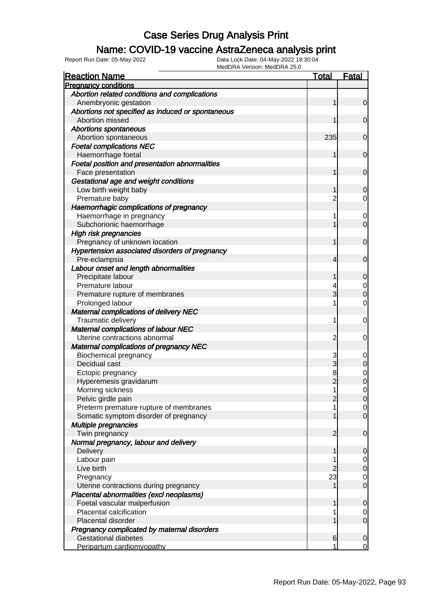### Name: COVID-19 vaccine AstraZeneca analysis print

| <b>Reaction Name</b>                              | <b>Total</b>   | <b>Fatal</b>                  |
|---------------------------------------------------|----------------|-------------------------------|
| <b>Pregnancy conditions</b>                       |                |                               |
| Abortion related conditions and complications     |                |                               |
| Anembryonic gestation                             | 1              | $\mathbf 0$                   |
| Abortions not specified as induced or spontaneous |                |                               |
| Abortion missed                                   | 1              | $\mathbf 0$                   |
| <b>Abortions spontaneous</b>                      |                |                               |
| Abortion spontaneous                              | 235            | $\mathbf 0$                   |
| <b>Foetal complications NEC</b>                   |                |                               |
| Haemorrhage foetal                                | 1              | $\mathbf 0$                   |
| Foetal position and presentation abnormalities    |                |                               |
| Face presentation                                 | 1              | $\mathbf 0$                   |
| Gestational age and weight conditions             |                |                               |
| Low birth weight baby                             | 1              | 0                             |
| Premature baby                                    | 2              | 0                             |
| Haemorrhagic complications of pregnancy           |                |                               |
| Haemorrhage in pregnancy                          |                | 0                             |
| Subchorionic haemorrhage                          |                | $\mathbf 0$                   |
| <b>High risk pregnancies</b>                      |                |                               |
| Pregnancy of unknown location                     | 1              | $\mathbf 0$                   |
| Hypertension associated disorders of pregnancy    |                |                               |
| Pre-eclampsia                                     | 4              | $\mathbf 0$                   |
| Labour onset and length abnormalities             |                |                               |
| Precipitate labour                                | 1              | $\mathbf 0$                   |
| Premature labour                                  |                | 0                             |
| Premature rupture of membranes                    | 3              | $\mathbf 0$                   |
| Prolonged labour                                  |                | $\mathbf 0$                   |
| <b>Maternal complications of delivery NEC</b>     |                |                               |
| Traumatic delivery                                | 1              | 0                             |
| <b>Maternal complications of labour NEC</b>       |                |                               |
| Uterine contractions abnormal                     | $\overline{2}$ | 0                             |
| <b>Maternal complications of pregnancy NEC</b>    |                |                               |
| <b>Biochemical pregnancy</b>                      | 3              | 0                             |
| Decidual cast                                     | 3              | $\mathbf 0$                   |
| Ectopic pregnancy                                 | 8              | $\mathbf 0$                   |
| Hyperemesis gravidarum                            | $\overline{2}$ | $\mathbf 0$                   |
| Morning sickness                                  | 1              | 0                             |
| Pelvic girdle pain                                | 2              | $\overline{0}$                |
| Preterm premature rupture of membranes            |                | $\overline{0}$                |
| Somatic symptom disorder of pregnancy             |                | $\overline{0}$                |
| Multiple pregnancies                              |                |                               |
| Twin pregnancy                                    | $\overline{2}$ | $\mathbf 0$                   |
| Normal pregnancy, labour and delivery             |                |                               |
| Delivery                                          | 1              |                               |
|                                                   |                | $\mathbf 0$                   |
| Labour pain<br>Live birth                         | 2              | $\overline{0}$<br>$\mathbf 0$ |
|                                                   | 23             |                               |
| Pregnancy                                         |                | $\overline{0}$<br>$\mathbf 0$ |
| Uterine contractions during pregnancy             |                |                               |
| Placental abnormalities (excl neoplasms)          |                |                               |
| Foetal vascular malperfusion                      | 1              | $\mathbf 0$                   |
| Placental calcification                           |                | 0                             |
| Placental disorder                                |                | $\mathbf 0$                   |
| Pregnancy complicated by maternal disorders       |                |                               |
| <b>Gestational diabetes</b>                       | 6              | $\mathbf 0$                   |
| Peripartum cardiomyopathy                         |                | $\mathbf 0$                   |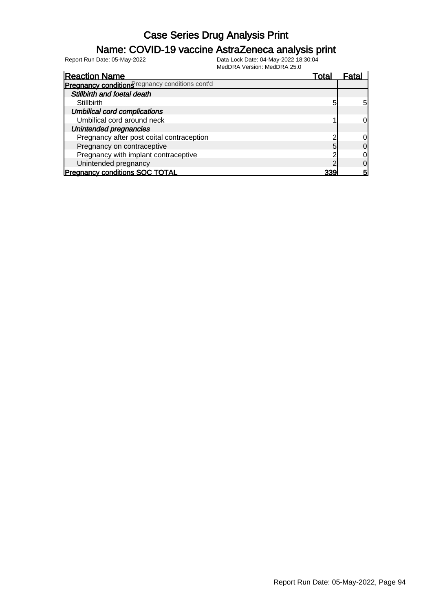### Name: COVID-19 vaccine AstraZeneca analysis print

| <b>Reaction Name</b>                            | Total | Fatal |
|-------------------------------------------------|-------|-------|
| Pregnancy conditions regnancy conditions cont'd |       |       |
| Stillbirth and foetal death                     |       |       |
| <b>Stillbirth</b>                               | 5     | 5     |
| <b>Umbilical cord complications</b>             |       |       |
| Umbilical cord around neck                      |       |       |
| Unintended pregnancies                          |       |       |
| Pregnancy after post coital contraception       |       |       |
| Pregnancy on contraceptive                      | 5     |       |
| Pregnancy with implant contraceptive            |       |       |
| Unintended pregnancy                            |       |       |
| <b>Pregnancy conditions SOC TOTAL</b>           | 339   | 5     |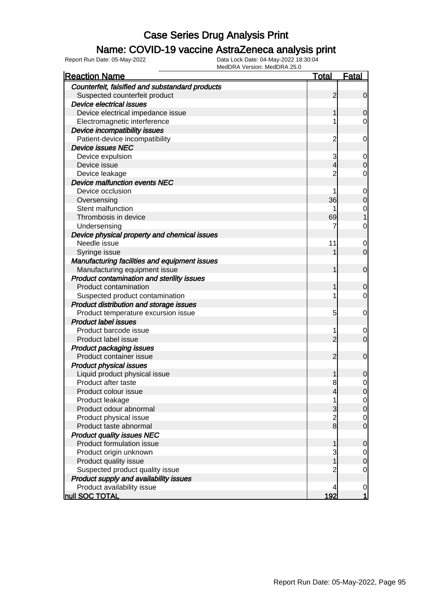### Name: COVID-19 vaccine AstraZeneca analysis print

| <b>INICULARY VEISIUIL INICULATE 20.0</b><br><b>Reaction Name</b> | <u>Total</u>   | <u>Fatal</u>     |
|------------------------------------------------------------------|----------------|------------------|
| Counterfeit, falsified and substandard products                  |                |                  |
| Suspected counterfeit product                                    | $\overline{2}$ | $\mathbf 0$      |
| <b>Device electrical issues</b>                                  |                |                  |
| Device electrical impedance issue                                | 1              | 0                |
| Electromagnetic interference                                     | 1              | 0                |
| Device incompatibility issues                                    |                |                  |
| Patient-device incompatibility                                   | $\overline{c}$ | 0                |
| <b>Device issues NEC</b>                                         |                |                  |
| Device expulsion                                                 | 3              | $\overline{0}$   |
| Device issue                                                     | 4              | 0                |
| Device leakage                                                   | $\overline{c}$ | 0                |
| Device malfunction events NEC                                    |                |                  |
| Device occlusion                                                 | 1              | $\mathbf 0$      |
| Oversensing                                                      | 36             | $\mathbf 0$      |
| Stent malfunction                                                | 1              | $\mathbf 0$      |
| Thrombosis in device                                             | 69             |                  |
| Undersensing                                                     | 7              | 0                |
| Device physical property and chemical issues                     |                |                  |
| Needle issue                                                     | 11             | $\mathbf 0$      |
| Syringe issue                                                    |                | $\mathbf 0$      |
| Manufacturing facilities and equipment issues                    |                |                  |
| Manufacturing equipment issue                                    | 1              | $\mathbf 0$      |
| Product contamination and sterility issues                       |                |                  |
| Product contamination                                            | 1              | 0                |
| Suspected product contamination                                  | 1              | 0                |
| Product distribution and storage issues                          |                |                  |
| Product temperature excursion issue                              | 5              | 0                |
| <b>Product label issues</b>                                      |                |                  |
| Product barcode issue                                            | 1              | $\boldsymbol{0}$ |
| Product label issue                                              | $\overline{c}$ | $\mathbf 0$      |
| <b>Product packaging issues</b>                                  |                |                  |
| Product container issue                                          | $\overline{2}$ | $\mathbf 0$      |
| <b>Product physical issues</b>                                   |                |                  |
| Liquid product physical issue                                    | 1              | 0                |
| Product after taste                                              | 8              | $\mathbf 0$      |
| Product colour issue                                             | $\overline{4}$ | $\overline{0}$   |
| Product leakage                                                  |                | $\mathbf 0$      |
| Product odour abnormal                                           | 3              | 0                |
| Product physical issue                                           | $\frac{2}{8}$  | $\mathbf 0$      |
| Product taste abnormal                                           |                | $\mathbf 0$      |
| <b>Product quality issues NEC</b>                                |                |                  |
| Product formulation issue                                        | 1              | 0                |
| Product origin unknown                                           | 3              | $\mathbf 0$      |
| Product quality issue                                            |                | 0                |
| Suspected product quality issue                                  | 2              | 0                |
| Product supply and availability issues                           |                |                  |
| Product availability issue                                       | 4              | $\mathbf 0$      |
| null SOC TOTAL                                                   | 192            | 1                |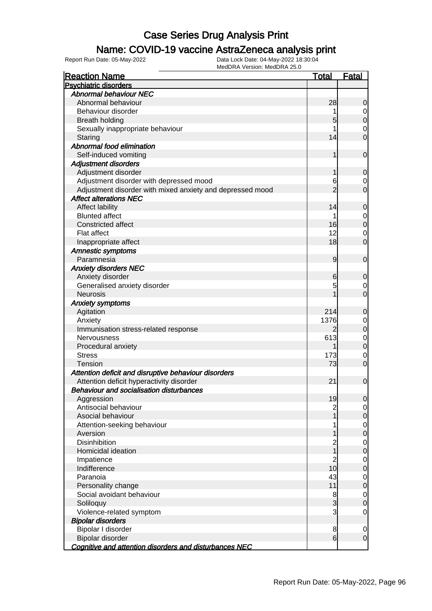### Name: COVID-19 vaccine AstraZeneca analysis print

| <b>Reaction Name</b>                                      | <u>Total</u>    | <b>Fatal</b>   |
|-----------------------------------------------------------|-----------------|----------------|
| <b>Psychiatric disorders</b>                              |                 |                |
| <b>Abnormal behaviour NEC</b>                             |                 |                |
| Abnormal behaviour                                        | 28              | 0              |
| Behaviour disorder                                        |                 | 0              |
| <b>Breath holding</b>                                     | 5               | $\overline{0}$ |
| Sexually inappropriate behaviour                          |                 | $\mathbf 0$    |
| Staring                                                   | 14              | 0              |
| Abnormal food elimination                                 |                 |                |
| Self-induced vomiting                                     |                 | $\mathbf 0$    |
| <b>Adjustment disorders</b>                               |                 |                |
| Adjustment disorder                                       |                 | $\overline{0}$ |
| Adjustment disorder with depressed mood                   | 6               | $\mathbf 0$    |
| Adjustment disorder with mixed anxiety and depressed mood | 2               | $\overline{0}$ |
| <b>Affect alterations NEC</b>                             |                 |                |
| <b>Affect lability</b>                                    | 14              | 0              |
| <b>Blunted affect</b>                                     | 1               | $\mathbf 0$    |
| <b>Constricted affect</b>                                 | 16              | $\overline{0}$ |
| <b>Flat affect</b>                                        | 12              | $\mathbf 0$    |
| Inappropriate affect                                      | 18              | $\overline{0}$ |
| <b>Amnestic symptoms</b>                                  |                 |                |
| Paramnesia                                                | 9               | $\mathbf 0$    |
| <b>Anxiety disorders NEC</b>                              |                 |                |
|                                                           |                 |                |
| Anxiety disorder                                          | 6               | $\overline{0}$ |
| Generalised anxiety disorder                              | 5               | $\mathbf 0$    |
| <b>Neurosis</b>                                           |                 | $\overline{0}$ |
| <b>Anxiety symptoms</b>                                   |                 |                |
| Agitation                                                 | 214             | $\overline{0}$ |
| Anxiety                                                   | 1376            | $\mathbf 0$    |
| Immunisation stress-related response                      |                 | $\overline{0}$ |
| <b>Nervousness</b>                                        | 613             | $\mathbf 0$    |
| Procedural anxiety                                        |                 | $\overline{0}$ |
| <b>Stress</b>                                             | 173             | $\mathbf 0$    |
| Tension                                                   | 73              | $\overline{0}$ |
| Attention deficit and disruptive behaviour disorders      |                 |                |
| Attention deficit hyperactivity disorder                  | 21              | $\mathbf 0$    |
| <b>Behaviour and socialisation disturbances</b>           |                 |                |
| Aggression                                                | 19              | $\Omega$       |
| Antisocial behaviour                                      | $\overline{c}$  | $\overline{0}$ |
| Asocial behaviour                                         |                 | 0              |
| Attention-seeking behaviour                               |                 | $\mathbf 0$    |
| Aversion                                                  |                 | $\mathbf 0$    |
| Disinhibition                                             | $\overline{c}$  | $\mathbf 0$    |
| Homicidal ideation                                        |                 | $\mathbf 0$    |
| Impatience                                                | 2               | $\mathbf 0$    |
| Indifference                                              | 10              | $\mathbf 0$    |
| Paranoia                                                  | 43              | $\mathbf 0$    |
| Personality change                                        | 11              | $\mathbf 0$    |
| Social avoidant behaviour                                 | 8               | $\mathbf 0$    |
| Soliloquy                                                 | 3               | $\mathbf 0$    |
| Violence-related symptom                                  | 3               | $\mathbf 0$    |
| <b>Bipolar disorders</b>                                  |                 |                |
| Bipolar I disorder                                        | 8               | $\mathbf 0$    |
| Bipolar disorder                                          | $6 \overline{}$ | $\mathbf 0$    |
| Cognitive and attention disorders and disturbances NEC    |                 |                |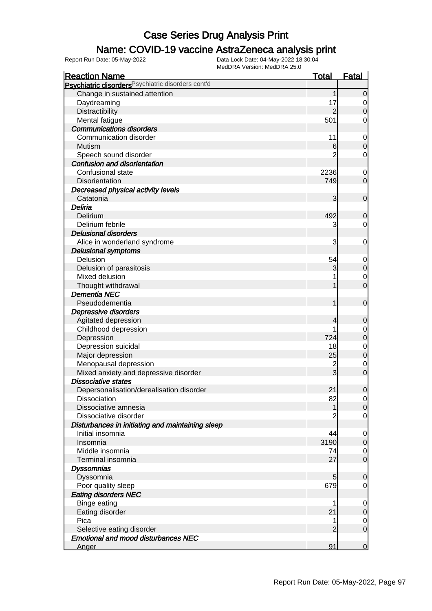#### Name: COVID-19 vaccine AstraZeneca analysis print

| <b>Reaction Name</b>                               | <b>Total</b>   | <b>Fatal</b>   |
|----------------------------------------------------|----------------|----------------|
| Psychiatric disorders Psychiatric disorders cont'd |                |                |
| Change in sustained attention                      | 1              | $\mathbf 0$    |
| Daydreaming                                        | 17             | 0              |
| Distractibility                                    | $\overline{2}$ | $\mathbf 0$    |
| Mental fatigue                                     | 501            | 0              |
| <b>Communications disorders</b>                    |                |                |
| Communication disorder                             | 11             | $\mathbf 0$    |
| Mutism                                             | $6 \,$         | $\mathbf 0$    |
| Speech sound disorder                              | 2              | $\mathbf 0$    |
| <b>Confusion and disorientation</b>                |                |                |
| Confusional state                                  | 2236           | $\mathbf 0$    |
| Disorientation                                     | 749            | $\mathbf 0$    |
| Decreased physical activity levels                 |                |                |
| Catatonia                                          | 3              | $\mathbf 0$    |
| Deliria                                            |                |                |
| Delirium                                           | 492            | $\mathbf 0$    |
| Delirium febrile                                   | 3              | $\overline{0}$ |
| <b>Delusional disorders</b>                        |                |                |
| Alice in wonderland syndrome                       | 3              | 0              |
| <b>Delusional symptoms</b>                         |                |                |
| Delusion                                           | 54             | $\mathbf 0$    |
| Delusion of parasitosis                            | 3              | $\mathbf 0$    |
| Mixed delusion                                     |                | $\overline{0}$ |
| Thought withdrawal                                 |                | $\mathbf 0$    |
| <b>Dementia NEC</b>                                |                |                |
| Pseudodementia                                     | 1              | $\mathbf 0$    |
|                                                    |                |                |
| Depressive disorders                               |                |                |
| Agitated depression                                | 4              | $\mathbf 0$    |
| Childhood depression                               | 724            | 0              |
| Depression                                         |                | $\pmb{0}$      |
| Depression suicidal                                | 18             | $\mathbf 0$    |
| Major depression                                   | 25             | $\pmb{0}$      |
| Menopausal depression                              | $\overline{c}$ | $\mathbf 0$    |
| Mixed anxiety and depressive disorder              | 3              | $\mathbf 0$    |
| <b>Dissociative states</b>                         |                |                |
| Depersonalisation/derealisation disorder           | 21             | $\mathbf 0$    |
| <b>Dissociation</b>                                | 82             | $\overline{0}$ |
| Dissociative amnesia                               | 1              | $\overline{0}$ |
| Dissociative disorder                              | 2              | $\overline{0}$ |
| Disturbances in initiating and maintaining sleep   |                |                |
| Initial insomnia                                   | 44             | $\mathbf 0$    |
| Insomnia                                           | 3190           | $\mathbf 0$    |
| Middle insomnia                                    | 74             | $\overline{0}$ |
| Terminal insomnia                                  | 27             | $\mathbf 0$    |
| <b>Dyssomnias</b>                                  |                |                |
| Dyssomnia                                          | 5              | $\mathbf 0$    |
| Poor quality sleep                                 | 679            | $\mathbf 0$    |
| <b>Eating disorders NEC</b>                        |                |                |
| <b>Binge eating</b>                                |                | $\mathbf 0$    |
| Eating disorder                                    | 21             | $\mathbf 0$    |
| Pica                                               | 1              | $\overline{0}$ |
| Selective eating disorder                          | $\overline{2}$ | $\mathbf 0$    |
| <b>Emotional and mood disturbances NEC</b>         |                |                |
| Anger                                              | 91             | $\overline{0}$ |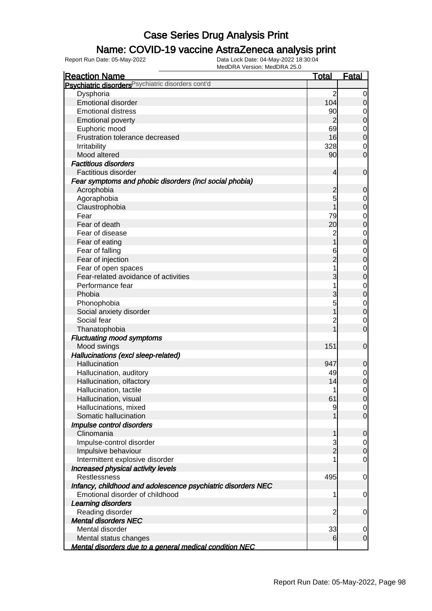### Name: COVID-19 vaccine AstraZeneca analysis print

| <b>Reaction Name</b>                                           | <b>Total</b>   | <b>Fatal</b>     |
|----------------------------------------------------------------|----------------|------------------|
| Psychiatric disorders Psychiatric disorders cont'd             |                |                  |
| Dysphoria                                                      | $\overline{2}$ | 0                |
| <b>Emotional disorder</b>                                      | 104            | $\mathbf 0$      |
| <b>Emotional distress</b>                                      | 90             | 0                |
| <b>Emotional poverty</b>                                       | $\overline{2}$ | $\boldsymbol{0}$ |
| Euphoric mood                                                  | 69             | 0                |
| Frustration tolerance decreased                                | 16             | $\boldsymbol{0}$ |
| Irritability                                                   | 328            | 0                |
| Mood altered                                                   | 90             | $\overline{0}$   |
| <b>Factitious disorders</b>                                    |                |                  |
| Factitious disorder                                            | 4              | $\mathbf 0$      |
| Fear symptoms and phobic disorders (incl social phobia)        |                |                  |
| Acrophobia                                                     | $\overline{c}$ | $\mathbf 0$      |
| Agoraphobia                                                    | 5              | 0                |
| Claustrophobia                                                 |                | $\boldsymbol{0}$ |
| Fear                                                           | 79             | 0                |
| Fear of death                                                  | 20             | $\boldsymbol{0}$ |
| Fear of disease                                                | $\overline{c}$ | 0                |
| Fear of eating                                                 |                | $\boldsymbol{0}$ |
| Fear of falling                                                | 6              | 0                |
| Fear of injection                                              | $\overline{2}$ | $\mathbf 0$      |
| Fear of open spaces                                            |                | 0                |
| Fear-related avoidance of activities                           | 3              | $\mathbf 0$      |
| Performance fear                                               |                | 0                |
| Phobia                                                         | 3              | $\mathbf 0$      |
| Phonophobia                                                    | 5              | 0                |
| Social anxiety disorder                                        |                | $\mathbf 0$      |
| Social fear                                                    | 2              | 0                |
| Thanatophobia                                                  |                | $\overline{0}$   |
| <b>Fluctuating mood symptoms</b>                               |                |                  |
| Mood swings                                                    | 151            | $\mathbf 0$      |
| Hallucinations (excl sleep-related)                            |                |                  |
| Hallucination                                                  | 947            | 0                |
| Hallucination, auditory                                        | 49             | $\overline{0}$   |
| Hallucination, olfactory                                       | 14             | $\mathbf 0$      |
| Hallucination, tactile                                         | 1              | $\mathbf 0$      |
| Hallucination, visual                                          | 61             | $\overline{0}$   |
| Hallucinations, mixed                                          | 9              | $\overline{0}$   |
| Somatic hallucination                                          |                | $\overline{0}$   |
| Impulse control disorders                                      |                |                  |
| Clinomania                                                     | 1              | $\mathbf 0$      |
| Impulse-control disorder                                       | 3              | 0                |
| Impulsive behaviour                                            | $\overline{2}$ | $\mathbf 0$      |
| Intermittent explosive disorder                                |                | $\overline{0}$   |
| Increased physical activity levels                             |                |                  |
| <b>Restlessness</b>                                            | 495            | $\mathbf 0$      |
| Infancy, childhood and adolescence psychiatric disorders NEC   |                |                  |
| Emotional disorder of childhood                                | 1              | 0                |
| Learning disorders                                             |                |                  |
| Reading disorder                                               | $\overline{c}$ | 0                |
| <b>Mental disorders NEC</b>                                    |                |                  |
| Mental disorder                                                | 33             | 0                |
| Mental status changes                                          | 6              | $\overline{0}$   |
| <b>Mental disorders due to a general medical condition NEC</b> |                |                  |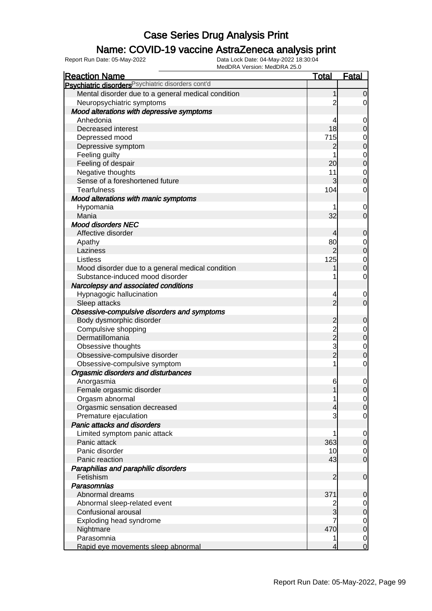### Name: COVID-19 vaccine AstraZeneca analysis print

| <b>Reaction Name</b>                                          | <b>Total</b>    | <b>Fatal</b>                     |
|---------------------------------------------------------------|-----------------|----------------------------------|
| Psychiatric disorders <sup>Psychiatric disorders cont'd</sup> |                 |                                  |
| Mental disorder due to a general medical condition            |                 | $\overline{0}$                   |
| Neuropsychiatric symptoms                                     | 2               | $\overline{0}$                   |
| Mood alterations with depressive symptoms                     |                 |                                  |
| Anhedonia                                                     | 4               | $\overline{0}$                   |
| Decreased interest                                            | 18              | $\mathbf 0$                      |
| Depressed mood                                                | 715             | $\mathbf 0$                      |
| Depressive symptom                                            | 2               | $\overline{0}$                   |
| Feeling guilty                                                |                 | $\mathbf 0$                      |
| Feeling of despair                                            | 20 <sup>1</sup> | $\overline{0}$                   |
| Negative thoughts                                             | 11              | $\mathbf 0$                      |
| Sense of a foreshortened future                               | 3               | $\overline{0}$                   |
| <b>Tearfulness</b>                                            | 104             | $\mathbf 0$                      |
| Mood alterations with manic symptoms                          |                 |                                  |
| Hypomania                                                     |                 | $\mathbf 0$                      |
| Mania                                                         | 32              | $\overline{0}$                   |
| <b>Mood disorders NEC</b>                                     |                 |                                  |
| Affective disorder                                            | 4               | $\mathbf 0$                      |
|                                                               | 80              |                                  |
| Apathy<br>Laziness                                            | $\overline{2}$  | $\overline{0}$<br>$\overline{0}$ |
| Listless                                                      | 125             |                                  |
|                                                               |                 | $\mathbf 0$<br>$\overline{0}$    |
| Mood disorder due to a general medical condition              |                 |                                  |
| Substance-induced mood disorder                               |                 | $\mathbf 0$                      |
| Narcolepsy and associated conditions                          |                 |                                  |
| Hypnagogic hallucination                                      | 4               | $\mathbf 0$                      |
| Sleep attacks                                                 | $\overline{2}$  | $\overline{0}$                   |
| Obsessive-compulsive disorders and symptoms                   |                 |                                  |
| Body dysmorphic disorder                                      | $\overline{c}$  | $\boldsymbol{0}$                 |
| Compulsive shopping                                           | $\frac{2}{2}$   | $\overline{0}$                   |
| Dermatillomania                                               |                 | $\mathbf 0$                      |
| Obsessive thoughts                                            | 3               | $\mathbf 0$                      |
| Obsessive-compulsive disorder                                 | $\overline{2}$  | $\overline{0}$                   |
| Obsessive-compulsive symptom                                  | 1               | $\mathbf 0$                      |
| Orgasmic disorders and disturbances                           |                 |                                  |
| Anorgasmia                                                    | 6               | $\mathbf 0$                      |
| Female orgasmic disorder                                      | 1               | $\overline{0}$                   |
| Orgasm abnormal                                               | 1               | $\overline{0}$                   |
| Orgasmic sensation decreased                                  | 4               | 0                                |
| Premature ejaculation                                         |                 | $\mathbf 0$                      |
| <b>Panic attacks and disorders</b>                            |                 |                                  |
| Limited symptom panic attack                                  |                 | $\overline{0}$                   |
| Panic attack                                                  | 363             | $\overline{O}$                   |
| Panic disorder                                                | 10              | $\overline{0}$                   |
| Panic reaction                                                | 43              | $\overline{0}$                   |
| Paraphilias and paraphilic disorders                          |                 |                                  |
| Fetishism                                                     | $\overline{2}$  | $\mathbf 0$                      |
| Parasomnias                                                   |                 |                                  |
| Abnormal dreams                                               | 371             | $\boldsymbol{0}$                 |
| Abnormal sleep-related event                                  | 2               | 0                                |
| Confusional arousal                                           | 3               | $\overline{O}$                   |
| Exploding head syndrome                                       | 7               | $\overline{0}$                   |
| Nightmare                                                     | 470             | $\mathbf 0$                      |
| Parasomnia                                                    |                 | $\overline{0}$                   |
| Rapid eye movements sleep abnormal                            | 4               | $\overline{0}$                   |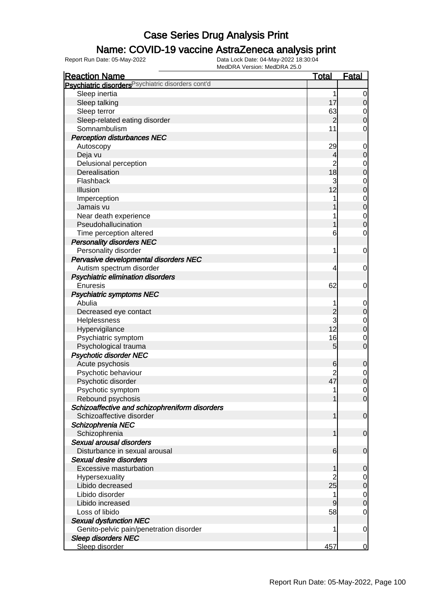### Name: COVID-19 vaccine AstraZeneca analysis print

| <b>Reaction Name</b>                                          | <b>Total</b>        | <b>Fatal</b>     |
|---------------------------------------------------------------|---------------------|------------------|
| Psychiatric disorders <sup>Psychiatric disorders cont'd</sup> |                     |                  |
| Sleep inertia                                                 | 1                   | $\mathbf 0$      |
| Sleep talking                                                 | 17                  | $\mathbf 0$      |
| Sleep terror                                                  | 63                  | 0                |
| Sleep-related eating disorder                                 | $\overline{2}$      | $\mathbf 0$      |
| Somnambulism                                                  | 11                  | $\mathbf 0$      |
| <b>Perception disturbances NEC</b>                            |                     |                  |
| Autoscopy                                                     | 29                  | $\mathbf 0$      |
| Deja vu                                                       | 4                   | $\mathbf 0$      |
| Delusional perception                                         | $\overline{c}$      | $\mathbf 0$      |
| Derealisation                                                 | 18                  | $\mathbf 0$      |
| Flashback                                                     | 3                   | $\mathbf 0$      |
| <b>Illusion</b>                                               | 12                  | $\mathbf 0$      |
| Imperception                                                  | 1                   | $\mathbf 0$      |
| Jamais vu                                                     |                     | $\mathbf 0$      |
| Near death experience                                         |                     | $\mathbf 0$      |
| Pseudohallucination                                           |                     | $\mathbf 0$      |
| Time perception altered                                       | 6                   | $\mathbf 0$      |
| <b>Personality disorders NEC</b>                              |                     |                  |
| Personality disorder                                          | 1                   | $\mathbf 0$      |
| Pervasive developmental disorders NEC                         |                     |                  |
| Autism spectrum disorder                                      | 4                   | $\mathbf 0$      |
| <b>Psychiatric elimination disorders</b>                      |                     |                  |
| Enuresis                                                      | 62                  | $\mathbf 0$      |
| <b>Psychiatric symptoms NEC</b>                               |                     |                  |
| Abulia                                                        |                     |                  |
|                                                               |                     | 0                |
| Decreased eye contact<br>Helplessness                         | $\overline{c}$<br>3 | $\mathbf 0$      |
|                                                               | 12                  | $\mathbf 0$      |
| Hypervigilance                                                | 16                  | $\mathbf 0$      |
| Psychiatric symptom                                           | 5                   | 0<br>$\mathbf 0$ |
| Psychological trauma                                          |                     |                  |
| <b>Psychotic disorder NEC</b>                                 |                     |                  |
| Acute psychosis                                               | 6<br>$\overline{2}$ | $\mathbf 0$      |
| Psychotic behaviour                                           | 47                  | 0                |
| Psychotic disorder                                            |                     | $\boldsymbol{0}$ |
| Psychotic symptom                                             | 1                   | $\mathbf 0$      |
| Rebound psychosis                                             | 1                   | $\overline{0}$   |
| Schizoaffective and schizophreniform disorders                |                     |                  |
| Schizoaffective disorder                                      | 1                   | $\mathbf 0$      |
| Schizophrenia NEC                                             |                     |                  |
| Schizophrenia                                                 | 1                   | $\mathbf 0$      |
| Sexual arousal disorders                                      |                     |                  |
| Disturbance in sexual arousal                                 | 6                   | 0                |
| Sexual desire disorders                                       |                     |                  |
| Excessive masturbation                                        | 1                   | 0                |
| Hypersexuality                                                |                     | 0                |
| Libido decreased                                              | 25                  | $\mathbf 0$      |
| Libido disorder                                               | 1                   | 0                |
| Libido increased                                              | 9                   | $\mathbf 0$      |
| Loss of libido                                                | 58                  | 0                |
| <b>Sexual dysfunction NEC</b>                                 |                     |                  |
| Genito-pelvic pain/penetration disorder                       | 1                   | $\mathbf 0$      |
| <b>Sleep disorders NEC</b>                                    |                     |                  |
| Sleep disorder                                                | 457                 | 0                |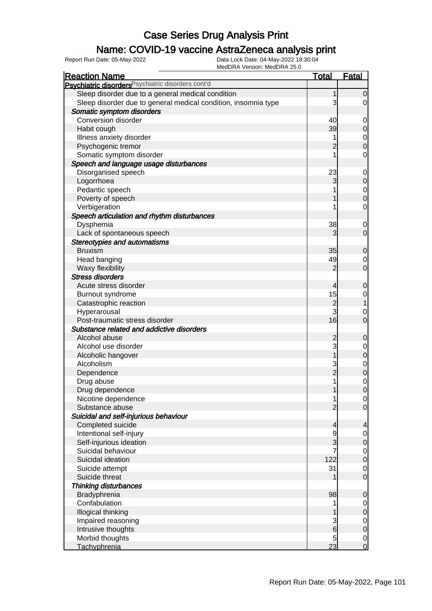### Name: COVID-19 vaccine AstraZeneca analysis print

| <b>Reaction Name</b>                                           | <u>Total</u>    | <b>Fatal</b>                         |
|----------------------------------------------------------------|-----------------|--------------------------------------|
| Psychiatric disorders Psychiatric disorders cont'd             |                 |                                      |
| Sleep disorder due to a general medical condition              |                 | $\overline{0}$                       |
| Sleep disorder due to general medical condition, insomnia type | 3               | $\overline{0}$                       |
| Somatic symptom disorders                                      |                 |                                      |
| Conversion disorder                                            | 40              | $\overline{0}$                       |
| Habit cough                                                    | 39              | $\overline{O}$                       |
| Illness anxiety disorder                                       | 1               | $\mathbf 0$                          |
| Psychogenic tremor                                             | $\overline{c}$  | $\overline{0}$                       |
| Somatic symptom disorder                                       |                 | $\mathbf 0$                          |
| Speech and language usage disturbances                         |                 |                                      |
| Disorganised speech                                            | 23              | $\overline{0}$                       |
| Logorrhoea                                                     | 3               | $\overline{0}$                       |
| Pedantic speech                                                |                 | $\mathbf 0$                          |
| Poverty of speech                                              |                 | $\overline{0}$                       |
| Verbigeration                                                  |                 | $\mathbf 0$                          |
| Speech articulation and rhythm disturbances                    |                 |                                      |
| Dysphemia                                                      | 38              | $\mathbf 0$                          |
| Lack of spontaneous speech                                     | 3               | $\overline{0}$                       |
| <b>Stereotypies and automatisms</b>                            |                 |                                      |
| <b>Bruxism</b>                                                 | 35              | $\overline{0}$                       |
| Head banging                                                   | 49              | 0                                    |
| Waxy flexibility                                               | $\overline{2}$  | $\overline{0}$                       |
| <b>Stress disorders</b>                                        |                 |                                      |
| Acute stress disorder                                          | 4               | $\mathbf 0$                          |
| Burnout syndrome                                               | 15              | $\mathbf 0$                          |
| Catastrophic reaction                                          | $\overline{2}$  | $\overline{1}$                       |
| Hyperarousal                                                   | 3               | 0                                    |
| Post-traumatic stress disorder                                 | 16              | $\overline{0}$                       |
| Substance related and addictive disorders                      |                 |                                      |
| Alcohol abuse                                                  | $\overline{c}$  | 0                                    |
| Alcohol use disorder                                           | 3               | $\mathbf 0$                          |
| Alcoholic hangover                                             | $\overline{1}$  | $\overline{0}$                       |
| Alcoholism                                                     | 3               |                                      |
| Dependence                                                     | $\overline{2}$  | $\begin{matrix} 0 \\ 0 \end{matrix}$ |
| Drug abuse                                                     | 1               | $\mathbf 0$                          |
| Drug dependence                                                | 1               | $\overline{0}$                       |
| Nicotine dependence                                            |                 | $\overline{0}$                       |
| Substance abuse                                                | $\overline{2}$  | $\overline{O}$                       |
| Suicidal and self-injurious behaviour                          |                 |                                      |
| Completed suicide                                              | 4               | $\overline{a}$                       |
| Intentional self-injury                                        |                 | $\overline{0}$                       |
| Self-injurious ideation                                        | 3               | $\overline{0}$                       |
| Suicidal behaviour                                             |                 |                                      |
| Suicidal ideation                                              | 122             | $\begin{matrix} 0 \\ 0 \end{matrix}$ |
| Suicide attempt                                                | 31              | $\overline{O}$                       |
| Suicide threat                                                 |                 | $\overline{0}$                       |
| <b>Thinking disturbances</b>                                   |                 |                                      |
| Bradyphrenia                                                   | 98              | $\mathbf 0$                          |
| Confabulation                                                  |                 |                                      |
| Illogical thinking                                             |                 | $\overline{0}$<br>$\overline{0}$     |
| Impaired reasoning                                             | 3               |                                      |
| Intrusive thoughts                                             | 6               | $\begin{matrix} 0 \\ 0 \end{matrix}$ |
| Morbid thoughts                                                | 5               | $\overline{0}$                       |
| <b>Tachyphrenia</b>                                            | $\overline{23}$ | $\overline{0}$                       |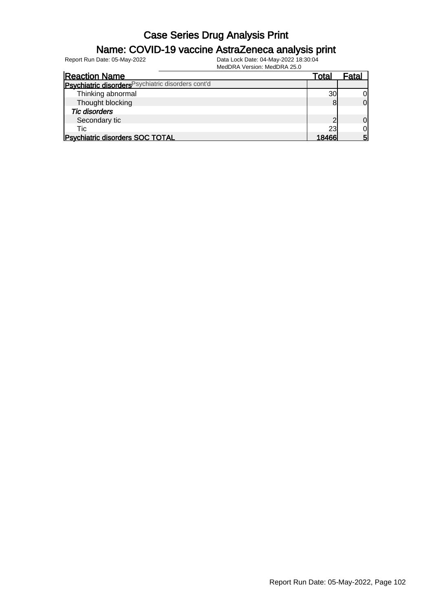### Name: COVID-19 vaccine AstraZeneca analysis print

| <b>Reaction Name</b>                               | Total | Fatal |
|----------------------------------------------------|-------|-------|
| Psychiatric disorders Psychiatric disorders cont'd |       |       |
| Thinking abnormal                                  | 30    |       |
| Thought blocking                                   | 8     | ΩI    |
| <b>Tic disorders</b>                               |       |       |
| Secondary tic                                      |       | OI    |
| Tic                                                | 23    | Οl    |
| <b>Psychiatric disorders SOC TOTAL</b>             | 18466 | 5     |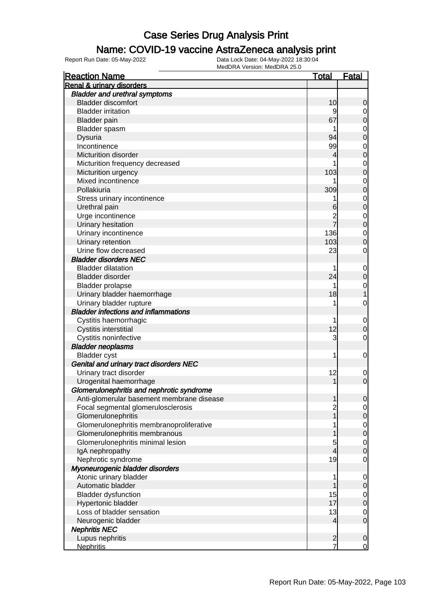#### Name: COVID-19 vaccine AstraZeneca analysis print

| <b>Reaction Name</b>                                                   | <u>Total</u>   | <b>Fatal</b>     |
|------------------------------------------------------------------------|----------------|------------------|
| <b>Renal &amp; urinary disorders</b>                                   |                |                  |
| <b>Bladder and urethral symptoms</b>                                   |                |                  |
| <b>Bladder discomfort</b>                                              | 10             | 0                |
| <b>Bladder irritation</b>                                              | 9              | 0                |
| <b>Bladder</b> pain                                                    | 67             | 0                |
| Bladder spasm                                                          |                | 0                |
| Dysuria                                                                | 94             | 0                |
| Incontinence                                                           | 99             | $\mathbf 0$      |
| Micturition disorder                                                   | 4              | 0                |
| Micturition frequency decreased                                        |                | 0                |
| Micturition urgency                                                    | 103            | 0                |
| Mixed incontinence                                                     |                | 0                |
| Pollakiuria                                                            | 309            | 0                |
| Stress urinary incontinence                                            |                | $\mathbf 0$      |
| Urethral pain                                                          | 6              | 0                |
| Urge incontinence                                                      | $\overline{c}$ | $\mathbf 0$      |
| Urinary hesitation                                                     |                | 0                |
| Urinary incontinence                                                   | 136            | 0                |
| Urinary retention                                                      | 103            | 0                |
| Urine flow decreased                                                   | 23             | 0                |
| <b>Bladder disorders NEC</b>                                           |                |                  |
| <b>Bladder dilatation</b>                                              |                |                  |
| <b>Bladder disorder</b>                                                | 24             | $\mathbf 0$<br>0 |
|                                                                        | 1              |                  |
| <b>Bladder prolapse</b>                                                |                | 0                |
| Urinary bladder haemorrhage                                            | 18             |                  |
| Urinary bladder rupture<br><b>Bladder infections and inflammations</b> |                | 0                |
|                                                                        |                |                  |
| Cystitis haemorrhagic                                                  | 1              | $\mathbf 0$      |
| Cystitis interstitial                                                  | 12             | 0                |
| Cystitis noninfective                                                  | 3              | 0                |
| <b>Bladder neoplasms</b>                                               |                |                  |
| <b>Bladder</b> cyst                                                    | 1              | 0                |
| Genital and urinary tract disorders NEC                                |                |                  |
| Urinary tract disorder                                                 | 12             | $\mathbf 0$      |
| Urogenital haemorrhage                                                 |                | 0                |
| Glomerulonephritis and nephrotic syndrome                              |                |                  |
| Anti-glomerular basement membrane disease                              |                | U                |
| Focal segmental glomerulosclerosis                                     | 2              | 0                |
| Glomerulonephritis                                                     |                | 0                |
| Glomerulonephritis membranoproliferative                               |                | $\mathbf 0$      |
| Glomerulonephritis membranous                                          |                | $\mathbf 0$      |
| Glomerulonephritis minimal lesion                                      | 5              | $\mathbf 0$      |
| IgA nephropathy                                                        | 4              | 0                |
| Nephrotic syndrome                                                     | 19             | 0                |
| Myoneurogenic bladder disorders                                        |                |                  |
| Atonic urinary bladder                                                 | 1              | 0                |
| Automatic bladder                                                      |                | 0                |
| <b>Bladder dysfunction</b>                                             | 15             | $\mathbf 0$      |
| Hypertonic bladder                                                     | 17             | $\mathbf 0$      |
| Loss of bladder sensation                                              | 13             | $\mathbf 0$      |
| Neurogenic bladder                                                     | 4              | $\mathbf 0$      |
| <b>Nephritis NEC</b>                                                   |                |                  |
| Lupus nephritis                                                        | $\overline{c}$ | $\mathbf 0$      |
| <b>Nephritis</b>                                                       | $\overline{7}$ | $\overline{0}$   |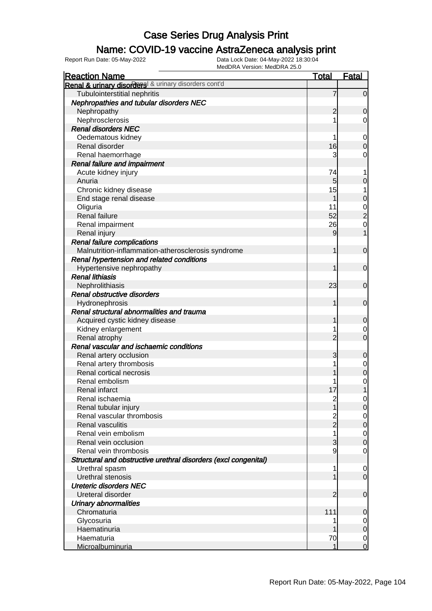### Name: COVID-19 vaccine AstraZeneca analysis print

| <b>Reaction Name</b>                                            | <b>Total</b>                          | <b>Fatal</b>                  |
|-----------------------------------------------------------------|---------------------------------------|-------------------------------|
| Renal & urinary disorders & urinary disorders cont'd            |                                       |                               |
| Tubulointerstitial nephritis                                    | 7                                     | $\overline{0}$                |
| Nephropathies and tubular disorders NEC                         |                                       |                               |
| Nephropathy                                                     | $\overline{c}$                        | 0                             |
| Nephrosclerosis                                                 |                                       | 0                             |
| <b>Renal disorders NEC</b>                                      |                                       |                               |
| Oedematous kidney                                               |                                       | $\mathbf 0$                   |
| Renal disorder                                                  | 16                                    | $\mathbf 0$                   |
| Renal haemorrhage                                               | 3                                     | 0                             |
| Renal failure and impairment                                    |                                       |                               |
| Acute kidney injury                                             | 74                                    | 1                             |
| Anuria                                                          | 5                                     | 0                             |
| Chronic kidney disease                                          | 15                                    | 1                             |
| End stage renal disease                                         | 1                                     | $\mathbf 0$                   |
| Oliguria                                                        | 11                                    | $\mathbf 0$                   |
| <b>Renal failure</b>                                            | 52                                    | $\overline{c}$                |
| Renal impairment                                                | 26                                    | $\mathbf 0$                   |
| Renal injury                                                    | 9                                     | 1                             |
| <b>Renal failure complications</b>                              |                                       |                               |
| Malnutrition-inflammation-atherosclerosis syndrome              | 1                                     | $\mathbf 0$                   |
| Renal hypertension and related conditions                       |                                       |                               |
| Hypertensive nephropathy                                        | 1                                     | $\mathbf 0$                   |
| <b>Renal lithiasis</b>                                          |                                       |                               |
| Nephrolithiasis                                                 | 23                                    | $\mathbf 0$                   |
| Renal obstructive disorders                                     |                                       |                               |
| Hydronephrosis                                                  | 1                                     | $\mathbf 0$                   |
| Renal structural abnormalities and trauma                       |                                       |                               |
| Acquired cystic kidney disease                                  | 1                                     | 0                             |
| Kidney enlargement                                              |                                       | 0                             |
| Renal atrophy                                                   | 2                                     | $\overline{0}$                |
| Renal vascular and ischaemic conditions                         |                                       |                               |
| Renal artery occlusion                                          | 3                                     | 0                             |
| Renal artery thrombosis                                         |                                       | 0                             |
| Renal cortical necrosis<br>Renal embolism                       |                                       | $\mathbf 0$                   |
|                                                                 |                                       | $\mathbf 0$                   |
| <b>Renal infarct</b><br>Renal ischaemia                         | 17                                    | 1                             |
|                                                                 | $\begin{array}{c} 2 \\ 1 \end{array}$ | $\overline{0}$<br>$\mathbf 0$ |
| Renal tubular injury<br>Renal vascular thrombosis               |                                       |                               |
| Renal vasculitis                                                | 2<br>2                                | 0<br>$\boldsymbol{0}$         |
| Renal vein embolism                                             | 1                                     | $\mathbf 0$                   |
| Renal vein occlusion                                            | 3                                     | $\mathbf 0$                   |
| Renal vein thrombosis                                           | 9                                     | $\overline{0}$                |
| Structural and obstructive urethral disorders (excl congenital) |                                       |                               |
| Urethral spasm                                                  | 1                                     | 0                             |
| Urethral stenosis                                               |                                       | $\mathbf 0$                   |
| <b>Ureteric disorders NEC</b>                                   |                                       |                               |
| Ureteral disorder                                               | 2                                     | $\mathbf 0$                   |
| <b>Urinary abnormalities</b>                                    |                                       |                               |
| Chromaturia                                                     | 111                                   | $\mathbf 0$                   |
| Glycosuria                                                      |                                       | 0                             |
| Haematinuria                                                    |                                       | $\mathbf 0$                   |
| Haematuria                                                      | 70                                    | $\overline{0}$                |
| Microalbuminuria                                                | 1                                     | $\overline{0}$                |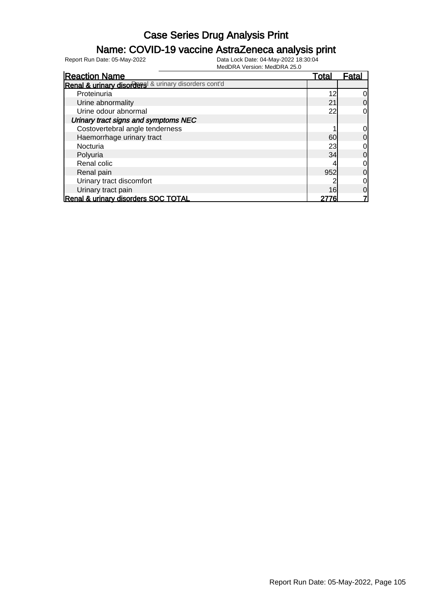### Name: COVID-19 vaccine AstraZeneca analysis print

| <b>Reaction Name</b>                                 | Total | <u>Fatal</u> |
|------------------------------------------------------|-------|--------------|
| Renal & urinary disorders & urinary disorders cont'd |       |              |
| Proteinuria                                          | 12    | 0            |
| Urine abnormality                                    | 21    | 0            |
| Urine odour abnormal                                 | 22    |              |
| Urinary tract signs and symptoms NEC                 |       |              |
| Costovertebral angle tenderness                      |       | 0            |
| Haemorrhage urinary tract                            | 60    | 0            |
| Nocturia                                             | 23    | 0            |
| Polyuria                                             | 34    | 0            |
| Renal colic                                          |       |              |
| Renal pain                                           | 952   | 0            |
| Urinary tract discomfort                             |       | 0            |
| Urinary tract pain                                   | 16    | 0            |
| Renal & urinary disorders SOC TOTAL                  |       |              |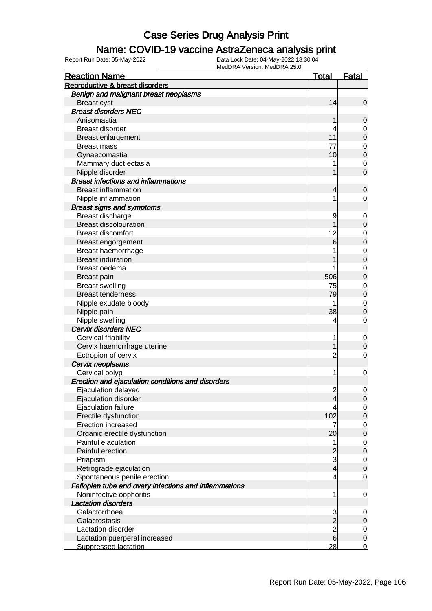#### Name: COVID-19 vaccine AstraZeneca analysis print

| <b>Reaction Name</b>                                  | <u>Total</u>   | <b>Fatal</b>     |
|-------------------------------------------------------|----------------|------------------|
| Reproductive & breast disorders                       |                |                  |
| Benign and malignant breast neoplasms                 |                |                  |
| <b>Breast cyst</b>                                    | 14             | $\mathbf 0$      |
| <b>Breast disorders NEC</b>                           |                |                  |
| Anisomastia                                           |                | 0                |
| <b>Breast disorder</b>                                | 4              | $\mathbf 0$      |
| <b>Breast enlargement</b>                             | 11             | $\mathbf 0$      |
| <b>Breast mass</b>                                    | 77             | $\mathbf 0$      |
| Gynaecomastia                                         | 10             | $\mathbf 0$      |
| Mammary duct ectasia                                  |                | $\mathbf 0$      |
| Nipple disorder                                       |                | 0                |
| <b>Breast infections and inflammations</b>            |                |                  |
| <b>Breast inflammation</b>                            | 4              | 0                |
| Nipple inflammation                                   | 1              | 0                |
| <b>Breast signs and symptoms</b>                      |                |                  |
| Breast discharge                                      | 9              |                  |
| <b>Breast discolouration</b>                          |                | $\mathbf 0$      |
| <b>Breast discomfort</b>                              |                | 0                |
|                                                       | 12             | $\mathbf 0$      |
| Breast engorgement                                    | 6              | 0                |
| Breast haemorrhage                                    |                | 0                |
| <b>Breast induration</b>                              |                | 0                |
| Breast oedema                                         |                | 0                |
| <b>Breast pain</b>                                    | 506            | 0                |
| <b>Breast swelling</b>                                | 75             | 0                |
| <b>Breast tenderness</b>                              | 79             | $\mathbf 0$      |
| Nipple exudate bloody                                 |                | 0                |
| Nipple pain                                           | 38             | 0                |
| Nipple swelling                                       | 4              | 0                |
| Cervix disorders NEC                                  |                |                  |
| Cervical friability                                   | 1              | $\mathbf 0$      |
| Cervix haemorrhage uterine                            |                | $\mathbf 0$      |
| Ectropion of cervix                                   | $\overline{c}$ | 0                |
| Cervix neoplasms                                      |                |                  |
| Cervical polyp                                        | 1              | $\mathbf 0$      |
| Erection and ejaculation conditions and disorders     |                |                  |
| Ejaculation delayed                                   | $\overline{c}$ | 0                |
| Ejaculation disorder                                  | 4              | 0                |
| Ejaculation failure                                   | 4              | $\mathbf 0$      |
| Erectile dysfunction                                  | 102            | $\boldsymbol{0}$ |
| Erection increased                                    | 7              | $\mathbf 0$      |
| Organic erectile dysfunction                          | 20             | $\mathbf 0$      |
| Painful ejaculation                                   | 1              | $\mathbf 0$      |
| Painful erection                                      | $\overline{c}$ | $\mathbf 0$      |
| Priapism                                              | 3              | $\mathbf 0$      |
| Retrograde ejaculation                                | $\overline{4}$ | $\mathbf 0$      |
| Spontaneous penile erection                           | 4              | $\mathbf 0$      |
| Fallopian tube and ovary infections and inflammations |                |                  |
| Noninfective oophoritis                               | 1              | $\mathbf 0$      |
| <b>Lactation disorders</b>                            |                |                  |
| Galactorrhoea                                         | 3              | $\mathbf 0$      |
| Galactostasis                                         | $\overline{c}$ | $\mathbf 0$      |
| Lactation disorder                                    |                | $\mathbf 0$      |
| Lactation puerperal increased                         | $\frac{2}{6}$  | $\boldsymbol{0}$ |
| <b>Suppressed lactation</b>                           | 28             | $\overline{0}$   |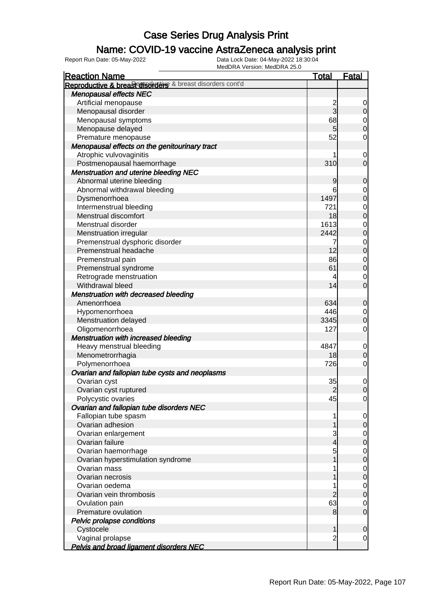### Name: COVID-19 vaccine AstraZeneca analysis print

| <b>Reaction Name</b>                                      | <b>Total</b>   | <b>Fatal</b>                     |
|-----------------------------------------------------------|----------------|----------------------------------|
| Reproductive & breast disorders & breast disorders cont'd |                |                                  |
| Menopausal effects NEC                                    |                |                                  |
| Artificial menopause                                      |                | $\overline{0}$                   |
| Menopausal disorder                                       | $\frac{2}{3}$  | 0                                |
| Menopausal symptoms                                       | 68             | $\overline{0}$                   |
| Menopause delayed                                         | 5 <sup>1</sup> | $\overline{0}$                   |
| Premature menopause                                       | 52             | $\mathbf 0$                      |
| Menopausal effects on the genitourinary tract             |                |                                  |
| Atrophic vulvovaginitis                                   |                | $\mathbf 0$                      |
| Postmenopausal haemorrhage                                | 310            | $\overline{0}$                   |
| <b>Menstruation and uterine bleeding NEC</b>              |                |                                  |
| Abnormal uterine bleeding                                 | 9              | $\mathbf 0$                      |
| Abnormal withdrawal bleeding                              | 6              |                                  |
| Dysmenorrhoea                                             | 1497           | $0\atop 0$                       |
| Intermenstrual bleeding                                   | 721            |                                  |
| Menstrual discomfort                                      | 18             | $\begin{matrix}0\\0\end{matrix}$ |
| Menstrual disorder                                        | 1613           | $\overline{0}$                   |
| Menstruation irregular                                    | 2442           | $\overline{0}$                   |
| Premenstrual dysphoric disorder                           | 7              |                                  |
| Premenstrual headache                                     | 12             | $\begin{matrix}0\\0\end{matrix}$ |
| Premenstrual pain                                         | 86             |                                  |
| Premenstrual syndrome                                     | 61             | $\begin{matrix}0\\0\end{matrix}$ |
| Retrograde menstruation                                   | 4              | $\mathbf 0$                      |
| Withdrawal bleed                                          | 14             | $\overline{0}$                   |
| <b>Menstruation with decreased bleeding</b>               |                |                                  |
| Amenorrhoea                                               | 634            | $\mathbf 0$                      |
| Hypomenorrhoea                                            | 446            | $\overline{0}$                   |
| Menstruation delayed                                      | 3345           | $\mathbf 0$                      |
| Oligomenorrhoea                                           | 127            | $\mathbf 0$                      |
| <b>Menstruation with increased bleeding</b>               |                |                                  |
| Heavy menstrual bleeding                                  | 4847           | $\mathbf 0$                      |
| Menometrorrhagia                                          | 18             | $\mathbf 0$                      |
| Polymenorrhoea                                            | 726            | $\overline{0}$                   |
| Ovarian and fallopian tube cysts and neoplasms            |                |                                  |
| Ovarian cyst                                              | 35             | $\overline{0}$                   |
| Ovarian cyst ruptured                                     | $\overline{2}$ | $\overline{O}$                   |
| Polycystic ovaries                                        | 45             | $\overline{0}$                   |
| Ovarian and fallopian tube disorders NEC                  |                |                                  |
| Fallopian tube spasm                                      |                | $\overline{0}$                   |
| Ovarian adhesion                                          |                | $\overline{0}$                   |
| Ovarian enlargement                                       | 3              | $\overline{0}$                   |
| Ovarian failure                                           | $\overline{4}$ | $\mathbf 0$                      |
| Ovarian haemorrhage                                       | 5              | $\overline{0}$                   |
| Ovarian hyperstimulation syndrome                         |                | $\mathbf 0$                      |
| Ovarian mass                                              |                | $\overline{0}$                   |
| Ovarian necrosis                                          |                | $\mathbf 0$                      |
| Ovarian oedema                                            |                | $\overline{0}$                   |
| Ovarian vein thrombosis                                   | $\overline{c}$ | $\mathbf 0$                      |
| Ovulation pain                                            | 63             | $\overline{0}$                   |
| Premature ovulation                                       | 8              | $\overline{0}$                   |
| Pelvic prolapse conditions                                |                |                                  |
| Cystocele                                                 | 1              | $\mathbf 0$                      |
| Vaginal prolapse                                          | $\overline{c}$ | $\overline{0}$                   |
| Pelvis and broad ligament disorders NEC                   |                |                                  |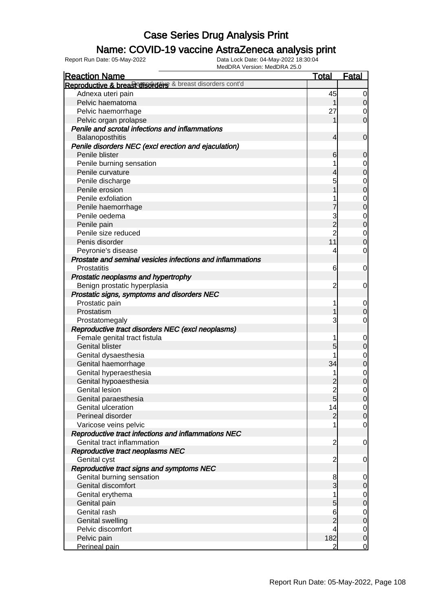### Name: COVID-19 vaccine AstraZeneca analysis print

| <b>Reaction Name</b>                                       | <u>Total</u>   | Fatal          |
|------------------------------------------------------------|----------------|----------------|
| Reproductive & breast disorders & breast disorders cont'd  |                |                |
| Adnexa uteri pain                                          | 45             | $\overline{0}$ |
| Pelvic haematoma                                           |                | $\overline{O}$ |
| Pelvic haemorrhage                                         | 27             | 0              |
| Pelvic organ prolapse                                      |                | $\overline{0}$ |
| Penile and scrotal infections and inflammations            |                |                |
| Balanoposthitis                                            | 4              | $\mathbf 0$    |
| Penile disorders NEC (excl erection and ejaculation)       |                |                |
| Penile blister                                             | 6              | $\mathbf 0$    |
| Penile burning sensation                                   |                | $\mathbf 0$    |
| Penile curvature                                           |                | $\mathbf 0$    |
| Penile discharge                                           | 5              | $\mathbf 0$    |
| Penile erosion                                             |                | $\overline{0}$ |
| Penile exfoliation                                         |                | $\mathbf 0$    |
| Penile haemorrhage                                         |                | $\overline{0}$ |
| Penile oedema                                              | 3              | $\mathbf 0$    |
| Penile pain                                                | $\overline{2}$ | $\overline{0}$ |
| Penile size reduced                                        | $\overline{c}$ | $\overline{0}$ |
| Penis disorder                                             | 11             | $\overline{0}$ |
| Peyronie's disease                                         | 4              | $\mathbf 0$    |
| Prostate and seminal vesicles infections and inflammations |                |                |
| Prostatitis                                                | 6              | $\mathbf 0$    |
| Prostatic neoplasms and hypertrophy                        |                |                |
| Benign prostatic hyperplasia                               | $\overline{c}$ | $\mathbf 0$    |
| Prostatic signs, symptoms and disorders NEC                |                |                |
| Prostatic pain                                             | 1              | $\mathbf 0$    |
| Prostatism                                                 |                | $\mathbf 0$    |
| Prostatomegaly                                             | 3              | $\mathbf 0$    |
| Reproductive tract disorders NEC (excl neoplasms)          |                |                |
| Female genital tract fistula                               |                | $\mathbf 0$    |
| <b>Genital blister</b>                                     | 5              | $\mathbf 0$    |
| Genital dysaesthesia                                       |                | $\mathbf 0$    |
| Genital haemorrhage                                        | 34             | $\mathbf 0$    |
| Genital hyperaesthesia                                     |                | $\overline{0}$ |
| Genital hypoaesthesia                                      |                | $\overline{0}$ |
| <b>Genital lesion</b>                                      | $\overline{2}$ | $\mathbf 0$    |
| Genital paraesthesia                                       | 5              | $\overline{0}$ |
| Genital ulceration                                         | 14             | $\overline{0}$ |
| Perineal disorder                                          | $\overline{2}$ | 0              |
| Varicose veins pelvic                                      |                | $\mathbf 0$    |
| Reproductive tract infections and inflammations NEC        |                |                |
| Genital tract inflammation                                 | $\overline{c}$ | $\mathbf 0$    |
| Reproductive tract neoplasms NEC                           |                |                |
| Genital cyst                                               | $\overline{c}$ | $\overline{0}$ |
| Reproductive tract signs and symptoms NEC                  |                |                |
| Genital burning sensation                                  | 8              | $\overline{0}$ |
| Genital discomfort                                         | 3              | $\overline{0}$ |
| Genital erythema                                           |                | $\overline{0}$ |
| Genital pain                                               | 5              | $\overline{0}$ |
| Genital rash                                               | 6              | $\overline{0}$ |
| <b>Genital swelling</b>                                    | $\overline{2}$ | $\overline{0}$ |
| Pelvic discomfort                                          | 4              | $\overline{0}$ |
| Pelvic pain                                                | 182            | $\overline{0}$ |
| Perineal pain                                              | $\overline{2}$ | $\mathbf 0$    |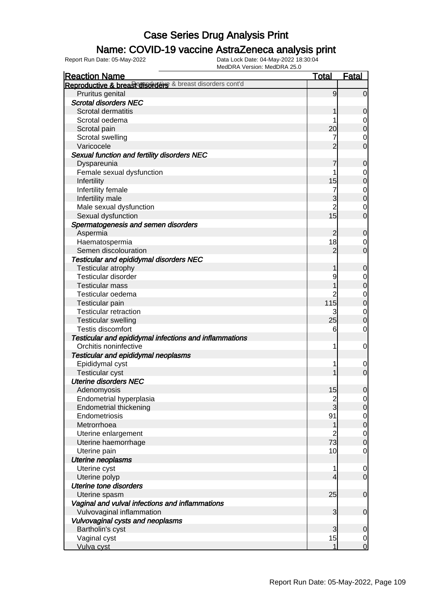### Name: COVID-19 vaccine AstraZeneca analysis print

| <b>Reaction Name</b>                                      | <b>Total</b>             | <b>Fatal</b>     |
|-----------------------------------------------------------|--------------------------|------------------|
| Reproductive & breastorisorders & breast disorders cont'd |                          |                  |
| Pruritus genital                                          | 9                        | $\overline{0}$   |
| <b>Scrotal disorders NEC</b>                              |                          |                  |
| Scrotal dermatitis                                        | 1                        | 0                |
| Scrotal oedema                                            |                          | 0                |
| Scrotal pain                                              | 20                       | $\mathbf 0$      |
| Scrotal swelling                                          |                          | $\mathbf 0$      |
| Varicocele                                                | $\overline{2}$           | $\mathbf 0$      |
| Sexual function and fertility disorders NEC               |                          |                  |
| Dyspareunia                                               |                          | $\mathbf 0$      |
| Female sexual dysfunction                                 |                          | 0                |
| Infertility                                               | 15                       | $\pmb{0}$        |
| Infertility female                                        |                          | $\mathbf 0$      |
| Infertility male                                          | 3                        | $\mathbf 0$      |
| Male sexual dysfunction                                   | $\overline{2}$           | 0                |
| Sexual dysfunction                                        | 15                       | $\mathbf 0$      |
| Spermatogenesis and semen disorders                       |                          |                  |
| Aspermia                                                  | $\overline{c}$           | $\mathbf 0$      |
| Haematospermia                                            | 18                       | 0                |
| Semen discolouration                                      | $\overline{2}$           | $\mathbf 0$      |
| <b>Testicular and epididymal disorders NEC</b>            |                          |                  |
| Testicular atrophy                                        | 1                        | $\mathbf 0$      |
| <b>Testicular disorder</b>                                | 9                        | 0                |
| <b>Testicular mass</b>                                    |                          | $\mathbf 0$      |
| Testicular oedema                                         | 2                        | $\mathbf 0$      |
| Testicular pain                                           | 115                      | $\mathbf 0$      |
| <b>Testicular retraction</b>                              | 3                        | $\mathbf 0$      |
| <b>Testicular swelling</b>                                | 25                       | $\mathbf 0$      |
| Testis discomfort                                         | 6                        | $\mathbf 0$      |
| Testicular and epididymal infections and inflammations    |                          |                  |
| Orchitis noninfective                                     | 1                        | $\mathbf 0$      |
| Testicular and epididymal neoplasms                       |                          |                  |
| Epididymal cyst                                           |                          | 0                |
| <b>Testicular cyst</b>                                    |                          | $\mathbf 0$      |
| <b>Uterine disorders NEC</b>                              |                          |                  |
| Adenomyosis                                               | 15                       | $\boldsymbol{0}$ |
| Endometrial hyperplasia                                   | $\frac{2}{3}$            | $\overline{0}$   |
| <b>Endometrial thickening</b>                             |                          | $\mathbf 0$      |
| Endometriosis                                             | 91                       | $\overline{0}$   |
| Metrorrhoea                                               | 1                        | $\pmb{0}$        |
| Uterine enlargement                                       | $\overline{2}$           | $\mathbf 0$      |
| Uterine haemorrhage                                       | 73                       | $\boldsymbol{0}$ |
| Uterine pain                                              | 10                       | $\mathbf 0$      |
| <b>Uterine neoplasms</b>                                  |                          |                  |
| Uterine cyst                                              | 1                        | $\mathbf 0$      |
| Uterine polyp                                             | $\overline{\mathcal{L}}$ | $\overline{0}$   |
| <b>Uterine tone disorders</b>                             |                          |                  |
| Uterine spasm                                             | 25                       | $\mathbf 0$      |
| Vaginal and vulval infections and inflammations           |                          |                  |
| Vulvovaginal inflammation                                 | 3                        | $\mathbf 0$      |
| Vulvovaginal cysts and neoplasms                          |                          |                  |
| Bartholin's cyst                                          | 3                        | $\mathbf 0$      |
| Vaginal cyst                                              | 15                       | $\overline{0}$   |
| Vulva cyst                                                | 1                        | $\overline{0}$   |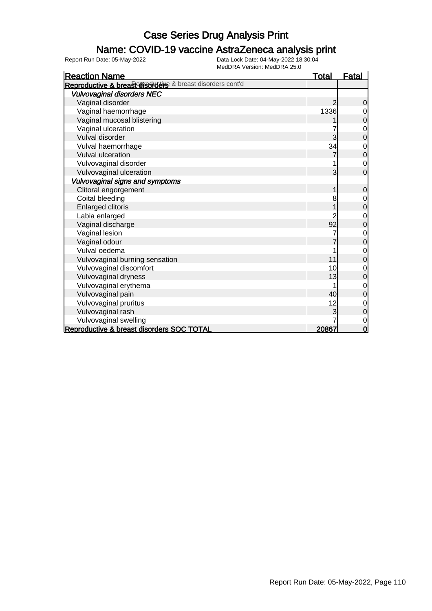### Name: COVID-19 vaccine AstraZeneca analysis print

| <b>Reaction Name</b>                                      | <b>Total</b> | <b>Fatal</b>   |
|-----------------------------------------------------------|--------------|----------------|
| Reproductive & breast disorders & breast disorders cont'd |              |                |
| <b>Vulvovaginal disorders NEC</b>                         |              |                |
| Vaginal disorder                                          |              | 0              |
| Vaginal haemorrhage                                       | 1336         | 0              |
| Vaginal mucosal blistering                                |              | 0              |
| Vaginal ulceration                                        |              | $\mathbf 0$    |
| Vulval disorder                                           | 3            | $\overline{0}$ |
| Vulval haemorrhage                                        | 34           | 0              |
| <b>Vulval ulceration</b>                                  |              | $\mathbf 0$    |
| Vulvovaginal disorder                                     |              | $\mathbf 0$    |
| Vulvovaginal ulceration                                   | 3            | $\overline{0}$ |
| Vulvovaginal signs and symptoms                           |              |                |
| Clitoral engorgement                                      |              | $\mathbf 0$    |
| Coital bleeding                                           | 8            | $\mathbf 0$    |
| <b>Enlarged clitoris</b>                                  |              | $\mathbf 0$    |
| Labia enlarged                                            |              | 0              |
| Vaginal discharge                                         | 92           | 0              |
| Vaginal lesion                                            |              | 0              |
| Vaginal odour                                             |              | $\mathbf 0$    |
| Vulval oedema                                             |              | 0              |
| Vulvovaginal burning sensation                            | 11           | 0              |
| Vulvovaginal discomfort                                   | 10           | 0              |
| Vulvovaginal dryness                                      | 13           | 0              |
| Vulvovaginal erythema                                     |              | 0              |
| Vulvovaginal pain                                         | 40           | 0              |
| Vulvovaginal pruritus                                     | 12           | $\mathbf 0$    |
| Vulvovaginal rash                                         |              | $\mathbf 0$    |
| Vulvovaginal swelling                                     |              | $\mathbf 0$    |
| Reproductive & breast disorders SOC TOTAL                 | 20867        | $\mathbf 0$    |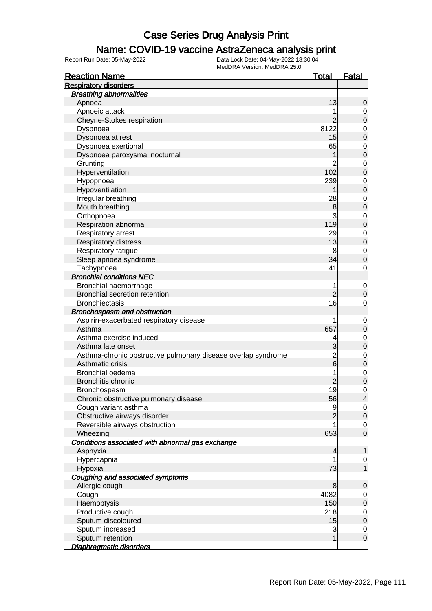### Name: COVID-19 vaccine AstraZeneca analysis print

| <b>Reaction Name</b>                                          | <u>Total</u>   | <u>Fatal</u>                  |
|---------------------------------------------------------------|----------------|-------------------------------|
| <b>Respiratory disorders</b>                                  |                |                               |
| <b>Breathing abnormalities</b>                                |                |                               |
| Apnoea                                                        | 13             | 0                             |
| Apnoeic attack                                                |                | 0                             |
| Cheyne-Stokes respiration                                     |                | $\overline{0}$                |
| Dyspnoea                                                      | 8122           | $\mathbf 0$                   |
| Dyspnoea at rest                                              | 15             | $\overline{0}$                |
| Dyspnoea exertional                                           | 65             | $\mathbf 0$                   |
| Dyspnoea paroxysmal nocturnal                                 |                | $\overline{0}$                |
| Grunting                                                      | 2              | $\mathbf 0$                   |
| Hyperventilation                                              | 102            | $\overline{0}$                |
| Hypopnoea                                                     | 239            | $\mathbf 0$                   |
| Hypoventilation                                               |                | $\overline{0}$                |
| Irregular breathing                                           | 28             | $\mathbf 0$                   |
| Mouth breathing                                               | 8              | $\overline{0}$                |
| Orthopnoea                                                    | 3              | $\mathbf 0$                   |
| Respiration abnormal                                          | 119            | $\overline{0}$                |
| Respiratory arrest                                            | 29             | $\mathbf 0$                   |
| <b>Respiratory distress</b>                                   | 13             | $\overline{0}$                |
|                                                               |                |                               |
| Respiratory fatigue                                           | 8<br>34        | $\mathbf 0$<br>$\overline{0}$ |
| Sleep apnoea syndrome                                         | 41             |                               |
| Tachypnoea                                                    |                | 0                             |
| <b>Bronchial conditions NEC</b>                               |                |                               |
| Bronchial haemorrhage                                         | 1              | $\mathbf 0$                   |
| <b>Bronchial secretion retention</b>                          | $\overline{c}$ | 0                             |
| <b>Bronchiectasis</b>                                         | 16             | 0                             |
| Bronchospasm and obstruction                                  |                |                               |
| Aspirin-exacerbated respiratory disease                       |                | $\mathbf 0$                   |
| Asthma                                                        | 657            | $\mathbf 0$                   |
| Asthma exercise induced                                       | 4              | $\mathbf 0$                   |
| Asthma late onset                                             | 3              | $\overline{0}$                |
| Asthma-chronic obstructive pulmonary disease overlap syndrome | $\frac{2}{6}$  | $\mathbf 0$                   |
| Asthmatic crisis                                              |                | $\overline{0}$                |
| Bronchial oedema                                              | 1              | $\mathbf 0$                   |
| <b>Bronchitis chronic</b>                                     | $\overline{c}$ | $\mathbf 0$                   |
| Bronchospasm                                                  | 19             | 0                             |
| Chronic obstructive pulmonary disease                         | 56             | 4                             |
| Cough variant asthma                                          | 9              | $\overline{0}$                |
| Obstructive airways disorder                                  |                | $\mathbf 0$                   |
| Reversible airways obstruction                                |                | 0                             |
| Wheezing                                                      | 653            | $\mathbf 0$                   |
| Conditions associated with abnormal gas exchange              |                |                               |
| Asphyxia                                                      | 4              | 1                             |
| Hypercapnia                                                   |                | $\mathbf 0$                   |
| Hypoxia                                                       | 73             | 1                             |
| Coughing and associated symptoms                              |                |                               |
| Allergic cough                                                | 8              | 0                             |
| Cough                                                         | 4082           | $\overline{0}$                |
| Haemoptysis                                                   | 150            | $\boldsymbol{0}$              |
| Productive cough                                              | 218            | $\mathbf 0$                   |
| Sputum discoloured                                            | 15             | $\mathbf 0$                   |
| Sputum increased                                              | 3              | $\mathbf 0$                   |
| Sputum retention                                              |                | $\mathbf 0$                   |
| Diaphragmatic disorders                                       |                |                               |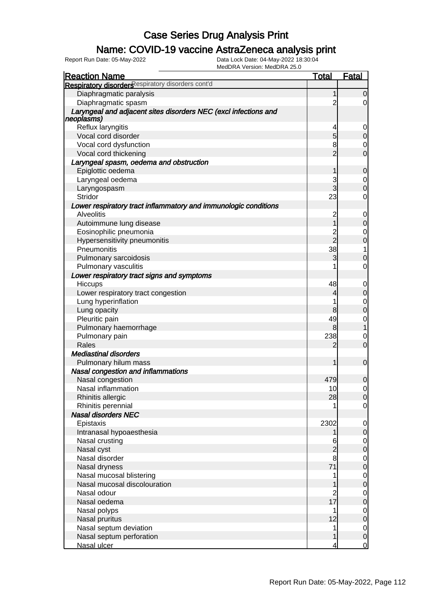### Name: COVID-19 vaccine AstraZeneca analysis print

| <b>Reaction Name</b>                                                          | <u>Total</u>            | <b>Fatal</b>                   |
|-------------------------------------------------------------------------------|-------------------------|--------------------------------|
| Respiratory disorders espiratory disorders cont'd                             |                         |                                |
| Diaphragmatic paralysis                                                       | 1                       | $\overline{0}$                 |
| Diaphragmatic spasm                                                           | $\overline{2}$          | $\overline{0}$                 |
| Laryngeal and adjacent sites disorders NEC (excl infections and<br>neoplasms) |                         |                                |
| Reflux laryngitis                                                             | 4                       |                                |
| Vocal cord disorder                                                           | 5                       | $\overline{0}$                 |
| Vocal cord dysfunction                                                        | 8                       | $\overline{0}$                 |
| Vocal cord thickening                                                         | $\overline{2}$          | $\overline{0}$                 |
| Laryngeal spasm, oedema and obstruction                                       |                         |                                |
| Epiglottic oedema                                                             |                         | 0                              |
| Laryngeal oedema                                                              | 3                       | $\mathbf 0$                    |
| Laryngospasm                                                                  | 3                       | $\overline{0}$                 |
| Stridor                                                                       | 23                      | 0                              |
| Lower respiratory tract inflammatory and immunologic conditions               |                         |                                |
| <b>Alveolitis</b>                                                             | $\overline{\mathbf{c}}$ | $\mathbf 0$                    |
| Autoimmune lung disease                                                       | 1                       | $\overline{0}$                 |
| Eosinophilic pneumonia                                                        |                         | 0                              |
| Hypersensitivity pneumonitis                                                  | $\frac{2}{2}$           | $\overline{0}$                 |
| Pneumonitis                                                                   | 38                      |                                |
| Pulmonary sarcoidosis                                                         | 3                       | 0                              |
| Pulmonary vasculitis                                                          |                         | 0                              |
| Lower respiratory tract signs and symptoms                                    |                         |                                |
| Hiccups                                                                       | 48                      | $\overline{0}$                 |
| Lower respiratory tract congestion                                            | 4                       | $\mathbf 0$                    |
| Lung hyperinflation                                                           | 1                       | $\mathbf 0$                    |
| Lung opacity                                                                  | 8                       | $\overline{0}$                 |
| Pleuritic pain                                                                | 49                      | 0                              |
| Pulmonary haemorrhage                                                         | 8                       |                                |
| Pulmonary pain                                                                | 238                     | 0                              |
| Rales                                                                         | 2                       | $\overline{0}$                 |
| <b>Mediastinal disorders</b>                                                  |                         |                                |
| Pulmonary hilum mass                                                          |                         | $\mathbf 0$                    |
| Nasal congestion and inflammations                                            |                         |                                |
| Nasal congestion                                                              | 479                     | 0                              |
| Nasal inflammation                                                            | 10                      | $\mathbf 0$                    |
| Rhinitis allergic                                                             | 28                      | $\overline{0}$                 |
| Rhinitis perennial                                                            | 1                       | $\overline{0}$                 |
| Nasal disorders NEC                                                           |                         |                                |
| Epistaxis                                                                     | 2302                    | $\overline{0}$                 |
| Intranasal hypoaesthesia                                                      |                         | $\mathbf 0$                    |
| Nasal crusting                                                                | 6                       | $\overline{0}$                 |
| Nasal cyst                                                                    |                         | 0                              |
| Nasal disorder                                                                | 8                       | $\overline{0}$                 |
| Nasal dryness                                                                 | 71                      | $\overline{0}$                 |
| Nasal mucosal blistering                                                      |                         |                                |
| Nasal mucosal discolouration                                                  |                         | $\mathbf{0}$<br>$\overline{0}$ |
| Nasal odour                                                                   |                         |                                |
| Nasal oedema                                                                  | $\frac{2}{17}$          | $\mathbf 0$<br>$\overline{0}$  |
| Nasal polyps                                                                  | 1                       |                                |
| Nasal pruritus                                                                | 12                      | $\mathbf 0$<br>$\overline{0}$  |
| Nasal septum deviation                                                        | 1                       |                                |
| Nasal septum perforation                                                      |                         | $0\atop 0$                     |
| Nasal ulcer                                                                   | 4                       | $\overline{0}$                 |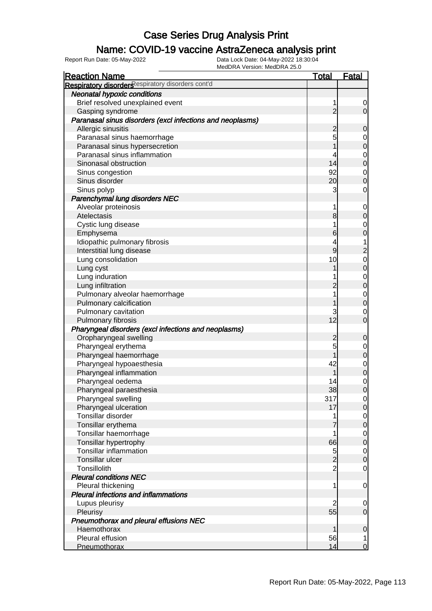### Name: COVID-19 vaccine AstraZeneca analysis print

| <b>Reaction Name</b>                                      | <b>Total</b>   | <b>Fatal</b>                               |
|-----------------------------------------------------------|----------------|--------------------------------------------|
| Respiratory disorders espiratory disorders cont'd         |                |                                            |
| <b>Neonatal hypoxic conditions</b>                        |                |                                            |
| Brief resolved unexplained event                          | 1              | 0                                          |
| Gasping syndrome                                          | $\overline{2}$ | $\overline{O}$                             |
| Paranasal sinus disorders (excl infections and neoplasms) |                |                                            |
| Allergic sinusitis                                        | $\overline{c}$ | $\mathbf 0$                                |
| Paranasal sinus haemorrhage                               | 5              |                                            |
| Paranasal sinus hypersecretion                            | 1              | $0\atop 0$                                 |
| Paranasal sinus inflammation                              | 4              |                                            |
| Sinonasal obstruction                                     | 14             | $0$ 0                                      |
| Sinus congestion                                          | 92             |                                            |
| Sinus disorder                                            | 20             | $\begin{matrix}0\\0\end{matrix}$           |
| Sinus polyp                                               | 3              | $\mathbf 0$                                |
| Parenchymal lung disorders NEC                            |                |                                            |
| Alveolar proteinosis                                      | 1              | $\mathbf 0$                                |
| Atelectasis                                               | 8              | $\mathbf 0$                                |
| Cystic lung disease                                       | 1              |                                            |
| Emphysema                                                 | 6              | $0\0$                                      |
| Idiopathic pulmonary fibrosis                             | 4              | $\overline{1}$                             |
| Interstitial lung disease                                 | 9              |                                            |
| Lung consolidation                                        | 10             |                                            |
| Lung cyst                                                 | 1              | $\begin{array}{c} 2 \\ 0 \\ 0 \end{array}$ |
| Lung induration                                           |                |                                            |
|                                                           | $\overline{c}$ | $\begin{matrix}0\\0\end{matrix}$           |
| Lung infiltration                                         | 1              |                                            |
| Pulmonary alveolar haemorrhage                            | 1              | $\begin{matrix}0\\0\end{matrix}$           |
| Pulmonary calcification                                   |                |                                            |
| Pulmonary cavitation                                      | 3<br>12        | $\mathbf 0$<br>$\overline{0}$              |
| Pulmonary fibrosis                                        |                |                                            |
| Pharyngeal disorders (excl infections and neoplasms)      |                |                                            |
| Oropharyngeal swelling                                    | $\overline{c}$ | $\mathbf 0$                                |
| Pharyngeal erythema                                       | 5              | $0\atop 0$                                 |
| Pharyngeal haemorrhage                                    | 1              |                                            |
| Pharyngeal hypoaesthesia                                  | 42             | $\begin{matrix}0\\0\end{matrix}$           |
| Pharyngeal inflammation                                   | 1              |                                            |
| Pharyngeal oedema                                         | 14             | $\begin{matrix}0\\0\end{matrix}$           |
| Pharyngeal paraesthesia                                   | 38             |                                            |
| Pharyngeal swelling                                       | 317            | $\Omega$                                   |
| Pharyngeal ulceration                                     | 17             | $\overline{0}$                             |
| Tonsillar disorder                                        |                | $\begin{matrix} 0 \\ 0 \end{matrix}$       |
| Tonsillar erythema                                        |                |                                            |
| Tonsillar haemorrhage                                     | 1              | $\begin{matrix} 0 \\ 0 \end{matrix}$       |
| Tonsillar hypertrophy                                     | 66             |                                            |
| Tonsillar inflammation                                    | $\overline{5}$ | $\begin{matrix} 0 \\ 0 \end{matrix}$       |
| Tonsillar ulcer                                           | $\overline{c}$ |                                            |
| Tonsillolith                                              | $\overline{2}$ | $\overline{O}$                             |
| <b>Pleural conditions NEC</b>                             |                |                                            |
| Pleural thickening                                        | 1              | $\overline{0}$                             |
| Pleural infections and inflammations                      |                |                                            |
| Lupus pleurisy                                            | $\overline{2}$ | $\mathbf 0$                                |
| Pleurisy                                                  | 55             | $\mathbf 0$                                |
| Pneumothorax and pleural effusions NEC                    |                |                                            |
| Haemothorax                                               | 1              | $\pmb{0}$                                  |
| Pleural effusion                                          | 56             | 1                                          |
| Pneumothorax                                              | 14             | $\overline{0}$                             |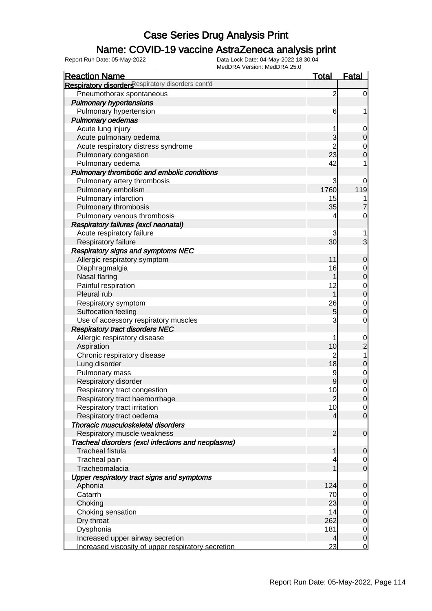### Name: COVID-19 vaccine AstraZeneca analysis print

| <b>Reaction Name</b>                               | <u>Total</u>   | <b>Fatal</b>                     |
|----------------------------------------------------|----------------|----------------------------------|
| Respiratory disorders espiratory disorders cont'd  |                |                                  |
| Pneumothorax spontaneous                           | $\overline{c}$ | $\mathbf 0$                      |
| <b>Pulmonary hypertensions</b>                     |                |                                  |
| Pulmonary hypertension                             | 6              | 1                                |
| <b>Pulmonary oedemas</b>                           |                |                                  |
| Acute lung injury                                  | 1              | $\mathbf 0$                      |
| Acute pulmonary oedema                             | 3              | $\mathbf 0$                      |
| Acute respiratory distress syndrome                | $\overline{2}$ |                                  |
| Pulmonary congestion                               | 23             | $\begin{matrix}0\\0\end{matrix}$ |
| Pulmonary oedema                                   | 42             | 1                                |
| Pulmonary thrombotic and embolic conditions        |                |                                  |
| Pulmonary artery thrombosis                        | 3              | 0                                |
| Pulmonary embolism                                 | 1760           | 119                              |
| Pulmonary infarction                               | 15             | 1                                |
| Pulmonary thrombosis                               | 35             | 7                                |
| Pulmonary venous thrombosis                        | 4              | $\mathbf 0$                      |
| Respiratory failures (excl neonatal)               |                |                                  |
| Acute respiratory failure                          | 3              | 1                                |
| Respiratory failure                                | 30             | 3                                |
| <b>Respiratory signs and symptoms NEC</b>          |                |                                  |
| Allergic respiratory symptom                       | 11             | $\mathbf 0$                      |
| Diaphragmalgia                                     | 16             |                                  |
| Nasal flaring                                      | 1              | $0\atop 0$                       |
| Painful respiration                                | 12             |                                  |
| Pleural rub                                        | 1              | $\begin{matrix}0\\0\end{matrix}$ |
| Respiratory symptom                                | 26             | $\begin{matrix}0\\0\end{matrix}$ |
| Suffocation feeling                                | 5              |                                  |
| Use of accessory respiratory muscles               | 3              | $\mathbf 0$                      |
| <b>Respiratory tract disorders NEC</b>             |                |                                  |
| Allergic respiratory disease                       | 1              |                                  |
| Aspiration                                         | 10             | $\frac{0}{2}$                    |
| Chronic respiratory disease                        | $\overline{2}$ | 1                                |
| Lung disorder                                      | 18             | $\mathbf 0$                      |
| Pulmonary mass                                     | 9              | $\begin{matrix}0\\0\end{matrix}$ |
| Respiratory disorder                               | 9              |                                  |
| Respiratory tract congestion                       | 10             | $\overline{0}$                   |
| Respiratory tract haemorrhage                      | $\overline{2}$ | 0                                |
| Respiratory tract irritation                       | 10             | $\overline{0}$                   |
| Respiratory tract oedema                           | 4              | $\overline{0}$                   |
| Thoracic musculoskeletal disorders                 |                |                                  |
| Respiratory muscle weakness                        | 2              | $\mathbf 0$                      |
| Tracheal disorders (excl infections and neoplasms) |                |                                  |
| <b>Tracheal fistula</b>                            | 1              | 0                                |
| Tracheal pain                                      | 4              | $\overline{0}$                   |
| Tracheomalacia                                     |                | $\mathbf 0$                      |
| Upper respiratory tract signs and symptoms         |                |                                  |
| Aphonia                                            | 124            | $\mathbf 0$                      |
| Catarrh                                            | 70             | $\overline{0}$                   |
| Choking                                            | 23             | $\boldsymbol{0}$                 |
| Choking sensation                                  | 14             | $\overline{0}$                   |
| Dry throat                                         | 262            | $\mathbf 0$                      |
| Dysphonia                                          | 181            | $\overline{0}$                   |
| Increased upper airway secretion                   | $\overline{4}$ | $\pmb{0}$                        |
| Increased viscosity of upper respiratory secretion | 23             | $\mathbf 0$                      |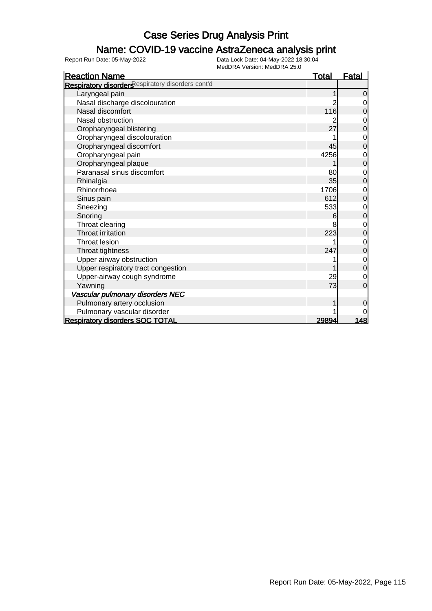### Name: COVID-19 vaccine AstraZeneca analysis print

| <b>Reaction Name</b>                              | <u>Total</u> | <b>Fatal</b>   |
|---------------------------------------------------|--------------|----------------|
| Respiratory disorders espiratory disorders cont'd |              |                |
| Laryngeal pain                                    |              | $\Omega$       |
| Nasal discharge discolouration                    | 2            | 0              |
| Nasal discomfort                                  | 116          | 0              |
| Nasal obstruction                                 |              | 0              |
| Oropharyngeal blistering                          | 27           | 0              |
| Oropharyngeal discolouration                      |              | 0              |
| Oropharyngeal discomfort                          | 45           | 0              |
| Oropharyngeal pain                                | 4256         | 0              |
| Oropharyngeal plaque                              |              | 0              |
| Paranasal sinus discomfort                        | 80           | 0              |
| Rhinalgia                                         | 35           | 0              |
| Rhinorrhoea                                       | 1706         | 0              |
| Sinus pain                                        | 612          | 0              |
| Sneezing                                          | 533          | 0              |
| Snoring                                           | 6            | $\overline{0}$ |
| Throat clearing                                   | 8            | Ω              |
| Throat irritation                                 | 223          | 0              |
| Throat lesion                                     |              | 0              |
| Throat tightness                                  | 247          | $\Omega$       |
| Upper airway obstruction                          |              | $\mathbf 0$    |
| Upper respiratory tract congestion                |              | $\overline{0}$ |
| Upper-airway cough syndrome                       | 29           | $\mathbf 0$    |
| Yawning                                           | 73           | $\overline{0}$ |
| Vascular pulmonary disorders NEC                  |              |                |
| Pulmonary artery occlusion                        |              | 0              |
| Pulmonary vascular disorder                       |              | 0              |
| <b>Respiratory disorders SOC TOTAL</b>            | 29894        | 148            |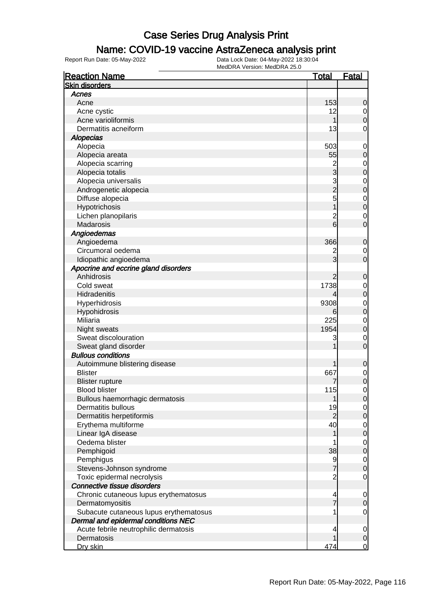### Name: COVID-19 vaccine AstraZeneca analysis print

| <b>Reaction Name</b>                               | <u>Total</u>   | <u>Fatal</u>   |
|----------------------------------------------------|----------------|----------------|
| <b>Skin disorders</b>                              |                |                |
| Acnes                                              |                |                |
| Acne                                               | 153            | 0              |
| Acne cystic                                        | 12             | 0              |
| Acne varioliformis                                 |                | 0              |
| Dermatitis acneiform                               | 13             | 0              |
| <b>Alopecias</b>                                   |                |                |
| Alopecia                                           | 503            | 0              |
| Alopecia areata                                    | 55             | 0              |
| Alopecia scarring                                  |                | 0              |
| Alopecia totalis                                   | 2<br>3         | 0              |
| Alopecia universalis                               |                | $\mathbf 0$    |
| Androgenetic alopecia                              | 3<br>2         | 0              |
| Diffuse alopecia                                   | 5              | $\mathbf 0$    |
| Hypotrichosis                                      |                | $\overline{0}$ |
| Lichen planopilaris                                | $\overline{c}$ | 0              |
| Madarosis                                          | 6              | 0              |
| Angioedemas                                        |                |                |
| Angioedema                                         | 366            | 0              |
| Circumoral oedema                                  |                |                |
|                                                    | 2<br>3         | 0              |
| Idiopathic angioedema                              |                | 0              |
| Apocrine and eccrine gland disorders<br>Anhidrosis |                |                |
|                                                    | 2              | 0              |
| Cold sweat                                         | 1738           | 0              |
| Hidradenitis                                       | 4              | 0              |
| Hyperhidrosis                                      | 9308           | 0              |
| Hypohidrosis                                       | 6              | $\mathbf 0$    |
| Miliaria                                           | 225            | $\mathbf 0$    |
| Night sweats                                       | 1954           | 0              |
| Sweat discolouration                               | 3              | 0              |
| Sweat gland disorder                               |                | 0              |
| <b>Bullous conditions</b>                          |                |                |
| Autoimmune blistering disease                      |                | 0              |
| <b>Blister</b>                                     | 667            | $\mathbf 0$    |
| <b>Blister rupture</b>                             |                | $\mathbf 0$    |
| <b>Blood blister</b>                               | 115            | 0              |
| Bullous haemorrhagic dermatosis                    |                | U              |
| Dermatitis bullous                                 | 19             | 0              |
| Dermatitis herpetiformis                           | $\overline{2}$ | 0              |
| Erythema multiforme                                | 40             | 0              |
| Linear IgA disease                                 |                | $\mathbf 0$    |
| Oedema blister                                     |                | $\mathbf 0$    |
| Pemphigoid                                         | 38             | 0              |
| Pemphigus                                          | 9              | $\mathbf 0$    |
| Stevens-Johnson syndrome                           | $\overline{7}$ | 0              |
| Toxic epidermal necrolysis                         | 2              | 0              |
| Connective tissue disorders                        |                |                |
| Chronic cutaneous lupus erythematosus              | 4              | 0              |
| Dermatomyositis                                    |                | 0              |
| Subacute cutaneous lupus erythematosus             |                | 0              |
| Dermal and epidermal conditions NEC                |                |                |
| Acute febrile neutrophilic dermatosis              | 4              | 0              |
| Dermatosis                                         |                | 0              |
| Dry skin                                           | 474            | $\overline{0}$ |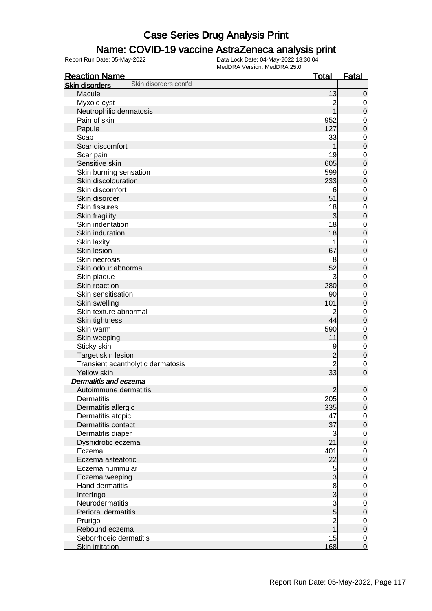### Name: COVID-19 vaccine AstraZeneca analysis print

| <b>Reaction Name</b>                           | <u>Total</u>   | <b>Fatal</b>     |
|------------------------------------------------|----------------|------------------|
| Skin disorders cont'd<br><b>Skin disorders</b> |                |                  |
| Macule                                         | 13             | $\mathbf 0$      |
| Myxoid cyst                                    | 2              | $\overline{0}$   |
| Neutrophilic dermatosis                        |                | $\mathbf 0$      |
| Pain of skin                                   | 952            | $\mathbf 0$      |
| Papule                                         | 127            | $\mathbf 0$      |
| Scab                                           | 33             | $\mathbf 0$      |
| Scar discomfort                                |                | $\mathbf 0$      |
| Scar pain                                      | 19             | $\mathbf 0$      |
| Sensitive skin                                 | 605            | $\mathbf 0$      |
| Skin burning sensation                         | 599            | $\mathbf 0$      |
| Skin discolouration                            | 233            | $\mathbf 0$      |
| Skin discomfort                                | 6              | $\mathbf 0$      |
| Skin disorder                                  | 51             | $\mathbf 0$      |
| <b>Skin fissures</b>                           | 18             | $\mathbf 0$      |
|                                                | 3              | $\mathbf 0$      |
| Skin fragility<br>Skin indentation             | 18             |                  |
| Skin induration                                |                | $\mathbf 0$      |
|                                                | 18             | $\mathbf 0$      |
| Skin laxity                                    |                | $\mathbf 0$      |
| Skin lesion                                    | 67             | $\mathbf 0$      |
| Skin necrosis                                  | 8              | $\mathbf 0$      |
| Skin odour abnormal                            | 52             | $\mathbf 0$      |
| Skin plaque                                    | 3              | $\mathbf 0$      |
| Skin reaction                                  | 280            | $\mathbf 0$      |
| Skin sensitisation                             | 90             | $\mathbf 0$      |
| Skin swelling                                  | 101            | $\mathbf 0$      |
| Skin texture abnormal                          | 2              | $\mathbf 0$      |
| Skin tightness                                 | 44             | $\mathbf 0$      |
| Skin warm                                      | 590            | $\mathbf 0$      |
| Skin weeping                                   | 11             | $\mathbf 0$      |
| Sticky skin                                    | 9              | $\mathbf 0$      |
| Target skin lesion                             | $\overline{c}$ | $\mathbf 0$      |
| Transient acantholytic dermatosis              | $\overline{2}$ | $\mathbf 0$      |
| Yellow skin                                    | 33             | $\mathbf 0$      |
| Dermatitis and eczema                          |                |                  |
| Autoimmune dermatitis                          | $\overline{2}$ | $\boldsymbol{0}$ |
| Dermatitis                                     | 205            | $\overline{0}$   |
| Dermatitis allergic                            | 335            | $\overline{0}$   |
| Dermatitis atopic                              | 47             | $\mathbf 0$      |
| Dermatitis contact                             | 37             | $\pmb{0}$        |
| Dermatitis diaper                              | 3              | $\mathbf 0$      |
| Dyshidrotic eczema                             | 21             | $\pmb{0}$        |
| Eczema                                         | 401            | $\mathbf 0$      |
| Eczema asteatotic                              | 22             | $\pmb{0}$        |
| Eczema nummular                                | $\overline{5}$ | $\mathbf 0$      |
| Eczema weeping                                 | $\overline{3}$ | $\pmb{0}$        |
| Hand dermatitis                                |                | $\mathbf 0$      |
| Intertrigo                                     | $\frac{8}{3}$  | $\pmb{0}$        |
| Neurodermatitis                                |                | $\mathbf 0$      |
| Perioral dermatitis                            | $\frac{3}{5}$  | $\pmb{0}$        |
| Prurigo                                        | $\overline{c}$ | $\mathbf 0$      |
| Rebound eczema                                 | $\overline{1}$ | $\pmb{0}$        |
| Seborrhoeic dermatitis                         | 15             | $\mathbf 0$      |
| <b>Skin irritation</b>                         | 168            | $\overline{0}$   |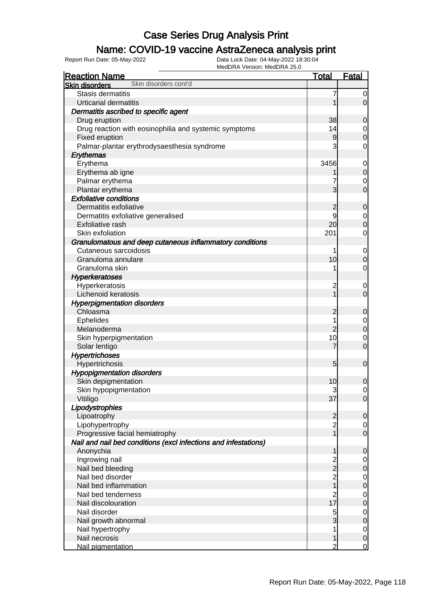### Name: COVID-19 vaccine AstraZeneca analysis print

| <b>INIEUDRA VEISIUII. INIEUDRA ZO.U</b><br><b>Reaction Name</b> | <b>Total</b>                           | <b>Fatal</b>                     |
|-----------------------------------------------------------------|----------------------------------------|----------------------------------|
| Skin disorders cont'd<br><b>Skin disorders</b>                  |                                        |                                  |
| Stasis dermatitis                                               |                                        | 0                                |
| <b>Urticarial dermatitis</b>                                    |                                        | $\overline{0}$                   |
| Dermatitis ascribed to specific agent                           |                                        |                                  |
| Drug eruption                                                   | 38                                     | $\overline{0}$                   |
| Drug reaction with eosinophilia and systemic symptoms           | 14                                     | $\mathbf 0$                      |
| Fixed eruption                                                  | 9                                      | $\overline{0}$                   |
| Palmar-plantar erythrodysaesthesia syndrome                     | 3                                      | 0                                |
| Erythemas                                                       |                                        |                                  |
| Erythema                                                        | 3456                                   | $\mathbf 0$                      |
| Erythema ab igne                                                |                                        | $\overline{0}$                   |
| Palmar erythema                                                 |                                        | $\mathbf 0$                      |
| Plantar erythema                                                | 3                                      | $\overline{0}$                   |
| <b>Exfoliative conditions</b>                                   |                                        |                                  |
| Dermatitis exfoliative                                          |                                        | $\mathbf 0$                      |
|                                                                 | 2                                      |                                  |
| Dermatitis exfoliative generalised                              | 20 <sub>l</sub>                        | $\mathbf 0$<br>$\overline{O}$    |
| <b>Exfoliative rash</b>                                         |                                        |                                  |
| Skin exfoliation                                                | 201                                    | 0                                |
| Granulomatous and deep cutaneous inflammatory conditions        |                                        |                                  |
| Cutaneous sarcoidosis                                           |                                        | $\mathbf 0$                      |
| Granuloma annulare                                              | 10                                     | $\overline{0}$                   |
| Granuloma skin                                                  |                                        | 0                                |
| <b>Hyperkeratoses</b>                                           |                                        |                                  |
| Hyperkeratosis                                                  | $\overline{c}$                         | $\overline{0}$                   |
| Lichenoid keratosis                                             |                                        | $\overline{0}$                   |
| <b>Hyperpigmentation disorders</b>                              |                                        |                                  |
| Chloasma                                                        | 2                                      | 0                                |
| Ephelides                                                       |                                        | $\mathbf 0$                      |
| Melanoderma                                                     | $\overline{c}$                         | $\overline{0}$                   |
| Skin hyperpigmentation                                          | 10                                     | $\mathbf 0$                      |
| Solar lentigo                                                   | 7                                      | $\overline{0}$                   |
| <b>Hypertrichoses</b>                                           |                                        |                                  |
| Hypertrichosis                                                  | 5                                      | $\mathbf 0$                      |
| <b>Hypopigmentation disorders</b>                               |                                        |                                  |
| Skin depigmentation                                             | 10                                     | $\mathbf 0$                      |
| Skin hypopigmentation                                           | 3                                      | $\overline{0}$                   |
| Vitiligo                                                        | 37                                     | $\overline{0}$                   |
| Lipodystrophies                                                 |                                        |                                  |
| Lipoatrophy                                                     | 2                                      | $\overline{0}$                   |
| Lipohypertrophy                                                 | $\overline{c}$                         | $\overline{0}$                   |
| Progressive facial hemiatrophy                                  |                                        | $\overline{0}$                   |
| Nail and nail bed conditions (excl infections and infestations) |                                        |                                  |
| Anonychia                                                       |                                        | $\mathbf 0$                      |
| Ingrowing nail                                                  |                                        | $\mathbf 0$                      |
| Nail bed bleeding                                               | 2<br>2                                 | $\mathbf 0$                      |
| Nail bed disorder                                               | $\frac{2}{1}$                          |                                  |
| Nail bed inflammation                                           |                                        | $\begin{matrix}0\\0\end{matrix}$ |
| Nail bed tenderness                                             |                                        | $\mathbf{0}$                     |
| Nail discolouration                                             | $\begin{array}{c} 2 \\ 17 \end{array}$ | $\overline{0}$                   |
| Nail disorder                                                   | 5                                      | $\mathbf{0}$                     |
| Nail growth abnormal                                            | 3                                      | $\overline{0}$                   |
| Nail hypertrophy                                                |                                        | $\mathbf 0$                      |
| Nail necrosis                                                   |                                        | $\mathbf 0$                      |
| Nail pigmentation                                               | 2                                      | $\overline{0}$                   |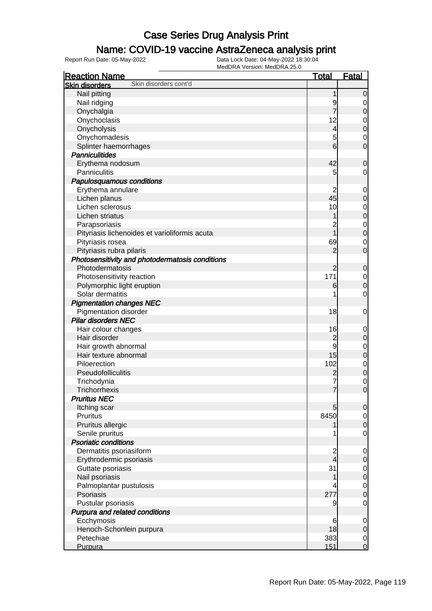#### Name: COVID-19 vaccine AstraZeneca analysis print

| <b>Reaction Name</b>                            | <b>Total</b>                               | <b>Fatal</b>                       |
|-------------------------------------------------|--------------------------------------------|------------------------------------|
| Skin disorders cont'd<br><b>Skin disorders</b>  |                                            |                                    |
| Nail pitting                                    |                                            | $\overline{0}$                     |
| Nail ridging                                    | 9                                          | 0                                  |
| Onychalgia                                      |                                            | $\boldsymbol{0}$                   |
| Onychoclasis                                    | 12                                         | $\mathbf 0$                        |
| Onycholysis                                     | $\overline{\mathcal{L}}$                   | $\mathbf 0$                        |
| Onychomadesis                                   | 5                                          | $\mathbf 0$                        |
| Splinter haemorrhages                           | $6 \overline{}$                            | $\mathbf 0$                        |
| <b>Panniculitides</b>                           |                                            |                                    |
| Erythema nodosum                                | 42                                         | 0                                  |
| Panniculitis                                    | 5                                          | 0                                  |
| Papulosquamous conditions                       |                                            |                                    |
| Erythema annulare                               | 2                                          | $\mathbf 0$                        |
| Lichen planus                                   | 45                                         | 0                                  |
| Lichen sclerosus                                | 10                                         | $\mathbf 0$                        |
| Lichen striatus                                 |                                            | $\mathbf 0$                        |
| Parapsoriasis                                   | 2                                          | $\mathbf{0}$                       |
| Pityriasis lichenoides et varioliformis acuta   | $\overline{1}$                             | $\mathbf 0$                        |
| Pityriasis rosea                                | 69                                         | $\mathbf 0$                        |
| Pityriasis rubra pilaris                        | 2                                          | $\mathbf 0$                        |
| Photosensitivity and photodermatosis conditions |                                            |                                    |
| Photodermatosis                                 | 2                                          | $\mathbf 0$                        |
| Photosensitivity reaction                       | 171                                        | $\mathbf 0$                        |
| Polymorphic light eruption                      | 6                                          | $\boldsymbol{0}$                   |
| Solar dermatitis                                |                                            | $\mathbf 0$                        |
| <b>Pigmentation changes NEC</b>                 |                                            |                                    |
| <b>Pigmentation disorder</b>                    | 18                                         | $\mathbf 0$                        |
| <b>Pilar disorders NEC</b>                      |                                            |                                    |
| Hair colour changes                             | 16                                         | 0                                  |
| Hair disorder                                   | $\overline{c}$                             | $\mathbf 0$                        |
| Hair growth abnormal                            | 9                                          | $\mathbf 0$                        |
| Hair texture abnormal                           | 15                                         | $\boldsymbol{0}$                   |
| Piloerection                                    | 102                                        | $\mathbf 0$                        |
| Pseudofolliculitis                              | $\overline{c}$                             | $\mathbf 0$                        |
| Trichodynia                                     |                                            | $\mathbf 0$                        |
| Trichorrhexis                                   | 7                                          | $\overline{0}$                     |
| <b>Pruritus NEC</b>                             |                                            |                                    |
| Itching scar                                    | 5                                          | $\mathbf 0$                        |
| Pruritus                                        | 8450                                       | $\overline{0}$                     |
| Pruritus allergic                               |                                            | $\boldsymbol{0}$                   |
| Senile pruritus<br><b>Psoriatic conditions</b>  |                                            | $\mathbf 0$                        |
|                                                 |                                            |                                    |
| Dermatitis psoriasiform                         | $\overline{c}$<br>$\overline{\mathcal{A}}$ | $\mathbf 0$                        |
| Erythrodermic psoriasis<br>Guttate psoriasis    | 31                                         | $\mathbf 0$                        |
| Nail psoriasis                                  |                                            | $\overline{0}$<br>$\boldsymbol{0}$ |
| Palmoplantar pustulosis                         |                                            | $\mathbf 0$                        |
| Psoriasis                                       | 277                                        | $\mathbf 0$                        |
| Pustular psoriasis                              | 9                                          | $\mathbf 0$                        |
| Purpura and related conditions                  |                                            |                                    |
| Ecchymosis                                      | 6                                          | $\mathbf 0$                        |
| Henoch-Schonlein purpura                        | 18                                         | $\mathbf 0$                        |
| Petechiae                                       | 383                                        | $\overline{0}$                     |
| Purpura                                         | 151                                        | $\mathbf 0$                        |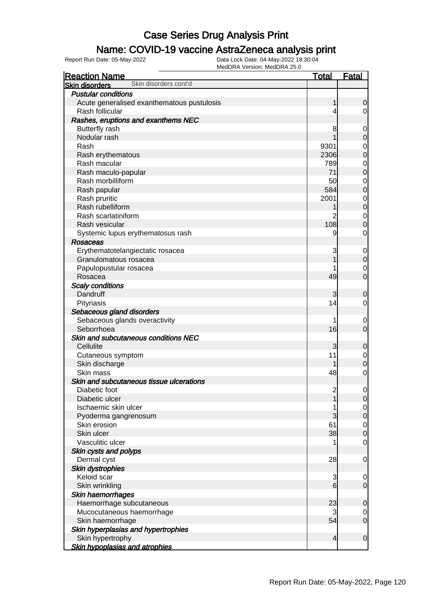### Name: COVID-19 vaccine AstraZeneca analysis print

| <b>Reaction Name</b>                           | <u>Total</u>   | <b>Fatal</b>                     |
|------------------------------------------------|----------------|----------------------------------|
| Skin disorders cont'd<br><b>Skin disorders</b> |                |                                  |
| <b>Pustular conditions</b>                     |                |                                  |
| Acute generalised exanthematous pustulosis     | 1              | 0                                |
| Rash follicular                                | 4              | 0                                |
| Rashes, eruptions and exanthems NEC            |                |                                  |
| <b>Butterfly rash</b>                          | 8              | $\mathbf 0$                      |
| Nodular rash                                   |                | $\mathbf 0$                      |
| Rash                                           | 9301           | $\mathbf{0}$                     |
| Rash erythematous                              | 2306           | 0                                |
| Rash macular                                   | 789            |                                  |
| Rash maculo-papular                            | 71             | $\begin{matrix}0\\0\end{matrix}$ |
| Rash morbilliform                              | 50             |                                  |
| Rash papular                                   | 584            | $\begin{matrix}0\\0\end{matrix}$ |
| Rash pruritic                                  | 2001           |                                  |
| Rash rubelliform                               |                | $\begin{matrix}0\\0\end{matrix}$ |
| Rash scarlatiniform                            | $\overline{2}$ | $\begin{matrix}0\\0\end{matrix}$ |
| Rash vesicular                                 | 108            |                                  |
| Systemic lupus erythematosus rash              | 9              | 0                                |
| Rosaceas                                       |                |                                  |
| Erythematotelangiectatic rosacea               | 3              | $\mathbf 0$                      |
| Granulomatous rosacea                          |                | $\overline{0}$                   |
| Papulopustular rosacea                         |                | $\mathbf 0$                      |
| Rosacea                                        | 49             | $\overline{0}$                   |
| <b>Scaly conditions</b>                        |                |                                  |
| Dandruff                                       | 3              | 0                                |
| Pityriasis                                     | 14             | 0                                |
| Sebaceous gland disorders                      |                |                                  |
| Sebaceous glands overactivity                  | 1              | $\mathbf 0$                      |
| Seborrhoea                                     | 16             | $\mathbf 0$                      |
| Skin and subcutaneous conditions NEC           |                |                                  |
| Cellulite                                      | 3              | 0                                |
| Cutaneous symptom                              | 11             | $\mathbf{0}$                     |
| Skin discharge                                 |                | $\overline{0}$                   |
| Skin mass                                      | 48             | $\mathbf 0$                      |
| Skin and subcutaneous tissue ulcerations       |                |                                  |
| Diabetic foot                                  | $\overline{c}$ | $\mathbf{0}$                     |
| Diabetic ulcer                                 | 1              | $\overline{0}$                   |
| Ischaemic skin ulcer                           | 1              | $\overline{0}$                   |
| Pyoderma gangrenosum                           | 3              | $\overline{0}$                   |
| Skin erosion                                   | 61             |                                  |
| Skin ulcer                                     | 38             | $\begin{matrix}0\\0\end{matrix}$ |
| Vasculitic ulcer                               |                | $\mathbf 0$                      |
| Skin cysts and polyps                          |                |                                  |
| Dermal cyst                                    | 28             | $\mathbf 0$                      |
| <b>Skin dystrophies</b>                        |                |                                  |
| Keloid scar                                    | 3              | $\mathbf 0$                      |
| Skin wrinkling                                 | 6              | $\mathbf 0$                      |
| Skin haemorrhages                              |                |                                  |
| Haemorrhage subcutaneous                       | 23             | 0                                |
| Mucocutaneous haemorrhage                      | 3              | $\mathbf 0$                      |
| Skin haemorrhage                               | 54             | $\overline{0}$                   |
| Skin hyperplasias and hypertrophies            |                |                                  |
| Skin hypertrophy                               | 4              | $\mathbf 0$                      |
| <b>Skin hypoplasias and atrophies</b>          |                |                                  |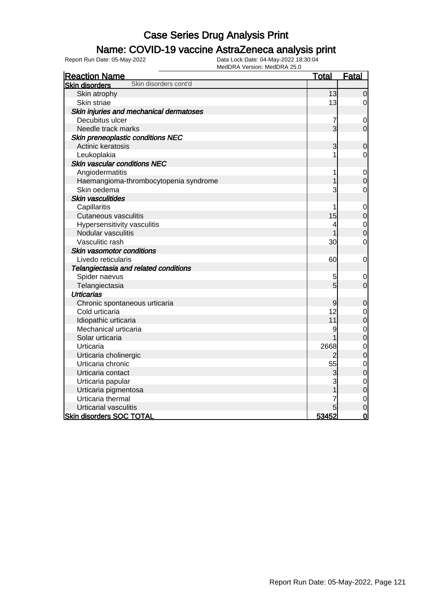### Name: COVID-19 vaccine AstraZeneca analysis print

| <b>VEISIUII. IVICULITA ZU.U</b><br><b>Reaction Name</b> | <b>Total</b>   | <b>Fatal</b>   |
|---------------------------------------------------------|----------------|----------------|
| Skin disorders cont'd<br><b>Skin disorders</b>          |                |                |
| Skin atrophy                                            | 13             | $\overline{0}$ |
| Skin striae                                             | 13             | 0              |
| Skin injuries and mechanical dermatoses                 |                |                |
| Decubitus ulcer                                         | 7              | $\mathbf 0$    |
| Needle track marks                                      | $\overline{3}$ | $\mathbf 0$    |
| Skin preneoplastic conditions NEC                       |                |                |
| Actinic keratosis                                       | 3              | $\mathbf 0$    |
| Leukoplakia                                             |                | $\mathbf 0$    |
| <b>Skin vascular conditions NEC</b>                     |                |                |
| Angiodermatitis                                         | 1              | $\mathbf 0$    |
| Haemangioma-thrombocytopenia syndrome                   |                | $\overline{0}$ |
| Skin oedema                                             | 3              | $\mathbf 0$    |
| Skin vasculitides                                       |                |                |
| Capillaritis                                            | 1              | $\mathbf 0$    |
| <b>Cutaneous vasculitis</b>                             | 15             | $\mathbf 0$    |
| Hypersensitivity vasculitis                             | 4              | $\mathbf{0}$   |
| Nodular vasculitis                                      |                | $\overline{0}$ |
| Vasculitic rash                                         | 30             | $\mathbf 0$    |
| Skin vasomotor conditions                               |                |                |
| Livedo reticularis                                      | 60             | $\mathbf 0$    |
| Telangiectasia and related conditions                   |                |                |
| Spider naevus                                           | 5              | 0              |
| Telangiectasia                                          | $\overline{5}$ | $\overline{0}$ |
| <b>Urticarias</b>                                       |                |                |
| Chronic spontaneous urticaria                           | 9              | $\mathbf 0$    |
| Cold urticaria                                          | 12             | $\mathbf 0$    |
| Idiopathic urticaria                                    | 11             | $\overline{0}$ |
| Mechanical urticaria                                    | 9              | $\mathbf{0}$   |
| Solar urticaria                                         |                | $\overline{0}$ |
| Urticaria                                               | 2668           | $\mathbf{0}$   |
| Urticaria cholinergic                                   | 2              | $\overline{0}$ |
| Urticaria chronic                                       | 55             | $\mathbf 0$    |
| Urticaria contact                                       | 3              | $\overline{0}$ |
| Urticaria papular                                       | 3              | $\mathbf{0}$   |
| Urticaria pigmentosa                                    |                | $\overline{0}$ |
| Urticaria thermal                                       |                | $\mathbf 0$    |
| Urticarial vasculitis                                   |                | $\overline{0}$ |
| <b>Skin disorders SOC TOTAL</b>                         | 53452          | $\overline{0}$ |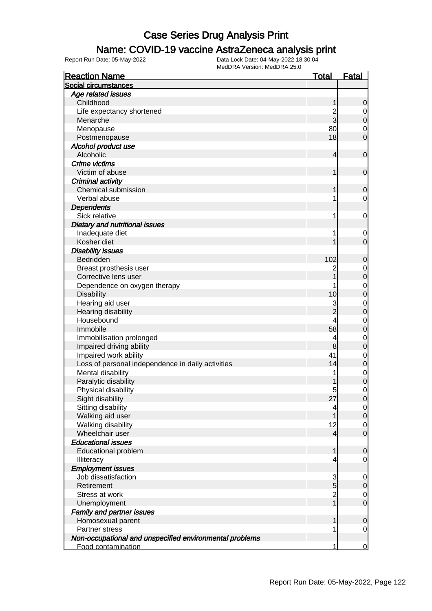### Name: COVID-19 vaccine AstraZeneca analysis print

| <b>Reaction Name</b>                                    | <u>Total</u>   | <b>Fatal</b>   |
|---------------------------------------------------------|----------------|----------------|
| Social circumstances                                    |                |                |
| Age related issues                                      |                |                |
| Childhood                                               | 1              | 0              |
| Life expectancy shortened                               | $\overline{c}$ | $\overline{0}$ |
| Menarche                                                | 3              | 0              |
| Menopause                                               | 80             | 0              |
| Postmenopause                                           | 18             | 0              |
| Alcohol product use                                     |                |                |
| Alcoholic                                               | 4              | $\mathbf 0$    |
| <b>Crime victims</b>                                    |                |                |
| Victim of abuse                                         | 1              | $\mathbf 0$    |
| Criminal activity                                       |                |                |
| <b>Chemical submission</b>                              |                | 0              |
| Verbal abuse                                            | 1              | 0              |
| <b>Dependents</b>                                       |                |                |
| Sick relative                                           | 1              | 0              |
| Dietary and nutritional issues                          |                |                |
| Inadequate diet                                         | 1              | $\overline{0}$ |
| Kosher diet                                             |                | 0              |
| <b>Disability issues</b>                                |                |                |
| Bedridden                                               | 102            | 0              |
| Breast prosthesis user                                  | $\mathbf 2$    | 0              |
| Corrective lens user                                    |                | 0              |
| Dependence on oxygen therapy                            |                | 0              |
| <b>Disability</b>                                       | 10             | 0              |
| Hearing aid user                                        | 3              | 0              |
| Hearing disability                                      | $\overline{2}$ | 0              |
| Housebound                                              | 4              | 0              |
| Immobile                                                | 58             | 0              |
| Immobilisation prolonged                                | 4              | 0              |
| Impaired driving ability                                | 8              | 0              |
| Impaired work ability                                   | 41             | 0              |
| Loss of personal independence in daily activities       | 14             | 0              |
| Mental disability                                       | 1              | 0              |
| Paralytic disability                                    |                | 0              |
| Physical disability                                     | 5              | 0              |
| Sight disability                                        | 27             | $\overline{0}$ |
| Sitting disability                                      | 4              | $\overline{0}$ |
| Walking aid user                                        |                | $\mathbf 0$    |
| Walking disability                                      | 12             | 0              |
| Wheelchair user                                         | 4              | $\mathbf 0$    |
| <b>Educational issues</b>                               |                |                |
| <b>Educational problem</b>                              | 1              | 0              |
| Illiteracy                                              | 4              | 0              |
| <b>Employment issues</b>                                |                |                |
| Job dissatisfaction                                     | 3              | 0              |
| Retirement                                              | $\overline{5}$ | 0              |
| Stress at work                                          | $\overline{c}$ | $\mathbf 0$    |
| Unemployment                                            | $\overline{1}$ | $\mathbf 0$    |
| <b>Family and partner issues</b>                        |                |                |
| Homosexual parent                                       |                | 0              |
| Partner stress                                          | 1              | 0              |
| Non-occupational and unspecified environmental problems |                |                |
| Food contamination                                      | 1              | $\overline{0}$ |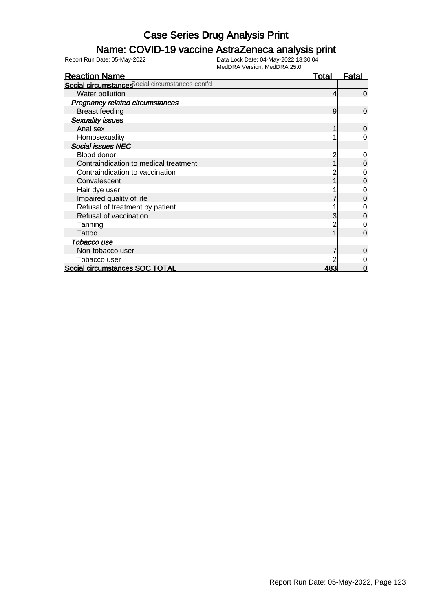### Name: COVID-19 vaccine AstraZeneca analysis print

| <b>Reaction Name</b>                            | <b>Total</b> | <b>Fatal</b>   |
|-------------------------------------------------|--------------|----------------|
| Social circumstances ocial circumstances cont'd |              |                |
| Water pollution                                 | 4            | $\Omega$       |
| Pregnancy related circumstances                 |              |                |
| <b>Breast feeding</b>                           | 9            | $\mathbf 0$    |
| <b>Sexuality issues</b>                         |              |                |
| Anal sex                                        |              | $\overline{0}$ |
| Homosexuality                                   |              | 0              |
| <b>Social issues NEC</b>                        |              |                |
| Blood donor                                     |              | 0              |
| Contraindication to medical treatment           |              | 0              |
| Contraindication to vaccination                 |              | 0              |
| Convalescent                                    |              | 0              |
| Hair dye user                                   |              | 0              |
| Impaired quality of life                        |              | 0              |
| Refusal of treatment by patient                 |              | 0              |
| Refusal of vaccination                          | 3            | 0              |
| Tanning                                         |              | 0              |
| Tattoo                                          |              | $\Omega$       |
| Tobacco use                                     |              |                |
| Non-tobacco user                                |              | 0              |
| Tobacco user                                    |              |                |
| Social circumstances SOC TOTAL                  | 483          | 0              |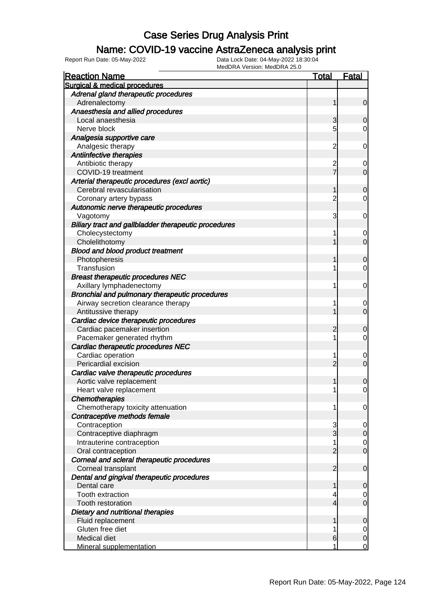#### Name: COVID-19 vaccine AstraZeneca analysis print

| <b>Reaction Name</b>                                      | <b>Total</b>                  | <b>Fatal</b>     |
|-----------------------------------------------------------|-------------------------------|------------------|
| Surgical & medical procedures                             |                               |                  |
| Adrenal gland therapeutic procedures                      |                               |                  |
| Adrenalectomy                                             | 1                             | $\mathbf 0$      |
| Anaesthesia and allied procedures                         |                               |                  |
| Local anaesthesia                                         | 3                             | 0                |
| Nerve block                                               | 5                             | 0                |
| Analgesia supportive care                                 |                               |                  |
| Analgesic therapy                                         | $\overline{2}$                | 0                |
| Antiinfective therapies                                   |                               |                  |
| Antibiotic therapy                                        | $\overline{c}$                | 0                |
| COVID-19 treatment                                        | 7                             | $\mathbf 0$      |
| Arterial therapeutic procedures (excl aortic)             |                               |                  |
| Cerebral revascularisation                                | 1                             | $\overline{0}$   |
| Coronary artery bypass                                    | $\overline{2}$                | 0                |
| Autonomic nerve therapeutic procedures                    |                               |                  |
| Vagotomy                                                  | 3                             | 0                |
| Biliary tract and gallbladder therapeutic procedures      |                               |                  |
| Cholecystectomy                                           | 1                             | 0                |
| Cholelithotomy                                            |                               | $\overline{0}$   |
| <b>Blood and blood product treatment</b>                  |                               |                  |
| Photopheresis                                             | 1                             | 0                |
| Transfusion                                               | 1                             | 0                |
| <b>Breast therapeutic procedures NEC</b>                  |                               |                  |
| Axillary lymphadenectomy                                  | 1                             | 0                |
| Bronchial and pulmonary therapeutic procedures            |                               |                  |
| Airway secretion clearance therapy                        | 1                             | 0                |
| Antitussive therapy                                       |                               | $\overline{0}$   |
| Cardiac device therapeutic procedures                     |                               |                  |
| Cardiac pacemaker insertion                               | 2                             | 0                |
| Pacemaker generated rhythm                                | 1                             | 0                |
| Cardiac therapeutic procedures NEC                        |                               |                  |
| Cardiac operation                                         | 1                             | 0                |
| Pericardial excision                                      | $\overline{2}$                | $\mathbf 0$      |
| Cardiac valve therapeutic procedures                      |                               |                  |
| Aortic valve replacement                                  | 1                             | 0                |
| Heart valve replacement                                   | 1                             | 0                |
| <b>Chemotherapies</b>                                     |                               |                  |
| Chemotherapy toxicity attenuation                         | 1                             | 0                |
| Contraceptive methods female                              |                               |                  |
| Contraception                                             | 3                             | 0                |
| Contraceptive diaphragm                                   | $\overline{3}$                | $\mathbf 0$      |
| Intrauterine contraception                                | 1                             | $\overline{0}$   |
| Oral contraception                                        | $\overline{2}$                | $\mathbf 0$      |
| Corneal and scleral therapeutic procedures                |                               |                  |
| Corneal transplant                                        | $\overline{2}$                | $\mathbf 0$      |
| Dental and gingival therapeutic procedures<br>Dental care |                               |                  |
| Tooth extraction                                          | 1                             | 0                |
| <b>Tooth restoration</b>                                  | 4<br>$\overline{\mathcal{L}}$ | 0<br>$\mathbf 0$ |
|                                                           |                               |                  |
| Dietary and nutritional therapies<br>Fluid replacement    | 1                             | $\mathbf 0$      |
| Gluten free diet                                          | 1                             | 0                |
| Medical diet                                              | 6                             | $\mathbf 0$      |
| Mineral supplementation                                   | 1                             | 0                |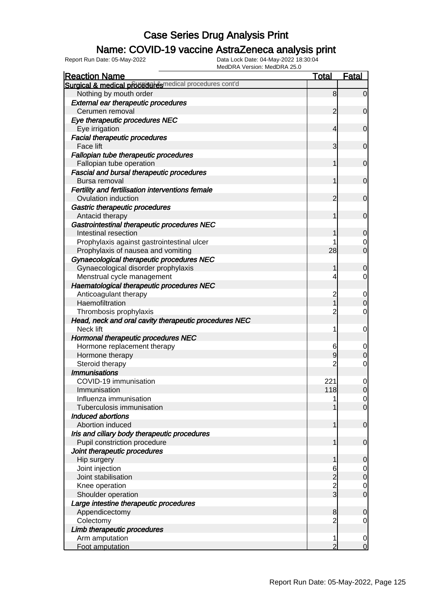### Name: COVID-19 vaccine AstraZeneca analysis print

| MEUDRA VEISION. MEUDRA 23.0<br><b>Reaction Name</b>                  | <u>Total</u>                     | <b>Fatal</b>        |
|----------------------------------------------------------------------|----------------------------------|---------------------|
| Surgical & medical proceeder esmedical procedures cont'd             |                                  |                     |
| Nothing by mouth order<br><b>External ear therapeutic procedures</b> | 8                                | $\mathbf 0$         |
| Cerumen removal                                                      | $\overline{2}$                   | $\mathbf 0$         |
| Eye therapeutic procedures NEC                                       |                                  |                     |
| Eye irrigation                                                       | $\overline{4}$                   | $\mathbf 0$         |
| <b>Facial therapeutic procedures</b>                                 |                                  |                     |
| <b>Face lift</b>                                                     | 3                                | $\mathbf 0$         |
| Fallopian tube therapeutic procedures                                |                                  |                     |
| Fallopian tube operation                                             | 1                                | $\mathbf 0$         |
| <b>Fascial and bursal therapeutic procedures</b>                     |                                  |                     |
| Bursa removal                                                        | 1                                | $\mathbf 0$         |
| Fertility and fertilisation interventions female                     |                                  |                     |
| Ovulation induction                                                  | 2                                | $\mathbf 0$         |
| Gastric therapeutic procedures                                       |                                  |                     |
| Antacid therapy                                                      | 1                                | $\mathbf 0$         |
| Gastrointestinal therapeutic procedures NEC                          |                                  |                     |
| Intestinal resection                                                 |                                  | $\overline{0}$      |
| Prophylaxis against gastrointestinal ulcer                           |                                  | 0                   |
| Prophylaxis of nausea and vomiting                                   | 28                               | $\overline{0}$      |
| Gynaecological therapeutic procedures NEC                            |                                  |                     |
| Gynaecological disorder prophylaxis                                  | 1                                | 0                   |
| Menstrual cycle management                                           | 4                                | 0                   |
| Haematological therapeutic procedures NEC                            |                                  |                     |
| Anticoagulant therapy                                                |                                  |                     |
| Haemofiltration                                                      | $\overline{c}$<br>$\overline{1}$ | 0<br>$\overline{0}$ |
| Thrombosis prophylaxis                                               | 2                                | 0                   |
| Head, neck and oral cavity therapeutic procedures NEC                |                                  |                     |
| Neck lift                                                            | 1                                | 0                   |
| Hormonal therapeutic procedures NEC                                  |                                  |                     |
| Hormone replacement therapy                                          | 6                                | 0                   |
| Hormone therapy                                                      | 9                                | 0                   |
| Steroid therapy                                                      |                                  | 0                   |
| <b>Immunisations</b>                                                 |                                  |                     |
| COVID-19 immunisation                                                | 221                              | 0                   |
| Immunisation                                                         | 118                              | $\Omega$            |
| Influenza immunisation                                               |                                  | $\overline{0}$      |
| Tuberculosis immunisation                                            |                                  | $\overline{0}$      |
| Induced abortions                                                    |                                  |                     |
| Abortion induced                                                     |                                  | $\mathbf 0$         |
| Iris and ciliary body therapeutic procedures                         |                                  |                     |
| Pupil constriction procedure                                         |                                  | $\mathbf 0$         |
| Joint therapeutic procedures                                         |                                  |                     |
| Hip surgery                                                          |                                  | 0                   |
| Joint injection                                                      | 6                                | $\mathbf{0}$        |
| Joint stabilisation                                                  | $\overline{c}$                   | $\overline{0}$      |
| Knee operation                                                       | $\frac{2}{3}$                    | $\mathbf 0$         |
| Shoulder operation                                                   |                                  | 0                   |
| Large intestine therapeutic procedures                               |                                  |                     |
| Appendicectomy                                                       | 8                                | 0                   |
| Colectomy                                                            | 2                                | 0                   |
| Limb therapeutic procedures                                          |                                  |                     |
| Arm amputation                                                       | 1                                | 0                   |
| Foot amputation                                                      | 2                                | $\Omega$            |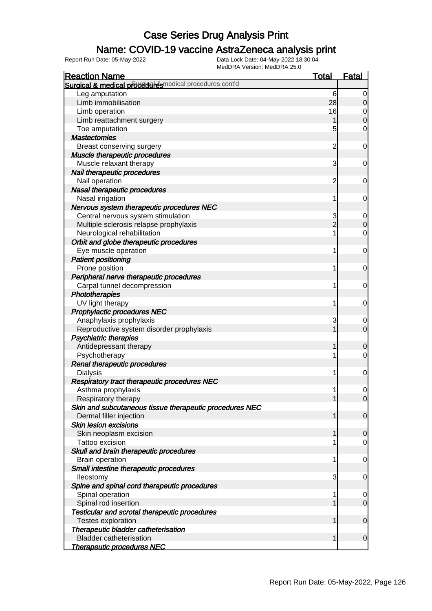### Name: COVID-19 vaccine AstraZeneca analysis print

| <b>Reaction Name</b>                                    | <b>Total</b>   | <b>Fatal</b>   |
|---------------------------------------------------------|----------------|----------------|
| Surgical & medical proceed esmedical procedures cont'd  |                |                |
| Leg amputation                                          | 6              | 0              |
| Limb immobilisation                                     | 28             | $\mathbf 0$    |
| Limb operation                                          | 16             | 0              |
| Limb reattachment surgery                               | 1              | $\mathbf 0$    |
| Toe amputation                                          | 5              | $\mathbf 0$    |
| <b>Mastectomies</b>                                     |                |                |
| Breast conserving surgery                               | $\overline{c}$ | 0              |
| Muscle therapeutic procedures                           |                |                |
| Muscle relaxant therapy                                 | 3              | 0              |
| Nail therapeutic procedures                             |                |                |
| Nail operation                                          | $\overline{c}$ | 0              |
| Nasal therapeutic procedures                            |                |                |
| Nasal irrigation                                        | 1              | 0              |
| Nervous system therapeutic procedures NEC               |                |                |
| Central nervous system stimulation                      | 3              | 0              |
| Multiple sclerosis relapse prophylaxis                  | $\overline{2}$ | $\mathbf 0$    |
| Neurological rehabilitation                             | 1              | $\mathbf 0$    |
| Orbit and globe therapeutic procedures                  |                |                |
| Eye muscle operation                                    | 1              | 0              |
| <b>Patient positioning</b>                              |                |                |
| Prone position                                          | 1              | 0              |
| Peripheral nerve therapeutic procedures                 |                |                |
| Carpal tunnel decompression                             | 1              | 0              |
| Phototherapies                                          |                |                |
| UV light therapy                                        | 1              | 0              |
| Prophylactic procedures NEC                             |                |                |
| Anaphylaxis prophylaxis                                 | 3              | 0              |
| Reproductive system disorder prophylaxis                |                | $\overline{0}$ |
| <b>Psychiatric therapies</b>                            |                |                |
| Antidepressant therapy                                  | 1              | $\mathbf 0$    |
| Psychotherapy                                           | 1              | $\overline{0}$ |
| Renal therapeutic procedures                            |                |                |
| <b>Dialysis</b>                                         | 1              | 0              |
| Respiratory tract therapeutic procedures NEC            |                |                |
| Asthma prophylaxis                                      | 1              | $\overline{0}$ |
| Respiratory therapy                                     | 1              | $\overline{0}$ |
| Skin and subcutaneous tissue therapeutic procedures NEC |                |                |
| Dermal filler injection                                 | 1              | $\mathbf 0$    |
| <b>Skin lesion excisions</b>                            |                |                |
| Skin neoplasm excision                                  | 1              | $\mathbf 0$    |
| Tattoo excision                                         |                | $\overline{0}$ |
| Skull and brain therapeutic procedures                  |                |                |
| <b>Brain operation</b>                                  | 1              | 0              |
| Small intestine therapeutic procedures                  |                |                |
| lleostomy                                               | 3              | 0              |
| Spine and spinal cord therapeutic procedures            |                |                |
| Spinal operation                                        | 1              | 0              |
| Spinal rod insertion                                    |                | $\mathbf 0$    |
| <b>Testicular and scrotal therapeutic procedures</b>    |                |                |
| <b>Testes exploration</b>                               | 1              | $\mathbf 0$    |
| Therapeutic bladder catheterisation                     |                |                |
| <b>Bladder catheterisation</b>                          | 1              | $\mathbf 0$    |
| <b>Therapeutic procedures NEC</b>                       |                |                |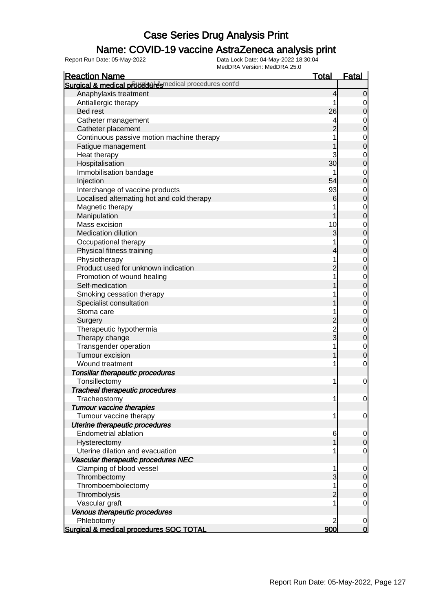### Name: COVID-19 vaccine AstraZeneca analysis print

| <b>Reaction Name</b>                                     | <u>Total</u>   | <b>Fatal</b>     |
|----------------------------------------------------------|----------------|------------------|
| Surgical & medical proceeder esmedical procedures cont'd |                |                  |
| Anaphylaxis treatment                                    | 4              | $\mathbf 0$      |
| Antiallergic therapy                                     | 1              | $\mathbf 0$      |
| Bed rest                                                 | 26             | $\mathbf 0$      |
| Catheter management                                      |                | $\mathbf 0$      |
| Catheter placement                                       |                | $\mathbf 0$      |
| Continuous passive motion machine therapy                |                | $\mathbf{0}$     |
| Fatigue management                                       |                | $\overline{0}$   |
| Heat therapy                                             | 3              | $\mathbf{0}$     |
| Hospitalisation                                          | 30             | $\overline{0}$   |
| Immobilisation bandage                                   |                | $\mathbf{0}$     |
| Injection                                                | 54             | $\overline{0}$   |
| Interchange of vaccine products                          | 93             | $\mathbf{0}$     |
| Localised alternating hot and cold therapy               | 6              | $\overline{0}$   |
| Magnetic therapy                                         |                | $\mathbf{0}$     |
| Manipulation                                             | 1              | $\overline{0}$   |
| Mass excision                                            | 10             | $\mathbf{0}$     |
| <b>Medication dilution</b>                               | 3              | $\overline{0}$   |
| Occupational therapy                                     |                | $\mathbf{0}$     |
| Physical fitness training                                | 4              | $\overline{0}$   |
| Physiotherapy                                            | 1              | $\mathbf{0}$     |
| Product used for unknown indication                      | 2              | $\overline{0}$   |
| Promotion of wound healing                               |                | $\mathbf{0}$     |
| Self-medication                                          |                | $\overline{0}$   |
| Smoking cessation therapy                                |                | $\mathbf{0}$     |
| Specialist consultation                                  |                | $\overline{0}$   |
| Stoma care                                               |                | $\mathbf{0}$     |
| Surgery                                                  | 2              | $\overline{0}$   |
| Therapeutic hypothermia                                  | $\overline{2}$ | $\mathbf{0}$     |
| Therapy change                                           | $_3^-$         | $\overline{0}$   |
| Transgender operation                                    | 1              | $\mathbf{0}$     |
| Tumour excision                                          | 1              | $\mathbf 0$      |
| Wound treatment                                          | 1              | $\mathbf 0$      |
| Tonsillar therapeutic procedures                         |                |                  |
| Tonsillectomy                                            | 1              | 0                |
| <b>Tracheal therapeutic procedures</b>                   |                |                  |
| Tracheostomy                                             | 1              | $\overline{0}$   |
| <b>Tumour vaccine therapies</b>                          |                |                  |
| Tumour vaccine therapy                                   | 1              | $\mathbf 0$      |
| Uterine therapeutic procedures                           |                |                  |
| <b>Endometrial ablation</b>                              | 6              | $\overline{0}$   |
| Hysterectomy                                             | 1              | $\boldsymbol{0}$ |
| Uterine dilation and evacuation                          | 1              | $\mathbf 0$      |
| Vascular therapeutic procedures NEC                      |                |                  |
| Clamping of blood vessel                                 | 1              | $\mathbf 0$      |
| Thrombectomy                                             | 3              | $\mathbf 0$      |
| Thromboembolectomy                                       | 1              | $\overline{0}$   |
| Thrombolysis                                             | $\overline{c}$ | $\boldsymbol{0}$ |
| Vascular graft                                           | 1              | $\mathbf 0$      |
| Venous therapeutic procedures                            |                |                  |
| Phlebotomy                                               | 2              | 0                |
| Surgical & medical procedures SOC TOTAL                  | 900            | $\mathbf 0$      |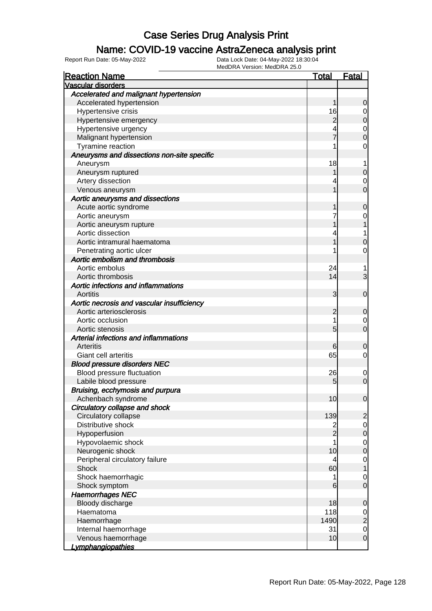#### Name: COVID-19 vaccine AstraZeneca analysis print

| <b>Reaction Name</b>                        | <u>Total</u>            | <b>Fatal</b>   |
|---------------------------------------------|-------------------------|----------------|
| <b>Vascular disorders</b>                   |                         |                |
| Accelerated and malignant hypertension      |                         |                |
| Accelerated hypertension                    |                         | 0              |
| Hypertensive crisis                         | 16                      |                |
| Hypertensive emergency                      | $\overline{c}$          | 0              |
| Hypertensive urgency                        | 4                       | 0              |
| Malignant hypertension                      |                         | 0              |
| Tyramine reaction                           |                         | 0              |
| Aneurysms and dissections non-site specific |                         |                |
| Aneurysm                                    | 18                      |                |
| Aneurysm ruptured                           |                         | 0              |
| Artery dissection                           | 4                       | 0              |
| Venous aneurysm                             |                         | 0              |
| Aortic aneurysms and dissections            |                         |                |
| Acute aortic syndrome                       |                         | 0              |
| Aortic aneurysm                             |                         |                |
| Aortic aneurysm rupture                     |                         |                |
| Aortic dissection                           | 4                       |                |
| Aortic intramural haematoma                 |                         | 0              |
| Penetrating aortic ulcer                    |                         | 0              |
| Aortic embolism and thrombosis              |                         |                |
| Aortic embolus                              | 24                      |                |
| Aortic thrombosis                           | 14                      | 3              |
| Aortic infections and inflammations         |                         |                |
| Aortitis                                    | 3                       | 0              |
| Aortic necrosis and vascular insufficiency  |                         |                |
| Aortic arteriosclerosis                     | 2                       | 0              |
| Aortic occlusion                            | 1                       | 0              |
| Aortic stenosis                             | 5                       | 0              |
| Arterial infections and inflammations       |                         |                |
| Arteritis                                   | 6                       | 0              |
| Giant cell arteritis                        | 65                      | 0              |
| <b>Blood pressure disorders NEC</b>         |                         |                |
| Blood pressure fluctuation                  | 26                      | 0              |
| Labile blood pressure                       | 5                       | 0              |
| Bruising, ecchymosis and purpura            |                         |                |
| Achenbach syndrome                          | 10                      | 0              |
| Circulatory collapse and shock              |                         |                |
| Circulatory collapse                        | 139                     | $\overline{2}$ |
| Distributive shock                          | $\overline{\mathbf{c}}$ | $\mathbf 0$    |
| Hypoperfusion                               | $\overline{2}$          | $\mathbf 0$    |
| Hypovolaemic shock                          | 1                       | $\mathbf 0$    |
| Neurogenic shock                            | 10                      | $\mathbf 0$    |
| Peripheral circulatory failure              | 4                       | $\mathbf 0$    |
| Shock                                       | 60                      |                |
| Shock haemorrhagic                          | 1                       | 0              |
| Shock symptom                               | 6                       | 0              |
| <b>Haemorrhages NEC</b>                     |                         |                |
| Bloody discharge                            | 18                      | 0              |
| Haematoma                                   | 118                     | $\mathbf 0$    |
| Haemorrhage                                 | 1490                    | $\overline{2}$ |
| Internal haemorrhage                        | 31                      | $\mathbf 0$    |
| Venous haemorrhage                          | 10                      | $\mathbf 0$    |
| <u>Lymphangiopathies</u>                    |                         |                |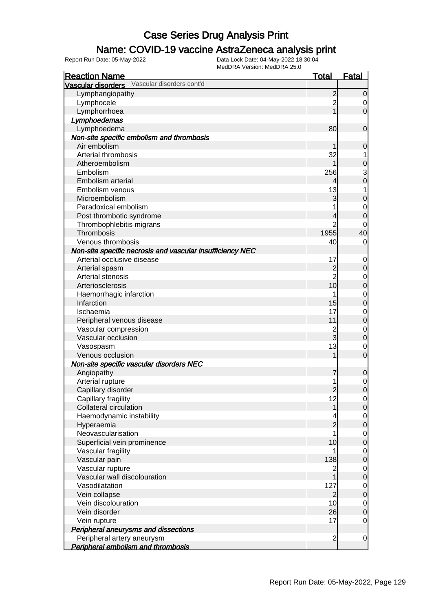### Name: COVID-19 vaccine AstraZeneca analysis print

| <b>Reaction Name</b>                                      | <b>Total</b>   | <b>Fatal</b>                          |
|-----------------------------------------------------------|----------------|---------------------------------------|
| Vascular disorders Vascular disorders cont'd              |                |                                       |
| Lymphangiopathy                                           | $\overline{c}$ | 0                                     |
| Lymphocele                                                | $\overline{2}$ | $\overline{0}$                        |
| Lymphorrhoea                                              | $\overline{1}$ | $\overline{O}$                        |
| Lymphoedemas                                              |                |                                       |
| Lymphoedema                                               | 80             | $\mathbf 0$                           |
| Non-site specific embolism and thrombosis                 |                |                                       |
| Air embolism                                              |                | $\mathbf 0$                           |
| Arterial thrombosis                                       | 32             | $\mathbf{1}$                          |
| Atheroembolism                                            | 1              |                                       |
| Embolism                                                  | 256            | $\begin{array}{c} 0 \\ 3 \end{array}$ |
| Embolism arterial                                         | 4              |                                       |
| Embolism venous                                           | 13             | $\overline{1}$                        |
| Microembolism                                             | 3              | $\mathbf 0$                           |
| Paradoxical embolism                                      |                | $\mathbf{0}$                          |
| Post thrombotic syndrome                                  | 4              | $\overline{0}$                        |
| Thrombophlebitis migrans                                  | $\overline{2}$ | 0                                     |
| Thrombosis                                                | 1955           | 40                                    |
| Venous thrombosis                                         | 40             | $\overline{0}$                        |
| Non-site specific necrosis and vascular insufficiency NEC |                |                                       |
| Arterial occlusive disease                                | 17             | $\mathbf 0$                           |
| Arterial spasm                                            | $\overline{c}$ | $\pmb{0}$                             |
| Arterial stenosis                                         | $\overline{2}$ |                                       |
| Arteriosclerosis                                          | 10             | $\begin{matrix}0\\0\end{matrix}$      |
| Haemorrhagic infarction                                   | 1              |                                       |
| Infarction                                                | 15             | $\begin{matrix} 0 \\ 0 \end{matrix}$  |
| Ischaemia                                                 | 17             |                                       |
| Peripheral venous disease                                 | 11             | $\begin{matrix} 0 \\ 0 \end{matrix}$  |
| Vascular compression                                      | $\overline{2}$ |                                       |
| Vascular occlusion                                        | $\overline{3}$ | $\begin{matrix} 0 \\ 0 \end{matrix}$  |
|                                                           | 13             |                                       |
| Vasospasm<br>Venous occlusion                             | 1              | $\overline{0}$<br>$\overline{0}$      |
|                                                           |                |                                       |
| Non-site specific vascular disorders NEC                  |                |                                       |
| Angiopathy                                                | 7              | $\mathbf 0$                           |
| Arterial rupture                                          | 1              | $\begin{matrix} 0 \\ 0 \end{matrix}$  |
| Capillary disorder                                        | $\overline{c}$ |                                       |
| Capillary fragility                                       | 12             | $\overline{0}$                        |
| <b>Collateral circulation</b>                             | 1              | 0                                     |
| Haemodynamic instability                                  | 4              | $\overline{0}$                        |
| Hyperaemia                                                | $\overline{c}$ | $\mathbf 0$                           |
| Neovascularisation                                        | 1              | $\overline{0}$                        |
| Superficial vein prominence                               | 10             | $\pmb{0}$                             |
| Vascular fragility                                        |                | $\overline{0}$                        |
| Vascular pain                                             | 138            | $\pmb{0}$                             |
| Vascular rupture                                          | 2              | $\overline{0}$                        |
| Vascular wall discolouration                              | 1              | $\pmb{0}$                             |
| Vasodilatation                                            | 127            | $\overline{0}$                        |
| Vein collapse                                             | $\overline{c}$ | $\pmb{0}$                             |
| Vein discolouration                                       | 10             | $\overline{0}$                        |
| Vein disorder                                             | 26             | $\mathbf 0$                           |
| Vein rupture                                              | 17             | $\overline{0}$                        |
| Peripheral aneurysms and dissections                      |                |                                       |
| Peripheral artery aneurysm                                | $\overline{c}$ | $\overline{0}$                        |
| Peripheral embolism and thrombosis                        |                |                                       |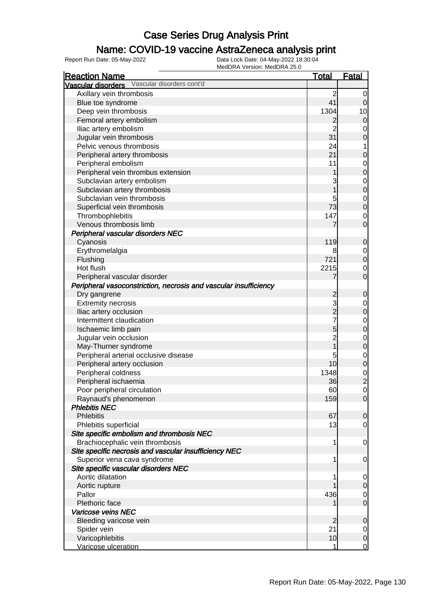### Name: COVID-19 vaccine AstraZeneca analysis print

| <b>Reaction Name</b>                                             | <b>Total</b>   | <b>Fatal</b>        |
|------------------------------------------------------------------|----------------|---------------------|
| Vascular disorders cont'd<br>Vascular disorders                  |                |                     |
| Axillary vein thrombosis                                         | $\overline{2}$ | 0                   |
| Blue toe syndrome                                                | 41             | 0                   |
| Deep vein thrombosis                                             | 1304           | 10                  |
| Femoral artery embolism                                          | $\mathbf{2}$   | $\mathbf 0$         |
| Iliac artery embolism                                            | $\overline{2}$ | 0                   |
| Jugular vein thrombosis                                          | 31             | $\mathbf 0$         |
| Pelvic venous thrombosis                                         | 24             |                     |
| Peripheral artery thrombosis                                     | 21             | $\mathbf 0$         |
| Peripheral embolism                                              | 11             | 0                   |
| Peripheral vein thrombus extension                               |                | $\boldsymbol{0}$    |
| Subclavian artery embolism                                       | 3              | 0                   |
| Subclavian artery thrombosis                                     |                | $\boldsymbol{0}$    |
| Subclavian vein thrombosis                                       |                | 0                   |
| Superficial vein thrombosis                                      | 73             | $\boldsymbol{0}$    |
| Thrombophlebitis                                                 | 147            | 0                   |
| Venous thrombosis limb                                           | 7              | $\mathbf 0$         |
| Peripheral vascular disorders NEC                                |                |                     |
| Cyanosis                                                         | 119            | 0                   |
| Erythromelalgia                                                  | 8              | 0                   |
| Flushing                                                         | 721            | $\boldsymbol{0}$    |
| Hot flush                                                        | 2215           | 0                   |
| Peripheral vascular disorder                                     | 7              | $\overline{0}$      |
| Peripheral vasoconstriction, necrosis and vascular insufficiency |                |                     |
| Dry gangrene                                                     | $\overline{c}$ | $\mathbf 0$         |
| <b>Extremity necrosis</b>                                        | 3              | 0                   |
| Iliac artery occlusion                                           | $\overline{2}$ | $\boldsymbol{0}$    |
| Intermittent claudication                                        | 7              | 0                   |
| Ischaemic limb pain                                              | 5              | $\boldsymbol{0}$    |
| Jugular vein occlusion                                           | $\overline{c}$ | 0                   |
| May-Thurner syndrome                                             |                | $\boldsymbol{0}$    |
| Peripheral arterial occlusive disease                            | 5              | 0                   |
| Peripheral artery occlusion                                      | 10             | $\boldsymbol{0}$    |
| Peripheral coldness                                              | 1348           | $\mathbf 0$         |
| Peripheral ischaemia                                             | 36             | $\overline{c}$      |
| Poor peripheral circulation                                      | 60             | $\mathsf{O}\xspace$ |
| Raynaud's phenomenon                                             | 159            | $\overline{0}$      |
| <b>Phlebitis NEC</b>                                             |                |                     |
| <b>Phlebitis</b>                                                 | 67             | $\overline{0}$      |
| Phlebitis superficial                                            | 13             | $\overline{0}$      |
| Site specific embolism and thrombosis NEC                        |                |                     |
| Brachiocephalic vein thrombosis                                  | 1              | $\mathbf 0$         |
| Site specific necrosis and vascular insufficiency NEC            |                |                     |
| Superior vena cava syndrome                                      | 1              | 0                   |
| Site specific vascular disorders NEC                             |                |                     |
| Aortic dilatation                                                | 1              | 0                   |
| Aortic rupture                                                   |                | $\mathbf 0$         |
| Pallor                                                           | 436            | $\overline{0}$      |
| Plethoric face                                                   |                | $\mathbf 0$         |
| Varicose veins NEC                                               |                |                     |
| Bleeding varicose vein                                           | $\overline{2}$ | $\mathbf 0$         |
| Spider vein                                                      | 21             | 0                   |
| Varicophlebitis                                                  | 10             | $\mathbf 0$         |
| Varicose ulceration                                              | 1              | $\mathbf 0$         |